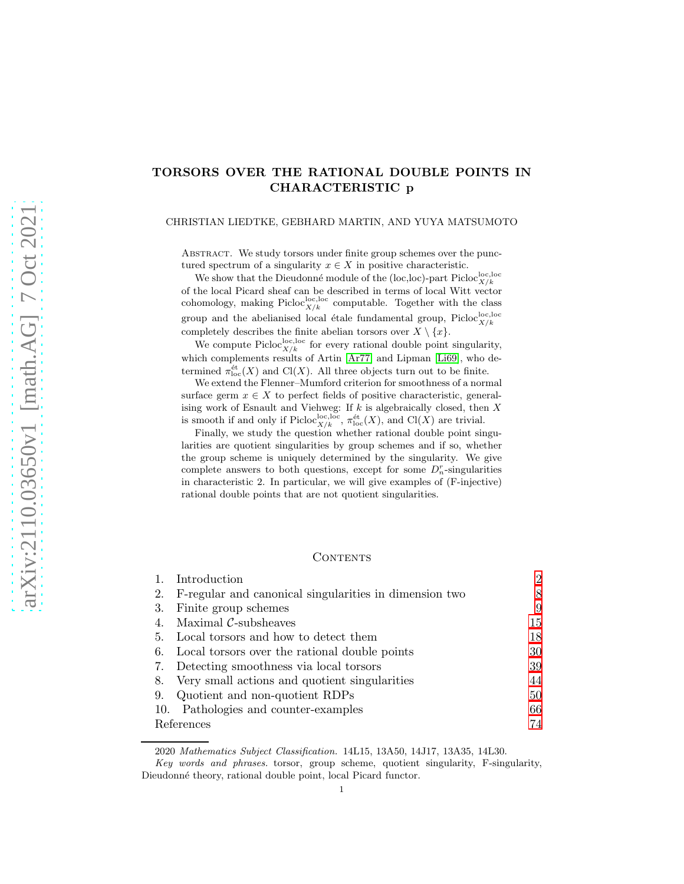# TORSORS OVER THE RATIONAL DOUBLE POINTS IN CHARACTERISTIC p

CHRISTIAN LIEDTKE, GEBHARD MARTIN, AND YUYA MATSUMOTO

ABSTRACT. We study torsors under finite group schemes over the punctured spectrum of a singularity  $x \in X$  in positive characteristic.

We show that the Dieudonné module of the (loc,loc)-part  $\text{Picloc}^{\text{loc},\text{loc}}_{X/k}$ of the local Picard sheaf can be described in terms of local Witt vector cohomology, making  $Picloc_{X/k}^{\text{loc,loc}}$  computable. Together with the class group and the abelianised local étale fundamental group, Picloc $_{X/k}^{\text{loc,loc}}$ completely describes the finite abelian torsors over  $X \setminus \{x\}$ .

We compute Picloc<sup>loc</sup>, loc every rational double point singularity, which complements results of Artin [\[Ar77\]](#page-73-0) and Lipman [\[Li69\]](#page-74-0), who determined  $\pi_{\text{loc}}^{\text{\'et}}(X)$  and Cl(X). All three objects turn out to be finite.

We extend the Flenner–Mumford criterion for smoothness of a normal surface germ  $x \in X$  to perfect fields of positive characteristic, generalising work of Esnault and Viehweg: If  $k$  is algebraically closed, then  $X$ is smooth if and only if Picloc<sup>loc</sup>,  $\pi_{\text{loc}}^{\text{\'et}}(X)$ , and Cl(X) are trivial.

Finally, we study the question whether rational double point singularities are quotient singularities by group schemes and if so, whether the group scheme is uniquely determined by the singularity. We give complete answers to both questions, except for some  $D_n^r$ -singularities in characteristic 2. In particular, we will give examples of (F-injective) rational double points that are not quotient singularities.

### CONTENTS

|            | Introduction                                           | 2  |  |
|------------|--------------------------------------------------------|----|--|
| 2.         | F-regular and canonical singularities in dimension two | 8  |  |
| 3.         | Finite group schemes                                   | 9  |  |
| 4.         | Maximal $C$ -subsheaves                                | 15 |  |
| 5.         | Local torsors and how to detect them                   | 18 |  |
| 6.         | Local torsors over the rational double points          | 30 |  |
| 7.         | Detecting smoothness via local torsors                 | 39 |  |
| 8.         | Very small actions and quotient singularities          | 44 |  |
| 9.         | Quotient and non-quotient RDPs                         | 50 |  |
| 10.        | Pathologies and counter-examples                       | 66 |  |
| References |                                                        |    |  |

2020 Mathematics Subject Classification. 14L15, 13A50, 14J17, 13A35, 14L30.

Key words and phrases. torsor, group scheme, quotient singularity, F-singularity, Dieudonné theory, rational double point, local Picard functor.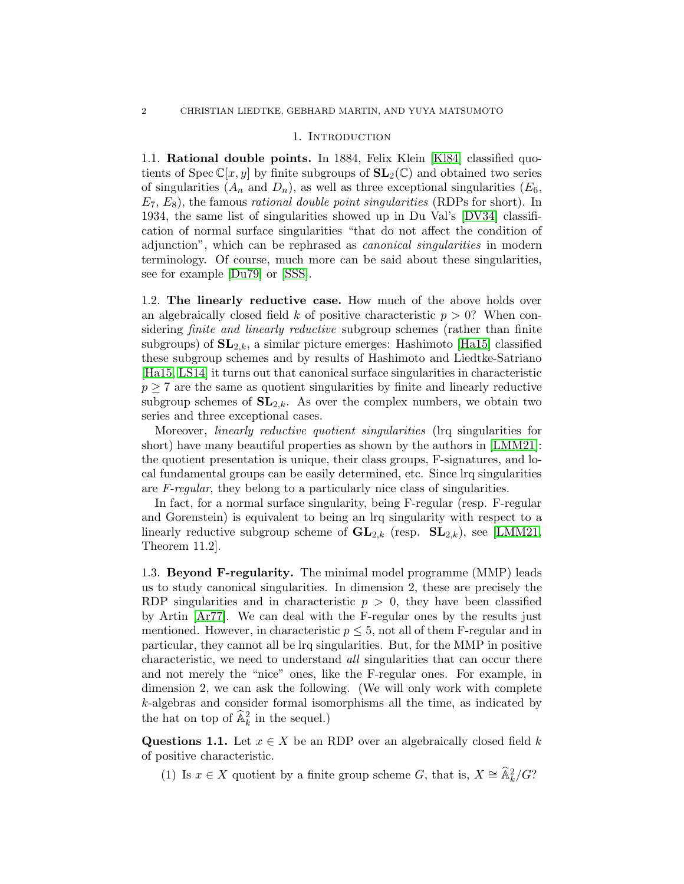#### 1. INTRODUCTION

<span id="page-1-0"></span>1.1. Rational double points. In 1884, Felix Klein [\[Kl84\]](#page-74-1) classified quotients of  $Spec \mathbb{C}[x, y]$  by finite subgroups of  $SL_2(\mathbb{C})$  and obtained two series of singularities  $(A_n \text{ and } D_n)$ , as well as three exceptional singularities  $(E_6,$  $E_7, E_8$ , the famous *rational double point singularities* (RDPs for short). In 1934, the same list of singularities showed up in Du Val's [\[DV34\]](#page-73-2) classification of normal surface singularities "that do not affect the condition of adjunction", which can be rephrased as canonical singularities in modern terminology. Of course, much more can be said about these singularities, see for example [\[Du79\]](#page-73-3) or [\[SSS\]](#page-75-0).

1.2. The linearly reductive case. How much of the above holds over an algebraically closed field k of positive characteristic  $p > 0$ ? When considering *finite and linearly reductive* subgroup schemes (rather than finite subgroups) of  $SL_{2,k}$ , a similar picture emerges: Hashimoto [\[Ha15\]](#page-74-2) classified these subgroup schemes and by results of Hashimoto and Liedtke-Satriano [\[Ha15,](#page-74-2) [LS14\]](#page-74-3) it turns out that canonical surface singularities in characteristic  $p \geq 7$  are the same as quotient singularities by finite and linearly reductive subgroup schemes of  $SL_{2,k}$ . As over the complex numbers, we obtain two series and three exceptional cases.

Moreover, linearly reductive quotient singularities (lrq singularities for short) have many beautiful properties as shown by the authors in [\[LMM21\]](#page-74-4): the quotient presentation is unique, their class groups, F-signatures, and local fundamental groups can be easily determined, etc. Since lrq singularities are F-regular, they belong to a particularly nice class of singularities.

In fact, for a normal surface singularity, being F-regular (resp. F-regular and Gorenstein) is equivalent to being an lrq singularity with respect to a linearly reductive subgroup scheme of  $GL_{2,k}$  (resp.  $SL_{2,k}$ ), see [\[LMM21,](#page-74-4) Theorem 11.2].

1.3. Beyond F-regularity. The minimal model programme (MMP) leads us to study canonical singularities. In dimension 2, these are precisely the RDP singularities and in characteristic  $p > 0$ , they have been classified by Artin [\[Ar77\]](#page-73-0). We can deal with the F-regular ones by the results just mentioned. However, in characteristic  $p \leq 5$ , not all of them F-regular and in particular, they cannot all be lrq singularities. But, for the MMP in positive characteristic, we need to understand all singularities that can occur there and not merely the "nice" ones, like the F-regular ones. For example, in dimension 2, we can ask the following. (We will only work with complete k-algebras and consider formal isomorphisms all the time, as indicated by the hat on top of  $\widehat{\mathbb{A}}_k^2$  in the sequel.)

<span id="page-1-1"></span>Questions 1.1. Let  $x \in X$  be an RDP over an algebraically closed field k of positive characteristic.

(1) Is  $x \in X$  quotient by a finite group scheme G, that is,  $X \cong \widehat{\mathbb{A}}_k^2/G$ ?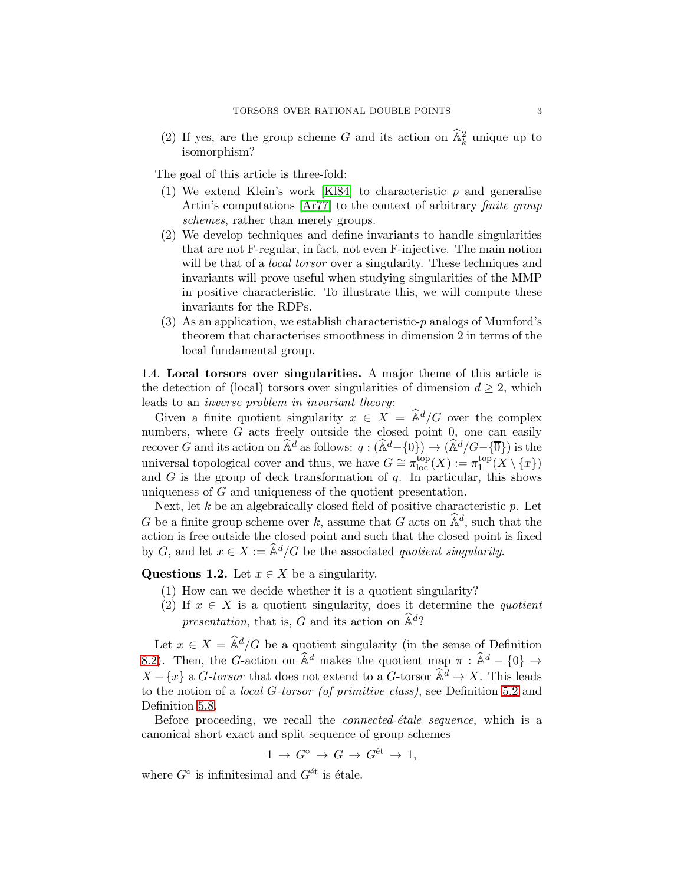(2) If yes, are the group scheme G and its action on  $\widehat{\mathbb{A}}_k^2$  unique up to isomorphism?

The goal of this article is three-fold:

- (1) We extend Klein's work [\[Kl84\]](#page-74-1) to characteristic  $p$  and generalise Artin's computations [\[Ar77\]](#page-73-0) to the context of arbitrary finite group schemes, rather than merely groups.
- (2) We develop techniques and define invariants to handle singularities that are not F-regular, in fact, not even F-injective. The main notion will be that of a *local torsor* over a singularity. These techniques and invariants will prove useful when studying singularities of the MMP in positive characteristic. To illustrate this, we will compute these invariants for the RDPs.
- (3) As an application, we establish characteristic-p analogs of Mumford's theorem that characterises smoothness in dimension 2 in terms of the local fundamental group.

<span id="page-2-1"></span>1.4. Local torsors over singularities. A major theme of this article is the detection of (local) torsors over singularities of dimension  $d \geq 2$ , which leads to an inverse problem in invariant theory:

Given a finite quotient singularity  $x \in X = \hat{\mathbb{A}}^d/G$  over the complex numbers, where  $G$  acts freely outside the closed point  $0$ , one can easily recover G and its action on  $\widehat{\mathbb{A}}^d$  as follows:  $q : (\widehat{\mathbb{A}}^d - \{0\}) \to (\widehat{\mathbb{A}}^d / G - \{\overline{0}\})$  is the universal topological cover and thus, we have  $G \cong \pi_{\text{loc}}^{\text{top}}(X) := \pi_1^{\text{top}}$  $_1^{\text{top}}(X\setminus\{x\})$ and  $G$  is the group of deck transformation of  $q$ . In particular, this shows uniqueness of G and uniqueness of the quotient presentation.

Next, let  $k$  be an algebraically closed field of positive characteristic  $p$ . Let G be a finite group scheme over k, assume that G acts on  $\hat{\mathbb{A}}^d$ , such that the action is free outside the closed point and such that the closed point is fixed by G, and let  $x \in X := \hat{\mathbb{A}}^d/G$  be the associated quotient singularity.

<span id="page-2-0"></span>Questions 1.2. Let  $x \in X$  be a singularity.

- (1) How can we decide whether it is a quotient singularity?
- (2) If  $x \in X$  is a quotient singularity, does it determine the *quotient* presentation, that is, G and its action on  $\widehat{\mathbb{A}}^d$ ?

Let  $x \in X = \hat{\mathbb{A}}^d/G$  be a quotient singularity (in the sense of Definition [8.2\)](#page-43-1). Then, the G-action on  $\hat{\mathbb{A}}^d$  makes the quotient map  $\pi : \hat{\mathbb{A}}^d - \{0\} \rightarrow$  $X - \{x\}$  a *G-torsor* that does not extend to a *G*-torsor  $\widehat{\mathbb{A}}^d \to X$ . This leads to the notion of a local G-torsor (of primitive class), see Definition [5.2](#page-18-0) and Definition [5.8.](#page-20-0)

Before proceeding, we recall the *connected-étale sequence*, which is a canonical short exact and split sequence of group schemes

$$
1 \to G^{\circ} \to G \to G^{\text{\'et}} \to 1,
$$

where  $G^{\circ}$  is infinitesimal and  $G^{\text{\'et}}$  is étale.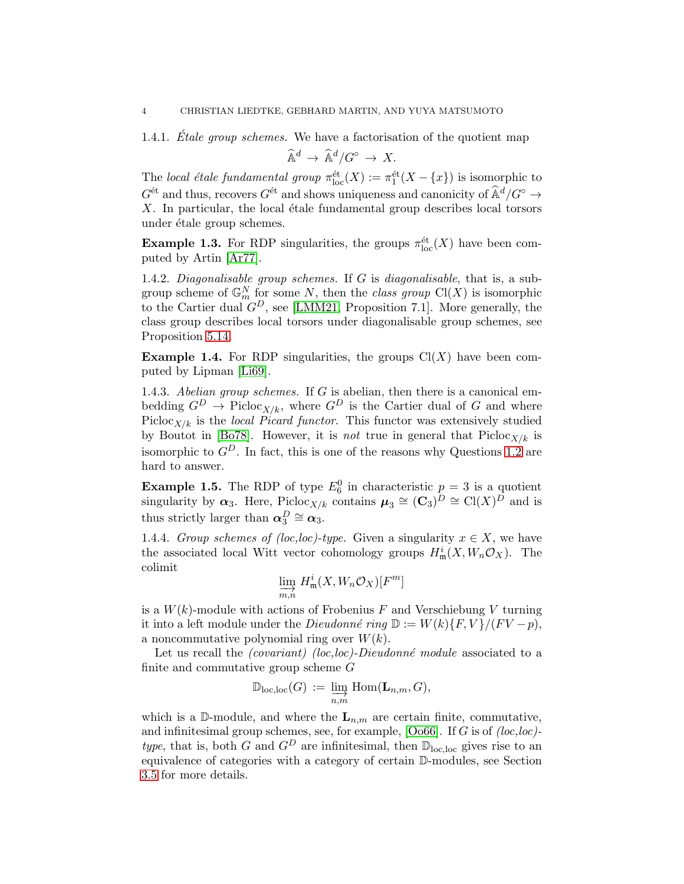1.4.1. *Étale group schemes*. We have a factorisation of the quotient map

$$
\widehat{\mathbb{A}}^d \to \widehat{\mathbb{A}}^d / G^{\circ} \to X.
$$

The local étale fundamental group  $\pi_{\text{loc}}^{\text{\'et}}(X) := \pi_1^{\text{\'et}}(X - \{x\})$  is isomorphic to  $G^{\text{\'et}}$  and thus, recovers  $G^{\text{\'et}}$  and shows uniqueness and canonicity of  $\widehat{\mathbb{A}}^d/G^{\circ} \to$  $X$ . In particular, the local étale fundamental group describes local torsors under étale group schemes.

**Example 1.3.** For RDP singularities, the groups  $\pi_{\text{loc}}^{\text{\'et}}(X)$  have been computed by Artin [\[Ar77\]](#page-73-0).

1.4.2. Diagonalisable group schemes. If  $G$  is diagonalisable, that is, a subgroup scheme of  $\mathbb{G}_m^N$  for some N, then the class group  $\text{Cl}(X)$  is isomorphic to the Cartier dual  $G^D$ , see [\[LMM21,](#page-74-4) Proposition 7.1]. More generally, the class group describes local torsors under diagonalisable group schemes, see Proposition [5.14.](#page-22-0)

**Example 1.4.** For RDP singularities, the groups  $Cl(X)$  have been computed by Lipman [\[Li69\]](#page-74-0).

1.4.3. Abelian group schemes. If  $G$  is abelian, then there is a canonical embedding  $G^D \to \text{Pic}(\mathcal{X}/k)$ , where  $G^D$  is the Cartier dual of G and where Picloc<sub>X/k</sub> is the *local Picard functor*. This functor was extensively studied by Boutot in [\[Bo78\]](#page-73-4). However, it is *not* true in general that  $Pic \{C_{X/k}\}$  is isomorphic to  $G^D$ . In fact, this is one of the reasons why Questions [1.2](#page-2-0) are hard to answer.

**Example 1.5.** The RDP of type  $E_6^0$  in characteristic  $p = 3$  is a quotient singularity by  $\alpha_3$ . Here, Picloc<sub>X/k</sub> contains  $\mu_3 \cong (\mathbf{C}_3)^D \cong \text{Cl}(X)^D$  and is thus strictly larger than  $\alpha_3^D \cong \alpha_3$ .

1.4.4. Group schemes of (loc,loc)-type. Given a singularity  $x \in X$ , we have the associated local Witt vector cohomology groups  $H^i_{\mathfrak{m}}(X, W_n \mathcal{O}_X)$ . The colimit

$$
\varinjlim_{m,n} H^i_{\mathfrak{m}}(X,W_n\mathcal{O}_X)[F^m]
$$

is a  $W(k)$ -module with actions of Frobenius F and Verschiebung V turning it into a left module under the *Dieudonné ring*  $\mathbb{D} := W(k)\{F, V\}/(FV - p),$ a noncommutative polynomial ring over  $W(k)$ .

Let us recall the *(covariant) (loc,loc)-Dieudonné module* associated to a finite and commutative group scheme  $G$ 

$$
\mathbb{D}_{\mathrm{loc},\mathrm{loc}}(G) := \varinjlim_{n,m} \mathrm{Hom}(\mathbf{L}_{n,m},G),
$$

which is a D-module, and where the  $L_{n,m}$  are certain finite, commutative, and infinitesimal group schemes, see, for example,  $[O<sub>0</sub>66]$ . If G is of  $(loc, loc)$ type, that is, both G and  $G^D$  are infinitesimal, then  $\mathbb{D}_{\text{loc,loc}}$  gives rise to an equivalence of categories with a category of certain D-modules, see Section [3.5](#page-10-0) for more details.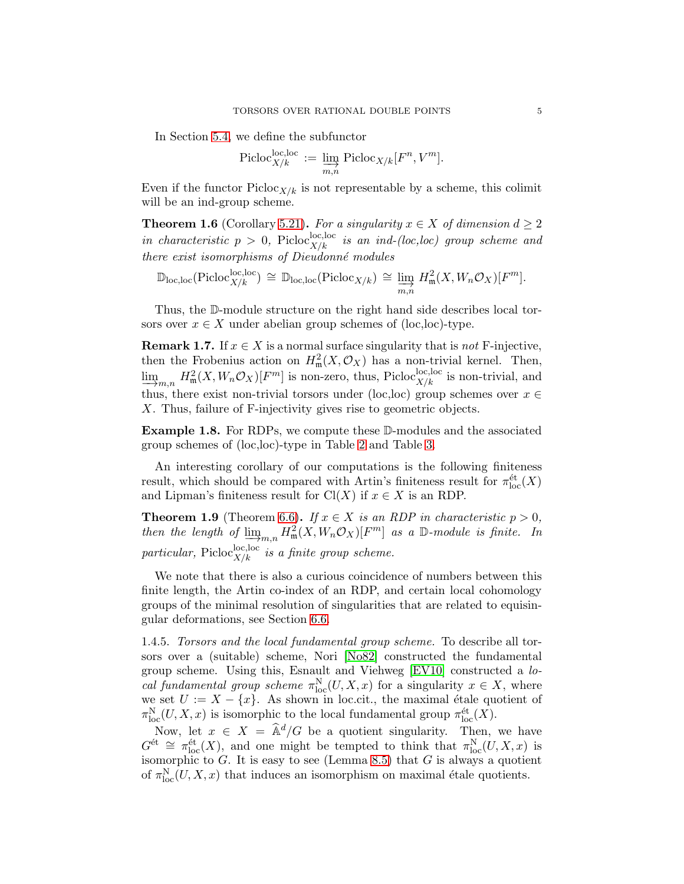In Section [5.4,](#page-23-0) we define the subfunctor

$$
\text{Picloc}_{X/k}^{\text{loc},\text{loc}} := \varinjlim_{m,n} \text{Picloc}_{X/k}[F^n, V^m].
$$

Even if the functor  $Picloc_{X/k}$  is not representable by a scheme, this colimit will be an ind-group scheme.

**Theorem 1.6** (Corollary [5.21\)](#page-25-0). For a singularity  $x \in X$  of dimension  $d \geq 2$ in characteristic  $p > 0$ , Picloc<sub>X/k</sub> is an ind-(loc,loc) group scheme and there exist isomorphisms of Dieudonné modules

$$
\mathbb{D}_{\mathrm{loc},\mathrm{loc}}(\mathrm{Pic}^{\mathrm{loc},\mathrm{loc}}_{X/k}) \cong \mathbb{D}_{\mathrm{loc},\mathrm{loc}}(\mathrm{Pic}^{\mathcal{C}}_{X/k}) \cong \varinjlim_{m,n} H^2_{\mathfrak{m}}(X,W_n\mathcal{O}_X)[F^m].
$$

Thus, the D-module structure on the right hand side describes local torsors over  $x \in X$  under abelian group schemes of (loc,loc)-type.

**Remark 1.7.** If  $x \in X$  is a normal surface singularity that is not F-injective, then the Frobenius action on  $H^2_{\mathfrak{m}}(X, \mathcal{O}_X)$  has a non-trivial kernel. Then,  $\lim_{n \to \infty}$  $H^2_{\mathfrak{m}}(X, W_n \mathcal{O}_X)[F^m]$  is non-zero, thus, Picloc<sup>loc</sup>, local is non-trivial, and thus, there exist non-trivial torsors under (loc,loc) group schemes over  $x \in$ X. Thus, failure of F-injectivity gives rise to geometric objects.

Example 1.8. For RDPs, we compute these D-modules and the associated group schemes of (loc,loc)-type in Table [2](#page-30-0) and Table [3.](#page-32-0)

An interesting corollary of our computations is the following finiteness result, which should be compared with Artin's finiteness result for  $\pi_{\text{loc}}^{\text{\'et}}(X)$ and Lipman's finiteness result for  $Cl(X)$  if  $x \in X$  is an RDP.

**Theorem 1.9** (Theorem [6.6\)](#page-36-0). If  $x \in X$  is an RDP in characteristic  $p > 0$ , then the length of  $\varinjlim_{m,n} H^2_{\mathfrak{m}}(X, W_n \mathcal{O}_X)[F^m]$  as a D-module is finite. In particular, Picloc<sup>loc, loc</sup> is a finite group scheme.

We note that there is also a curious coincidence of numbers between this finite length, the Artin co-index of an RDP, and certain local cohomology groups of the minimal resolution of singularities that are related to equisingular deformations, see Section [6.6.](#page-37-0)

1.4.5. Torsors and the local fundamental group scheme. To describe all torsors over a (suitable) scheme, Nori [\[No82\]](#page-74-6) constructed the fundamental group scheme. Using this, Esnault and Viehweg [\[EV10\]](#page-73-5) constructed a local fundamental group scheme  $\pi_{\text{loc}}^N(U, X, x)$  for a singularity  $x \in X$ , where we set  $U := X - \{x\}$ . As shown in loc.cit., the maximal étale quotient of  $\pi_{\text{loc}}^N(U, X, x)$  is isomorphic to the local fundamental group  $\pi_{\text{loc}}^{\text{\'et}}(X)$ .

Now, let  $x \in X = \hat{\mathbb{A}}^d/G$  be a quotient singularity. Then, we have  $G^{\text{\'et}} \cong \pi_{\text{loc}}^{\text{\'et}}(X)$ , and one might be tempted to think that  $\pi_{\text{loc}}^{\text{N}}(U, X, x)$  is isomorphic to  $G$ . It is easy to see (Lemma [8.5\)](#page-44-0) that  $G$  is always a quotient of  $\pi_{\text{loc}}^N(U, X, x)$  that induces an isomorphism on maximal étale quotients.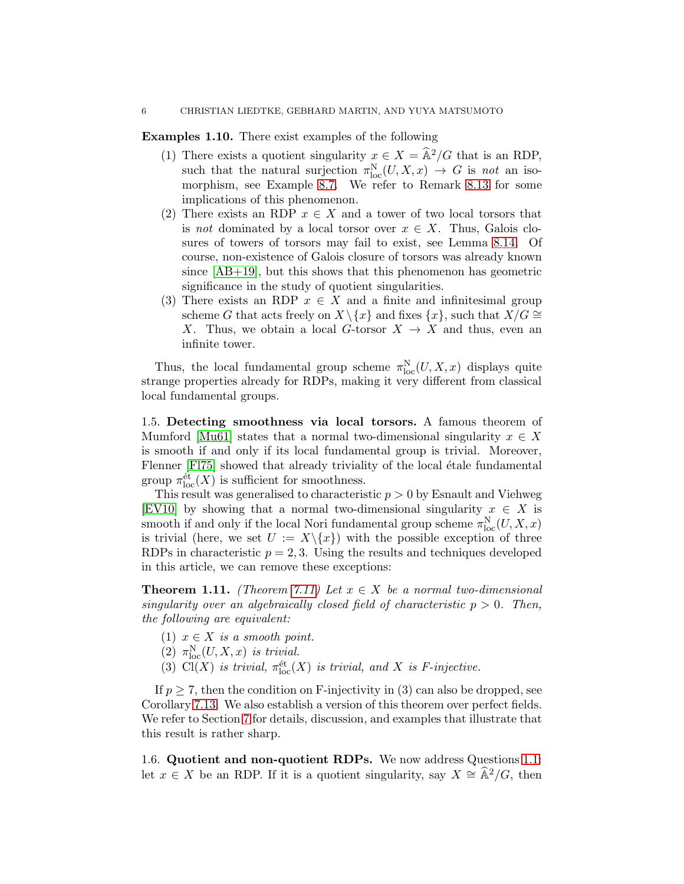Examples 1.10. There exist examples of the following

- (1) There exists a quotient singularity  $x \in X = \hat{A}^2/G$  that is an RDP, such that the natural surjection  $\pi_{\text{loc}}^N(U, X, x) \to G$  is not an isomorphism, see Example [8.7.](#page-45-0) We refer to Remark [8.13](#page-47-0) for some implications of this phenomenon.
- (2) There exists an RDP  $x \in X$  and a tower of two local torsors that is not dominated by a local torsor over  $x \in X$ . Thus, Galois closures of towers of torsors may fail to exist, see Lemma [8.14.](#page-48-0) Of course, non-existence of Galois closure of torsors was already known since [\[AB+19\]](#page-73-6), but this shows that this phenomenon has geometric significance in the study of quotient singularities.
- (3) There exists an RDP  $x \in X$  and a finite and infinitesimal group scheme G that acts freely on  $X \setminus \{x\}$  and fixes  $\{x\}$ , such that  $X/G \cong$ X. Thus, we obtain a local G-torsor  $X \to X$  and thus, even an infinite tower.

Thus, the local fundamental group scheme  $\pi_{\text{loc}}^N(U, X, x)$  displays quite strange properties already for RDPs, making it very different from classical local fundamental groups.

1.5. Detecting smoothness via local torsors. A famous theorem of Mumford [\[Mu61\]](#page-74-7) states that a normal two-dimensional singularity  $x \in X$ is smooth if and only if its local fundamental group is trivial. Moreover, Flenner [\[Fl75\]](#page-73-7) showed that already triviality of the local étale fundamental group  $\pi_{\text{loc}}^{\text{\'et}}(X)$  is sufficient for smoothness.

This result was generalised to characteristic  $p > 0$  by Esnault and Viehweg [\[EV10\]](#page-73-5) by showing that a normal two-dimensional singularity  $x \in X$  is smooth if and only if the local Nori fundamental group scheme  $\pi_{\text{loc}}^N(U, X, x)$ is trivial (here, we set  $U := X \setminus \{x\}$ ) with the possible exception of three RDPs in characteristic  $p = 2, 3$ . Using the results and techniques developed in this article, we can remove these exceptions:

**Theorem 1.11.** (Theorem [7.11\)](#page-41-0) Let  $x \in X$  be a normal two-dimensional singularity over an algebraically closed field of characteristic  $p > 0$ . Then, the following are equivalent:

- (1)  $x \in X$  is a smooth point.
- (2)  $\pi_{\text{loc}}^N(U, X, x)$  is trivial.
- (3) Cl(X) is trivial,  $\pi_{\text{loc}}^{\text{\'et}}(X)$  is trivial, and X is F-injective.

If  $p \geq 7$ , then the condition on F-injectivity in (3) can also be dropped, see Corollary [7.13.](#page-42-0) We also establish a version of this theorem over perfect fields. We refer to Section [7](#page-38-0) for details, discussion, and examples that illustrate that this result is rather sharp.

1.6. Quotient and non-quotient RDPs. We now address Questions [1.1:](#page-1-1) let  $x \in X$  be an RDP. If it is a quotient singularity, say  $X \cong \widehat{A}^2/G$ , then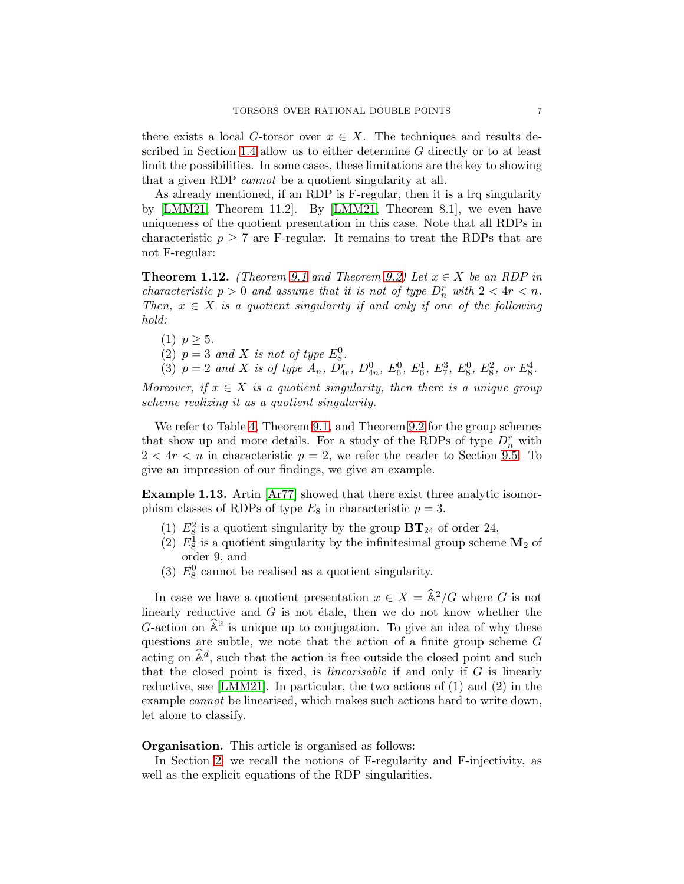there exists a local G-torsor over  $x \in X$ . The techniques and results described in Section [1.4](#page-2-1) allow us to either determine G directly or to at least limit the possibilities. In some cases, these limitations are the key to showing that a given RDP cannot be a quotient singularity at all.

As already mentioned, if an RDP is F-regular, then it is a lrq singularity by [\[LMM21,](#page-74-4) Theorem 11.2]. By [\[LMM21,](#page-74-4) Theorem 8.1], we even have uniqueness of the quotient presentation in this case. Note that all RDPs in characteristic  $p \geq 7$  are F-regular. It remains to treat the RDPs that are not F-regular:

**Theorem 1.12.** (Theorem [9.1](#page-49-1) and Theorem [9.2\)](#page-49-2) Let  $x \in X$  be an RDP in characteristic  $p > 0$  and assume that it is not of type  $D_n^r$  with  $2 < 4r < n$ . Then,  $x \in X$  is a quotient singularity if and only if one of the following hold:

(1)  $p \geq 5$ .

(2)  $p = 3$  and X is not of type  $E_8^0$ .

(3)  $p = 2$  and X is of type  $A_n$ ,  $D_{4r}^r$ ,  $D_{4n}^0$ ,  $E_6^0$ ,  $E_6^1$ ,  $E_7^3$ ,  $E_8^0$ ,  $E_8^2$ , or  $E_8^4$ .

Moreover, if  $x \in X$  is a quotient singularity, then there is a unique group scheme realizing it as a quotient singularity.

We refer to Table [4,](#page-50-0) Theorem [9.1,](#page-49-1) and Theorem [9.2](#page-49-2) for the group schemes that show up and more details. For a study of the RDPs of type  $D_n^r$  with  $2 < 4r < n$  in characteristic  $p = 2$ , we refer the reader to Section [9.5.](#page-61-0) To give an impression of our findings, we give an example.

Example 1.13. Artin  $\left[ \text{Ar77} \right]$  showed that there exist three analytic isomorphism classes of RDPs of type  $E_8$  in characteristic  $p = 3$ .

- (1)  $E_8^2$  is a quotient singularity by the group  $BT_{24}$  of order 24,
- (2)  $E_8^1$  is a quotient singularity by the infinitesimal group scheme  $\mathbf{M}_2$  of order 9, and
- (3)  $E_8^0$  cannot be realised as a quotient singularity.

In case we have a quotient presentation  $x \in X = \hat{A}^2/G$  where G is not linearly reductive and  $G$  is not étale, then we do not know whether the G-action on  $\hat{A}^2$  is unique up to conjugation. To give an idea of why these questions are subtle, we note that the action of a finite group scheme G acting on  $\hat{\mathbb{A}}^d$ , such that the action is free outside the closed point and such that the closed point is fixed, is *linearisable* if and only if  $G$  is linearly reductive, see [\[LMM21\]](#page-74-4). In particular, the two actions of (1) and (2) in the example cannot be linearised, which makes such actions hard to write down, let alone to classify.

#### Organisation. This article is organised as follows:

In Section [2,](#page-7-0) we recall the notions of F-regularity and F-injectivity, as well as the explicit equations of the RDP singularities.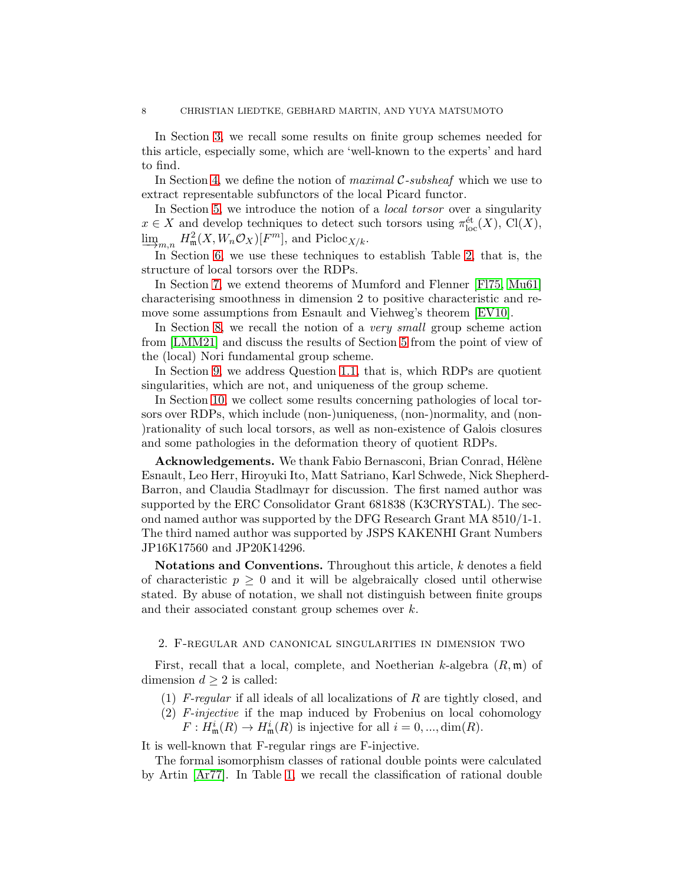In Section [3,](#page-8-0) we recall some results on finite group schemes needed for this article, especially some, which are 'well-known to the experts' and hard to find.

In Section [4,](#page-14-0) we define the notion of *maximal*  $\mathcal{C}\text{-subsheaf}$  which we use to extract representable subfunctors of the local Picard functor.

In Section [5,](#page-17-0) we introduce the notion of a *local torsor* over a singularity  $x \in X$  and develop techniques to detect such torsors using  $\pi_{loc}^{\text{\'et}}(X)$ , Cl(X),  $\lim_{\substack{\longleftarrow \\ I_n \subseteq S}}$  $H^2_{\mathfrak{m}}(X, W_n \mathcal{O}_X)[F^m]$ , and  $\text{Picloc}_{X/k}$ .

In Section [6,](#page-29-0) we use these techniques to establish Table [2,](#page-30-0) that is, the structure of local torsors over the RDPs.

In Section [7,](#page-38-0) we extend theorems of Mumford and Flenner [\[Fl75,](#page-73-7) [Mu61\]](#page-74-7) characterising smoothness in dimension 2 to positive characteristic and remove some assumptions from Esnault and Viehweg's theorem [\[EV10\]](#page-73-5).

In Section [8,](#page-43-0) we recall the notion of a *very small* group scheme action from [\[LMM21\]](#page-74-4) and discuss the results of Section [5](#page-17-0) from the point of view of the (local) Nori fundamental group scheme.

In Section [9,](#page-49-0) we address Question [1.1,](#page-1-1) that is, which RDPs are quotient singularities, which are not, and uniqueness of the group scheme.

In Section [10,](#page-65-0) we collect some results concerning pathologies of local torsors over RDPs, which include (non-)uniqueness, (non-)normality, and (non- )rationality of such local torsors, as well as non-existence of Galois closures and some pathologies in the deformation theory of quotient RDPs.

Acknowledgements. We thank Fabio Bernasconi, Brian Conrad, Hélène Esnault, Leo Herr, Hiroyuki Ito, Matt Satriano, Karl Schwede, Nick Shepherd-Barron, and Claudia Stadlmayr for discussion. The first named author was supported by the ERC Consolidator Grant 681838 (K3CRYSTAL). The second named author was supported by the DFG Research Grant MA 8510/1-1. The third named author was supported by JSPS KAKENHI Grant Numbers JP16K17560 and JP20K14296.

Notations and Conventions. Throughout this article, k denotes a field of characteristic  $p \geq 0$  and it will be algebraically closed until otherwise stated. By abuse of notation, we shall not distinguish between finite groups and their associated constant group schemes over k.

### <span id="page-7-0"></span>2. F-regular and canonical singularities in dimension two

First, recall that a local, complete, and Noetherian k-algebra  $(R, \mathfrak{m})$  of dimension  $d \geq 2$  is called:

- (1) F-regular if all ideals of all localizations of R are tightly closed, and
- (2) F-injective if the map induced by Frobenius on local cohomology
	- $F: H^i_{\mathfrak{m}}(R) \to H^i_{\mathfrak{m}}(R)$  is injective for all  $i = 0, ..., \dim(R)$ .

It is well-known that F-regular rings are F-injective.

The formal isomorphism classes of rational double points were calculated by Artin [\[Ar77\]](#page-73-0). In Table [1,](#page-8-1) we recall the classification of rational double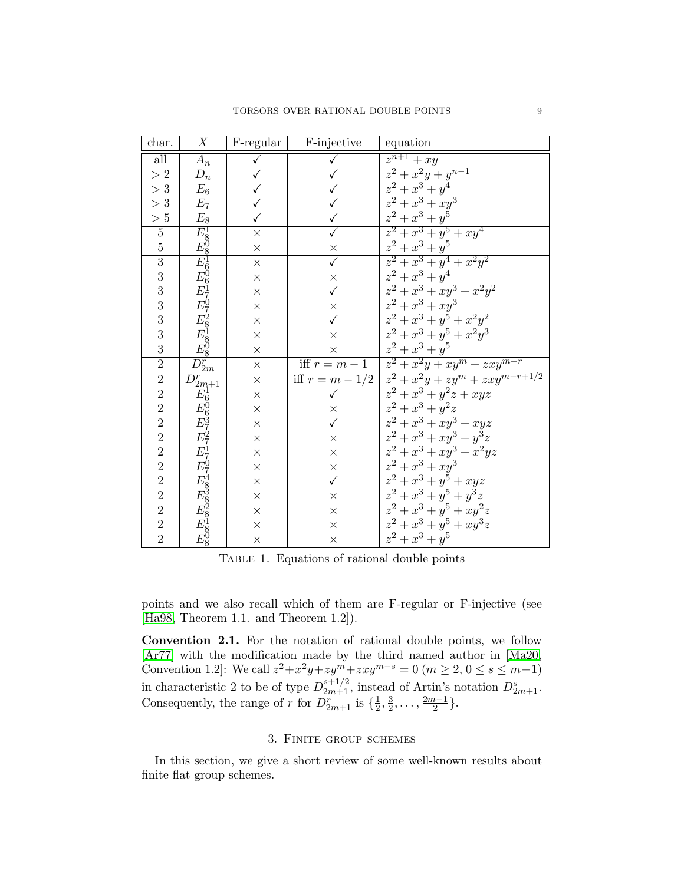| char.                                      | $\overline{X}$                                                                   | F-regular    | F-injective             | equation                                              |
|--------------------------------------------|----------------------------------------------------------------------------------|--------------|-------------------------|-------------------------------------------------------|
| all                                        | $A_n$                                                                            |              |                         | $z^{n+1}+xy$                                          |
| $>2\,$                                     | $\mathcal{D}_n$                                                                  | $\checkmark$ |                         | $z^2 + x^2y + y^{n-1}$                                |
| $> 3\,$                                    | $E_6$                                                                            | $\checkmark$ | $\checkmark$            | $z^2 + x^3 + y^4$                                     |
| $> 3\,$                                    | $E_7$                                                                            |              |                         | $z^2 + x^3 + xy^3$                                    |
| $>5\,$                                     | $E_8$                                                                            | $\checkmark$ | $\checkmark$            | $z^2 + x^3 + y^5$                                     |
| $\overline{5}$                             | $E_{8081}^{18081} E_{606170}^{608170} F_{80818}^{1801200} E_{808180}^{18012000}$ | $\times$     | $\overline{\checkmark}$ | $z^2 + x^3 + y^5 + xy^4$                              |
| $\overline{5}$                             |                                                                                  | $\times$     | $\times$                | $z^2+x^3+y^5\,$                                       |
| $\overline{3}$                             |                                                                                  | $\times$     | $\sqrt{}$               | $z^2 + x^3 + y^4 + x^2y^2$                            |
| 3                                          |                                                                                  | $\times$     | $\times$                | $z^2 + x^3 + y^4$                                     |
| 3                                          |                                                                                  | $\times$     | $\checkmark$            | $z^2 + x^3 + xy^3 + x^2y^2$                           |
| 3                                          |                                                                                  | $\times$     | $\times$                | $z^2 + x^3 + xy^3$                                    |
| 3                                          |                                                                                  | $\times$     | $\checkmark$            | $z^2 + x^3 + y^5 + x^2y^2$                            |
| 3                                          |                                                                                  | $\times$     | $\times$                | $z^2 + x^3 + y^5 + x^2y^3$                            |
| 3                                          |                                                                                  | $\times$     | $\times$                | $z^2 + x^3 + y^5$                                     |
| $\overline{2}$                             | $D_{2m}^r$                                                                       | $\times$     |                         | iff $r = m - 1$ $z^2 + x^2y + xy^m + zxy^{m-r}$       |
| $\overline{2}$                             | $D^r_{2m+1}$                                                                     | $\times$     |                         | iff $r = m - 1/2   z^2 + x^2y + zy^m + zxy^{m-r+1/2}$ |
| $\frac{2}{2}$                              |                                                                                  | $\times$     | $\checkmark$            | $z^2+x^3+y^2z+xyz$                                    |
|                                            |                                                                                  | $\times$     | $\times$                | $z^2 + x^3 + y^2z$                                    |
| $\overline{2}$                             |                                                                                  | $\times$     | $\checkmark$            | $z^2+x^3+xy^3+xyz$                                    |
| $\overline{2}$                             |                                                                                  | $\times$     | $\times$                | $z^2 + x^3 + xy^3 + y^3z$                             |
| $\overline{2}$                             |                                                                                  | $\times$     | $\times$                | $z^2+x^3+xy^3+x^2yz$                                  |
| $\overline{2}$                             |                                                                                  | $\times$     | $\times$                | $z^2 + x^3 + xy^3$                                    |
| $\overline{2}$                             |                                                                                  | $\times$     | $\checkmark$            | $z^2 + x^3 + y^5 + xyz$                               |
|                                            |                                                                                  | $\times$     | $\times$                | $z^2 + x^3 + y^5 + y^3z$                              |
| $\begin{array}{c} 2 \\ 2 \\ 2 \end{array}$ | $E_{006372717074838281808}^{1606372717074838281808}$                             | $\times$     | $\times$                | $z^2 + x^3 + y^5 + xy^2z$                             |
|                                            |                                                                                  | $\times$     | $\times$                | $z^2 + x^3 + y^5 + xy^3z$                             |
| $\overline{2}$                             |                                                                                  | $\times$     | $\times$                | $z^2 + x^3 + y^5$                                     |

<span id="page-8-1"></span>TABLE 1. Equations of rational double points

points and we also recall which of them are F-regular or F-injective (see [\[Ha98,](#page-73-8) Theorem 1.1. and Theorem 1.2]).

Convention 2.1. For the notation of rational double points, we follow [\[Ar77\]](#page-73-0) with the modification made by the third named author in [Ma20, Convention 1.2]: We call  $z^2 + x^2y + zy^m + zxy^{m-s} = 0$   $(m \ge 2, 0 \le s \le m-1)$ in characteristic 2 to be of type  $D_{2m+1}^{s+1/2}$ , instead of Artin's notation  $D_{2m+1}^s$ . Consequently, the range of r for  $D_{2m+1}^r$  is  $\{\frac{1}{2}\}$  $\frac{1}{2}$ ,  $\frac{3}{2}$  $\frac{3}{2}, \ldots, \frac{2m-1}{2}$  $\frac{i-1}{2}$ .

### 3. Finite group schemes

<span id="page-8-0"></span>In this section, we give a short review of some well-known results about finite flat group schemes.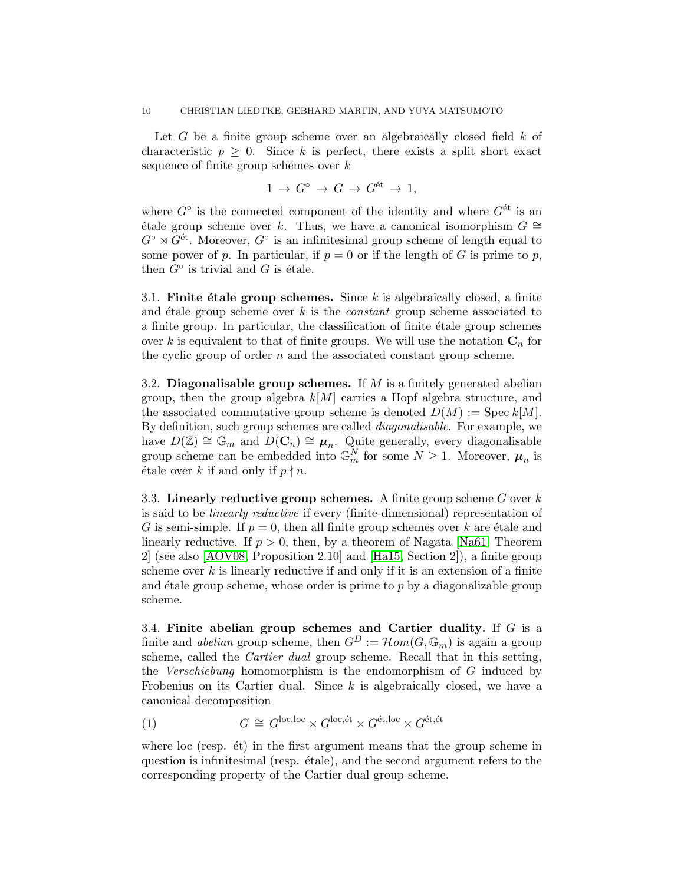Let  $G$  be a finite group scheme over an algebraically closed field  $k$  of characteristic  $p \geq 0$ . Since k is perfect, there exists a split short exact sequence of finite group schemes over  $k$ 

$$
1 \to G^{\circ} \to G \to G^{\text{\'et}} \to 1,
$$

where  $G^{\circ}$  is the connected component of the identity and where  $G^{\text{\'et}}$  is an  $\phi$  etale group scheme over k. Thus, we have a canonical isomorphism  $G ≅$  $G^{\circ} \rtimes G^{\text{\'et}}$ . Moreover,  $G^{\circ}$  is an infinitesimal group scheme of length equal to some power of p. In particular, if  $p = 0$  or if the length of G is prime to p, then  $G^{\circ}$  is trivial and G is étale.

<span id="page-9-1"></span>3.1. Finite étale group schemes. Since k is algebraically closed, a finite and étale group scheme over  $k$  is the *constant* group scheme associated to a finite group. In particular, the classification of finite étale group schemes over k is equivalent to that of finite groups. We will use the notation  $C_n$  for the cyclic group of order  $n$  and the associated constant group scheme.

3.2. Diagonalisable group schemes. If  $M$  is a finitely generated abelian group, then the group algebra  $k[M]$  carries a Hopf algebra structure, and the associated commutative group scheme is denoted  $D(M) := \text{Spec } k[M].$ By definition, such group schemes are called diagonalisable. For example, we have  $D(\mathbb{Z}) \cong \mathbb{G}_m$  and  $D(\mathbf{C}_n) \cong \boldsymbol{\mu}_n$ . Quite generally, every diagonalisable group scheme can be embedded into  $\mathbb{G}_m^N$  for some  $N \geq 1$ . Moreover,  $\mu_n$  is  $\forall$  étale over k if and only if  $p \nmid n$ .

3.3. Linearly reductive group schemes. A finite group scheme  $G$  over  $k$ is said to be linearly reductive if every (finite-dimensional) representation of G is semi-simple. If  $p = 0$ , then all finite group schemes over k are étale and linearly reductive. If  $p > 0$ , then, by a theorem of Nagata [\[Na61,](#page-74-8) Theorem 2] (see also [\[AOV08,](#page-73-9) Proposition 2.10] and [\[Ha15,](#page-74-2) Section 2]), a finite group scheme over  $k$  is linearly reductive if and only if it is an extension of a finite and  $\acute{e}t$  alle group scheme, whose order is prime to p by a diagonalizable group scheme.

3.4. Finite abelian group schemes and Cartier duality. If  $G$  is a finite and *abelian* group scheme, then  $G^D := \mathcal{H}om(G, \mathbb{G}_m)$  is again a group scheme, called the Cartier dual group scheme. Recall that in this setting, the Verschiebung homomorphism is the endomorphism of G induced by Frobenius on its Cartier dual. Since  $k$  is algebraically closed, we have a canonical decomposition

<span id="page-9-0"></span>(1) 
$$
G \cong G^{\text{loc,loc}} \times G^{\text{loc,ét}} \times G^{\text{\'et,loc}} \times G^{\text{\'et,\'et}}
$$

where loc (resp.  $\acute{e}t$ ) in the first argument means that the group scheme in question is infinitesimal (resp.  $\acute{e}t$ de), and the second argument refers to the corresponding property of the Cartier dual group scheme.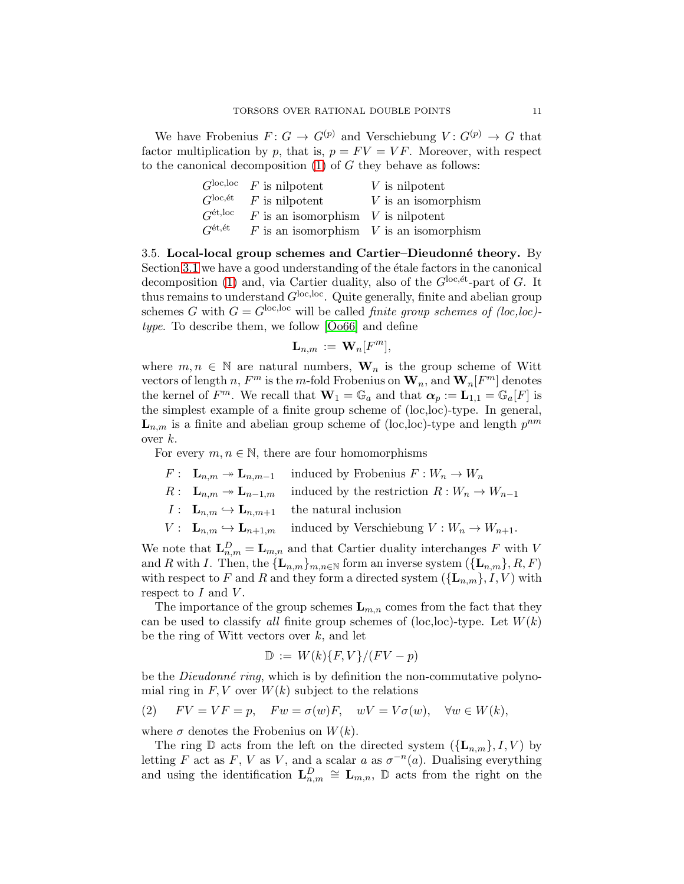We have Frobenius  $F: G \to G^{(p)}$  and Verschiebung  $V: G^{(p)} \to G$  that factor multiplication by p, that is,  $p = FV = VF$ . Moreover, with respect to the canonical decomposition  $(1)$  of G they behave as follows:

|                               | $G^{\text{loc,loc}}$ F is nilpotent  | $V$ is nilpotent                            |
|-------------------------------|--------------------------------------|---------------------------------------------|
| $G^{\rm loc, \acute{e}t}$     | $F$ is nilpotent                     | $V$ is an isomorphism                       |
| $G^{\text{\'et},\text{loc}}$  | $F$ is an isomorphism V is nilpotent |                                             |
| $G^{\text{\'et},\text{\'et}}$ |                                      | $F$ is an isomorphism $V$ is an isomorphism |

<span id="page-10-0"></span>3.5. Local-local group schemes and Cartier–Dieudonné theory. By Section [3.1](#page-9-1) we have a good understanding of the etale factors in the canonical decomposition [\(1\)](#page-9-0) and, via Cartier duality, also of the  $G^{\text{loc,\'et}}$ -part of G. It thus remains to understand  $G^{\text{loc,loc}}$ . Quite generally, finite and abelian group schemes G with  $G = G^{\text{loc,loc}}$  will be called *finite group schemes of (loc,loc)*type. To describe them, we follow [\[Oo66\]](#page-74-5) and define

$$
\mathbf{L}_{n,m} := \mathbf{W}_n[F^m],
$$

where  $m, n \in \mathbb{N}$  are natural numbers,  $\mathbf{W}_n$  is the group scheme of Witt vectors of length  $n, F^m$  is the m-fold Frobenius on  $\mathbf{W}_n$ , and  $\mathbf{W}_n[F^m]$  denotes the kernel of  $F^m$ . We recall that  $\mathbf{W}_1 = \mathbb{G}_a$  and that  $\alpha_p := \mathbf{L}_{1,1} = \mathbb{G}_a[F]$  is the simplest example of a finite group scheme of (loc,loc)-type. In general,  $\mathbf{L}_{n,m}$  is a finite and abelian group scheme of (loc,loc)-type and length  $p^{nm}$ over  $k$ .

For every  $m, n \in \mathbb{N}$ , there are four homomorphisms

$$
F: \quad \mathbf{L}_{n,m} \to \mathbf{L}_{n,m-1} \quad \text{ induced by Frobenius } F: W_n \to W_n
$$

- $R: \mathbf{L}_{n,m} \to \mathbf{L}_{n-1,m}$  induced by the restriction  $R: W_n \to W_{n-1}$
- $I: \mathbf{L}_{n,m} \hookrightarrow \mathbf{L}_{n,m+1}$  the natural inclusion
- $V: \mathbf{L}_{n,m} \hookrightarrow \mathbf{L}_{n+1,m}$  induced by Verschiebung  $V: W_n \to W_{n+1}.$

We note that  $\mathbf{L}_{n,m}^D = \mathbf{L}_{m,n}$  and that Cartier duality interchanges F with V and R with I. Then, the  ${\{\mathbf L}_{n,m}\}_{m,n\in\mathbb{N}}$  form an inverse system  $({\{\mathbf L}_{n,m}\},R,F)$ with respect to F and R and they form a directed system  $({L_{n,m}}; I, V)$  with respect to  $I$  and  $V$ .

The importance of the group schemes  $\mathbf{L}_{m,n}$  comes from the fact that they can be used to classify all finite group schemes of (loc, loc)-type. Let  $W(k)$ be the ring of Witt vectors over  $k$ , and let

$$
\mathbb{D} := W(k)\{F,V\}/(FV-p)
$$

be the *Dieudonné ring*, which is by definition the non-commutative polynomial ring in  $F, V$  over  $W(k)$  subject to the relations

(2) 
$$
FV = VF = p
$$
,  $Fw = \sigma(w)F$ ,  $wV = V\sigma(w)$ ,  $\forall w \in W(k)$ ,

where  $\sigma$  denotes the Frobenius on  $W(k)$ .

The ring  $\mathbb D$  acts from the left on the directed system  $({L_{n,m}}), I, V$  by letting F act as F, V as V, and a scalar a as  $\sigma^{-n}(a)$ . Dualising everything and using the identification  $\mathbf{L}_{n,m}^D \cong \mathbf{L}_{m,n}$ ,  $\mathbb D$  acts from the right on the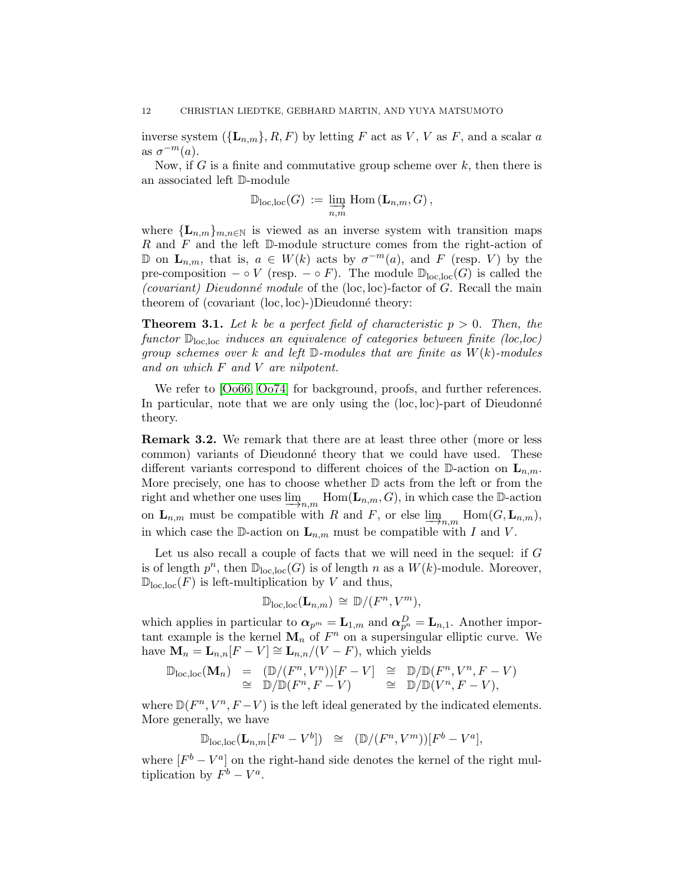inverse system  $({L_{n,m}}$ , R, F) by letting F act as V, V as F, and a scalar a as  $\sigma^{-m}(a)$ .

Now, if G is a finite and commutative group scheme over  $k$ , then there is an associated left D-module

$$
\mathbb{D}_{\text{loc},\text{loc}}(G) := \varinjlim_{n,m} \text{Hom} (\mathbf{L}_{n,m}, G),
$$

where  ${\{\mathbf L}_{n,m}\}_{m,n\in\mathbb{N}}$  is viewed as an inverse system with transition maps  $R$  and  $F$  and the left  $D$ -module structure comes from the right-action of  $\mathbb{D}$  on **L**<sub>n,m</sub>, that is, *a* ∈ *W*(*k*) acts by  $\sigma^{-m}(a)$ , and *F* (resp. *V*) by the pre-composition – ◦ V (resp. – ◦ F). The module  $\mathbb{D}_{loc,loc}(G)$  is called the (covariant) Dieudonné module of the (loc, loc)-factor of G. Recall the main theorem of (covariant  $(loc, loc)$ -)Dieudonné theory:

<span id="page-11-0"></span>**Theorem 3.1.** Let k be a perfect field of characteristic  $p > 0$ . Then, the functor  $\mathbb{D}_{\text{loc,loc}}$  induces an equivalence of categories between finite (loc,loc) group schemes over k and left  $\mathbb D$ -modules that are finite as  $W(k)$ -modules and on which F and V are nilpotent.

We refer to  $[0.066, 0.074]$  for background, proofs, and further references. In particular, note that we are only using the  $(loc, loc)$ -part of Dieudonné theory.

Remark 3.2. We remark that there are at least three other (more or less common) variants of Dieudonné theory that we could have used. These different variants correspond to different choices of the D-action on  $\mathbf{L}_{n,m}$ . More precisely, one has to choose whether  $D$  acts from the left or from the right and whether one uses  $\lim_{n,m}$  Hom( $\mathbf{L}_{n,m}, G$ ), in which case the D-action on  $\mathbf{L}_{n,m}$  must be compatible with R and F, or else  $\lim_{n,m}$  Hom $(G, \mathbf{L}_{n,m})$ ,<br>in which asso the  $\mathbb{R}$  action on  $\mathbf{I}_{n,m}$  wust be compatible with L and  $V$ in which case the D-action on  $\mathbf{L}_{n,m}$  must be compatible with I and V.

Let us also recall a couple of facts that we will need in the sequel: if G is of length  $p^n$ , then  $\mathbb{D}_{\text{loc,loc}}(G)$  is of length n as a  $W(k)$ -module. Moreover,  $\mathbb{D}_{\text{loc,loc}}(F)$  is left-multiplication by V and thus,

$$
\mathbb{D}_{\mathrm{loc},\mathrm{loc}}(\mathbf{L}_{n,m}) \cong \mathbb{D}/(F^n,V^m),
$$

which applies in particular to  $\boldsymbol{\alpha}_{p^m} = \mathbf{L}_{1,m}$  and  $\boldsymbol{\alpha}_{p^n}^D = \mathbf{L}_{n,1}$ . Another important example is the kernel  $M_n$  of  $F^n$  on a supersingular elliptic curve. We have  $\mathbf{M}_n = \mathbf{L}_{n,n}[F-V] \cong \mathbf{L}_{n,n}/(V-F)$ , which yields

$$
\mathbb{D}_{\text{loc},\text{loc}}(\mathbf{M}_n) = (\mathbb{D}/(F^n,V^n))[F-V] \cong \mathbb{D}/\mathbb{D}(F^n,V^n,F-V) \cong \mathbb{D}/\mathbb{D}(F^n,F-V) \cong \mathbb{D}/\mathbb{D}(V^n,F-V),
$$

where  $\mathbb{D}(F^n, V^n, F - V)$  is the left ideal generated by the indicated elements. More generally, we have

$$
\mathbb{D}_{\text{loc},\text{loc}}(\mathbf{L}_{n,m}[F^a - V^b]) \cong (\mathbb{D}/(F^n, V^m))[F^b - V^a],
$$

where  $[F^b - V^a]$  on the right-hand side denotes the kernel of the right multiplication by  $F^b - V^a$ .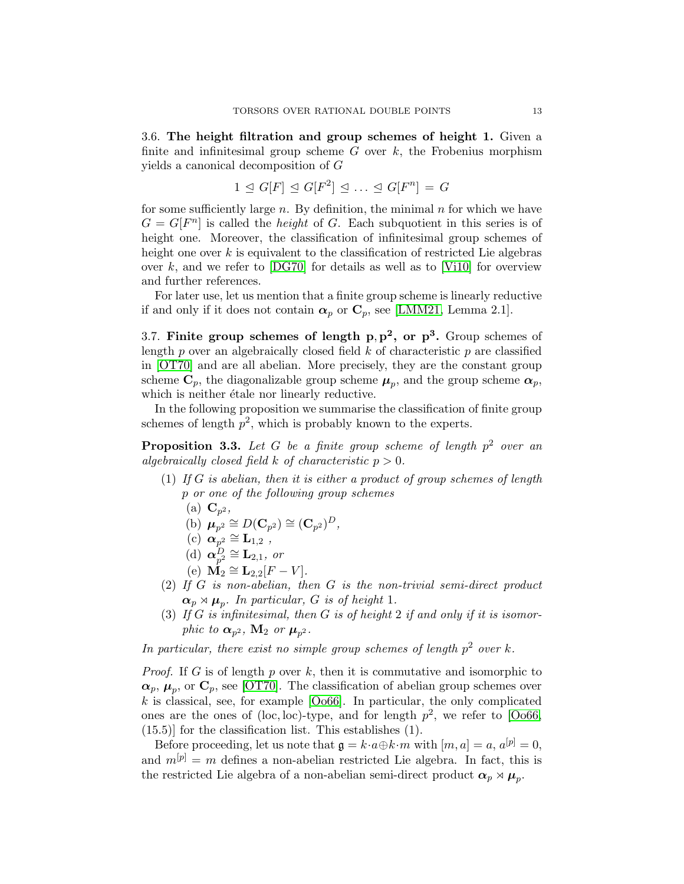3.6. The height filtration and group schemes of height 1. Given a finite and infinitesimal group scheme  $G$  over  $k$ , the Frobenius morphism yields a canonical decomposition of G

$$
1 \trianglelefteq G[F] \trianglelefteq G[F^2] \trianglelefteq \ldots \trianglelefteq G[F^n] = G
$$

for some sufficiently large  $n$ . By definition, the minimal  $n$  for which we have  $G = G[F^n]$  is called the *height* of G. Each subquotient in this series is of height one. Moreover, the classification of infinitesimal group schemes of height one over  $k$  is equivalent to the classification of restricted Lie algebras over k, and we refer to  $[DG70]$  for details as well as to [\[Vi10\]](#page-75-1) for overview and further references.

For later use, let us mention that a finite group scheme is linearly reductive if and only if it does not contain  $\alpha_p$  or  $C_p$ , see [\[LMM21,](#page-74-4) Lemma 2.1].

3.7. Finite group schemes of length  $p, p^2$ , or  $p^3$ . Group schemes of length p over an algebraically closed field  $k$  of characteristic p are classified in [\[OT70\]](#page-74-10) and are all abelian. More precisely, they are the constant group scheme  $\mathbf{C}_p$ , the diagonalizable group scheme  $\boldsymbol{\mu}_p$ , and the group scheme  $\boldsymbol{\alpha}_p$ , which is neither  $\acute{e}$ tale nor linearly reductive.

In the following proposition we summarise the classification of finite group schemes of length  $p^2$ , which is probably known to the experts.

<span id="page-12-0"></span>**Proposition 3.3.** Let G be a finite group scheme of length  $p^2$  over an algebraically closed field k of characteristic  $p > 0$ .

- (1) If G is abelian, then it is either a product of group schemes of length p or one of the following group schemes
	- (a)  $\mathbf{C}_{p^2}$ ,

(b) 
$$
\boldsymbol{\mu}_{p^2} \cong D(\mathbf{C}_{p^2}) \cong (\mathbf{C}_{p^2})^D
$$
,

$$
(c) \ \boldsymbol{\alpha}_{p^2} \cong \mathbf{L}_{1,2} \ ,
$$

- (d)  $\alpha_{p^2}^D \cong \mathbf{L}_{2,1}$ , or
- (e)  $\mathbf{M}_2 \cong \mathbf{L}_{2,2}[F-V].$
- (2) If  $G$  is non-abelian, then  $G$  is the non-trivial semi-direct product  $\boldsymbol{\alpha}_p \rtimes \boldsymbol{\mu}_p$ . In particular, G is of height 1.
- (3) If G is infinitesimal, then G is of height 2 if and only if it is isomorphic to  $\alpha_{p^2}$ ,  $\mathbf{M}_2$  or  $\boldsymbol{\mu}_{p^2}$ .

In particular, there exist no simple group schemes of length  $p^2$  over k.

*Proof.* If G is of length p over k, then it is commutative and isomorphic to  $\alpha_p$ ,  $\mu_p$ , or  $\mathbf{C}_p$ , see [\[OT70\]](#page-74-10). The classification of abelian group schemes over  $k$  is classical, see, for example  $[O$ 066. In particular, the only complicated ones are the ones of (loc, loc)-type, and for length  $p^2$ , we refer to [\[Oo66,](#page-74-5) (15.5)] for the classification list. This establishes (1).

Before proceeding, let us note that  $\mathfrak{g} = k \cdot a \oplus k \cdot m$  with  $[m, a] = a, a^{[p]} = 0$ , and  $m^{[p]} = m$  defines a non-abelian restricted Lie algebra. In fact, this is the restricted Lie algebra of a non-abelian semi-direct product  $\alpha_p \rtimes \mu_p$ .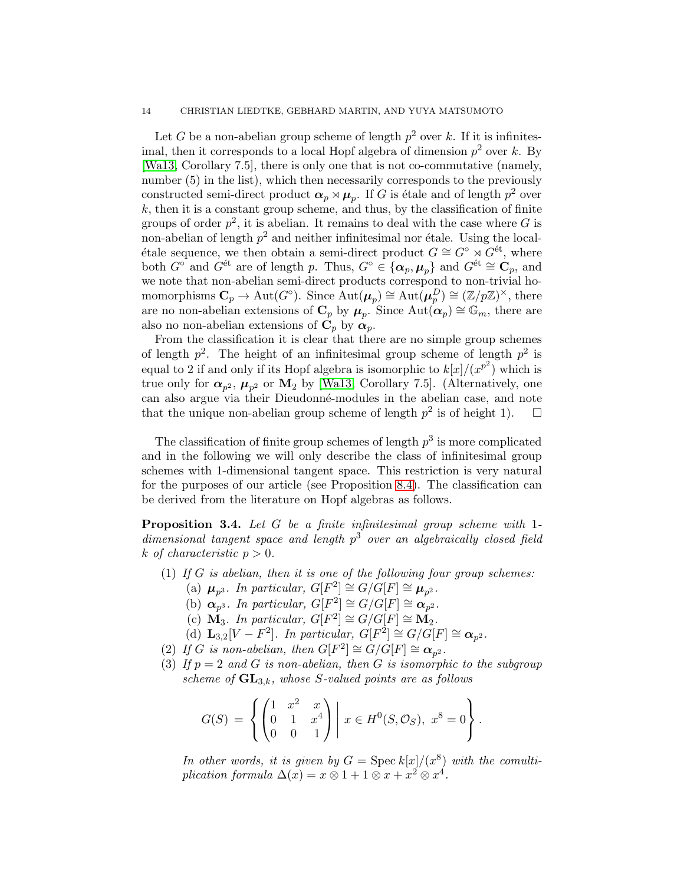#### 14 CHRISTIAN LIEDTKE, GEBHARD MARTIN, AND YUYA MATSUMOTO

Let G be a non-abelian group scheme of length  $p^2$  over k. If it is infinitesimal, then it corresponds to a local Hopf algebra of dimension  $p^2$  over k. By [\[Wa13,](#page-75-2) Corollary 7.5], there is only one that is not co-commutative (namely, number  $(5)$  in the list), which then necessarily corresponds to the previously constructed semi-direct product  $\boldsymbol{\alpha}_p \rtimes \boldsymbol{\mu}_p$ . If G is étale and of length  $p^2$  over  $k$ , then it is a constant group scheme, and thus, by the classification of finite groups of order  $p^2$ , it is abelian. It remains to deal with the case where G is non-abelian of length  $p^2$  and neither infinitesimal nor étale. Using the localétale sequence, we then obtain a semi-direct product  $G \cong G^{\circ} \rtimes G^{\text{\'et}}$ , where both  $G^{\circ}$  and  $G^{\text{\'et}}$  are of length p. Thus,  $G^{\circ} \in {\alpha_p, \mu_p}$  and  $G^{\text{\'et}} \cong \mathbf{C}_p$ , and we note that non-abelian semi-direct products correspond to non-trivial homomorphisms  $\mathbf{C}_p \to \text{Aut}(G^{\circ})$ . Since  $\text{Aut}(\mu_p) \cong \text{Aut}(\mu_p^D) \cong (\mathbb{Z}/p\mathbb{Z})^{\times}$ , there are no non-abelian extensions of  $\mathbf{C}_p$  by  $\boldsymbol{\mu}_p$ . Since  $\mathrm{Aut}(\boldsymbol{\alpha}_p) \cong \mathbb{G}_m$ , there are also no non-abelian extensions of  $\mathbf{C}_p$  by  $\alpha_p$ .

From the classification it is clear that there are no simple group schemes of length  $p^2$ . The height of an infinitesimal group scheme of length  $p^2$  is equal to 2 if and only if its Hopf algebra is isomorphic to  $k[x]/(x^{p^2})$  which is true only for  $\alpha_{p^2}$ ,  $\mu_{p^2}$  or  $\mathbf{M}_2$  by [\[Wa13,](#page-75-2) Corollary 7.5]. (Alternatively, one can also argue via their Dieudonné-modules in the abelian case, and note that the unique non-abelian group scheme of length  $p^2$  is of height 1).  $\Box$ 

The classification of finite group schemes of length  $p^3$  is more complicated and in the following we will only describe the class of infinitesimal group schemes with 1-dimensional tangent space. This restriction is very natural for the purposes of our article (see Proposition [8.4\)](#page-44-1). The classification can be derived from the literature on Hopf algebras as follows.

**Proposition 3.4.** Let  $G$  be a finite infinitesimal group scheme with 1dimensional tangent space and length  $p<sup>3</sup>$  over an algebraically closed field k of characteristic  $p > 0$ .

- (1) If G is abelian, then it is one of the following four group schemes:
	- (a)  $\mu_{p^3}$ . In particular,  $G[F^2] \cong G/G[F] \cong \mu_{p^2}$ .
	- (b)  $\alpha_{p^3}$ . In particular,  $G[F^2] \cong G/G[F] \cong \alpha_{p^2}$ .
	- (c)  $\mathbf{M}_3$ . In particular,  $G[F^2] \cong G/G[F] \cong \mathbf{M}_2$ .
	- (d)  $\mathbf{L}_{3,2}[V F^2]$ . In particular,  $G[F^2] \cong G/G[F] \cong \mathbf{\alpha}_{p^2}$ .
- <span id="page-13-1"></span><span id="page-13-0"></span>(2) If G is non-abelian, then  $G[F^2] \cong G/G[F] \cong \mathfrak{\alpha}_{p^2}$ .
- (3) If  $p = 2$  and G is non-abelian, then G is isomorphic to the subgroup scheme of  $\mathbf{GL}_{3,k}$ , whose S-valued points are as follows

$$
G(S) = \left\{ \begin{pmatrix} 1 & x^2 & x \\ 0 & 1 & x^4 \\ 0 & 0 & 1 \end{pmatrix} \middle| \ x \in H^0(S, \mathcal{O}_S), \ x^8 = 0 \right\}.
$$

In other words, it is given by  $G = \text{Spec } k[x]/(x^8)$  with the comultiplication formula  $\Delta(x) = x \otimes 1 + 1 \otimes x + x^2 \otimes x^4$ .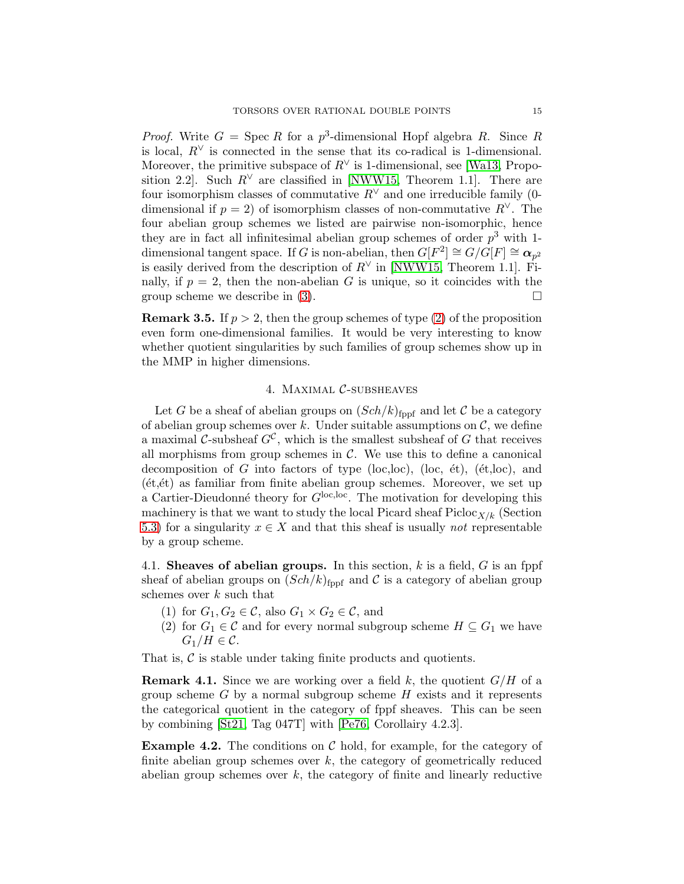*Proof.* Write  $G = \text{Spec } R$  for a  $p^3$ -dimensional Hopf algebra R. Since R is local,  $R^{\vee}$  is connected in the sense that its co-radical is 1-dimensional. Moreover, the primitive subspace of  $R^{\vee}$  is 1-dimensional, see [\[Wa13,](#page-75-2) Proposition 2.2]. Such  $R^{\vee}$  are classified in [\[NWW15,](#page-74-11) Theorem 1.1]. There are four isomorphism classes of commutative  $R^{\vee}$  and one irreducible family (0dimensional if  $p = 2$ ) of isomorphism classes of non-commutative  $R^{\vee}$ . The four abelian group schemes we listed are pairwise non-isomorphic, hence they are in fact all infinitesimal abelian group schemes of order  $p^3$  with 1dimensional tangent space. If G is non-abelian, then  $G[F^2] \cong G/G[F] \cong \mathbf{a}_{p^2}$ is easily derived from the description of  $R^{\vee}$  in [\[NWW15,](#page-74-11) Theorem 1.1]. Finally, if  $p = 2$ , then the non-abelian G is unique, so it coincides with the group scheme we describe in [\(3\)](#page-13-0).  $\Box$ 

**Remark 3.5.** If  $p > 2$ , then the group schemes of type [\(2\)](#page-13-1) of the proposition even form one-dimensional families. It would be very interesting to know whether quotient singularities by such families of group schemes show up in the MMP in higher dimensions.

#### 4. Maximal C-subsheaves

<span id="page-14-0"></span>Let G be a sheaf of abelian groups on  $(Sch/k)_{\text{fppf}}$  and let C be a category of abelian group schemes over k. Under suitable assumptions on  $\mathcal{C}$ , we define a maximal C-subsheaf  $G^{\mathcal{C}}$ , which is the smallest subsheaf of G that receives all morphisms from group schemes in  $C$ . We use this to define a canonical decomposition of G into factors of type (loc,loc), (loc,  $\acute{e}t$ ), ( $\acute{e}t$ ,loc), and  $(et, et)$  as familiar from finite abelian group schemes. Moreover, we set up a Cartier-Dieudonné theory for  $G^{\text{loc,loc}}$ . The motivation for developing this machinery is that we want to study the local Picard sheaf  $Picloc_{X/k}$  (Section [5.3\)](#page-21-0) for a singularity  $x \in X$  and that this sheaf is usually *not* representable by a group scheme.

4.1. Sheaves of abelian groups. In this section,  $k$  is a field,  $G$  is an fppf sheaf of abelian groups on  $(Sch/k)_{\text{fppf}}$  and C is a category of abelian group schemes over  $k$  such that

- (1) for  $G_1, G_2 \in \mathcal{C}$ , also  $G_1 \times G_2 \in \mathcal{C}$ , and
- (2) for  $G_1 \in \mathcal{C}$  and for every normal subgroup scheme  $H \subseteq G_1$  we have  $G_1/H \in \mathcal{C}$ .

That is,  $\mathcal C$  is stable under taking finite products and quotients.

**Remark 4.1.** Since we are working over a field k, the quotient  $G/H$  of a group scheme  $G$  by a normal subgroup scheme  $H$  exists and it represents the categorical quotient in the category of fppf sheaves. This can be seen by combining [\[St21,](#page-75-3) Tag 047T] with [\[Pe76,](#page-74-12) Corollairy 4.2.3].

**Example 4.2.** The conditions on  $\mathcal{C}$  hold, for example, for the category of finite abelian group schemes over  $k$ , the category of geometrically reduced abelian group schemes over  $k$ , the category of finite and linearly reductive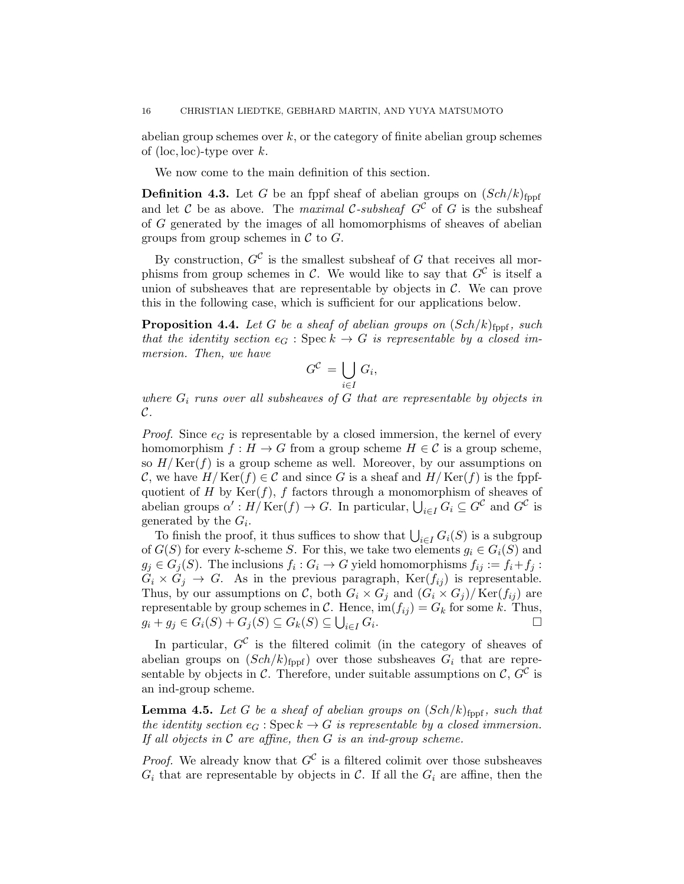abelian group schemes over  $k$ , or the category of finite abelian group schemes of (loc, loc)-type over  $k$ .

We now come to the main definition of this section.

<span id="page-15-0"></span>**Definition 4.3.** Let G be an fppf sheaf of abelian groups on  $(Sch/k)_{\text{fppf}}$ and let C be as above. The maximal C-subsheaf  $G^{\mathcal{C}}$  of G is the subsheaf of G generated by the images of all homomorphisms of sheaves of abelian groups from group schemes in  $\mathcal C$  to  $G$ .

By construction,  $G^{\mathcal{C}}$  is the smallest subsheaf of G that receives all morphisms from group schemes in C. We would like to say that  $G^{\mathcal{C}}$  is itself a union of subsheaves that are representable by objects in  $\mathcal{C}$ . We can prove this in the following case, which is sufficient for our applications below.

<span id="page-15-1"></span>**Proposition 4.4.** Let G be a sheaf of abelian groups on  $(Sch/k)_{\text{fppf}}$ , such that the identity section  $e_G$ : Spec  $k \to G$  is representable by a closed immersion. Then, we have

$$
G^{\mathcal{C}} = \bigcup_{i \in I} G_i,
$$

 $\epsilon$ 

where  $G_i$  runs over all subsheaves of G that are representable by objects in C.

*Proof.* Since  $e_G$  is representable by a closed immersion, the kernel of every homomorphism  $f : H \to G$  from a group scheme  $H \in \mathcal{C}$  is a group scheme, so  $H/\mathrm{Ker}(f)$  is a group scheme as well. Moreover, by our assumptions on C, we have  $H/\text{Ker}(f) \in \mathcal{C}$  and since G is a sheaf and  $H/\text{Ker}(f)$  is the fppfquotient of H by  $Ker(f)$ , f factors through a monomorphism of sheaves of abelian groups  $\alpha' : H/Ker(f) \to G$ . In particular,  $\bigcup_{i \in I} G_i \subseteq G^{\mathcal{C}}$  and  $G^{\mathcal{C}}$  is generated by the  $G_i$ .

To finish the proof, it thus suffices to show that  $\bigcup_{i\in I} G_i(S)$  is a subgroup of  $G(S)$  for every k-scheme S. For this, we take two elements  $g_i \in G_i(S)$  and  $g_j \in G_j(S)$ . The inclusions  $f_i: G_i \to G$  yield homomorphisms  $f_{ij} := f_i + f_j$ :  $G_i \times G_j \to G$ . As in the previous paragraph,  $\text{Ker}(f_{ij})$  is representable. Thus, by our assumptions on C, both  $G_i \times G_j$  and  $(G_i \times G_j)/\text{Ker}(f_{ij})$  are representable by group schemes in C. Hence,  $\text{im}(f_{ij}) = G_k$  for some k. Thus,  $g_i + g_j \in G_i(S) + G_j(S) \subseteq G_k(S) \subseteq \bigcup_{i \in I} G_i$ . — Первый процесс в поставке в собстании в собстании в собстании в собстании в собстании в собстании в собста<br>В собстании в собстании в собстании в собстании в собстании в собстании в собстании в собстании в собстании в

In particular,  $G^{\mathcal{C}}$  is the filtered colimit (in the category of sheaves of abelian groups on  $(Sch/k)_{\text{fppf}}$  over those subsheaves  $G_i$  that are representable by objects in  $\mathcal{C}$ . Therefore, under suitable assumptions on  $\mathcal{C}$ ,  $G^{\mathcal{C}}$  is an ind-group scheme.

<span id="page-15-2"></span>**Lemma 4.5.** Let G be a sheaf of abelian groups on  $(Sch/k)_{\text{fppf}}$ , such that the identity section  $e_G : \text{Spec } k \to G$  is representable by a closed immersion. If all objects in  $\mathcal C$  are affine, then  $G$  is an ind-group scheme.

*Proof.* We already know that  $G^{\mathcal{C}}$  is a filtered colimit over those subsheaves  $G_i$  that are representable by objects in C. If all the  $G_i$  are affine, then the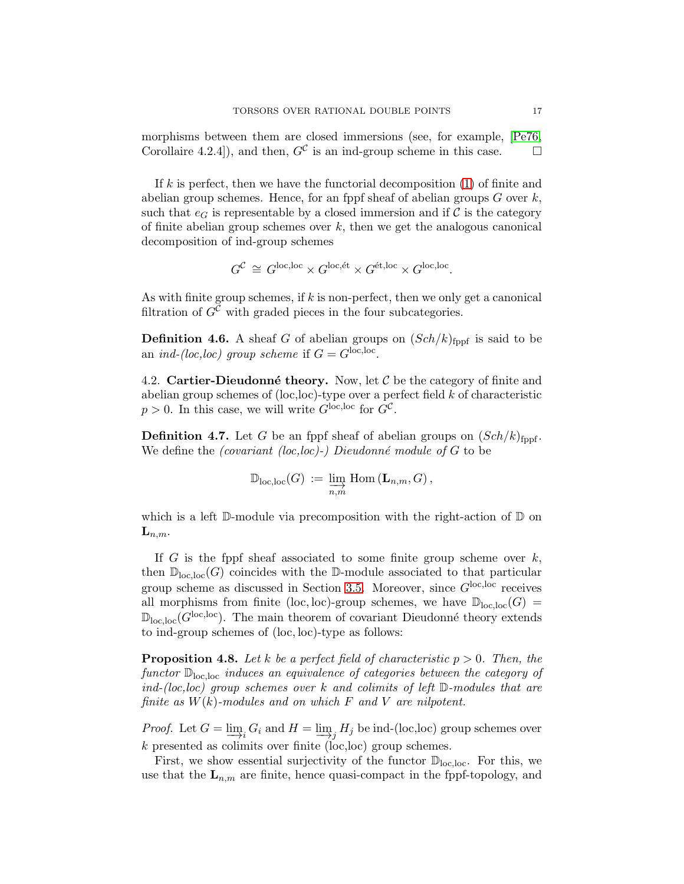morphisms between them are closed immersions (see, for example, [\[Pe76,](#page-74-12) Corollaire 4.2.4]), and then,  $G^{\mathcal{C}}$  is an ind-group scheme in this case.  $\square$ 

If k is perfect, then we have the functorial decomposition  $(1)$  of finite and abelian group schemes. Hence, for an fppf sheaf of abelian groups  $G$  over  $k$ , such that  $e_G$  is representable by a closed immersion and if C is the category of finite abelian group schemes over  $k$ , then we get the analogous canonical decomposition of ind-group schemes

$$
G^{\mathcal{C}} \cong G^{\text{loc,loc}} \times G^{\text{loc,ét}} \times G^{\text{\'et,loc}} \times G^{\text{loc,loc}}.
$$

As with finite group schemes, if k is non-perfect, then we only get a canonical filtration of  $G^{\mathcal{C}}$  with graded pieces in the four subcategories.

**Definition 4.6.** A sheaf G of abelian groups on  $(Sch/k)_{\text{fppf}}$  is said to be an *ind-(loc,loc)* group scheme if  $G = G^{\text{loc,loc}}$ .

4.2. Cartier-Dieudonné theory. Now, let  $\mathcal C$  be the category of finite and abelian group schemes of  $(loc,loc)$ -type over a perfect field k of characteristic  $p > 0$ . In this case, we will write  $G^{\text{loc,loc}}$  for  $G^{\mathcal{C}}$ .

**Definition 4.7.** Let G be an fppf sheaf of abelian groups on  $(Sch/k)_{\text{fupf}}$ . We define the *(covariant (loc,loc)-)* Dieudonné module of G to be

$$
\mathbb{D}_{\mathrm{loc},\mathrm{loc}}(G) := \varinjlim_{n,m} \mathrm{Hom} \left( {\bf L}_{n,m}, G \right),
$$

which is a left  $\mathbb D$ -module via precomposition with the right-action of  $\mathbb D$  on  $\mathbf{L}_{n,m}$ .

If  $G$  is the fppf sheaf associated to some finite group scheme over  $k$ , then  $\mathbb{D}_{\text{loc,loc}}(G)$  coincides with the D-module associated to that particular group scheme as discussed in Section [3.5.](#page-10-0) Moreover, since  $G^{\text{loc,loc}}$  receives all morphisms from finite (loc, loc)-group schemes, we have  $\mathbb{D}_{loc,loc}(G)$  =  $\mathbb{D}_{\text{loc,loc}}(G^{\text{loc,loc}})$ . The main theorem of covariant Dieudonné theory extends to ind-group schemes of (loc, loc)-type as follows:

<span id="page-16-0"></span>**Proposition 4.8.** Let k be a perfect field of characteristic  $p > 0$ . Then, the functor Dloc,loc induces an equivalence of categories between the category of ind-(loc, loc) group schemes over k and colimits of left  $\mathbb D$ -modules that are finite as  $W(k)$ -modules and on which F and V are nilpotent.

*Proof.* Let  $G = \lim_{i} G_i$  and  $H = \lim_{i} H_j$  be ind-(loc,loc) group schemes over k presented as colimits over finite (loc,loc) group schemes.

First, we show essential surjectivity of the functor  $\mathbb{D}_{loc,loc}$ . For this, we use that the  $\mathbf{L}_{n,m}$  are finite, hence quasi-compact in the fppf-topology, and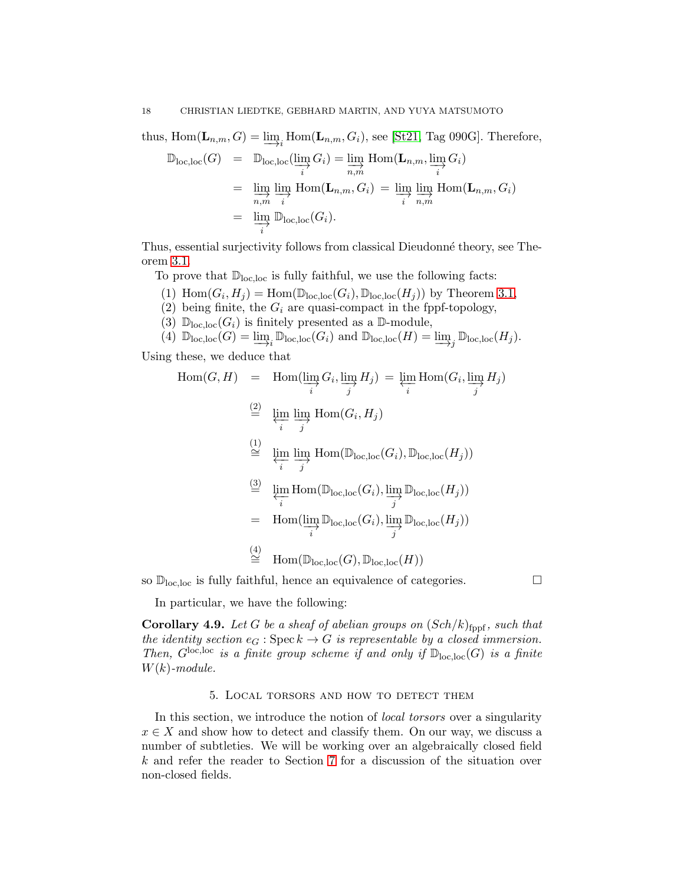thus,  $\text{Hom}(\mathbf{L}_{n,m}, G) = \underline{\lim}_{i} \text{Hom}(\mathbf{L}_{n,m}, G_i)$ , see [\[St21,](#page-75-3) Tag 090G]. Therefore,

$$
\mathbb{D}_{\text{loc},\text{loc}}(G) = \mathbb{D}_{\text{loc},\text{loc}}(\varinjlim_{i} G_{i}) = \varinjlim_{n,m} \text{Hom}(\mathbf{L}_{n,m}, \varinjlim_{i} G_{i})
$$
\n
$$
= \varinjlim_{n,m} \varinjlim_{i} \text{Hom}(\mathbf{L}_{n,m}, G_{i}) = \varinjlim_{i} \varinjlim_{n,m} \text{Hom}(\mathbf{L}_{n,m}, G_{i})
$$
\n
$$
= \varinjlim_{i} \mathbb{D}_{\text{loc},\text{loc}}(G_{i}).
$$

Thus, essential surjectivity follows from classical Dieudonn´e theory, see Theorem [3.1.](#page-11-0)

To prove that  $\mathbb{D}_{loc,loc}$  is fully faithful, we use the following facts:

- (1)  $\text{Hom}(G_i, H_j) = \text{Hom}(\mathbb{D}_{\text{loc,loc}}(G_i), \mathbb{D}_{\text{loc,loc}}(H_j))$  by Theorem [3.1,](#page-11-0)
- (2) being finite, the  $G_i$  are quasi-compact in the fppf-topology,
- (3)  $\mathbb{D}_{\text{loc,loc}}(G_i)$  is finitely presented as a  $\mathbb{D}\text{-module}$ ,

(4) 
$$
\mathbb{D}_{\text{loc,loc}}(G) = \varinjlim_i \mathbb{D}_{\text{loc,loc}}(G_i)
$$
 and  $\mathbb{D}_{\text{loc,loc}}(H) = \varinjlim_j \mathbb{D}_{\text{loc,loc}}(H_j)$ .

Using these, we deduce that

$$
\text{Hom}(G, H) = \text{Hom}(\varinjlim_{i} G_{i}, \varinjlim_{j} H_{j}) = \varprojlim_{i} \text{Hom}(G_{i}, \varinjlim_{j} H_{j})
$$
\n
$$
\stackrel{(2)}{=} \varprojlim_{i} \varinjlim_{j} \text{Hom}(G_{i}, H_{j})
$$
\n
$$
\stackrel{(1)}{=} \varprojlim_{i} \varinjlim_{j} \text{Hom}(\mathbb{D}_{\text{loc,loc}}(G_{i}), \mathbb{D}_{\text{loc,loc}}(H_{j}))
$$
\n
$$
\stackrel{(3)}{=} \varprojlim_{i} \text{Hom}(\mathbb{D}_{\text{loc,loc}}(G_{i}), \varinjlim_{j} \mathbb{D}_{\text{loc,loc}}(H_{j}))
$$
\n
$$
= \text{Hom}(\varinjlim_{i} \mathbb{D}_{\text{loc,loc}}(G_{i}), \varinjlim_{j} \mathbb{D}_{\text{loc,loc}}(H_{j}))
$$
\n
$$
\stackrel{(4)}{=} \text{Hom}(\mathbb{D}_{\text{loc,loc}}(G), \mathbb{D}_{\text{loc,loc}}(H))
$$

so  $\mathbb{D}_{\text{loc,loc}}$  is fully faithful, hence an equivalence of categories.  $\Box$ 

In particular, we have the following:

<span id="page-17-1"></span>**Corollary 4.9.** Let G be a sheaf of abelian groups on  $(Sch/k)_{\text{fppf}}$ , such that the identity section  $e_G : \operatorname{Spec} k \to G$  is representable by a closed immersion. Then,  $G^{\text{loc,loc}}$  is a finite group scheme if and only if  $\mathbb{D}_{\text{loc,loc}}(G)$  is a finite  $W(k)$ -module.

#### 5. Local torsors and how to detect them

<span id="page-17-0"></span>In this section, we introduce the notion of local torsors over a singularity  $x \in X$  and show how to detect and classify them. On our way, we discuss a number of subtleties. We will be working over an algebraically closed field k and refer the reader to Section [7](#page-38-0) for a discussion of the situation over non-closed fields.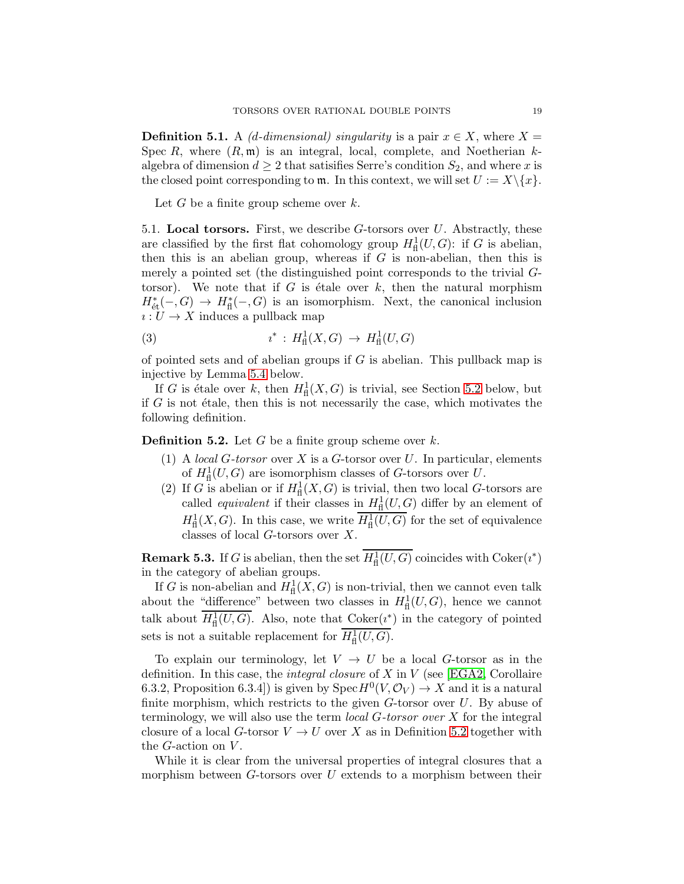**Definition 5.1.** A (d-dimensional) singularity is a pair  $x \in X$ , where  $X =$ Spec R, where  $(R, \mathfrak{m})$  is an integral, local, complete, and Noetherian kalgebra of dimension  $d \geq 2$  that satisifies Serre's condition  $S_2$ , and where x is the closed point corresponding to  $\mathfrak{m}$ . In this context, we will set  $U := X \setminus \{x\}.$ 

Let  $G$  be a finite group scheme over  $k$ .

5.1. Local torsors. First, we describe  $G$ -torsors over  $U$ . Abstractly, these are classified by the first flat cohomology group  $H^1_{\text{fl}}(U, G)$ : if G is abelian, then this is an abelian group, whereas if  $G$  is non-abelian, then this is merely a pointed set (the distinguished point corresponds to the trivial Gtorsor). We note that if G is étale over  $k$ , then the natural morphism  $H^*_{\text{\'et}}(-, G) \to H^*_{\text{fl}}(-, G)$  is an isomorphism. Next, the canonical inclusion  $i: U \to X$  induces a pullback map

(3) 
$$
i^* : H^1_{\text{fl}}(X, G) \to H^1_{\text{fl}}(U, G)
$$

of pointed sets and of abelian groups if  $G$  is abelian. This pullback map is injective by Lemma [5.4](#page-19-0) below.

If G is étale over k, then  $H^1_{\text{fl}}(X, G)$  is trivial, see Section [5.2](#page-21-1) below, but if  $G$  is not étale, then this is not necessarily the case, which motivates the following definition.

<span id="page-18-0"></span>**Definition 5.2.** Let  $G$  be a finite group scheme over  $k$ .

- (1) A local G-torsor over X is a G-torsor over U. In particular, elements of  $H^1_{\text{fl}}(U, G)$  are isomorphism classes of G-torsors over U.
- (2) If G is abelian or if  $H^1_{\text{fl}}(X, G)$  is trivial, then two local G-torsors are called *equivalent* if their classes in  $H^1_{\text{fl}}(U, G)$  differ by an element of  $H^1_{\text{fl}}(X, G)$ . In this case, we write  $H^1_{\text{fl}}(U, G)$  for the set of equivalence classes of local G-torsors over X.

**Remark 5.3.** If G is abelian, then the set  $H^1_{\text{fl}}(U, G)$  coincides with  $\text{Coker}(i^*)$ in the category of abelian groups.

If G is non-abelian and  $H^1_{\text{fl}}(X, G)$  is non-trivial, then we cannot even talk about the "difference" between two classes in  $H^1_{\text{fl}}(U, G)$ , hence we cannot talk about  $H^1_{\text{fl}}(U, G)$ . Also, note that  $\text{Coker}(i^*)$  in the category of pointed sets is not a suitable replacement for  $H^1_{\text{fl}}(U, G)$ .

To explain our terminology, let  $V \rightarrow U$  be a local G-torsor as in the definition. In this case, the *integral closure* of X in V (see [\[EGA2,](#page-73-11) Corollaire 6.3.2, Proposition 6.3.4]) is given by  $Spec H^0(V, \mathcal{O}_V) \to X$  and it is a natural finite morphism, which restricts to the given  $G$ -torsor over  $U$ . By abuse of terminology, we will also use the term *local G-torsor over*  $X$  for the integral closure of a local G-torsor  $V \to U$  over X as in Definition [5.2](#page-18-0) together with the  $G$ -action on  $V$ .

While it is clear from the universal properties of integral closures that a morphism between  $G$ -torsors over  $U$  extends to a morphism between their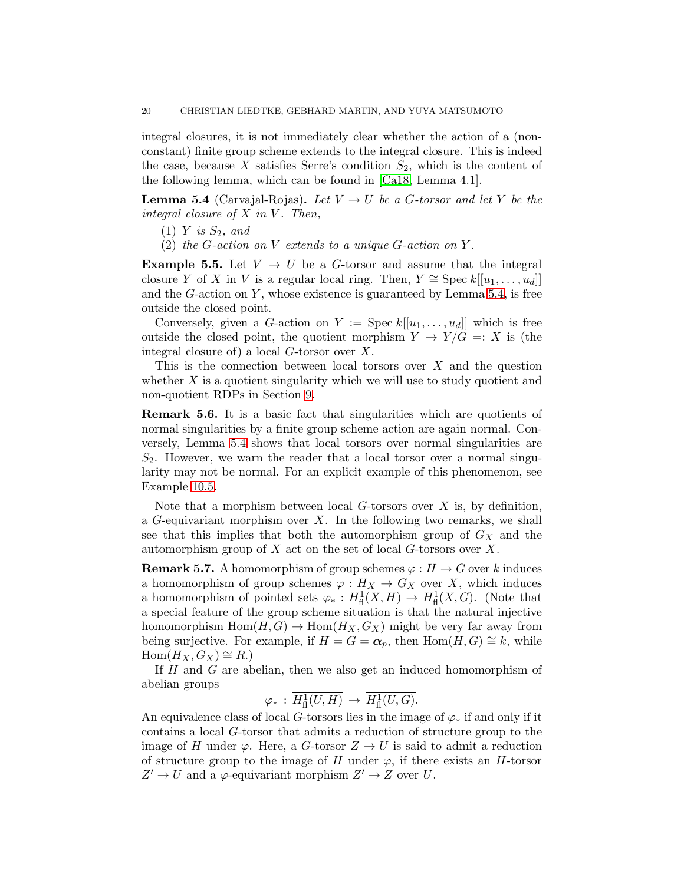integral closures, it is not immediately clear whether the action of a (nonconstant) finite group scheme extends to the integral closure. This is indeed the case, because X satisfies Serre's condition  $S_2$ , which is the content of the following lemma, which can be found in [\[Ca18,](#page-73-12) Lemma 4.1].

<span id="page-19-0"></span>**Lemma 5.4** (Carvajal-Rojas). Let  $V \rightarrow U$  be a G-torsor and let Y be the integral closure of  $X$  in  $V$ . Then,

- $(1)$  Y is  $S_2$ , and
- (2) the G-action on  $V$  extends to a unique G-action on  $Y$ .

**Example 5.5.** Let  $V \rightarrow U$  be a G-torsor and assume that the integral closure Y of X in V is a regular local ring. Then,  $Y \cong \text{Spec } k[[u_1, \ldots, u_d]]$ and the  $G$ -action on  $Y$ , whose existence is guaranteed by Lemma [5.4,](#page-19-0) is free outside the closed point.

Conversely, given a G-action on  $Y := \text{Spec } k[[u_1, \ldots, u_d]]$  which is free outside the closed point, the quotient morphism  $Y \to Y/G =: X$  is (the integral closure of) a local G-torsor over X.

This is the connection between local torsors over  $X$  and the question whether  $X$  is a quotient singularity which we will use to study quotient and non-quotient RDPs in Section [9.](#page-49-0)

Remark 5.6. It is a basic fact that singularities which are quotients of normal singularities by a finite group scheme action are again normal. Conversely, Lemma [5.4](#page-19-0) shows that local torsors over normal singularities are  $S_2$ . However, we warn the reader that a local torsor over a normal singularity may not be normal. For an explicit example of this phenomenon, see Example [10.5.](#page-70-0)

Note that a morphism between local  $G$ -torsors over  $X$  is, by definition, a  $G$ -equivariant morphism over  $X$ . In the following two remarks, we shall see that this implies that both the automorphism group of  $G_X$  and the automorphism group of  $X$  act on the set of local  $G$ -torsors over  $X$ .

<span id="page-19-1"></span>**Remark 5.7.** A homomorphism of group schemes  $\varphi : H \to G$  over k induces a homomorphism of group schemes  $\varphi: H_X \to G_X$  over X, which induces a homomorphism of pointed sets  $\varphi_* : H^1_{\text{fl}}(X, H) \to H^1_{\text{fl}}(X, G)$ . (Note that a special feature of the group scheme situation is that the natural injective homomorphism  $Hom(H, G) \to Hom(H_X, G_X)$  might be very far away from being surjective. For example, if  $H = G = \alpha_p$ , then Hom $(H, G) \cong k$ , while  $Hom(H_X, G_X) \cong R$ .)

If  $H$  and  $G$  are abelian, then we also get an induced homomorphism of abelian groups

$$
\varphi_* : \overline{H^1_{\text{fl}}(U,H)} \to \overline{H^1_{\text{fl}}(U,G)}.
$$

An equivalence class of local G-torsors lies in the image of  $\varphi_*$  if and only if it contains a local G-torsor that admits a reduction of structure group to the image of H under  $\varphi$ . Here, a G-torsor  $Z \to U$  is said to admit a reduction of structure group to the image of H under  $\varphi$ , if there exists an H-torsor  $Z' \to U$  and a  $\varphi$ -equivariant morphism  $Z' \to Z$  over U.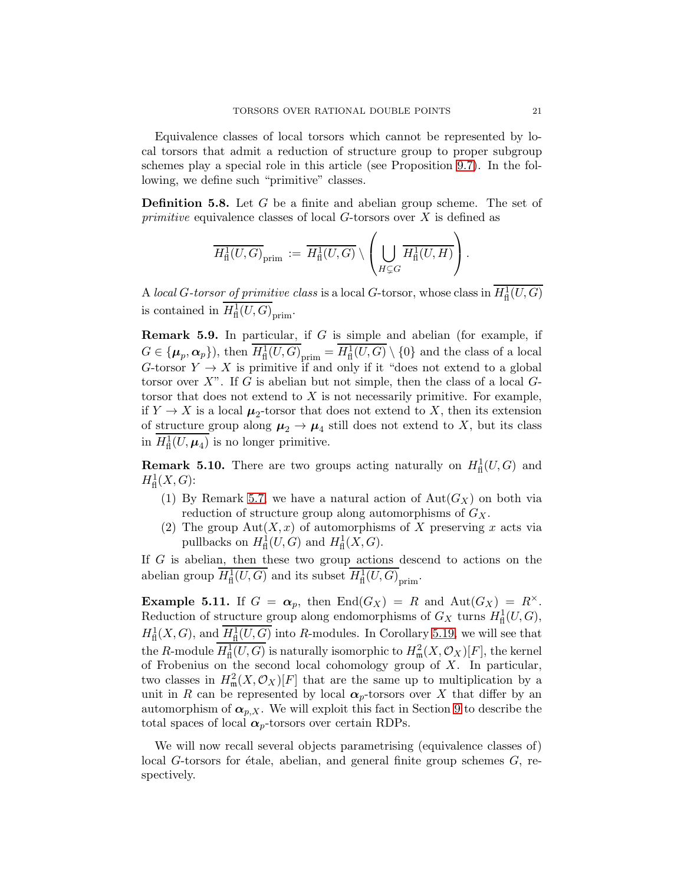Equivalence classes of local torsors which cannot be represented by local torsors that admit a reduction of structure group to proper subgroup schemes play a special role in this article (see Proposition [9.7\)](#page-52-0). In the following, we define such "primitive" classes.

<span id="page-20-0"></span>Definition 5.8. Let G be a finite and abelian group scheme. The set of *primitive* equivalence classes of local  $G$ -torsors over  $X$  is defined as

$$
\overline{H^1_{\textup{fl}}(U,G)}_{\textup{prim}} := \overline{H^1_{\textup{fl}}(U,G)} \setminus \left(\bigcup_{H \subsetneq G} \overline{H^1_{\textup{fl}}(U,H)}\right).
$$

A local G-torsor of primitive class is a local G-torsor, whose class in  $H^1_{\text{fl}}(U, G)$ is contained in  $H^1_{\text{fl}}(U, G)_{\text{prim}}$ .

Remark 5.9. In particular, if G is simple and abelian (for example, if  $G \in {\{\boldsymbol{\mu}}_p, \boldsymbol{\alpha}_p\}$ , then  $H^1_{\textup{fl}}(U,G)_{\textup{prim}} = H^1_{\textup{fl}}(U,G) \setminus \{0\}$  and the class of a local G-torsor  $Y \to X$  is primitive if and only if it "does not extend to a global torsor over  $X$ ". If G is abelian but not simple, then the class of a local  $G$ torsor that does not extend to  $X$  is not necessarily primitive. For example, if  $Y \to X$  is a local  $\mu_2$ -torsor that does not extend to X, then its extension of <u>structure</u> group along  $\mu_2 \to \mu_4$  still does not extend to X, but its class in  $H^1_{\text{fl}}(U,\mu_4)$  is no longer primitive.

**Remark 5.10.** There are two groups acting naturally on  $H^1_{\text{fl}}(U, G)$  and  $H^1_{\mathrm{fl}}(X,G)$ :

- (1) By Remark [5.7,](#page-19-1) we have a natural action of  $Aut(G_X)$  on both via reduction of structure group along automorphisms of  $G_X$ .
- (2) The group  $Aut(X, x)$  of automorphisms of X preserving x acts via pullbacks on  $H^1_{\text{fl}}(U, G)$  and  $H^1_{\text{fl}}(X, G)$ .

If G is abelian, then these two group actions descend to actions on the abelian group  $H^1_{\text{fl}}(U, G)$  and its subset  $H^1_{\text{fl}}(U, G)$ <sub>prim</sub>.

**Example 5.11.** If  $G = \alpha_p$ , then  $\text{End}(G_X) = R$  and  $\text{Aut}(G_X) = R^{\times}$ . Reduction of structure group along endomorphisms of  $G_X$  turns  $H^1_{\text{fl}}(U, G)$ ,  $H^1_{\text{fl}}(X, G)$ , and  $H^1_{\text{fl}}(U, G)$  into R-modules. In Corollary [5.19,](#page-24-0) we will see that the R-module  $\overline{H^1_{\text{fl}}(U,G)}$  is naturally isomorphic to  $H^2_{\text{m}}(X,\mathcal{O}_X)[F]$ , the kernel of Frobenius on the second local cohomology group of  $X$ . In particular, two classes in  $H^2_{\mathfrak{m}}(X, \mathcal{O}_X)[F]$  that are the same up to multiplication by a unit in R can be represented by local  $\alpha_p$ -torsors over X that differ by an automorphism of  $\alpha_{p,X}$ . We will exploit this fact in Section [9](#page-49-0) to describe the total spaces of local  $\alpha_p$ -torsors over certain RDPs.

We will now recall several objects parametrising (equivalence classes of) local G-torsors for étale, abelian, and general finite group schemes  $G$ , respectively.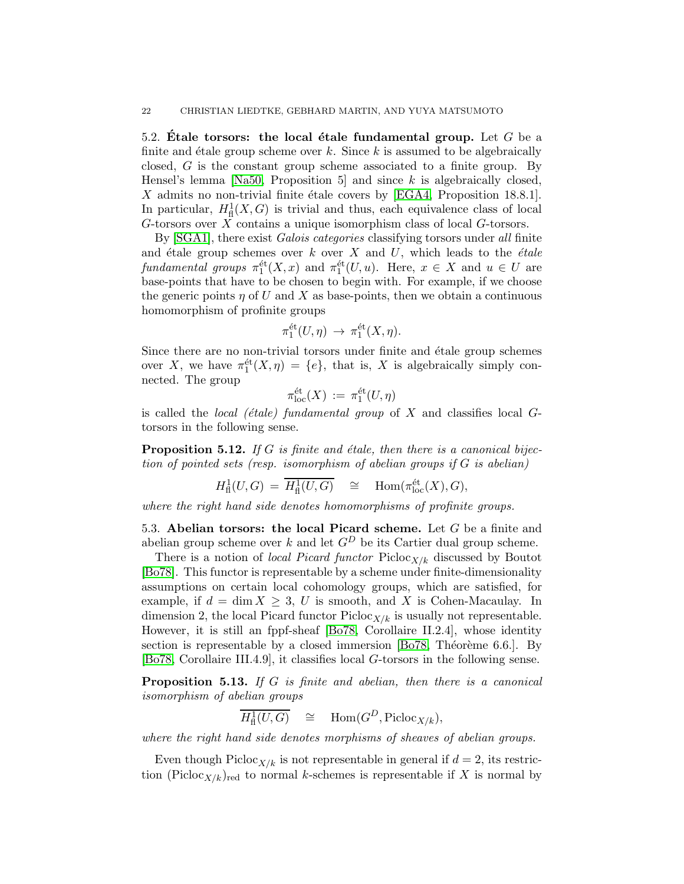<span id="page-21-1"></span>5.2. Etale torsors: the local étale fundamental group. Let G be a finite and étale group scheme over k. Since k is assumed to be algebraically closed, G is the constant group scheme associated to a finite group. By Hensel's lemma [\[Na50,](#page-74-13) Proposition 5] and since  $k$  is algebraically closed, X admits no non-trivial finite étale covers by [\[EGA4,](#page-73-13) Proposition 18.8.1]. In particular,  $H^1_{\text{fl}}(X, G)$  is trivial and thus, each equivalence class of local G-torsors over  $\overline{X}$  contains a unique isomorphism class of local G-torsors.

By [\[SGA1\]](#page-75-4), there exist *Galois categories* classifying torsors under all finite and étale group schemes over  $k$  over  $X$  and  $U$ , which leads to the *étale* fundamental groups  $\pi_1^{\text{\'et}}(X,x)$  and  $\pi_1^{\text{\'et}}(U,u)$ . Here,  $x \in X$  and  $u \in U$  are base-points that have to be chosen to begin with. For example, if we choose the generic points  $\eta$  of U and X as base-points, then we obtain a continuous homomorphism of profinite groups

$$
\pi_1^{\text{\'et}}(U,\eta) \to \pi_1^{\text{\'et}}(X,\eta).
$$

Since there are no non-trivial torsors under finite and étale group schemes over X, we have  $\pi_1^{\text{\'et}}(X, \eta) = \{e\}$ , that is, X is algebraically simply connected. The group

$$
\pi_{\mathrm{loc}}^{\mathrm{\acute{e}t}}(X) \, := \, \pi_1^{\mathrm{\acute{e}t}}(U,\eta)
$$

is called the *local (étale) fundamental group* of  $X$  and classifies local  $G$ torsors in the following sense.

<span id="page-21-3"></span>**Proposition 5.12.** If G is finite and étale, then there is a canonical bijection of pointed sets (resp. isomorphism of abelian groups if  $G$  is abelian)

$$
H^1_{\text{fl}}(U, G) = \overline{H^1_{\text{fl}}(U, G)} \quad \cong \quad \text{Hom}(\pi_{\text{loc}}^{\text{\'et}}(X), G),
$$

<span id="page-21-0"></span>where the right hand side denotes homomorphisms of profinite groups.

5.3. Abelian torsors: the local Picard scheme. Let  $G$  be a finite and abelian group scheme over k and let  $G<sup>D</sup>$  be its Cartier dual group scheme.

There is a notion of *local Picard functor* Picloc<sub>X/k</sub> discussed by Boutot [\[Bo78\]](#page-73-4). This functor is representable by a scheme under finite-dimensionality assumptions on certain local cohomology groups, which are satisfied, for example, if  $d = \dim X \geq 3$ , U is smooth, and X is Cohen-Macaulay. In dimension 2, the local Picard functor  $Picloc_{X/k}$  is usually not representable. However, it is still an fppf-sheaf [\[Bo78,](#page-73-4) Corollaire II.2.4], whose identity section is representable by a closed immersion  $[Bo78, Théorème 6.6].$  By [\[Bo78,](#page-73-4) Corollaire III.4.9], it classifies local G-torsors in the following sense.

<span id="page-21-2"></span>Proposition 5.13. If G is finite and abelian, then there is a canonical isomorphism of abelian groups

$$
\overline{H^1_{\text{fl}}(U,G)} \quad \cong \quad \text{Hom}(G^D, \text{Picloc}_{X/k}),
$$

where the right hand side denotes morphisms of sheaves of abelian groups.

Even though Picloc<sub>X/k</sub> is not representable in general if  $d = 2$ , its restriction (Picloc<sub>X/k</sub>)<sub>red</sub> to normal k-schemes is representable if X is normal by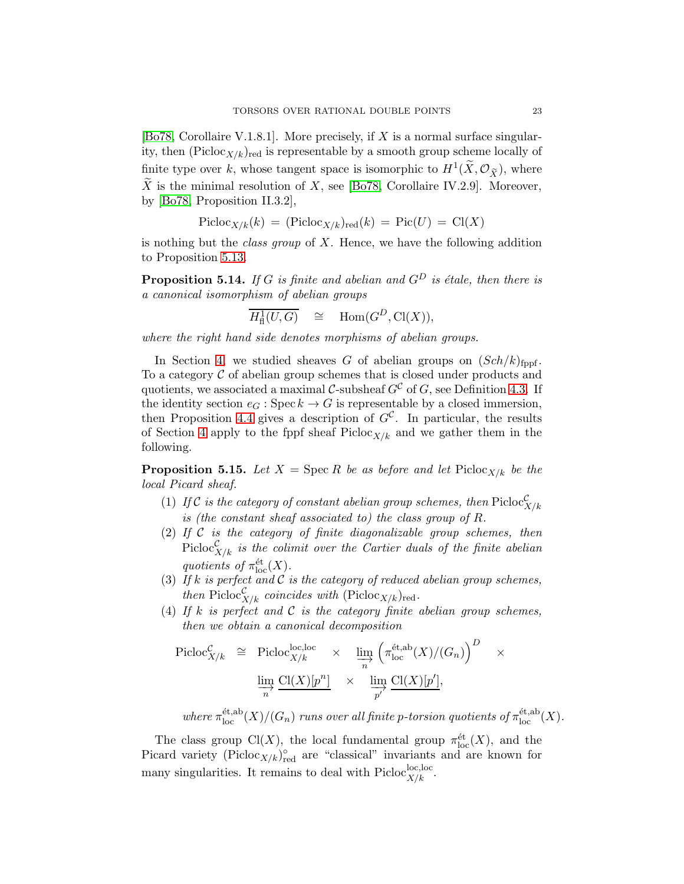[\[Bo78,](#page-73-4) Corollaire V.1.8.1]. More precisely, if X is a normal surface singularity, then  $(Picloc_{X/k})_{red}$  is representable by a smooth group scheme locally of finite type over k, whose tangent space is isomorphic to  $H^1(\tilde{X}, \mathcal{O}_{\tilde{X}})$ , where X is the minimal resolution of X, see [\[Bo78,](#page-73-4) Corollaire IV.2.9]. Moreover, by [\[Bo78,](#page-73-4) Proposition II.3.2],

$$
Picloc_{X/k}(k) = (Picloc_{X/k})_{red}(k) = Pic(U) = Cl(X)
$$

is nothing but the *class group* of  $X$ . Hence, we have the following addition to Proposition [5.13.](#page-21-2)

<span id="page-22-0"></span>**Proposition 5.14.** If G is finite and abelian and  $G<sup>D</sup>$  is étale, then there is a canonical isomorphism of abelian groups

$$
\overline{H^1_{\text{fl}}(U,G)} \quad \cong \quad \text{Hom}(G^D, \text{Cl}(X)),
$$

where the right hand side denotes morphisms of abelian groups.

In Section [4,](#page-14-0) we studied sheaves G of abelian groups on  $(Sch/k)_{\text{fppf}}$ . To a category  $\mathcal C$  of abelian group schemes that is closed under products and quotients, we associated a maximal C-subsheaf  $G^{\mathcal{C}}$  of G, see Definition [4.3.](#page-15-0) If the identity section  $e_G$ : Spec  $k \to G$  is representable by a closed immersion, then Proposition [4.4](#page-15-1) gives a description of  $G^{\mathcal{C}}$ . In particular, the results of Section [4](#page-14-0) apply to the fppf sheaf  $Picloc_{X/k}$  and we gather them in the following.

<span id="page-22-1"></span>**Proposition 5.15.** Let  $X = \text{Spec } R$  be as before and let  $\text{Pic}_{X/k}$  be the local Picard sheaf.

- (1) If C is the category of constant abelian group schemes, then  $\text{Picoc}_{X/k}^{\mathcal{C}}$ is (the constant sheaf associated to) the class group of R.
- (2) If  $C$  is the category of finite diagonalizable group schemes, then  $\operatorname{Picloc}^{\mathcal{C}}_{X/k}$  is the colimit over the Cartier duals of the finite abelian quotients of  $\pi_{\text{loc}}^{\text{\'et}}(X)$ .
- (3) If k is perfect and  $C$  is the category of reduced abelian group schemes, then  $\text{Picloc}_{X/k}^{\mathcal{C}}$  coincides with  $(\text{Picloc}_{X/k})_{\text{red}}$ .
- (4) If k is perfect and  $\mathcal C$  is the category finite abelian group schemes, then we obtain a canonical decomposition

$$
\begin{array}{rcl}\n\text{Picloc}_{X/k} & \cong & \text{Picloc}_{X/k}^{1} \times & \varinjlim_{n} \left( \pi_{\text{loc}}^{\text{\'et},\text{ab}}(X)/(G_n) \right)^D \times \\
& \varinjlim_{n} \frac{\text{Cl}(X)[p^n]}{n} \times \varinjlim_{p'} \frac{\text{Cl}(X)[p']}{p'}.\n\end{array}
$$

where  $\pi_{\text{loc}}^{\text{\'et,ab}}(X)/(G_n)$  runs over all finite p-torsion quotients of  $\pi_{\text{loc}}^{\text{\'et,ab}}(X)$ .

The class group Cl(X), the local fundamental group  $\pi_{\text{loc}}^{\text{\'et}}(X)$ , and the Picard variety ( $Picloc_{X/k}$ )<sup>°</sup><sub>red</sub> are "classical" invariants and are known for many singularities. It remains to deal with  $\text{Pic}^{\text{loc},\text{loc}}_{X/k}$ .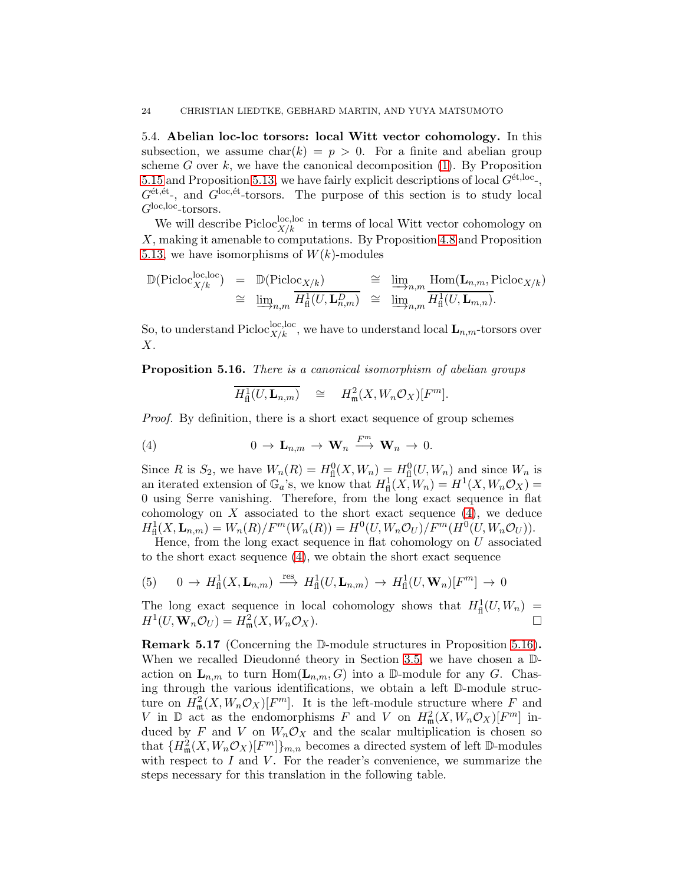<span id="page-23-0"></span>5.4. Abelian loc-loc torsors: local Witt vector cohomology. In this subsection, we assume  $char(k) = p > 0$ . For a finite and abelian group scheme G over  $k$ , we have the canonical decomposition [\(1\)](#page-9-0). By Proposition [5.15](#page-22-1) and Proposition [5.13,](#page-21-2) we have fairly explicit descriptions of local  $G^{\text{\'et,loc}}$ ,  $G^{\text{\'et},\text{\'et}}$ , and  $G^{\text{loc},\text{\'et}}$ -torsors. The purpose of this section is to study local  $G^{\rm loc,loc}\mbox{-}\rm torsors.$ 

We will describe  $\text{Picloc}^{\text{loc},\text{loc}}_{X/k}$  in terms of local Witt vector cohomology on X, making it amenable to computations. By Proposition [4.8](#page-16-0) and Proposition [5.13,](#page-21-2) we have isomorphisms of  $W(k)$ -modules

$$
\mathbb{D}(\text{Picloc}_{X/k}^{\text{loc,loc}}) = \mathbb{D}(\text{Picloc}_{X/k}) \cong \underline{\lim}_{n,m} \frac{\text{Hom}(\mathbf{L}_{n,m}, \text{Picloc}_{X/k})}{H_{\text{fl}}^1(U, \mathbf{L}_{n,m}^D)} \cong \underline{\lim}_{n,m} \frac{\text{Hom}(\mathbf{L}_{n,m}, \text{Picloc}_{X/k})}{H_{\text{fl}}^1(U, \mathbf{L}_{m,n})}
$$

So, to understand  $\text{Picloc}^{\text{loc},\text{loc}}_{X/k}$ , we have to understand local  $\mathbf{L}_{n,m}\text{-torsors over}$  $X<sub>1</sub>$ 

<span id="page-23-2"></span>**Proposition 5.16.** There is a canonical isomorphism of abelian groups

<span id="page-23-1"></span>
$$
\overline{H^1_{\text{fl}}(U,\mathbf{L}_{n,m})} \quad \cong \quad H^2_{\mathfrak{m}}(X,W_n\mathcal{O}_X)[F^m].
$$

Proof. By definition, there is a short exact sequence of group schemes

(4) 
$$
0 \to \mathbf{L}_{n,m} \to \mathbf{W}_n \xrightarrow{F^m} \mathbf{W}_n \to 0.
$$

Since R is  $S_2$ , we have  $W_n(R) = H^0<sub>f</sub>(X, W_n) = H^0<sub>f</sub>(U, W_n)$  and since  $W_n$  is an iterated extension of  $\mathbb{G}_a$ 's, we know that  $H^1_{\text{fl}}(X, W_n) = H^1(X, W_n \mathcal{O}_X) =$ 0 using Serre vanishing. Therefore, from the long exact sequence in flat cohomology on  $X$  associated to the short exact sequence  $(4)$ , we deduce  $H^1_{\text{fl}}(X, \mathbf{L}_{n,m}) = W_n(R)/F^m(W_n(R)) = H^0(U, W_n \mathcal{O}_U)/F^m(H^0(U, W_n \mathcal{O}_U)).$ 

Hence, from the long exact sequence in flat cohomology on  $U$  associated to the short exact sequence [\(4\)](#page-23-1), we obtain the short exact sequence

(5) 
$$
0 \to H^1_{\text{fl}}(X, \mathbf{L}_{n,m}) \stackrel{\text{res}}{\longrightarrow} H^1_{\text{fl}}(U, \mathbf{L}_{n,m}) \to H^1_{\text{fl}}(U, \mathbf{W}_n)[F^m] \to 0
$$

The long exact sequence in local cohomology shows that  $H^1_{\text{fl}}(U, W_n)$  =  $H^1(U, \mathbf{W}_n \mathcal{O}_U) = H^2_m(X, W_n \mathcal{O}_X).$ 

<span id="page-23-3"></span>Remark 5.17 (Concerning the D-module structures in Proposition [5.16\)](#page-23-2). When we recalled Dieudonné theory in Section [3.5,](#page-10-0) we have chosen a  $\mathbb{D}$ action on  $\mathbf{L}_{n,m}$  to turn  $\text{Hom}(\mathbf{L}_{n,m}, G)$  into a D-module for any G. Chasing through the various identifications, we obtain a left D-module structure on  $H^2_{\mathfrak{m}}(X, W_n \mathcal{O}_X)[F^m]$ . It is the left-module structure where F and V in  $\mathbb{D}$  act as the endomorphisms F and V on  $H^2_{\mathfrak{m}}(X, W_n \mathcal{O}_X)[F^m]$  induced by F and V on  $W_n \mathcal{O}_X$  and the scalar multiplication is chosen so that  ${H_{\mathfrak{m}}^2(X, W_n \mathcal{O}_X)[F^m]}_{m,n}$  becomes a directed system of left D-modules with respect to  $I$  and  $V$ . For the reader's convenience, we summarize the steps necessary for this translation in the following table.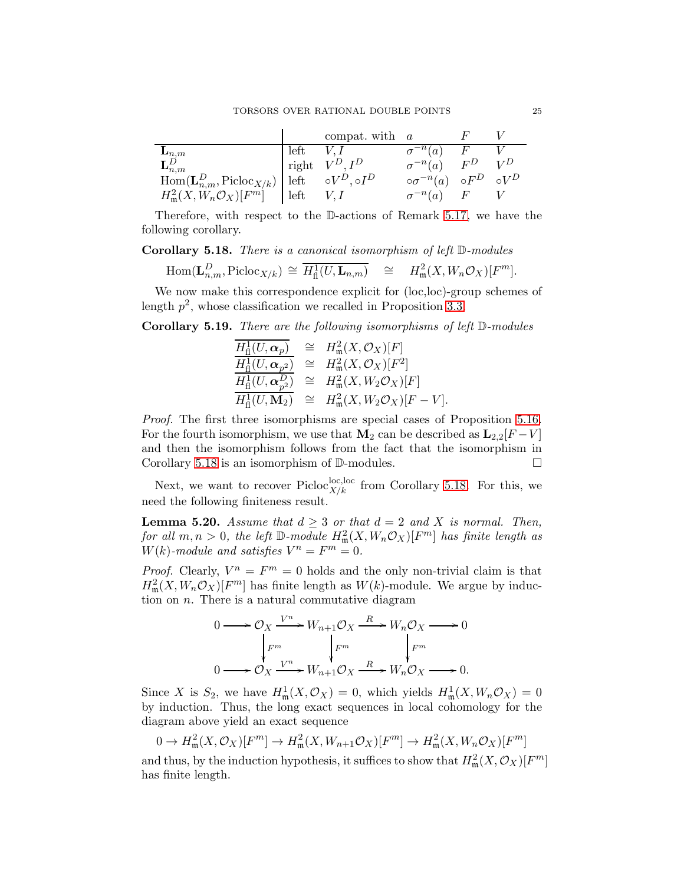|                                                             |             | compat. with $a$          |                                            |   |       |
|-------------------------------------------------------------|-------------|---------------------------|--------------------------------------------|---|-------|
|                                                             | left $V, I$ |                           | $\sigma^{-n}(a)$                           | F |       |
| $\mathbf{L}_{n,m}^D$                                        |             | $\vdash$ right $V^D, I^D$ | $\sigma^{-n}(a)$ $F^D$                     |   | $V^D$ |
| $\text{Hom}(\mathbf{L}_{n,m}^D,\text{Picloc}_{X/k})\ $ left |             | $\circ V^D$ , o $I^D$     | $\circ \sigma^{-n}(a) \circ F^D \circ V^D$ |   |       |
| $H^2_{\mathfrak{m}}(X, W_n \mathcal{O}_X)[F^m]$             | left        |                           | $\sigma^{-n}(a)$ F                         |   |       |

Therefore, with respect to the D-actions of Remark [5.17,](#page-23-3) we have the following corollary.

<span id="page-24-1"></span>Corollary 5.18. There is a canonical isomorphism of left D-modules

$$
\text{Hom}(\mathbf{L}_{n,m}^D, \text{Picloc}_{X/k}) \cong \overline{H^1_{\text{fl}}(U, \mathbf{L}_{n,m})} \cong H^2_{\text{m}}(X, W_n \mathcal{O}_X)[F^m].
$$

We now make this correspondence explicit for (loc,loc)-group schemes of length  $p^2$ , whose classification we recalled in Proposition [3.3.](#page-12-0)

<span id="page-24-0"></span>Corollary 5.19. There are the following isomorphisms of left  $\mathbb D\text{-modules}$ 

$$
\frac{\overline{H^1_{\text{fl}}(U,\alpha_p)}}{\overline{H^1_{\text{fl}}(U,\alpha_p)}} \cong H^2_{\mathfrak{m}}(X,\mathcal{O}_X)[F] \n\frac{\overline{H^1_{\text{fl}}(U,\alpha_p^2)}}{\overline{H^1_{\text{fl}}(U,\alpha_p^2)}} \cong H^2_{\mathfrak{m}}(X,\mathcal{O}_X)[F^2] \n\overline{H^1_{\text{fl}}(U,\mathbf{M}_2)} \cong H^2_{\mathfrak{m}}(X,W_2\mathcal{O}_X)[F] \nH^1_{\text{fl}}(U,\mathbf{M}_2) \cong H^2_{\mathfrak{m}}(X,W_2\mathcal{O}_X)[F-V].
$$

Proof. The first three isomorphisms are special cases of Proposition [5.16.](#page-23-2) For the fourth isomorphism, we use that  $\mathbf{M}_2$  can be described as  $\mathbf{L}_{2,2}[F-V]$ and then the isomorphism follows from the fact that the isomorphism in Corollary [5.18](#page-24-1) is an isomorphism of D-modules.

Next, we want to recover  $\text{Picloc}_{X/k}^{\text{loc,loc}}$  from Corollary [5.18.](#page-24-1) For this, we need the following finiteness result.

<span id="page-24-2"></span>**Lemma 5.20.** Assume that  $d \geq 3$  or that  $d = 2$  and X is normal. Then, for all  $m, n > 0$ , the left  $\mathbb{D}\text{-module } H^2_{\mathfrak{m}}(X, W_n \mathcal{O}_X)[F^m]$  has finite length as  $W(k)$ -module and satisfies  $V^n = F^m = 0$ .

*Proof.* Clearly,  $V^n = F^m = 0$  holds and the only non-trivial claim is that  $H^2_{\mathfrak{m}}(X, W_n \mathcal{O}_X)[F^m]$  has finite length as  $W(k)$ -module. We argue by induction on  $n$ . There is a natural commutative diagram

$$
0 \longrightarrow \mathcal{O}_X \xrightarrow{V^n} W_{n+1}\mathcal{O}_X \xrightarrow{R} W_n\mathcal{O}_X \longrightarrow 0
$$
  

$$
\downarrow F^m \qquad \qquad \downarrow F^m \qquad \qquad \downarrow F^m
$$
  

$$
0 \longrightarrow \mathcal{O}_X \xrightarrow{V^n} W_{n+1}\mathcal{O}_X \xrightarrow{R} W_n\mathcal{O}_X \longrightarrow 0.
$$

Since X is  $S_2$ , we have  $H^1_{\mathfrak{m}}(X, \mathcal{O}_X) = 0$ , which yields  $H^1_{\mathfrak{m}}(X, W_n \mathcal{O}_X) = 0$ by induction. Thus, the long exact sequences in local cohomology for the diagram above yield an exact sequence

$$
0 \to H^2_{\mathfrak{m}}(X, \mathcal{O}_X)[F^m] \to H^2_{\mathfrak{m}}(X, W_{n+1}\mathcal{O}_X)[F^m] \to H^2_{\mathfrak{m}}(X, W_n\mathcal{O}_X)[F^m]
$$

and thus, by the induction hypothesis, it suffices to show that  $H^2_{\mathfrak{m}}(X, \mathcal{O}_X)[F^m]$ has finite length.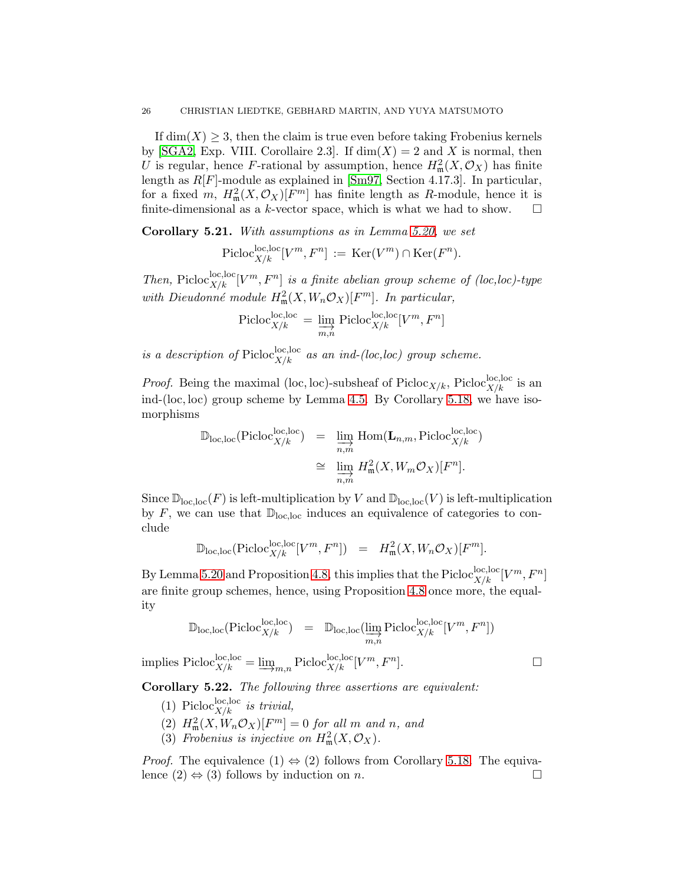If  $\dim(X) \geq 3$ , then the claim is true even before taking Frobenius kernels by [\[SGA2,](#page-75-5) Exp. VIII. Corollaire 2.3]. If  $dim(X) = 2$  and X is normal, then U is regular, hence F-rational by assumption, hence  $H^2_{\mathfrak{m}}(X, \mathcal{O}_X)$  has finite length as R[F]-module as explained in [\[Sm97,](#page-75-6) Section 4.17.3]. In particular, for a fixed m,  $H^2_{\mathfrak{m}}(X, \mathcal{O}_X)[F^m]$  has finite length as R-module, hence it is finite-dimensional as a k-vector space, which is what we had to show.  $\square$ 

<span id="page-25-0"></span>Corollary 5.21. With assumptions as in Lemma [5.20,](#page-24-2) we set

$$
\mathrm{Picloc}_{X/k}^{\mathrm{loc},\mathrm{loc}}[V^m,F^n] := \mathrm{Ker}(V^m) \cap \mathrm{Ker}(F^n).
$$

Then, Picloc<sup>loc</sup>,  $[V^m, F^n]$  is a finite abelian group scheme of (loc, loc)-type with Dieudonné module  $H^2_{\mathfrak{m}}(X, W_n \mathcal{O}_X)[F^m]$ . In particular,

$$
\text{Picloc}_{X/k}^{\text{loc},\text{loc}} = \varinjlim_{m,n} \text{Picloc}_{X/k}^{\text{loc},\text{loc}}[V^m,F^n]
$$

is a description of Picloc,  ${}_{X/k}^{loc,loc}$  as an ind-(loc, loc) group scheme.

*Proof.* Being the maximal (loc, loc)-subsheaf of  $Picloc_{X/k}$ ,  $Picloc_{X/k}^{loc,loc}$  is an ind-(loc, loc) group scheme by Lemma [4.5.](#page-15-2) By Corollary [5.18,](#page-24-1) we have isomorphisms

$$
\mathbb{D}_{\text{loc},\text{loc}}(\text{Pic}_X^{\text{loc},\text{loc}}) = \varinjlim_{n,m} \text{Hom}(\mathbf{L}_{n,m},\text{Pic}_X^{\text{loc},\text{loc}})
$$
  

$$
\cong \varinjlim_{n,m} H_m^2(X,W_m\mathcal{O}_X)[F^n].
$$

Since  $\mathbb{D}_{loc,loc}(F)$  is left-multiplication by V and  $\mathbb{D}_{loc,loc}(V)$  is left-multiplication by  $F$ , we can use that  $\mathbb{D}_{loc,loc}$  induces an equivalence of categories to conclude

$$
\mathbb{D}_{\text{loc},\text{loc}}(\text{Pic}^{\text{loc},\text{loc}}[V^m,F^n]) = H^2_{\mathfrak{m}}(X,W_n\mathcal{O}_X)[F^m].
$$

By Lemma [5.20](#page-24-2) and Proposition [4.8,](#page-16-0) this implies that the Picloc<sup>loc</sup><sub>X/k</sub>  $[V^m, F^n]$ are finite group schemes, hence, using Proposition [4.8](#page-16-0) once more, the equality

$$
\mathbb{D}_{\text{loc},\text{loc}}(\text{Picloc}^{ \text{loc}, \text{loc} }_{X/k}) \quad = \quad \mathbb{D}_{\text{loc},\text{loc}}(\varinjlim_{m,n} \text{Picloc}^{ \text{loc}, \text{loc} }_{X/k} [V^m, F^n])
$$

implies 
$$
\text{Picloc}_{X/k}^{\text{loc,loc}} = \underline{\lim}_{m,n} \text{Picloc}_{X/k}^{\text{loc,loc}} [V^m, F^n].
$$

<span id="page-25-1"></span>Corollary 5.22. The following three assertions are equivalent:

- (1) Picloc<sup>loc,loc</sup> is trivial,
- $\mathcal{H}_{\mathfrak{m}}^2(X, W_n \mathcal{O}_X)[F^m] = 0$  for all m and n, and
- (3) Frobenius is injective on  $H^2_{\mathfrak{m}}(X, \mathcal{O}_X)$ .

*Proof.* The equivalence  $(1) \Leftrightarrow (2)$  follows from Corollary [5.18.](#page-24-1) The equivalence  $(2) \Leftrightarrow (3)$  follows by induction on *n*. lence  $(2) \Leftrightarrow (3)$  follows by induction on *n*.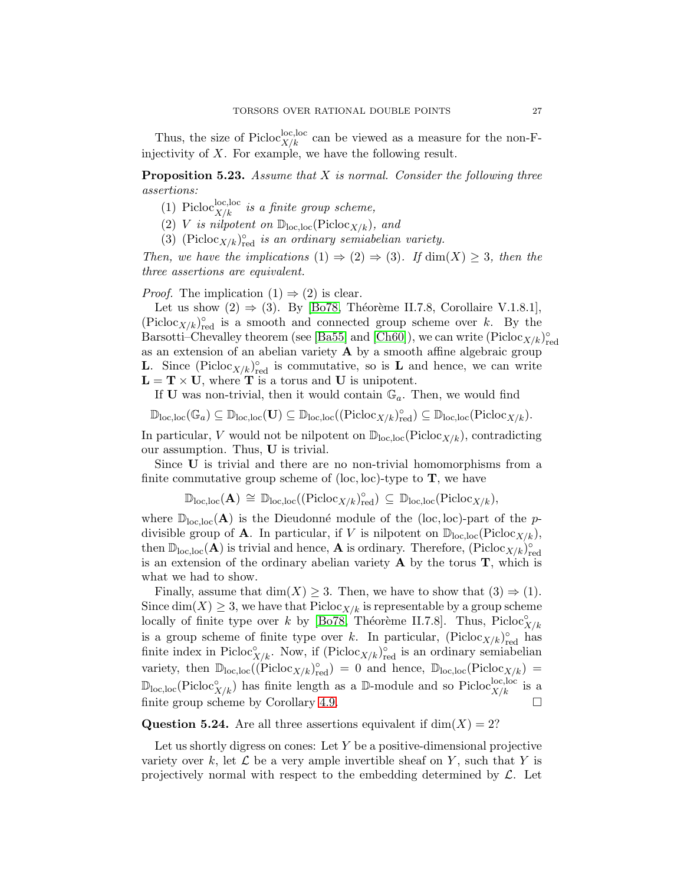Thus, the size of Picloc<sup>loc</sup>, <sup>loc</sup>, local be viewed as a measure for the non-Finjectivity of  $X$ . For example, we have the following result.

<span id="page-26-0"></span>**Proposition 5.23.** Assume that  $X$  is normal. Consider the following three assertions:

- (1) Picloc<sub> $X/k$ </sub> is a finite group scheme,
- (2) V is nilpotent on  $\mathbb{D}_{loc,loc}(Picoc_{X/k})$ , and
- (3) (Picloc<sub>X/k</sub>)<sup>o</sup><sub>red</sub> is an ordinary semiabelian variety.

Then, we have the implications  $(1) \Rightarrow (2) \Rightarrow (3)$ . If  $\dim(X) \geq 3$ , then the three assertions are equivalent.

*Proof.* The implication  $(1) \Rightarrow (2)$  is clear.

Let us show  $(2) \Rightarrow (3)$ . By [\[Bo78,](#page-73-4) Théorème II.7.8, Corollaire V.1.8.1],  $(\text{Picloc}_{X/k})_{\text{red}}^{\circ}$  is a smooth and connected group scheme over k. By the Barsotti–Chevalley theorem (see [\[Ba55\]](#page-73-14) and [\[Ch60\]](#page-73-15)), we can write  $(\text{Picloc}_{X/k})_{\text{red}}^{\circ}$ as an extension of an abelian variety  $A$  by a smooth affine algebraic group **L**. Since  $(Picloc_{X/k})_{red}^{\circ}$  is commutative, so is **L** and hence, we can write  $\mathbf{L} = \mathbf{T} \times \mathbf{U}$ , where **T** is a torus and **U** is unipotent.

If **U** was non-trivial, then it would contain  $\mathbb{G}_a$ . Then, we would find

$$
\mathbb{D}_{\mathrm{loc},\mathrm{loc}}(\mathbb{G}_a)\subseteq\mathbb{D}_{\mathrm{loc},\mathrm{loc}}(\mathbf{U})\subseteq\mathbb{D}_{\mathrm{loc},\mathrm{loc}}((\mathrm{Pic}\mathrm{loc}_{X/k})_{\mathrm{red}}^\circ)\subseteq\mathbb{D}_{\mathrm{loc},\mathrm{loc}}(\mathrm{Pic}\mathrm{loc}_{X/k}).
$$

In particular, V would not be nilpotent on  $\mathbb{D}_{loc,loc}(Pic\mathbb{C}_{X/k}),$  contradicting our assumption. Thus, U is trivial.

Since U is trivial and there are no non-trivial homomorphisms from a finite commutative group scheme of  $(loc, loc)$ -type to  $T$ , we have

$$
\mathbb{D}_{\mathrm{loc,loc}}(\mathbf{A}) \,\cong\, \mathbb{D}_{\mathrm{loc,loc}}((\mathrm{Pic} _{X/k})_{\mathrm{red}}^\circ) \,\subseteq\, \mathbb{D}_{\mathrm{loc,loc}}(\mathrm{Pic} _{X/k}),
$$

where  $\mathbb{D}_{\text{loc,loc}}(\mathbf{A})$  is the Dieudonné module of the (loc, loc)-part of the pdivisible group of **A**. In particular, if V is nilpotent on  $\mathbb{D}_{loc,loc}(Picoc_{X/k}),$ then  $\mathbb{D}_{loc,loc}(\mathbf{A})$  is trivial and hence, **A** is ordinary. Therefore,  $(Picloc_{X/k})_{red}^{\circ}$ is an extension of the ordinary abelian variety  $A$  by the torus  $T$ , which is what we had to show.

Finally, assume that  $\dim(X) \geq 3$ . Then, we have to show that  $(3) \Rightarrow (1)$ . Since  $\dim(X) \geq 3$ , we have that  $Pic \ncoc_{X/k}$  is representable by a group scheme locally of finite type over k by [\[Bo78,](#page-73-4) Théorème II.7.8]. Thus, Picloc $\hat{\mathbf{x}}_{/k}$ is a group scheme of finite type over k. In particular,  $(\text{Picloc}_{X/k})_{\text{red}}^{\circ}$  has finite index in Picloc<sup>°</sup><sub> $X/k$ </sub>. Now, if (Picloc<sub> $X/k$ </sub>)<sup>°</sup><sub>red</sub> is an ordinary semiabelian variety, then  $\mathbb{D}_{\text{loc,loc}}((\text{Pic}(\mathcal{X}/k)_{\text{red}}^{\circ}) = 0$  and hence,  $\mathbb{D}_{\text{loc,loc}}(\text{Pic}(\mathcal{X}/k) =$  $\mathbb{D}_{\text{loc,loc}}(\text{Pic}^{\circ}_{X/k})$  has finite length as a  $\mathbb{D}\text{-module}$  and so  $\text{Pic}^{\text{loc,loc}}_{X/k}$  is a finite group scheme by Corollary [4.9.](#page-17-1)

### **Question 5.24.** Are all three assertions equivalent if  $dim(X) = 2$ ?

Let us shortly digress on cones: Let  $Y$  be a positive-dimensional projective variety over k, let  $\mathcal L$  be a very ample invertible sheaf on Y, such that Y is projectively normal with respect to the embedding determined by  $\mathcal{L}$ . Let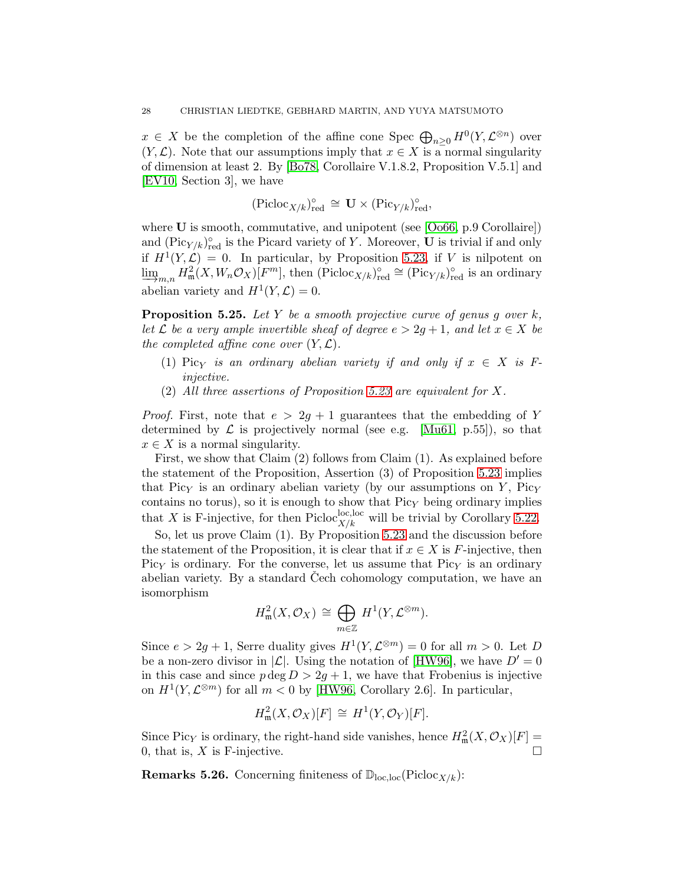$x \in X$  be the completion of the affine cone Spec  $\bigoplus_{n\geq 0} H^0(Y, \mathcal{L}^{\otimes n})$  over  $(Y, \mathcal{L})$ . Note that our assumptions imply that  $x \in X$  is a normal singularity of dimension at least 2. By [\[Bo78,](#page-73-4) Corollaire V.1.8.2, Proposition V.5.1] and [\[EV10,](#page-73-5) Section 3], we have

$$
({\rm Picloc}_{X/k})_{\rm red}^{\circ} \,\cong\, {\mathbf U} \times ({\rm Pic}_{Y/k})_{\rm red}^{\circ},
$$

where **U** is smooth, commutative, and unipotent (see [\[Oo66,](#page-74-5) p.9 Corollaire]) and  $(\text{Pic}_{Y/k})_{\text{red}}^{\circ}$  is the Picard variety of Y. Moreover, U is trivial if and only if  $H^1(Y, \mathcal{L}) = 0$ . In particular, by Proposition [5.23,](#page-26-0) if V is nilpotent on  $\lim_{m \to \infty} H^2_{\mathfrak{m}}(X, W_n \mathcal{O}_X)[F^m]$ , then  $(\text{Picoc}_{X/k})_{\text{red}}^{\circ} \cong (\text{Pic}_{Y/k})_{\text{red}}^{\circ}$  is an ordinary abelian variety and  $H^1(Y, \mathcal{L}) = 0$ .

<span id="page-27-0"></span>**Proposition 5.25.** Let Y be a smooth projective curve of genus q over  $k$ , let L be a very ample invertible sheaf of degree  $e > 2g + 1$ , and let  $x \in X$  be the completed affine cone over  $(Y, \mathcal{L})$ .

- (1) Picy is an ordinary abelian variety if and only if  $x \in X$  is Finjective.
- (2) All three assertions of Proposition [5.23](#page-26-0) are equivalent for X.

*Proof.* First, note that  $e > 2g + 1$  guarantees that the embedding of Y determined by  $\mathcal L$  is projectively normal (see e.g. [\[Mu61,](#page-74-7) p.55]), so that  $x \in X$  is a normal singularity.

First, we show that Claim (2) follows from Claim (1). As explained before the statement of the Proposition, Assertion (3) of Proposition [5.23](#page-26-0) implies that Picy is an ordinary abelian variety (by our assumptions on  $Y$ , Picy contains no torus), so it is enough to show that  $Pic<sub>Y</sub>$  being ordinary implies that X is F-injective, for then Picloc<sup>loc,loc</sup> will be trivial by Corollary [5.22.](#page-25-1)

So, let us prove Claim (1). By Proposition [5.23](#page-26-0) and the discussion before the statement of the Proposition, it is clear that if  $x \in X$  is F-injective, then Picy is ordinary. For the converse, let us assume that  $Pic<sub>Y</sub>$  is an ordinary abelian variety. By a standard Cech cohomology computation, we have an isomorphism

$$
H^2_{\mathfrak{m}}(X, \mathcal{O}_X) \cong \bigoplus_{m \in \mathbb{Z}} H^1(Y, \mathcal{L}^{\otimes m}).
$$

Since  $e > 2g + 1$ , Serre duality gives  $H^1(Y, \mathcal{L}^{\otimes m}) = 0$  for all  $m > 0$ . Let D be a non-zero divisor in  $|\mathcal{L}|$ . Using the notation of [\[HW96\]](#page-74-14), we have  $D' = 0$ in this case and since  $p \deg D > 2g + 1$ , we have that Frobenius is injective on  $H^1(Y, \mathcal{L}^{\otimes m})$  for all  $m < 0$  by [\[HW96,](#page-74-14) Corollary 2.6]. In particular,

$$
H_{\mathfrak{m}}^{2}(X,\mathcal{O}_{X})[F] \cong H^{1}(Y,\mathcal{O}_{Y})[F].
$$

Since Pic<sub>Y</sub> is ordinary, the right-hand side vanishes, hence  $H^2_{\mathfrak{m}}(X, \mathcal{O}_X)[F] =$ 0, that is,  $X$  is F-injective.

**Remarks 5.26.** Concerning finiteness of  $\mathbb{D}_{loc,loc}(\text{Pic}(\mathbb{C}_{X/k}))$ :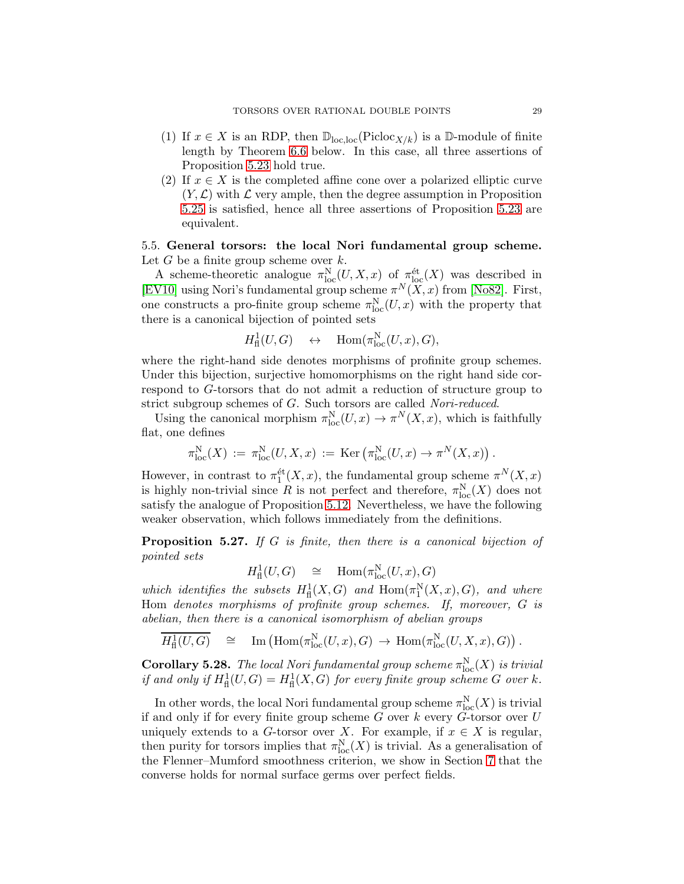- (1) If  $x \in X$  is an RDP, then  $\mathbb{D}_{\text{loc,loc}}(\text{Pic}(\mathcal{X}/k))$  is a  $\mathbb{D}\text{-module of finite}$ length by Theorem [6.6](#page-36-0) below. In this case, all three assertions of Proposition [5.23](#page-26-0) hold true.
- (2) If  $x \in X$  is the completed affine cone over a polarized elliptic curve  $(Y, \mathcal{L})$  with  $\mathcal L$  very ample, then the degree assumption in Proposition [5.25](#page-27-0) is satisfied, hence all three assertions of Proposition [5.23](#page-26-0) are equivalent.

## 5.5. General torsors: the local Nori fundamental group scheme. Let  $G$  be a finite group scheme over  $k$ .

A scheme-theoretic analogue  $\pi_{\text{loc}}^N(U, X, x)$  of  $\pi_{\text{loc}}^{\text{\'et}}(X)$  was described in [\[EV10\]](#page-73-5) using Nori's fundamental group scheme  $\pi^N(X, x)$  from [\[No82\]](#page-74-6). First, one constructs a pro-finite group scheme  $\pi_{\text{loc}}^N(U, x)$  with the property that there is a canonical bijection of pointed sets

$$
H^1_{\mathrm{fl}}(U,G) \quad \leftrightarrow \quad \mathrm{Hom}(\pi_{\mathrm{loc}}^N(U,x),G),
$$

where the right-hand side denotes morphisms of profinite group schemes. Under this bijection, surjective homomorphisms on the right hand side correspond to G-torsors that do not admit a reduction of structure group to strict subgroup schemes of G. Such torsors are called Nori-reduced.

Using the canonical morphism  $\pi_{\text{loc}}^N(U, x) \to \pi^N(X, x)$ , which is faithfully flat, one defines

$$
\pi_{\mathrm{loc}}^N(X) := \pi_{\mathrm{loc}}^N(U, X, x) := \mathrm{Ker} \left( \pi_{\mathrm{loc}}^N(U, x) \to \pi^N(X, x) \right).
$$

However, in contrast to  $\pi_1^{\text{\'et}}(X,x)$ , the fundamental group scheme  $\pi^N(X,x)$ is highly non-trivial since R is not perfect and therefore,  $\pi_{\text{loc}}^N(X)$  does not satisfy the analogue of Proposition [5.12.](#page-21-3) Nevertheless, we have the following weaker observation, which follows immediately from the definitions.

**Proposition 5.27.** If G is finite, then there is a canonical bijection of pointed sets

$$
H^1_{\text{fl}}(U, G) \quad \cong \quad \text{Hom}(\pi_{\text{loc}}^N(U, x), G)
$$

which identifies the subsets  $H^1_{\text{fl}}(X, G)$  and  $\text{Hom}(\pi_1^N(X, x), G)$ , and where Hom denotes morphisms of profinite group schemes. If, moreover, G is abelian, then there is a canonical isomorphism of abelian groups

$$
\overline{H^1_{\text{fl}}(U,G)} \quad \cong \quad \text{Im}\left(\text{Hom}(\pi_{\text{loc}}^N(U,x),G) \; \to \; \text{Hom}(\pi_{\text{loc}}^N(U,X,x),G)\right).
$$

**Corollary 5.28.** The local Nori fundamental group scheme  $\pi_{\text{loc}}^{N}(X)$  is trivial if and only if  $H^1_{\text{fl}}(U, G) = H^1_{\text{fl}}(X, G)$  for every finite group scheme G over k.

In other words, the local Nori fundamental group scheme  $\pi_{\text{loc}}^N(X)$  is trivial if and only if for every finite group scheme  $G$  over  $k$  every  $\widetilde{G}$ -torsor over  $U$ uniquely extends to a G-torsor over X. For example, if  $x \in X$  is regular, then purity for torsors implies that  $\pi_{\text{loc}}^{N}(X)$  is trivial. As a generalisation of the Flenner–Mumford smoothness criterion, we show in Section [7](#page-38-0) that the converse holds for normal surface germs over perfect fields.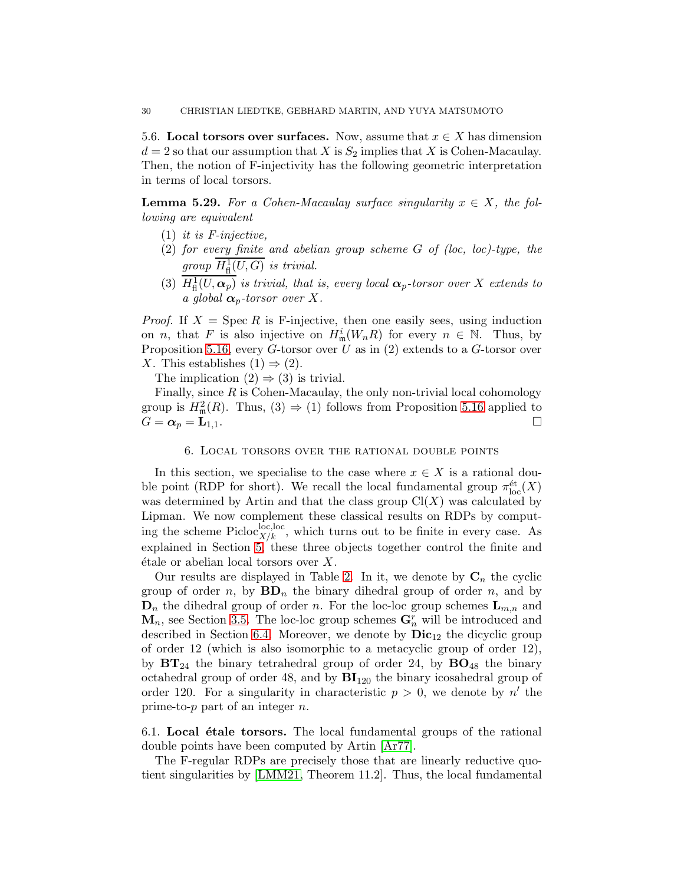5.6. Local torsors over surfaces. Now, assume that  $x \in X$  has dimension  $d = 2$  so that our assumption that X is  $S_2$  implies that X is Cohen-Macaulay. Then, the notion of F-injectivity has the following geometric interpretation in terms of local torsors.

<span id="page-29-1"></span>**Lemma 5.29.** For a Cohen-Macaulay surface singularity  $x \in X$ , the following are equivalent

- $(1)$  *it is F-injective.*
- (2) for every finite and abelian group scheme G of (loc, loc)-type, the group  $H^1_{\text{fl}}(U, G)$  is trivial. fl
- (3)  $H^1_{\text{fl}}(U,\boldsymbol{\alpha}_p)$  is trivial, that is, every local  $\boldsymbol{\alpha}_p$ -torsor over X extends to a global  $\alpha_p$ -torsor over X.

*Proof.* If  $X = \text{Spec } R$  is F-injective, then one easily sees, using induction on *n*, that F is also injective on  $H^i_{\mathfrak{m}}(W_nR)$  for every  $n \in \mathbb{N}$ . Thus, by Proposition [5.16,](#page-23-2) every  $G$ -torsor over U as in (2) extends to a  $G$ -torsor over X. This establishes  $(1) \Rightarrow (2)$ .

The implication  $(2) \Rightarrow (3)$  is trivial.

Finally, since  $R$  is Cohen-Macaulay, the only non-trivial local cohomology group is  $H^2_{\mathfrak{m}}(R)$ . Thus,  $(3) \Rightarrow (1)$  follows from Proposition [5.16](#page-23-2) applied to  $G = \alpha_p = \mathbf{L}_{1,1}$ .

#### 6. Local torsors over the rational double points

<span id="page-29-0"></span>In this section, we specialise to the case where  $x \in X$  is a rational double point (RDP for short). We recall the local fundamental group  $\pi_{\text{loc}}^{\text{\'et}}(X)$ was determined by Artin and that the class group  $Cl(X)$  was calculated by Lipman. We now complement these classical results on RDPs by computing the scheme Picloc<sup>loc</sup>, which turns out to be finite in every case. As explained in Section [5,](#page-17-0) these three objects together control the finite and  $\acute{e}t$  ale or abelian local torsors over X.

Our results are displayed in Table [2.](#page-30-0) In it, we denote by  $C_n$  the cyclic group of order n, by  $BD_n$  the binary dihedral group of order n, and by  $\mathbf{D}_n$  the dihedral group of order n. For the loc-loc group schemes  $\mathbf{L}_{m,n}$  and  $\mathbf{M}_n$ , see Section [3.5.](#page-10-0) The loc-loc group schemes  $\mathbf{G}_n^r$  will be introduced and described in Section [6.4.](#page-34-0) Moreover, we denote by  $\text{Dic}_{12}$  the dicyclic group of order 12 (which is also isomorphic to a metacyclic group of order 12), by  $BT_{24}$  the binary tetrahedral group of order 24, by  $BO_{48}$  the binary octahedral group of order 48, and by  $BI<sub>120</sub>$  the binary icosahedral group of order 120. For a singularity in characteristic  $p > 0$ , we denote by n' the prime-to- $p$  part of an integer  $n$ .

6.1. Local  $\acute{e}$ tale torsors. The local fundamental groups of the rational double points have been computed by Artin [\[Ar77\]](#page-73-0).

The F-regular RDPs are precisely those that are linearly reductive quotient singularities by [\[LMM21,](#page-74-4) Theorem 11.2]. Thus, the local fundamental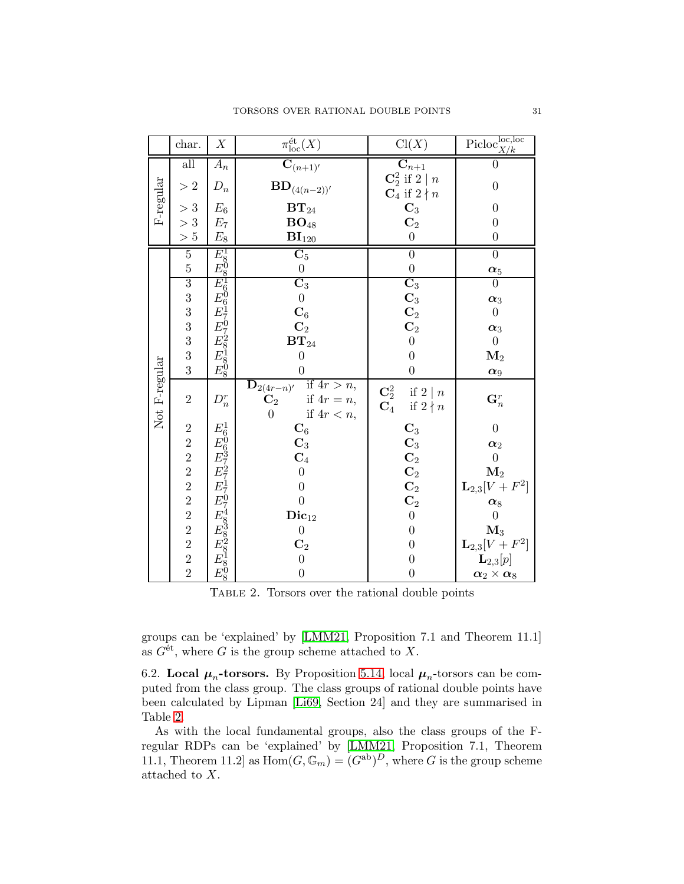|               | char.                                     | $\boldsymbol{X}$                                     | $\pi_{\mathrm{loc}}^{\mathrm{\acute{e}t}}(X)$                                                                             | Cl(X)                                                                    | $\mathrm{Picloc}^{\mathrm{loc},\mathrm{loc}}_{X/k}$ |
|---------------|-------------------------------------------|------------------------------------------------------|---------------------------------------------------------------------------------------------------------------------------|--------------------------------------------------------------------------|-----------------------------------------------------|
| F-regular     | all                                       | $A_n$                                                | $\mathbf{C}_{(n+1)'}$                                                                                                     | $\mathrm{C}_{n+1}$                                                       | 0                                                   |
|               | $>2\,$                                    | $D_n$                                                | $\mathbf{BD}_{(4(n-2))'}$                                                                                                 | $\mathbb{C}^2_2$ if $2 \mid n$<br>$\mathbf{C}_4$ if $2 \nmid n$          | $\overline{0}$                                      |
|               | >3                                        | $E_6$                                                | $\mathbf{BT}_{24}$                                                                                                        | $\mathbf{C}_3$                                                           | $\boldsymbol{0}$                                    |
|               | >3                                        | $\mathcal{E}_7$                                      | $\mathbf{BO}_{48}$                                                                                                        | $\overline{\mathbf{C}_2}$                                                | $\boldsymbol{0}$                                    |
|               | $>5\,$                                    | $\mathcal{E}_8$                                      | $\mathbf{BI}_{120}$                                                                                                       | $\boldsymbol{0}$                                                         | $\boldsymbol{0}$                                    |
|               | $\overline{5}$                            | $\frac{E_8^1}{E_8^0} \ \hline E_6^1$                 | $\overline{\text{C}_5}$                                                                                                   | $\overline{0}$                                                           | $\overline{0}$                                      |
|               | $\overline{5}$                            |                                                      | $\overline{0}$                                                                                                            | $\boldsymbol{0}$                                                         | $\alpha_5$                                          |
|               | $\frac{3}{3}$ $\frac{3}{3}$ $\frac{3}{3}$ |                                                      | $\overline{\mathbf{C}_3}$                                                                                                 | $\overline{\text{C}_3}$                                                  | 0                                                   |
|               |                                           | $E_{6170}^{0}E_{70728}^{0}E_{8180}^{0}$              | $\boldsymbol{0}$                                                                                                          | $\begin{matrix} \mathbf{C}_3 \ \mathbf{C}_2 \ \mathbf{C}_2 \end{matrix}$ | $\alpha_3$                                          |
|               |                                           |                                                      | $\mathbf{C}_6$                                                                                                            |                                                                          | $\boldsymbol{0}$                                    |
|               |                                           |                                                      | $\mathbf{C}_2$                                                                                                            |                                                                          | $\alpha_3$                                          |
|               |                                           |                                                      | $\mathbf{BT}_{24}$                                                                                                        | $\boldsymbol{0}$                                                         | $\overline{0}$                                      |
|               | $\frac{3}{3}$                             |                                                      | $\overline{0}$                                                                                                            | $\overline{0}$                                                           | $\mathbf{M}_2$                                      |
|               |                                           |                                                      | $\overline{0}$                                                                                                            | $\overline{0}$                                                           | $\alpha_9$                                          |
| Not F-regular | $\sqrt{2}$                                | $D_n^r$                                              | if $4r > n$ ,<br>$\overline{\mathbf{D}}_{2(4r-n)'}$<br>$\mathbf{C}_2$<br>if $4r = n$ ,<br>$\overline{0}$<br>if $4r < n$ , | $\mathbf{C}^2_2$<br>if $2 \mid n$<br>$\mathbf{C}_4$<br>if $2 \nmid n$    | $\mathbf{G}_n^r$                                    |
|               | $\overline{c}$                            | $E_6^1$                                              | $\mathbf{C}_6$                                                                                                            | $\mathbf{C}_3$                                                           | $\overline{0}$                                      |
|               |                                           |                                                      | $\mathbf{C}_3$                                                                                                            | $\mathbf{C}_3$                                                           | $\alpha_2$                                          |
|               |                                           |                                                      | $\mathbf{C}_4$                                                                                                            | $\mathbf{C}_2$ <sup>o</sup>                                              | $\boldsymbol{0}$                                    |
|               |                                           |                                                      | $\boldsymbol{0}$                                                                                                          |                                                                          | $\mathbf{M}_2$                                      |
|               |                                           |                                                      | $\boldsymbol{0}$                                                                                                          | $\bf C_2$                                                                | $L_{2,3}[V+F^2]$                                    |
|               |                                           |                                                      | $\overline{0}$                                                                                                            | $\mathbf{C}_2$                                                           | $\boldsymbol{\alpha}_8$                             |
|               |                                           |                                                      | $\mathbf{Dic}_{12}$                                                                                                       | $\boldsymbol{0}$                                                         | $\overline{0}$                                      |
|               |                                           |                                                      | $\boldsymbol{0}$                                                                                                          | $\boldsymbol{0}$                                                         | $\mathbf{M}_3$                                      |
|               | $222222222$<br>$22222$                    | $E_{B372717074838281808}^{0\,637271707483828181808}$ | $\mathbf{C}_2$                                                                                                            | $\boldsymbol{0}$                                                         | ${\bf L}_{2,3}[V+F^2]$                              |
|               |                                           |                                                      | $\boldsymbol{0}$                                                                                                          | $\boldsymbol{0}$                                                         | $\mathbf{L}_{2,3}[p]$                               |
|               |                                           |                                                      | $\overline{0}$                                                                                                            | $\boldsymbol{0}$                                                         | $\alpha_2 \times \alpha_8$                          |

<span id="page-30-0"></span>Table 2. Torsors over the rational double points

groups can be 'explained' by [\[LMM21,](#page-74-4) Proposition 7.1 and Theorem 11.1] as  $G^{\text{\'et}}$ , where G is the group scheme attached to X.

6.2. Local  $\mu_n$ -torsors. By Proposition [5.14,](#page-22-0) local  $\mu_n$ -torsors can be computed from the class group. The class groups of rational double points have been calculated by Lipman [\[Li69,](#page-74-0) Section 24] and they are summarised in Table [2.](#page-30-0)

As with the local fundamental groups, also the class groups of the Fregular RDPs can be 'explained' by [\[LMM21,](#page-74-4) Proposition 7.1, Theorem 11.1, Theorem 11.2 as  $Hom(G, \mathbb{G}_m) = (G^{ab})^D$ , where G is the group scheme attached to X.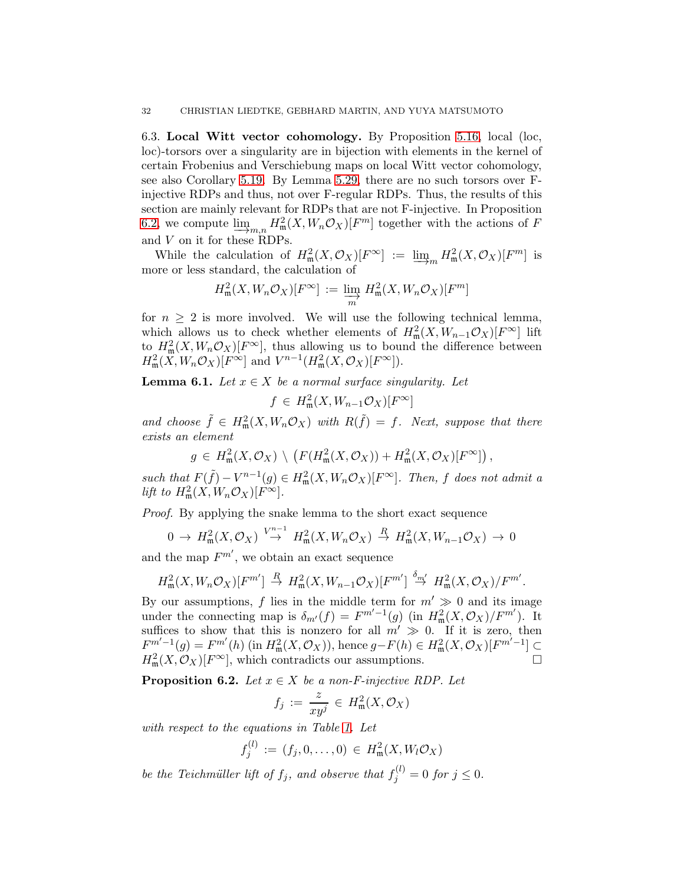6.3. Local Witt vector cohomology. By Proposition [5.16,](#page-23-2) local (loc, loc)-torsors over a singularity are in bijection with elements in the kernel of certain Frobenius and Verschiebung maps on local Witt vector cohomology, see also Corollary [5.19.](#page-24-0) By Lemma [5.29,](#page-29-1) there are no such torsors over Finjective RDPs and thus, not over F-regular RDPs. Thus, the results of this section are mainly relevant for RDPs that are not F-injective. In Proposition [6.2,](#page-31-0) we compute  $\varinjlim_{m,n} H^2_{\mathfrak{m}}(X, W_n \mathcal{O}_X)[F^m]$  together with the actions of F<br>and V on it for those BDDs. and V on it for these RDPs.

While the calculation of  $H^2_{\mathfrak{m}}(X, \mathcal{O}_X)[F^{\infty}] := \varinjlim_m H^2_{\mathfrak{m}}(X, \mathcal{O}_X)[F^m]$  is or less standard, the calculation of more or less standard, the calculation of

$$
H_{\mathfrak{m}}^{2}(X, W_{n}\mathcal{O}_{X})[F^{\infty}] := \varinjlim_{m} H_{\mathfrak{m}}^{2}(X, W_{n}\mathcal{O}_{X})[F^{m}]
$$

for  $n \geq 2$  is more involved. We will use the following technical lemma, which allows us to check whether elements of  $H^2_{\mathfrak{m}}(X, W_{n-1}\mathcal{O}_X)[F^{\infty}]$  lift to  $H_{\mathfrak{m}}^2(X, W_n \mathcal{O}_X)[F^\infty]$ , thus allowing us to bound the difference between  $H^2_{\mathfrak{m}}(X, W_n \mathcal{O}_X)[F^{\infty}]$  and  $V^{n-1}(H^2_{\mathfrak{m}}(X, \mathcal{O}_X)[F^{\infty}])$ .

<span id="page-31-1"></span>**Lemma 6.1.** Let  $x \in X$  be a normal surface singularity. Let

$$
f \in H^2_{\mathfrak{m}}(X, W_{n-1}\mathcal{O}_X)[F^{\infty}]
$$

and choose  $\tilde{f} \in H^2_{\mathfrak{m}}(X, W_n \mathcal{O}_X)$  with  $R(\tilde{f}) = f$ . Next, suppose that there exists an element

$$
g \in H^2_{\mathfrak{m}}(X, \mathcal{O}_X) \setminus \left( F(H^2_{\mathfrak{m}}(X, \mathcal{O}_X)) + H^2_{\mathfrak{m}}(X, \mathcal{O}_X)[F^{\infty}] \right),
$$

such that  $F(\tilde{f}) - V^{n-1}(g) \in H^2_{\mathfrak{m}}(X, W_n \mathcal{O}_X)[F^\infty]$ . Then, f does not admit a lift to  $H^2_{\mathfrak{m}}(X, W_n \mathcal{O}_X)[F^{\infty}].$ 

Proof. By applying the snake lemma to the short exact sequence

$$
0 \to H^2_{\mathfrak{m}}(X, \mathcal{O}_X) \overset{V^{n-1}}{\to} H^2_{\mathfrak{m}}(X, W_n \mathcal{O}_X) \overset{R}{\to} H^2_{\mathfrak{m}}(X, W_{n-1} \mathcal{O}_X) \to 0
$$

and the map  $F^{m'}$ , we obtain an exact sequence

$$
H_{\mathfrak{m}}^{2}(X, W_{n}\mathcal{O}_{X})[F^{m'}] \stackrel{R}{\rightarrow} H_{\mathfrak{m}}^{2}(X, W_{n-1}\mathcal{O}_{X})[F^{m'}] \stackrel{\delta_{m'}}{\rightarrow} H_{\mathfrak{m}}^{2}(X, \mathcal{O}_{X})/F^{m'}.
$$

By our assumptions, f lies in the middle term for  $m' \gg 0$  and its image under the connecting map is  $\delta_{m'}(f) = F^{m'-1}(g)$  (in  $H^2_m(X, \mathcal{O}_X)/F^{m'}$ ). It suffices to show that this is nonzero for all  $m' \gg 0$ . If it is zero, then  $F^{m'-1}(g) = F^{m'}(h)$  (in  $H^2_{\mathfrak{m}}(X, \mathcal{O}_X)$ ), hence  $g - F(h) \in H^2_{\mathfrak{m}}(X, \mathcal{O}_X)[F^{m'-1}] \subseteq$  $H^2_{\mathfrak{m}}(X, \mathcal{O}_X)[F^{\infty}],$  which contradicts our assumptions.

<span id="page-31-0"></span>**Proposition 6.2.** Let  $x \in X$  be a non-F-injective RDP. Let

$$
f_j := \frac{z}{xy^j} \in H^2_{\mathfrak{m}}(X, \mathcal{O}_X)
$$

with respect to the equations in Table [1.](#page-8-1) Let

$$
f_j^{(l)} := (f_j, 0, \dots, 0) \in H^2_{\mathfrak{m}}(X, W_l \mathcal{O}_X)
$$

be the Teichmüller lift of  $f_j$ , and observe that  $f_j^{(l)} = 0$  for  $j \leq 0$ .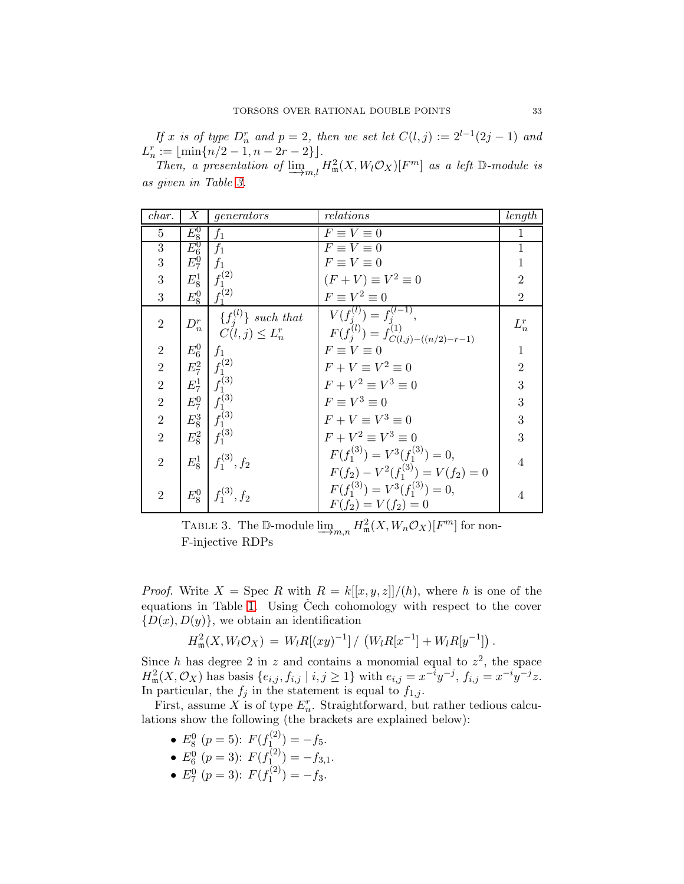If x is of type  $D_n^r$  and  $p = 2$ , then we set let  $C(l, j) := 2^{l-1}(2j - 1)$  and  $L_n^r := \lfloor \min\{n/2 - 1, n - 2r - 2\}\rfloor.$ 

Then, a presentation of  $\underline{\lim}_{m,l} H_m^2(X, W_l \mathcal{O}_X)[F^m]$  as a left  $\mathbb{D}\text{-module}$  is as given in Table [3.](#page-32-0)

| char.            | Х                          | generators                                                                                                                                                        | relations                                                     | length         |
|------------------|----------------------------|-------------------------------------------------------------------------------------------------------------------------------------------------------------------|---------------------------------------------------------------|----------------|
| 5                | $E_8^0$                    | $f_1$                                                                                                                                                             | $F \equiv V \equiv 0$                                         | 1              |
| $\boldsymbol{3}$ | $\overline{E_6^0} \ E_7^0$ | $f_1$                                                                                                                                                             | $\overline{F} \equiv V \equiv 0$                              |                |
| 3                |                            | $\int f_1$                                                                                                                                                        | $F \equiv V \equiv 0$                                         |                |
| 3                | $E_8^1$                    | $f_1^{(2)}$                                                                                                                                                       | $(F+V) \equiv V^2 \equiv 0$                                   | $\overline{2}$ |
| 3                | $E_8^0$                    | $f_1^{(2)}$                                                                                                                                                       | $F \equiv V^2 \equiv 0$                                       | $\overline{2}$ |
| $\overline{2}$   | $D_n^r$                    | $\{f_j^{(l)}\}\$ such that                                                                                                                                        | $V(f_i^{(l)}) = f_i^{(l-1)},$                                 | $L_n^r$        |
|                  |                            | $C(l, j) \leq L_n^r$                                                                                                                                              | $F(\tilde{f}_j^{(l)}) = \tilde{f}_{C(l,j)-((n/2)-r-1)}^{(1)}$ |                |
| $\overline{2}$   |                            |                                                                                                                                                                   | $F \equiv V \equiv 0$                                         | $\mathbf{1}$   |
| $\overline{2}$   |                            | $\begin{array}{c c} E_6^0 & f_1 \ E_7^2 & f_1^{(2)} \end{array}$                                                                                                  | $F + V \equiv V^2 \equiv 0$                                   | $\overline{2}$ |
| $\overline{2}$   |                            | $E_7^1 \,   \, f_1^{(3)}$                                                                                                                                         | $F + V^2 \equiv V^3 \equiv 0$                                 | 3              |
| $\overline{2}$   |                            |                                                                                                                                                                   | $F \equiv V^3 \equiv 0$                                       | 3              |
| $\overline{2}$   |                            |                                                                                                                                                                   | $F + V \equiv V^3 \equiv 0$                                   | 3              |
| $\overline{2}$   |                            | $E_7^0$ $\begin{array}{c} f_1^{(3)} \\ f_1^{(3)} \\ E_8^3 \\ E_8^2 \end{array}$ $\begin{array}{c} f_1^{(3)} \\ f_1^{(3)} \\ f_1^{(3)} \end{array}$<br>$f_1^{(3)}$ | $F + V^2 \equiv V^3 \equiv 0$                                 | 3              |
| $\overline{2}$   | $E_8^1$                    | $f_1^{(3)}, f_2$                                                                                                                                                  | $F(f_1^{(3)}) = V^3(f_1^{(3)}) = 0,$                          | $\overline{4}$ |
|                  |                            |                                                                                                                                                                   | $F(f_2) - V^2(f_1^{(3)}) = V(f_2) = 0$                        |                |
| $\overline{2}$   |                            | $E_8^0 \big  f_1^{(3)}, f_2$                                                                                                                                      | $F(f_1^{(3)}) = V^3(f_1^{(3)}) = 0,$                          | 4              |
|                  |                            |                                                                                                                                                                   | $F(f_2) = V(f_2) = 0$                                         |                |

<span id="page-32-0"></span>TABLE 3. The D-module  $\underline{\lim}_{m,n} H^2_{\mathfrak{m}}(X, W_n \mathcal{O}_X)[F^m]$  for non-<br>E injective PDPs F-injective RDPs

*Proof.* Write  $X = \text{Spec } R$  with  $R = k[[x, y, z]]/(h)$ , where h is one of the equations in Table [1.](#page-8-1) Using Čech cohomology with respect to the cover  ${D(x), D(y)}$ , we obtain an identification

$$
H_{\mathfrak{m}}^{2}(X, W_{l}\mathcal{O}_{X}) = W_{l}R[(xy)^{-1}] / (W_{l}R[x^{-1}] + W_{l}R[y^{-1}]) .
$$

Since h has degree 2 in z and contains a monomial equal to  $z^2$ , the space  $H^2_{\mathfrak{m}}(X, \mathcal{O}_X)$  has basis  $\{e_{i,j}, f_{i,j} \mid i,j \geq 1\}$  with  $e_{i,j} = x^{-i}y^{-j}$ ,  $f_{i,j} = x^{-i}y^{-j}z$ . In particular, the  $f_j$  in the statement is equal to  $f_{1,j}$ .

First, assume X is of type  $E_n^r$ . Straightforward, but rather tedious calculations show the following (the brackets are explained below):

- $E_8^0$   $(p = 5)$ :  $F(f_{1}^{(2)})$  $f_{1}^{(2)}$ ) = - $f_5$ .
- $E_6^0$   $(p=3)$ :  $F(f_{1}^{(2)})$  $f_{1}^{(2)} = -f_{3,1}.$
- $E_7^0$   $(p = 3)$ :  $F(f_1^{(2)}$  $f_1^{(2)} = -f_3.$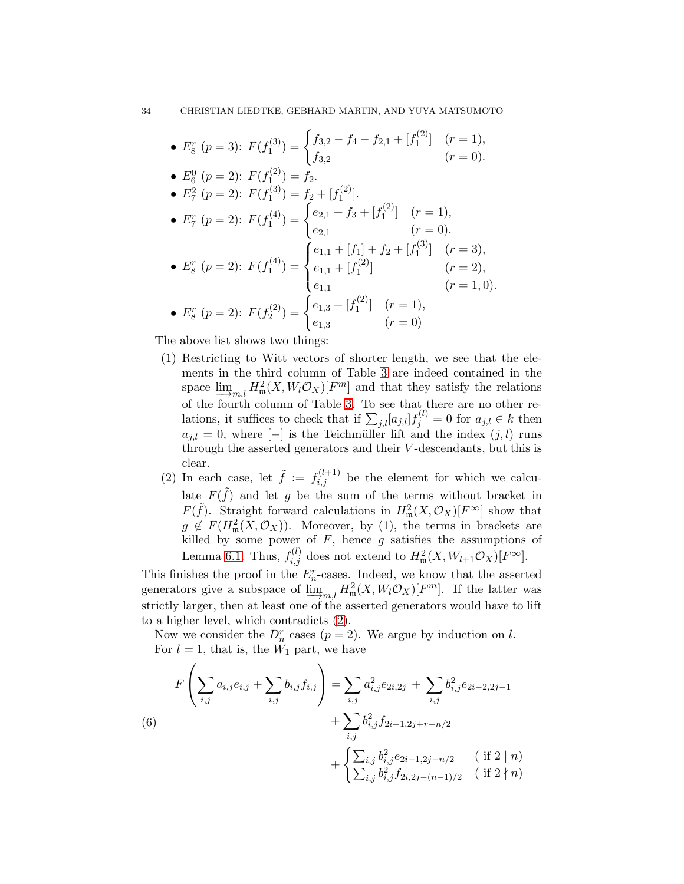34 CHRISTIAN LIEDTKE, GEBHARD MARTIN, AND YUYA MATSUMOTO

• 
$$
E_8^r
$$
 ( $p = 3$ ):  $F(f_1^{(3)}) = \begin{cases} f_{3,2} - f_4 - f_{2,1} + [f_1^{(2)}] & (r = 1), \\ f_{3,2} & (r = 0). \end{cases}$ 

• 
$$
E_6^0
$$
 ( $p = 2$ ):  $F(f_1^{(2)}) = f_2$ .

• 
$$
E_7^2
$$
 ( $p = 2$ ):  $F(f_1^{(3)}) = f_2 + [f_1^{(2)}]$ .  
\n•  $E_7^r$  ( $p = 2$ ):  $F(f_1^{(4)}) = \begin{cases} e_{2,1} + f_3 + [f_1^{(2)}] & (r = 1), \\ e_{2,1} & (r = 0). \end{cases}$ 

• 
$$
E_8^r
$$
 ( $p = 2$ ):  $F(f_1^{(4)}) = \begin{cases} e_{1,1} + [f_1] + f_2 + [f_1^{(3)}] & (r = 3), \\ e_{1,1} + [f_1^{(2)}] & (r = 2), \\ e_{1,1} & (r = 1, 0). \end{cases}$ 

• 
$$
E_8^r
$$
 ( $p = 2$ ):  $F(f_2^{(2)}) = \begin{cases} e_{1,3} + [f_1^{(2)}] & (r = 1), \\ e_{1,3} & (r = 0) \end{cases}$ 

The above list shows two things:

- (1) Restricting to Witt vectors of shorter length, we see that the elements in the third column of Table [3](#page-32-0) are indeed contained in the space  $\lim_{m,l} H_m^2(X, W_l \mathcal{O}_X)[F^m]$  and that they satisfy the relations of the fourth column of Table ? To see that there are no other re-of the fourth column of Table [3.](#page-32-0) To see that there are no other relations, it suffices to check that if  $\sum_{j,l} [a_{j,l}] f_j^{(l)} = 0$  for  $a_{j,l} \in k$  then  $a_{i,l} = 0$ , where  $[-]$  is the Teichmüller lift and the index  $(j, l)$  runs through the asserted generators and their V -descendants, but this is clear.
- <span id="page-33-0"></span>(2) In each case, let  $\tilde{f} := f_{i,j}^{(l+1)}$  be the element for which we calculate  $F(\tilde{f})$  and let g be the sum of the terms without bracket in  $F(\tilde{f})$ . Straight forward calculations in  $H^2_{\mathfrak{m}}(X, \mathcal{O}_X)[F^{\infty}]$  show that  $g \notin F(H_{\mathfrak{m}}^2(X, \mathcal{O}_X))$ . Moreover, by (1), the terms in brackets are killed by some power of  $F$ , hence  $g$  satisfies the assumptions of Lemma [6.1.](#page-31-1) Thus,  $f_{i,j}^{(l)}$  does not extend to  $H_{\mathfrak{m}}^2(X, W_{l+1}\mathcal{O}_X)[F^{\infty}].$

This finishes the proof in the  $E_n^r$ -cases. Indeed, we know that the asserted generators give a subspace of  $\underline{\lim}_{m,l} H_m^2(X, W_l \mathcal{O}_X)[F^m]$ . If the latter was strictly larger, then at least one of the asserted generators would have to lift to a higher level, which contradicts [\(2\)](#page-33-0).

Now we consider the  $D_n^r$  cases  $(p=2)$ . We argue by induction on l. For  $l = 1$ , that is, the  $W_1$  part, we have

<span id="page-33-1"></span>
$$
F\left(\sum_{i,j} a_{i,j}e_{i,j} + \sum_{i,j} b_{i,j}f_{i,j}\right) = \sum_{i,j} a_{i,j}^2 e_{2i,2j} + \sum_{i,j} b_{i,j}^2 e_{2i-2,2j-1} + \sum_{i,j} b_{i,j}^2 f_{2i-1,2j+r-n/2} + \begin{cases} \sum_{i,j} b_{i,j}^2 e_{2i-1,2j-n/2} & (\text{if } 2 \mid n) \\ \sum_{i,j} b_{i,j}^2 f_{2i,2j-(n-1)/2} & (\text{if } 2 \nmid n) \end{cases}
$$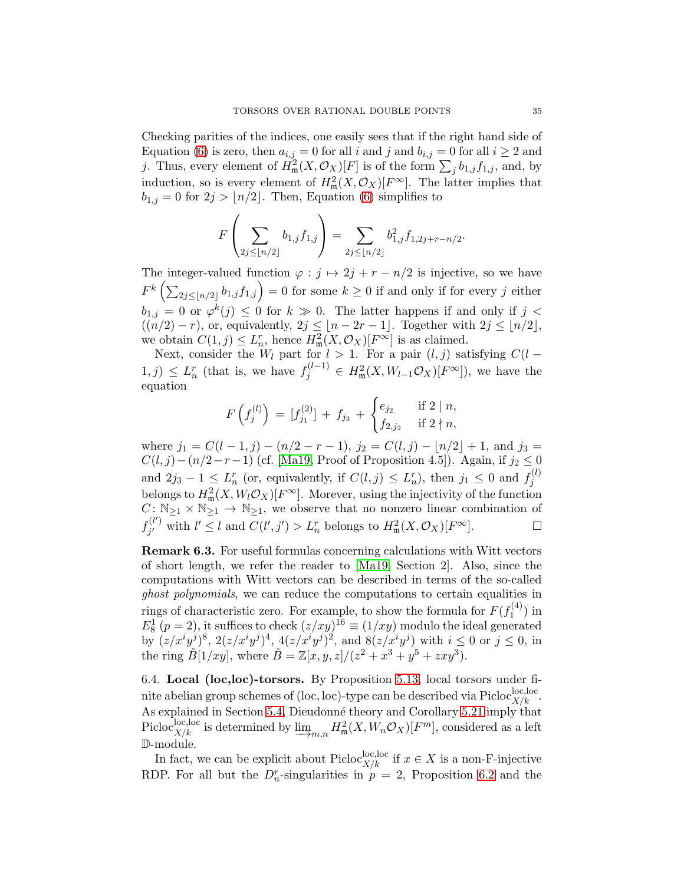Checking parities of the indices, one easily sees that if the right hand side of Equation [\(6\)](#page-33-1) is zero, then  $a_{i,j} = 0$  for all i and j and  $b_{i,j} = 0$  for all  $i \ge 2$  and j. Thus, every element of  $H^2_{\mathfrak{m}}(X, \mathcal{O}_X)[F]$  is of the form  $\sum_j b_{1,j} f_{1,j}$ , and, by induction, so is every element of  $H^2_{\mathfrak{m}}(X, \mathcal{O}_X)[F^\infty]$ . The latter implies that  $b_{1,j} = 0$  for  $2j > |n/2|$ . Then, Equation [\(6\)](#page-33-1) simplifies to

$$
F\left(\sum_{2j\leq \lfloor n/2\rfloor}b_{1,j}f_{1,j}\right)=\sum_{2j\leq \lfloor n/2\rfloor}b_{1,j}^2f_{1,2j+r-n/2}.
$$

The integer-valued function  $\varphi : j \mapsto 2j + r - n/2$  is injective, so we have  $F^k\left(\sum_{2j\leq \lfloor n/2\rfloor}b_{1,j}f_{1,j}\right)=0$  for some  $k\geq 0$  if and only if for every j either  $b_{1,j} = 0$  or  $\varphi^k(j) \leq 0$  for  $k \gg 0$ . The latter happens if and only if  $j <$  $((n/2) - r)$ , or, equivalently,  $2j \leq |n-2r-1|$ . Together with  $2j \leq |n/2|$ , we obtain  $C(1, j) \leq L_n^r$ , hence  $H_m^2(X, \mathcal{O}_X)[F^\infty]$  is as claimed.

Next, consider the  $W_l$  part for  $l > 1$ . For a pair  $(l, j)$  satisfying  $C(l - j)$  $(1, j) \leq L_n^r$  (that is, we have  $f_j^{(l-1)} \in H^2_{\mathfrak{m}}(X, W_{l-1}\mathcal{O}_X)[F^\infty]$ ), we have the equation

$$
F\left(f_j^{(l)}\right) = [f_{j_1}^{(2)}] + f_{j_3} + \begin{cases} e_{j_2} & \text{if } 2 \mid n, \\ f_{2,j_2} & \text{if } 2 \nmid n, \end{cases}
$$

where  $j_1 = C(l-1, j) - (n/2 - r - 1), j_2 = C(l, j) - \lfloor n/2 \rfloor + 1$ , and  $j_3 =$  $C(l, j) - (n/2 - r - 1)$  (cf. [Ma19, Proof of Proposition 4.5]). Again, if  $j_2 \leq 0$ and  $2j_3 - 1 \leq L_n^r$  (or, equivalently, if  $C(l,j) \leq L_n^r$ ), then  $j_1 \leq 0$  and  $f_j^{(l)}$ j belongs to  $H^2_{\mathfrak{m}}(X, W_l \mathcal{O}_X)[F^\infty]$ . Morever, using the injectivity of the function  $C: \mathbb{N}_{\geq 1} \times \mathbb{N}_{\geq 1} \to \mathbb{N}_{\geq 1}$ , we observe that no nonzero linear combination of  $f_{i'}^{(l')}$  $j'$  with  $l' \leq l$  and  $C(l', j') > L_n^r$  belongs to  $H^2_{\mathfrak{m}}(X, \mathcal{O}_X)[F^{\infty}]$ .

Remark 6.3. For useful formulas concerning calculations with Witt vectors of short length, we refer the reader to [Ma19, Section 2]. Also, since the computations with Witt vectors can be described in terms of the so-called ghost polynomials, we can reduce the computations to certain equalities in rings of characteristic zero. For example, to show the formula for  $F(f_1^{(4)})$  $j_1^{(4)}$ ) in  $E_8^1$   $(p = 2)$ , it suffices to check  $(z/xy)^{16} \equiv (1/xy)$  modulo the ideal generated by  $(z/x^i y^j)^8$ ,  $2(z/x^i y^j)^4$ ,  $4(z/x^i y^j)^2$ , and  $8(z/x^i y^j)$  with  $i \leq 0$  or  $j \leq 0$ , in the ring  $\tilde{B}[1/xy]$ , where  $\tilde{B} = \mathbb{Z}[x, y, z]/(z^2 + x^3 + y^5 + zxy^3)$ .

<span id="page-34-0"></span>6.4. Local (loc,loc)-torsors. By Proposition [5.13,](#page-21-2) local torsors under finite abelian group schemes of (loc, loc)-type can be described via  $\text{Pic}^{\text{loc},\text{loc}}_{X/k}$ . As explained in Section [5.4,](#page-23-0) Dieudonné theory and Corollary [5.21](#page-25-0) imply that Picloc<sup>loc</sup>,loc is determined by  $\underline{\lim}_{m,n} H^2_{\mathfrak{m}}(X, W_n \mathcal{O}_X)[F^m]$ , considered as a left<br>
modula D-module.

In fact, we can be explicit about Picloc<sup>loc</sup>,loc if  $x \in X$  is a non-F-injective RDP. For all but the  $D_n^r$ -singularities in  $p = 2$ , Proposition [6.2](#page-31-0) and the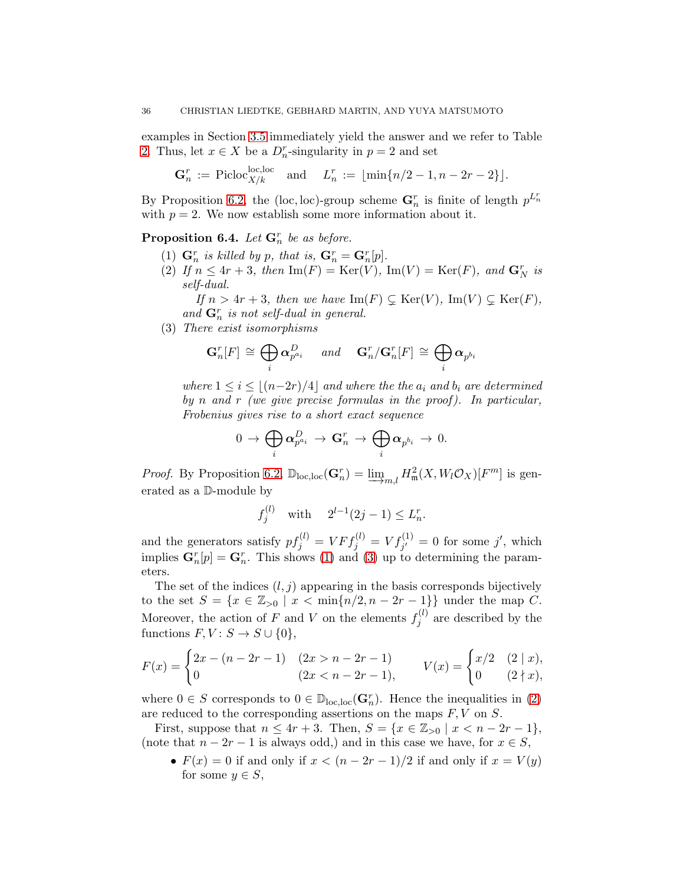examples in Section [3.5](#page-10-0) immediately yield the answer and we refer to Table [2.](#page-30-0) Thus, let  $x \in X$  be a  $D_n^r$ -singularity in  $p = 2$  and set

$$
\mathbf{G}_n^r := \text{Picloc}_{X/k}^{\text{loc,loc}} \quad \text{and} \quad L_n^r := \lfloor \min\{n/2 - 1, n - 2r - 2\}\rfloor.
$$

By Proposition [6.2,](#page-31-0) the (loc, loc)-group scheme  $\mathbf{G}_n^r$  is finite of length  $p^{L_n^r}$ with  $p = 2$ . We now establish some more information about it.

<span id="page-35-2"></span><span id="page-35-0"></span>**Proposition 6.4.** Let  $\mathbf{G}_n^r$  be as before.

- (1)  $\mathbf{G}_n^r$  is killed by p, that is,  $\mathbf{G}_n^r = \mathbf{G}_n^r[p]$ .
- (2) If  $n \leq 4r + 3$ , then  $\text{Im}(F) = \text{Ker}(V)$ ,  $\text{Im}(V) = \text{Ker}(F)$ , and  $\mathbf{G}_N^r$  is self-dual.

If  $n > 4r + 3$ , then we have  $\text{Im}(F) \subsetneq \text{Ker}(V)$ ,  $\text{Im}(V) \subsetneq \text{Ker}(F)$ , and  $\mathbf{G}_n^r$  is not self-dual in general.

<span id="page-35-1"></span>(3) There exist isomorphisms

$$
\mathbf{G}_n^r[F] \,\cong\, \bigoplus_i \boldsymbol{\alpha}_{p^{a_i}}^{D} \quad \ \ and \quad \ \mathbf{G}_n^r / \mathbf{G}_n^r[F] \,\cong\, \bigoplus_i \boldsymbol{\alpha}_{p^{b_i}}
$$

where  $1 \leq i \leq \lfloor (n-2r)/4 \rfloor$  and where the the  $a_i$  and  $b_i$  are determined by n and r (we give precise formulas in the proof). In particular, Frobenius gives rise to a short exact sequence

$$
0\,\to\, \bigoplus_i \boldsymbol{\alpha}_{p^{a_i}}^D\,\to\, \mathbf{G}_n^r\,\to\, \bigoplus_i \boldsymbol{\alpha}_{p^{b_i}}\,\to\, 0.
$$

*Proof.* By Proposition [6.2,](#page-31-0)  $\mathbb{D}_{loc,loc}(\mathbf{G}_n^r) = \underline{\lim}_{m,l} H_m^2(X, W_l \mathcal{O}_X)[F^m]$  is generated as a  $\mathbb{D}$  module by erated as a D-module by

$$
f_j^{(l)}
$$
 with  $2^{l-1}(2j-1) \le L_n^r$ .

and the generators satisfy  $pf_j^{(l)} = VFf_j^{(l)} = Vf_{j'}^{(1)} = 0$  for some j', which implies  $\mathbf{G}_n^r[p] = \mathbf{G}_n^r$ . This shows [\(1\)](#page-35-0) and [\(3\)](#page-35-1) up to determining the parameters.

The set of the indices  $(l, j)$  appearing in the basis corresponds bijectively to the set  $S = \{x \in \mathbb{Z}_{>0} \mid x < \min\{n/2, n-2r-1\}\}\$  under the map C. Moreover, the action of F and V on the elements  $f_i^{(l)}$  $j^{(i)}$  are described by the functions  $F, V: S \to S \cup \{0\},\$ 

$$
F(x) = \begin{cases} 2x - (n - 2r - 1) & (2x > n - 2r - 1) \\ 0 & (2x < n - 2r - 1), \end{cases} \qquad V(x) = \begin{cases} x/2 & (2 \mid x), \\ 0 & (2 \nmid x), \end{cases}
$$

where  $0 \in S$  corresponds to  $0 \in \mathbb{D}_{loc,loc}(\mathbf{G}_n^r)$ . Hence the inequalities in [\(2\)](#page-35-2) are reduced to the corresponding assertions on the maps  $F, V$  on  $S$ .

First, suppose that  $n \leq 4r + 3$ . Then,  $S = \{x \in \mathbb{Z}_{>0} \mid x < n - 2r - 1\},\$ (note that  $n - 2r - 1$  is always odd,) and in this case we have, for  $x \in S$ ,

•  $F(x) = 0$  if and only if  $x < (n - 2r - 1)/2$  if and only if  $x = V(y)$ for some  $y \in S$ ,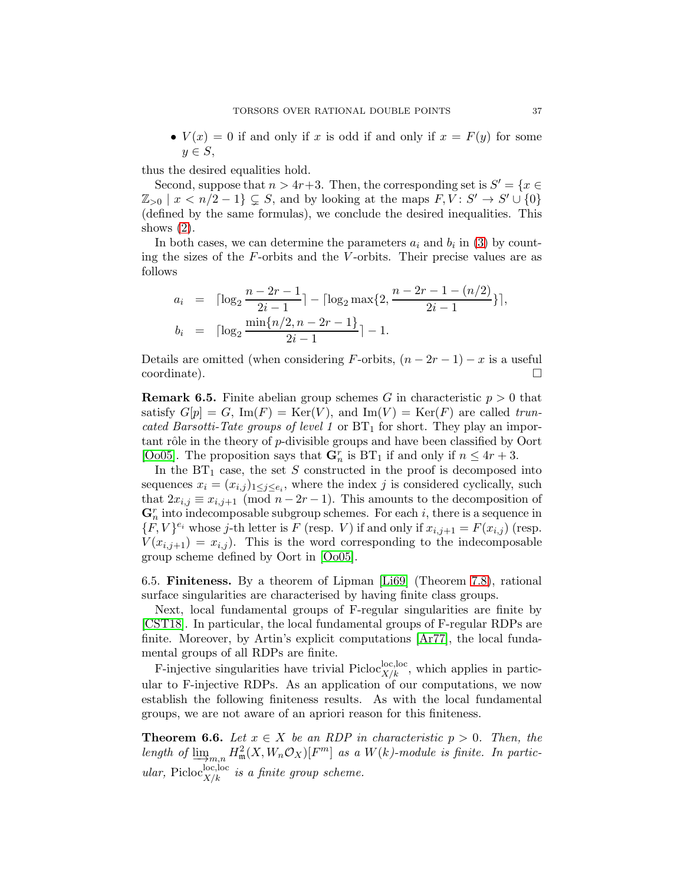•  $V(x) = 0$  if and only if x is odd if and only if  $x = F(y)$  for some  $y \in S$ ,

thus the desired equalities hold.

Second, suppose that  $n > 4r+3$ . Then, the corresponding set is  $S' = \{x \in S\}$  $\mathbb{Z}_{>0}$  |  $x < n/2 - 1$ }  $\subsetneq S$ , and by looking at the maps  $F, V: S' \to S' \cup \{0\}$ (defined by the same formulas), we conclude the desired inequalities. This shows  $(2)$ .

In both cases, we can determine the parameters  $a_i$  and  $b_i$  in [\(3\)](#page-35-1) by counting the sizes of the  $F$ -orbits and the  $V$ -orbits. Their precise values are as follows

$$
a_i = \lceil \log_2 \frac{n - 2r - 1}{2i - 1} \rceil - \lceil \log_2 \max\{2, \frac{n - 2r - 1 - (n/2)}{2i - 1}\rceil\},
$$
  
\n
$$
b_i = \lceil \log_2 \frac{\min\{n/2, n - 2r - 1\}}{2i - 1} \rceil - 1.
$$

Details are omitted (when considering F-orbits,  $(n - 2r - 1) - x$  is a useful coordinate). coordinate).

**Remark 6.5.** Finite abelian group schemes G in characteristic  $p > 0$  that satisfy  $G[p] = G$ ,  $\text{Im}(F) = \text{Ker}(V)$ , and  $\text{Im}(V) = \text{Ker}(F)$  are called truncated Barsotti-Tate groups of level 1 or  $BT_1$  for short. They play an important rôle in the theory of  $p$ -divisible groups and have been classified by Oort [\[Oo05\]](#page-74-0). The proposition says that  $\mathbf{G}_n^r$  is BT<sub>1</sub> if and only if  $n \le 4r + 3$ .

In the  $BT_1$  case, the set S constructed in the proof is decomposed into sequences  $x_i = (x_{i,j})_{1 \leq j \leq e_i}$ , where the index j is considered cyclically, such that  $2x_{i,j} \equiv x_{i,j+1} \pmod{n-2r-1}$ . This amounts to the decomposition of  $\mathbf{G}_n^r$  into indecomposable subgroup schemes. For each i, there is a sequence in  ${F, V}^{e_i}$  whose j-th letter is F (resp. V) if and only if  $x_{i,j+1} = F(x_{i,j})$  (resp.  $V(x_{i,j+1}) = x_{i,j}$ . This is the word corresponding to the indecomposable group scheme defined by Oort in [\[Oo05\]](#page-74-0).

6.5. Finiteness. By a theorem of Lipman [\[Li69\]](#page-74-1) (Theorem [7.8\)](#page-40-0), rational surface singularities are characterised by having finite class groups.

Next, local fundamental groups of F-regular singularities are finite by [\[CST18\]](#page-73-0). In particular, the local fundamental groups of F-regular RDPs are finite. Moreover, by Artin's explicit computations [\[Ar77\]](#page-73-1), the local fundamental groups of all RDPs are finite.

F-injective singularities have trivial Picloc<sup>loc</sup>, which applies in particular to F-injective RDPs. As an application of our computations, we now establish the following finiteness results. As with the local fundamental groups, we are not aware of an apriori reason for this finiteness.

**Theorem 6.6.** Let  $x \in X$  be an RDP in characteristic  $p > 0$ . Then, the length of  $\lim_{m,n} H_m^2(X, W_n \mathcal{O}_X)[F^m]$  as a  $W(k)$ -module is finite. In particular, Picloc ${}_{X/k}^{\text{loc,loc}}$  is a finite group scheme.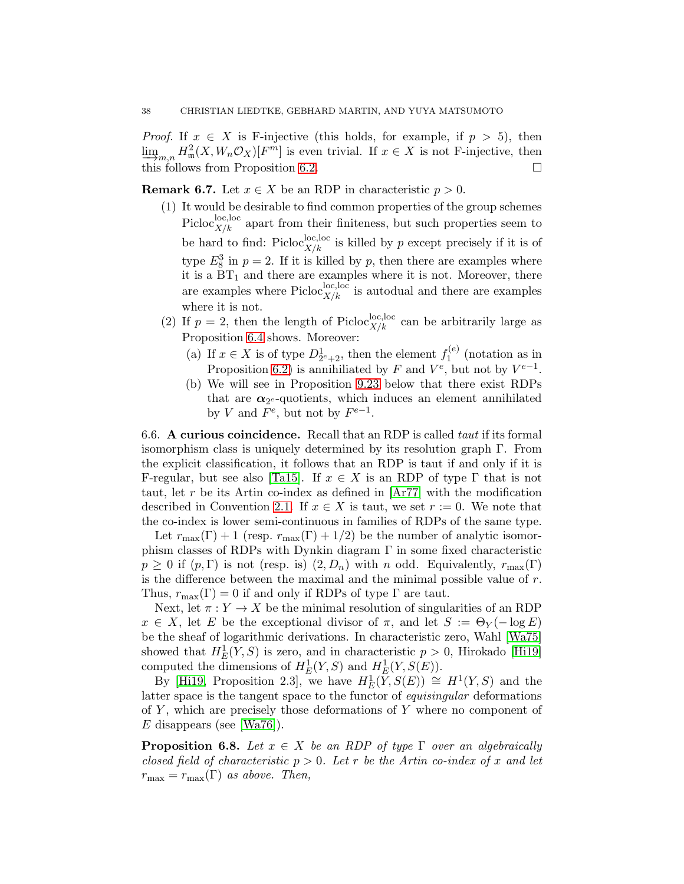*Proof.* If  $x \in X$  is F-injective (this holds, for example, if  $p > 5$ ), then  $\varinjlim_{m,n} H^2_{\mathfrak{m}}(X, W_n \mathcal{O}_X)[F^m]$  is even trivial. If  $x \in X$  is not F-injective, then  $\frac{1}{2}m, n$   $\frac{1}{m}$  of  $\frac{1}{m}$   $\frac{1}{m}$  over the contraction  $x$  or  $x$  is not a injective, then this follows from Proposition [6.2.](#page-31-0)

**Remark 6.7.** Let  $x \in X$  be an RDP in characteristic  $p > 0$ .

- (1) It would be desirable to find common properties of the group schemes Picloc<sub> $X/k$ </sub> apart from their finiteness, but such properties seem to be hard to find: Picloc<sub> $X/k$ </sub> is killed by p except precisely if it is of type  $E_8^3$  in  $p=2$ . If it is killed by p, then there are examples where it is a  $BT_1$  and there are examples where it is not. Moreover, there are examples where  $Picloc_{X/k}^{\text{loc,loc}}$  is autodual and there are examples where it is not.
- (2) If  $p = 2$ , then the length of Picloc<sup>loc, loc</sup>, can be arbitrarily large as Proposition [6.4](#page-35-2) shows. Moreover:
	- (a) If  $x \in X$  is of type  $D_{2^e+2}^1$ , then the element  $f_1^{(e)}$  $i_1^{(e)}$  (notation as in Proposition [6.2\)](#page-31-0) is annihiliated by F and  $V^e$ , but not by  $V^{e-1}$ .
	- (b) We will see in Proposition [9.23](#page-61-0) below that there exist RDPs that are  $\alpha_{2^{e}}$ -quotients, which induces an element annihilated by V and  $F^e$ , but not by  $F^{e-1}$ .

6.6. A curious coincidence. Recall that an RDP is called taut if its formal isomorphism class is uniquely determined by its resolution graph Γ. From the explicit classification, it follows that an RDP is taut if and only if it is F-regular, but see also [\[Ta15\]](#page-75-0). If  $x \in X$  is an RDP of type  $\Gamma$  that is not taut, let r be its Artin co-index as defined in [\[Ar77\]](#page-73-1) with the modification described in Convention [2.1.](#page-8-0) If  $x \in X$  is taut, we set  $r := 0$ . We note that the co-index is lower semi-continuous in families of RDPs of the same type.

Let  $r_{\text{max}}(\Gamma) + 1$  (resp.  $r_{\text{max}}(\Gamma) + 1/2$ ) be the number of analytic isomorphism classes of RDPs with Dynkin diagram  $\Gamma$  in some fixed characteristic  $p \geq 0$  if  $(p, \Gamma)$  is not (resp. is)  $(2, D_n)$  with n odd. Equivalently,  $r_{\text{max}}(\Gamma)$ is the difference between the maximal and the minimal possible value of  $r$ . Thus,  $r_{\text{max}}(\Gamma) = 0$  if and only if RDPs of type  $\Gamma$  are taut.

Next, let  $\pi: Y \to X$  be the minimal resolution of singularities of an RDP  $x \in X$ , let E be the exceptional divisor of  $\pi$ , and let  $S := \Theta_Y(-\log E)$ be the sheaf of logarithmic derivations. In characteristic zero, Wahl [\[Wa75\]](#page-75-1) showed that  $H_E^1(Y, S)$  is zero, and in characteristic  $p > 0$ , Hirokado [Hi19] computed the dimensions of  $H_E^1(Y, S)$  and  $H_E^1(Y, S(E))$ .

By [Hi19, Proposition 2.3], we have  $H_E^1(Y, S(E)) \cong H^1(Y, S)$  and the latter space is the tangent space to the functor of equisingular deformations of  $Y$ , which are precisely those deformations of  $Y$  where no component of  $E$  disappears (see [Wa76]).

**Proposition 6.8.** Let  $x \in X$  be an RDP of type  $\Gamma$  over an algebraically closed field of characteristic  $p > 0$ . Let r be the Artin co-index of x and let  $r_{\text{max}} = r_{\text{max}}(\Gamma)$  as above. Then,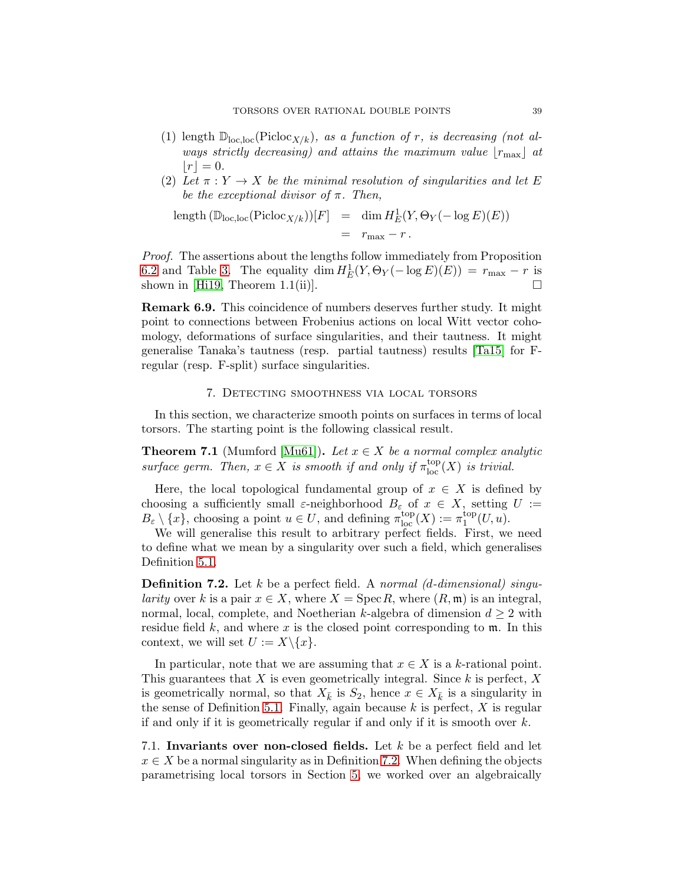- (1) length  $\mathbb{D}_{\text{loc,loc}}(\text{Pic}(\mathcal{X}/k))$ , as a function of r, is decreasing (not always strictly decreasing) and attains the maximum value  $|r_{\text{max}}|$  at  $|r|=0.$
- (2) Let  $\pi: Y \to X$  be the minimal resolution of singularities and let E be the exceptional divisor of  $\pi$ . Then,

length 
$$
(\mathbb{D}_{loc,loc}(\text{Pic}(\mathbb{C}_{X/k}))[F]
$$
 = dim  $H_E^1(Y, \Theta_Y(-\log E)(E))$   
 =  $r_{max} - r$ .

Proof. The assertions about the lengths follow immediately from Proposition [6.2](#page-31-0) and Table [3.](#page-32-0) The equality dim  $H_E^1(Y, \Theta_Y(-\log E)(E)) = r_{\max} - r$  is shown in [Hi19, Theorem 1.1(ii)].

Remark 6.9. This coincidence of numbers deserves further study. It might point to connections between Frobenius actions on local Witt vector cohomology, deformations of surface singularities, and their tautness. It might generalise Tanaka's tautness (resp. partial tautness) results [\[Ta15\]](#page-75-0) for Fregular (resp. F-split) surface singularities.

## 7. Detecting smoothness via local torsors

In this section, we characterize smooth points on surfaces in terms of local torsors. The starting point is the following classical result.

**Theorem 7.1** (Mumford [\[Mu61\]](#page-74-2)). Let  $x \in X$  be a normal complex analytic surface germ. Then,  $x \in X$  is smooth if and only if  $\pi_{\text{loc}}^{\text{top}}(X)$  is trivial.

Here, the local topological fundamental group of  $x \in X$  is defined by choosing a sufficiently small  $\varepsilon$ -neighborhood  $B_{\varepsilon}$  of  $x \in X$ , setting  $U :=$  $B_{\varepsilon} \setminus \{x\}$ , choosing a point  $u \in U$ , and defining  $\pi_{\text{loc}}^{\text{top}}(X) := \pi_1^{\text{top}}$  $_1^{\text{top}}(U, u)$ .

We will generalise this result to arbitrary perfect fields. First, we need to define what we mean by a singularity over such a field, which generalises Definition [5.1.](#page-18-0)

<span id="page-38-0"></span>**Definition 7.2.** Let k be a perfect field. A normal (d-dimensional) singularity over k is a pair  $x \in X$ , where  $X = \text{Spec } R$ , where  $(R, \mathfrak{m})$  is an integral, normal, local, complete, and Noetherian k-algebra of dimension  $d \geq 2$  with residue field  $k$ , and where x is the closed point corresponding to  $m$ . In this context, we will set  $U := X \setminus \{x\}.$ 

In particular, note that we are assuming that  $x \in X$  is a k-rational point. This guarantees that  $X$  is even geometrically integral. Since  $k$  is perfect,  $X$ is geometrically normal, so that  $X_{\bar{k}}$  is  $S_2$ , hence  $x \in X_{\bar{k}}$  is a singularity in the sense of Definition [5.1.](#page-18-0) Finally, again because  $k$  is perfect,  $X$  is regular if and only if it is geometrically regular if and only if it is smooth over  $k$ .

7.1. Invariants over non-closed fields. Let  $k$  be a perfect field and let  $x \in X$  be a normal singularity as in Definition [7.2.](#page-38-0) When defining the objects parametrising local torsors in Section [5,](#page-17-0) we worked over an algebraically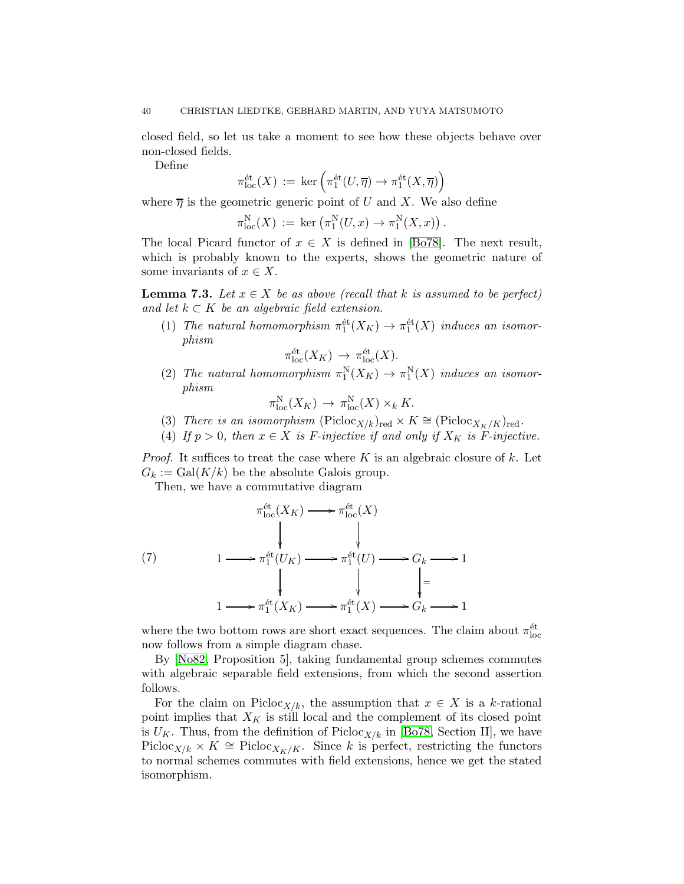closed field, so let us take a moment to see how these objects behave over non-closed fields.

Define

$$
\pi_{\mathrm{loc}}^{\mathrm{\acute{e}t}}(X) \, := \, \ker\left(\pi_1^{\mathrm{\acute{e}t}}(U, \overline{\eta}) \rightarrow \pi_1^{\mathrm{\acute{e}t}}(X, \overline{\eta})\right)
$$

where  $\overline{\eta}$  is the geometric generic point of U and X. We also define

$$
\pi_{\mathrm{loc}}^{\mathrm{N}}(X) := \mathrm{ker} \left( \pi_1^{\mathrm{N}}(U, x) \to \pi_1^{\mathrm{N}}(X, x) \right).
$$

The local Picard functor of  $x \in X$  is defined in [\[Bo78\]](#page-73-2). The next result, which is probably known to the experts, shows the geometric nature of some invariants of  $x \in X$ .

<span id="page-39-0"></span>**Lemma 7.3.** Let  $x \in X$  be as above (recall that k is assumed to be perfect) and let  $k \subset K$  be an algebraic field extension.

(1) The natural homomorphism  $\pi_1^{\text{\'et}}(X_K) \to \pi_1^{\text{\'et}}(X)$  induces an isomorphism

$$
\pi_{\mathrm{loc}}^{\mathrm{\acute{e}t}}(X_K) \to \pi_{\mathrm{loc}}^{\mathrm{\acute{e}t}}(X).
$$

(2) The natural homomorphism  $\pi_1^N(X_K) \to \pi_1^N(X)$  induces an isomorphism

$$
\pi_{\mathrm{loc}}^{\mathrm{N}}(X_K) \to \pi_{\mathrm{loc}}^{\mathrm{N}}(X) \times_k K.
$$

- (3) There is an isomorphism ( $Picloc_{X/k}$ <sub>red</sub> ×  $K \cong (Picloc_{X_K/K})_{red}$ .
- (4) If  $p > 0$ , then  $x \in X$  is F-injective if and only if  $X_K$  is F-injective.

*Proof.* It suffices to treat the case where K is an algebraic closure of k. Let  $G_k := \text{Gal}(K/k)$  be the absolute Galois group.

Then, we have a commutative diagram

(7)  
\n
$$
\begin{array}{ccc}\n & \pi_{\text{loc}}^{\text{\'et}}(X_K) \longrightarrow {\pi_{\text{loc}}^{\text{\'et}}(X)} \\
 & \downarrow & \downarrow & \\
1 & \longrightarrow {\pi_1^{\text{\'et}}(U_K)} \longrightarrow {\pi_1^{\text{\'et}}(U)} \longrightarrow G_k \longrightarrow 1 \\
 & \downarrow & \downarrow & \\
1 & \longrightarrow {\pi_1^{\text{\'et}}(X_K)} \longrightarrow {\pi_1^{\text{\'et}}(X)} \longrightarrow G_k \longrightarrow 1\n\end{array}
$$

where the two bottom rows are short exact sequences. The claim about  $\pi_{\text{loc}}^{\text{\'et}}$ now follows from a simple diagram chase.

By [\[No82,](#page-74-3) Proposition 5], taking fundamental group schemes commutes with algebraic separable field extensions, from which the second assertion follows.

For the claim on Picloc<sub>X/k</sub>, the assumption that  $x \in X$  is a k-rational point implies that  $X_K$  is still local and the complement of its closed point is  $U_K$ . Thus, from the definition of Picloc<sub>X/k</sub> in [\[Bo78,](#page-73-2) Section II], we have Picloc<sub>X/k</sub> × K ≅ Picloc<sub>XK/K</sub>. Since k is perfect, restricting the functors to normal schemes commutes with field extensions, hence we get the stated isomorphism.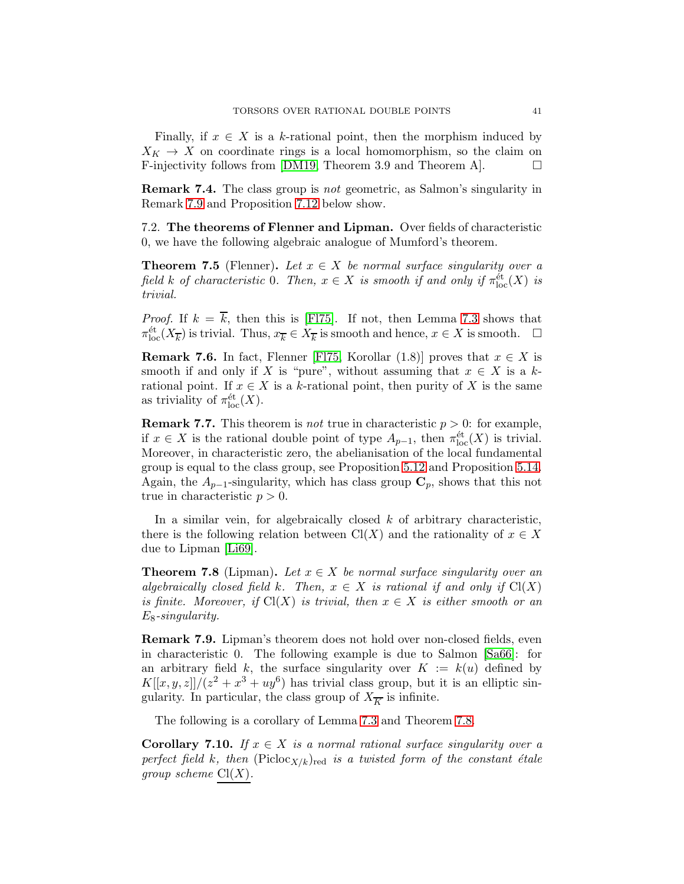Finally, if  $x \in X$  is a k-rational point, then the morphism induced by  $X_K \to X$  on coordinate rings is a local homomorphism, so the claim on F-injectivity follows from [DM19, Theorem 3.9 and Theorem A]. F-injectivity follows from [\[DM19,](#page-73-3) Theorem 3.9 and Theorem A].

Remark 7.4. The class group is not geometric, as Salmon's singularity in Remark [7.9](#page-40-1) and Proposition [7.12](#page-41-0) below show.

7.2. The theorems of Flenner and Lipman. Over fields of characteristic 0, we have the following algebraic analogue of Mumford's theorem.

**Theorem 7.5** (Flenner). Let  $x \in X$  be normal surface singularity over a field k of characteristic 0. Then,  $x \in X$  is smooth if and only if  $\pi_{\text{loc}}^{\text{\'et}}(X)$  is trivial.

*Proof.* If  $k = \overline{k}$ , then this is [\[Fl75\]](#page-73-4). If not, then Lemma [7.3](#page-39-0) shows that  $\pi_{\text{loc}}^{\text{\'et}}(X_{\overline{k}})$  is trivial. Thus,  $x_{\overline{k}} \in X_{\overline{k}}$  is smooth and hence,  $x \in X$  is smooth.  $\Box$ 

**Remark 7.6.** In fact, Flenner [FI75, Korollar (1.8)] proves that  $x \in X$  is smooth if and only if X is "pure", without assuming that  $x \in X$  is a krational point. If  $x \in X$  is a k-rational point, then purity of X is the same as triviality of  $\pi_{\text{loc}}^{\text{\'et}}(X)$ .

**Remark 7.7.** This theorem is *not* true in characteristic  $p > 0$ : for example, if  $x \in X$  is the rational double point of type  $A_{p-1}$ , then  $\pi_{\text{loc}}^{\text{\'et}}(X)$  is trivial. Moreover, in characteristic zero, the abelianisation of the local fundamental group is equal to the class group, see Proposition [5.12](#page-21-0) and Proposition [5.14.](#page-22-0) Again, the  $A_{p-1}$ -singularity, which has class group  $\mathbf{C}_p$ , shows that this not true in characteristic  $p > 0$ .

In a similar vein, for algebraically closed  $k$  of arbitrary characteristic, there is the following relation between  $Cl(X)$  and the rationality of  $x \in X$ due to Lipman [\[Li69\]](#page-74-1).

<span id="page-40-0"></span>**Theorem 7.8** (Lipman). Let  $x \in X$  be normal surface singularity over an algebraically closed field k. Then,  $x \in X$  is rational if and only if  $Cl(X)$ is finite. Moreover, if  $Cl(X)$  is trivial, then  $x \in X$  is either smooth or an  $E_8$ -singularity.

<span id="page-40-1"></span>Remark 7.9. Lipman's theorem does not hold over non-closed fields, even in characteristic 0. The following example is due to Salmon [\[Sa66\]](#page-74-4): for an arbitrary field k, the surface singularity over  $K := k(u)$  defined by  $K[[x,y,z]]/(z^2+x^3+uy^6)$  has trivial class group, but it is an elliptic singularity. In particular, the class group of  $X_{\overline{K}}$  is infinite.

The following is a corollary of Lemma [7.3](#page-39-0) and Theorem [7.8.](#page-40-0)

<span id="page-40-2"></span>Corollary 7.10. If  $x \in X$  is a normal rational surface singularity over a perfect field k, then  $(Picloc_{X/k})_{red}$  is a twisted form of the constant étale group scheme  $Cl(X)$ .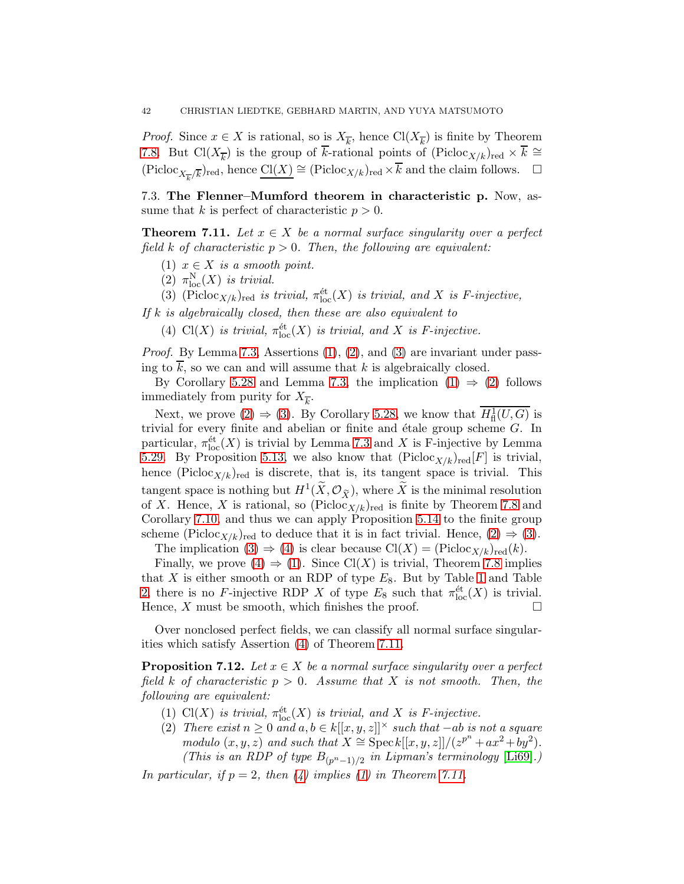*Proof.* Since  $x \in X$  is rational, so is  $X_{\overline{k}}$ , hence  $\text{Cl}(X_{\overline{k}})$  is finite by Theorem [7.8.](#page-40-0) But  $Cl(X_{\overline{k}})$  is the group of k-rational points of  $(Picloc_{X/k})_{red} \times k \cong$  $(\text{Picloc}_{X_{\overline{k}}/\overline{k}})_{\text{red}}, \text{ hence } \underline{\text{Cl}(X)} \cong (\text{Picloc}_{X/k})_{\text{red}} \times \overline{k} \text{ and the claim follows. } \square$ 

7.3. The Flenner–Mumford theorem in characteristic p. Now, assume that k is perfect of characteristic  $p > 0$ .

<span id="page-41-5"></span><span id="page-41-1"></span>**Theorem 7.11.** Let  $x \in X$  be a normal surface singularity over a perfect field k of characteristic  $p > 0$ . Then, the following are equivalent:

- <span id="page-41-2"></span>(1)  $x \in X$  is a smooth point.
- <span id="page-41-3"></span>(2)  $\pi_{\text{loc}}^N(X)$  is trivial.
- (3) (Picloc<sub>X/k</sub>)<sub>red</sub> is trivial,  $\pi_{\text{loc}}^{\text{\'et}}(X)$  is trivial, and X is F-injective,
- <span id="page-41-4"></span>If  $k$  is algebraically closed, then these are also equivalent to
	- (4) Cl(X) is trivial,  $\pi_{\text{loc}}^{\text{\'et}}(X)$  is trivial, and X is F-injective.

Proof. By Lemma [7.3,](#page-39-0) Assertions [\(1\)](#page-41-1), [\(2\)](#page-41-2), and [\(3\)](#page-41-3) are invariant under passing to  $\overline{k}$ , so we can and will assume that k is algebraically closed.

By Corollary [5.28](#page-28-0) and Lemma [7.3,](#page-39-0) the implication  $(1) \Rightarrow (2)$  $(1) \Rightarrow (2)$  follows immediately from purity for  $X_{\overline{k}}$ .

Next, we prove [\(2\)](#page-41-2)  $\Rightarrow$  [\(3\)](#page-41-3). By Corollary [5.28,](#page-28-0) we know that  $H^1_{\text{fl}}(U, G)$  is trivial for every finite and abelian or finite and étale group scheme  $G$ . In particular,  $\pi_{\text{loc}}^{\text{\'et}}(X)$  is trivial by Lemma [7.3](#page-39-0) and X is F-injective by Lemma [5.29.](#page-29-0) By Proposition [5.13,](#page-21-1) we also know that  $(Picloc_{X/k})_{red}[F]$  is trivial, hence (Picloc<sub>X/k)red</sub> is discrete, that is, its tangent space is trivial. This tangent space is nothing but  $H^1(\tilde{X}, \mathcal{O}_{\tilde{X}})$ , where  $\tilde{X}$  is the minimal resolution of X. Hence, X is rational, so  $(Picloc_{X/k})_{red}$  is finite by Theorem [7.8](#page-40-0) and Corollary [7.10,](#page-40-2) and thus we can apply Proposition [5.14](#page-22-0) to the finite group scheme (Picloc<sub>X/k</sub>)<sub>red</sub> to deduce that it is in fact trivial. Hence,  $(2) \Rightarrow (3)$  $(2) \Rightarrow (3)$ . The implication [\(3\)](#page-41-3)  $\Rightarrow$  [\(4\)](#page-41-4) is clear because Cl(X) = (Picloc<sub>X/k</sub>)<sub>red</sub>(k).

Finally, we prove  $(4) \Rightarrow (1)$  $(4) \Rightarrow (1)$ . Since Cl(X) is trivial, Theorem [7.8](#page-40-0) implies that  $X$  is either smooth or an RDP of type  $E_8$ . But by Table [1](#page-8-1) and Table [2,](#page-30-0) there is no F-injective RDP X of type  $E_8$  such that  $\pi_{loc}^{\text{\'et}}(X)$  is trivial. Hence, X must be smooth, which finishes the proof.  $\Box$ 

Over nonclosed perfect fields, we can classify all normal surface singularities which satisfy Assertion [\(4\)](#page-41-4) of Theorem [7.11.](#page-41-5)

<span id="page-41-0"></span>**Proposition 7.12.** Let  $x \in X$  be a normal surface singularity over a perfect field k of characteristic  $p > 0$ . Assume that X is not smooth. Then, the following are equivalent:

- <span id="page-41-7"></span><span id="page-41-6"></span>(1) Cl(X) is trivial,  $\pi_{\text{loc}}^{\text{\'et}}(X)$  is trivial, and X is F-injective.
- (2) There exist  $n \geq 0$  and  $a, b \in k[[x, y, z]]^{\times}$  such that  $-ab$  is not a square modulo  $(x, y, z)$  and such that  $X \cong \operatorname{Spec} k[[x, y, z]]/(z^{p^n} + ax^2 + by^2)$ . (This is an RDP of type  $B_{(p^n-1)/2}$  in Lipman's terminology [\[Li69\]](#page-74-1).)

In particular, if  $p = 2$ , then  $\left(\frac{1}{4}\right)$  implies  $\left(\frac{1}{2}\right)$  in Theorem [7.11.](#page-41-5)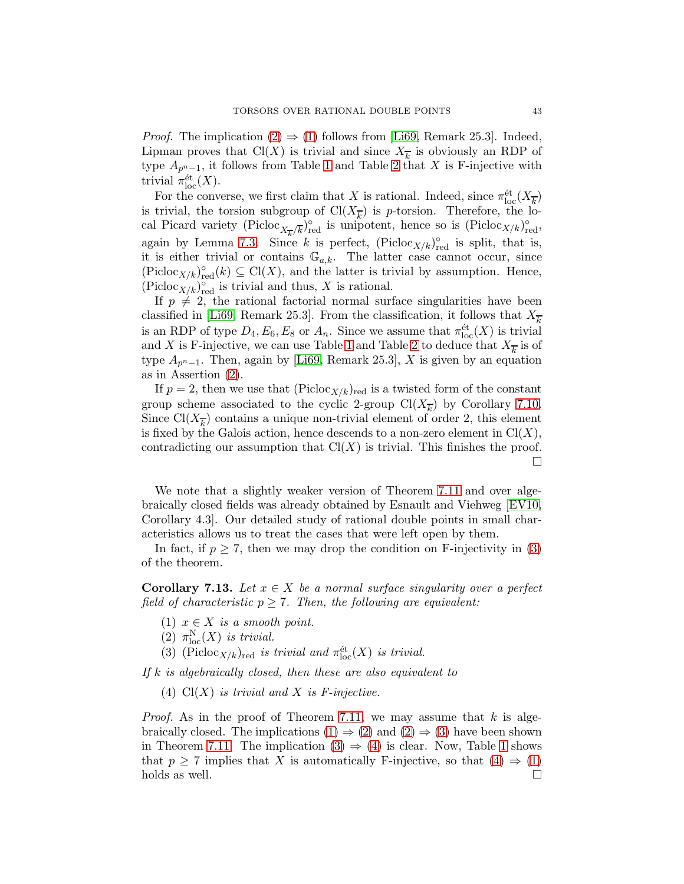*Proof.* The implication  $(2) \Rightarrow (1)$  $(2) \Rightarrow (1)$  follows from [\[Li69,](#page-74-1) Remark 25.3]. Indeed, Lipman proves that  $Cl(X)$  is trivial and since  $X_{\overline{k}}$  is obviously an RDP of type  $A_{p^{n}-1}$ , it follows from Table [1](#page-8-1) and Table [2](#page-30-0) that X is F-injective with trivial  $\pi_{\text{loc}}^{\text{\'et}}(X)$ .

For the converse, we first claim that X is rational. Indeed, since  $\pi_{\text{loc}}^{\text{\'et}}(X_{\overline{k}})$ is trivial, the torsion subgroup of  $Cl(X_{\overline{k}})$  is *p*-torsion. Therefore, the local Picard variety (Picloc<sub>X<sub>k</sub>/k)<sup>o</sup>red is unipotent, hence so is (Picloc<sub>X/k)</sub><sup>o</sup>red,</sub> again by Lemma [7.3.](#page-39-0) Since k is perfect,  $(Picloc_{X/k})_{red}^{\circ}$  is split, that is, it is either trivial or contains  $\mathbb{G}_{a,k}$ . The latter case cannot occur, since  $(\text{Picloc}_{X/k})_{\text{red}}^{\circ}(k) \subseteq \text{Cl}(X)$ , and the latter is trivial by assumption. Hence,  $(\text{Picloc}_{X/k})_{\text{red}}^{\circ}$  is trivial and thus, X is rational.

If  $p \neq 2$ , the rational factorial normal surface singularities have been classified in [\[Li69,](#page-74-1) Remark 25.3]. From the classification, it follows that  $X_{\overline{k}}$ is an RDP of type  $D_4, E_6, E_8$  or  $A_n$ . Since we assume that  $\pi_{loc}^{\text{\'et}}(X)$  is trivial and X is F-injective, we can use Table [1](#page-8-1) and Table [2](#page-30-0) to deduce that  $X_{\overline{k}}$  is of type  $A_{p^{n}-1}$ . Then, again by [\[Li69,](#page-74-1) Remark 25.3], X is given by an equation as in Assertion [\(2\)](#page-41-6).

If  $p = 2$ , then we use that  $(Picloc_{X/k})_{red}$  is a twisted form of the constant group scheme associated to the cyclic 2-group  $Cl(X_{\overline{k}})$  by Corollary [7.10.](#page-40-2) Since  $Cl(X_{\overline{k}})$  contains a unique non-trivial element of order 2, this element is fixed by the Galois action, hence descends to a non-zero element in  $Cl(X)$ , contradicting our assumption that  $Cl(X)$  is trivial. This finishes the proof. П

We note that a slightly weaker version of Theorem [7.11](#page-41-5) and over algebraically closed fields was already obtained by Esnault and Viehweg [\[EV10,](#page-73-5) Corollary 4.3]. Our detailed study of rational double points in small characteristics allows us to treat the cases that were left open by them.

In fact, if  $p \geq 7$ , then we may drop the condition on F-injectivity in [\(3\)](#page-41-3) of the theorem.

<span id="page-42-4"></span><span id="page-42-0"></span>**Corollary 7.13.** Let  $x \in X$  be a normal surface singularity over a perfect field of characteristic  $p \ge 7$ . Then, the following are equivalent:

- <span id="page-42-1"></span>(1)  $x \in X$  is a smooth point.
- <span id="page-42-2"></span>(2)  $\pi_{\text{loc}}^N(X)$  is trivial.
- (3) (Picloc<sub>X/k</sub>)<sub>red</sub> is trivial and  $\pi_{\text{loc}}^{\text{\'et}}(X)$  is trivial.

<span id="page-42-3"></span>If  $k$  is algebraically closed, then these are also equivalent to

(4)  $Cl(X)$  is trivial and X is F-injective.

*Proof.* As in the proof of Theorem [7.11,](#page-41-5) we may assume that  $k$  is algebraically closed. The implications  $(1) \Rightarrow (2)$  $(1) \Rightarrow (2)$  and  $(2) \Rightarrow (3)$  $(2) \Rightarrow (3)$  have been shown in Theorem [7.11.](#page-41-5) The implication  $(3) \Rightarrow (4)$  $(3) \Rightarrow (4)$  is clear. Now, Table [1](#page-8-1) shows that  $p \ge 7$  implies that X is automatically F-injective, so that  $(4) \Rightarrow (1)$  $(4) \Rightarrow (1)$ <br>holds as well. holds as well.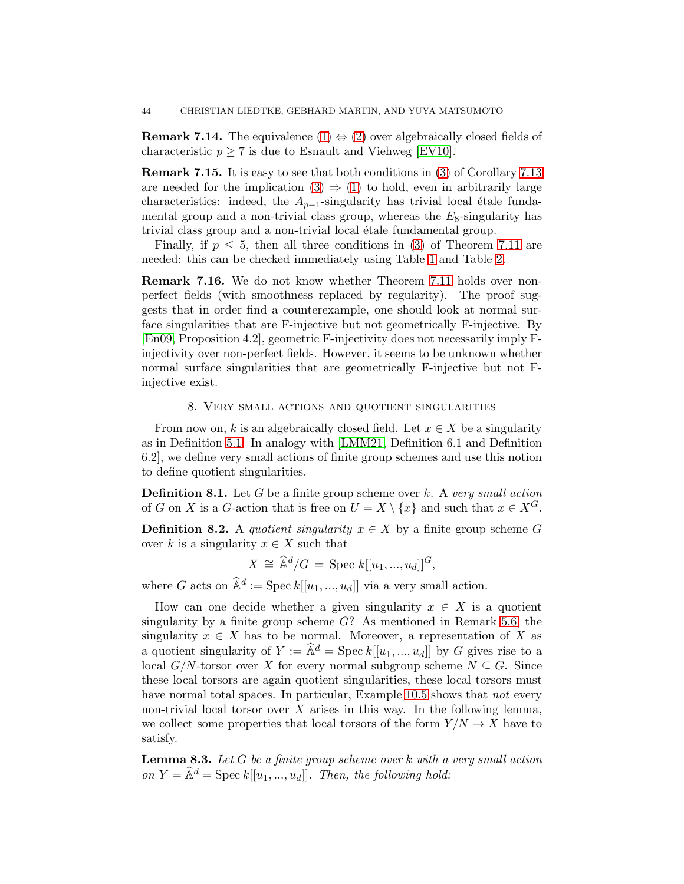**Remark 7.14.** The equivalence  $(1) \Leftrightarrow (2)$  $(1) \Leftrightarrow (2)$  over algebraically closed fields of characteristic  $p \geq 7$  is due to Esnault and Viehweg [\[EV10\]](#page-73-5).

Remark 7.15. It is easy to see that both conditions in [\(3\)](#page-42-2) of Corollary [7.13](#page-42-4) are needed for the implication  $(3) \Rightarrow (1)$  $(3) \Rightarrow (1)$  to hold, even in arbitrarily large characteristics: indeed, the  $A_{p-1}$ -singularity has trivial local étale fundamental group and a non-trivial class group, whereas the  $E_8$ -singularity has trivial class group and a non-trivial local étale fundamental group.

Finally, if  $p \leq 5$ , then all three conditions in [\(3\)](#page-41-3) of Theorem [7.11](#page-41-5) are needed: this can be checked immediately using Table [1](#page-8-1) and Table [2.](#page-30-0)

Remark 7.16. We do not know whether Theorem [7.11](#page-41-5) holds over nonperfect fields (with smoothness replaced by regularity). The proof suggests that in order find a counterexample, one should look at normal surface singularities that are F-injective but not geometrically F-injective. By [\[En09,](#page-73-6) Proposition 4.2], geometric F-injectivity does not necessarily imply Finjectivity over non-perfect fields. However, it seems to be unknown whether normal surface singularities that are geometrically F-injective but not Finjective exist.

## 8. Very small actions and quotient singularities

From now on, k is an algebraically closed field. Let  $x \in X$  be a singularity as in Definition [5.1.](#page-18-0) In analogy with [\[LMM21,](#page-74-5) Definition 6.1 and Definition 6.2], we define very small actions of finite group schemes and use this notion to define quotient singularities.

**Definition 8.1.** Let G be a finite group scheme over k. A very small action of G on X is a G-action that is free on  $U = X \setminus \{x\}$  and such that  $x \in X^G$ .

<span id="page-43-0"></span>**Definition 8.2.** A quotient singularity  $x \in X$  by a finite group scheme G over k is a singularity  $x \in X$  such that

$$
X \cong \widehat{\mathbb{A}}^d/G = \text{Spec } k[[u_1, ..., u_d]]^G,
$$

where G acts on  $\widehat{\mathbb{A}}^d := \text{Spec } k[[u_1, ..., u_d]]$  via a very small action.

How can one decide whether a given singularity  $x \in X$  is a quotient singularity by a finite group scheme  $G$ ? As mentioned in Remark [5.6,](#page-19-0) the singularity  $x \in X$  has to be normal. Moreover, a representation of X as a quotient singularity of  $Y := \hat{\mathbb{A}}^d = \text{Spec } k[[u_1, ..., u_d]]$  by G gives rise to a local  $G/N$ -torsor over X for every normal subgroup scheme  $N \subset G$ . Since these local torsors are again quotient singularities, these local torsors must have normal total spaces. In particular, Example [10.5](#page-70-0) shows that *not* every non-trivial local torsor over  $X$  arises in this way. In the following lemma, we collect some properties that local torsors of the form  $Y/N \to X$  have to satisfy.

<span id="page-43-1"></span>**Lemma 8.3.** Let  $G$  be a finite group scheme over  $k$  with a very small action on  $Y = \widehat{\mathbb{A}}^d$  = Spec k[[u<sub>1</sub>, ..., u<sub>d</sub>]]. Then, the following hold: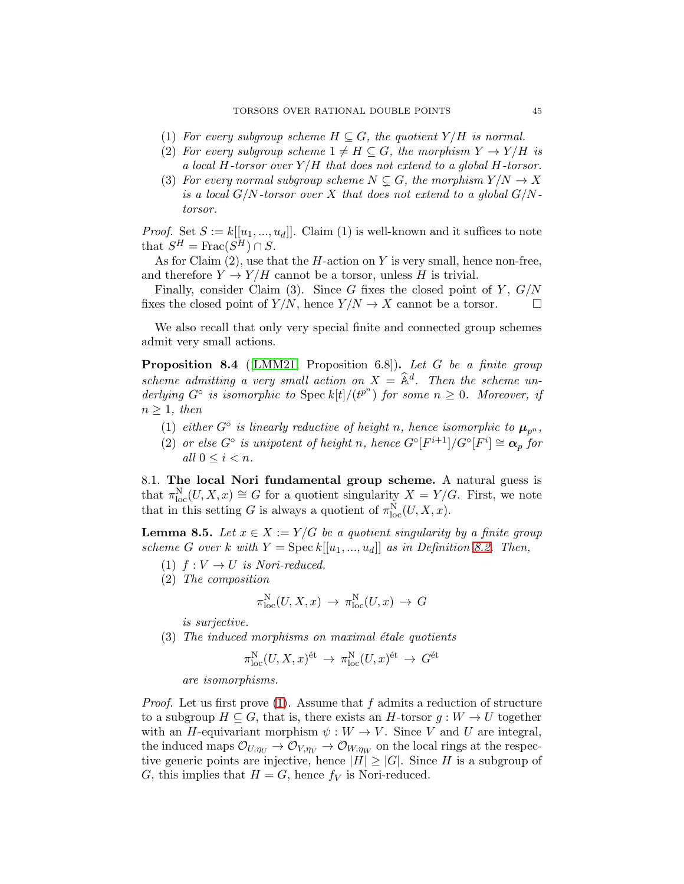- (1) For every subgroup scheme  $H \subseteq G$ , the quotient  $Y/H$  is normal.
- (2) For every subgroup scheme  $1 \neq H \subseteq G$ , the morphism  $Y \rightarrow Y / H$  is a local H-torsor over  $Y/H$  that does not extend to a global H-torsor.
- <span id="page-44-5"></span>(3) For every normal subgroup scheme  $N \subseteq G$ , the morphism  $Y / N \rightarrow X$ is a local  $G/N$ -torsor over X that does not extend to a global  $G/N$ torsor.

*Proof.* Set  $S := k[[u_1, ..., u_d]]$ . Claim (1) is well-known and it suffices to note that  $S^H = \text{Frac}(S^H) \cap S$ .

As for Claim  $(2)$ , use that the H-action on Y is very small, hence non-free, and therefore  $Y \to Y/H$  cannot be a torsor, unless H is trivial.

Finally, consider Claim (3). Since G fixes the closed point of Y,  $G/N$ fixes the closed point of  $Y/N$ , hence  $Y/N \to X$  cannot be a torsor.

We also recall that only very special finite and connected group schemes admit very small actions.

<span id="page-44-4"></span>Proposition 8.4 ([\[LMM21,](#page-74-5) Proposition 6.8]). Let G be a finite group scheme admitting a very small action on  $X = \hat{\mathbb{A}}^d$ . Then the scheme underlying  $G^{\circ}$  is isomorphic to  $\text{Spec } k[t]/(t^{p^n})$  for some  $n \geq 0$ . Moreover, if  $n > 1$ , then

- <span id="page-44-6"></span>(1) either  $G^{\circ}$  is linearly reductive of height n, hence isomorphic to  $\boldsymbol{\mu}_{p^n}$ ,
- (2) or else  $G^{\circ}$  is unipotent of height n, hence  $G^{\circ}[F^{i+1}]/G^{\circ}[F^{i}] \cong \alpha_p$  for all  $0 \leq i < n$ .

8.1. The local Nori fundamental group scheme. A natural guess is that  $\pi_{\text{loc}}^N(U, X, x) \cong G$  for a quotient singularity  $X = Y/G$ . First, we note that in this setting G is always a quotient of  $\pi_{\text{loc}}^N(U, X, x)$ .

<span id="page-44-3"></span><span id="page-44-0"></span>**Lemma 8.5.** Let  $x \in X := Y/G$  be a quotient singularity by a finite group scheme G over k with  $Y = \text{Spec } k[[u_1, ..., u_d]]$  as in Definition [8.2.](#page-43-0) Then,

- <span id="page-44-1"></span>(1)  $f: V \to U$  is Nori-reduced.
- (2) The composition

$$
\pi_{\mathrm{loc}}^{\mathrm{N}}(U,X,x) \to \pi_{\mathrm{loc}}^{\mathrm{N}}(U,x) \to G
$$

is surjective.

<span id="page-44-2"></span> $(3)$  The induced morphisms on maximal étale quotients

$$
\pi_{\mathrm{loc}}^{\mathrm{N}}(U,X,x)^{\mathrm{\acute{e}t}} \, \to \, \pi_{\mathrm{loc}}^{\mathrm{N}}(U,x)^{\mathrm{\acute{e}t}} \, \to \, G^{\mathrm{\acute{e}t}}
$$

are isomorphisms.

*Proof.* Let us first prove [\(1\)](#page-44-0). Assume that f admits a reduction of structure to a subgroup  $H \subseteq G$ , that is, there exists an H-torsor  $g: W \to U$  together with an H-equivariant morphism  $\psi : W \to V$ . Since V and U are integral, the induced maps  $\mathcal{O}_{U,\eta_U} \to \mathcal{O}_{V,\eta_V} \to \mathcal{O}_{W,\eta_W}$  on the local rings at the respective generic points are injective, hence  $|H| \geq |G|$ . Since H is a subgroup of G, this implies that  $H = G$ , hence  $f_V$  is Nori-reduced.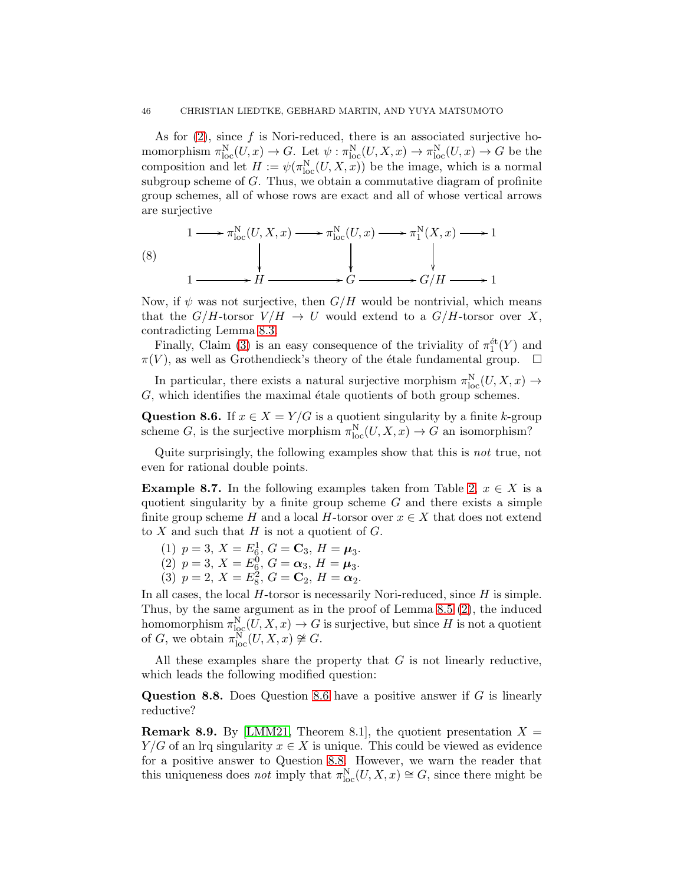As for  $(2)$ , since f is Nori-reduced, there is an associated surjective homomorphism  $\pi_{\text{loc}}^N(U, x) \to G$ . Let  $\psi : \pi_{\text{loc}}^N(U, X, x) \to \pi_{\text{loc}}^N(U, x) \to G$  be the composition and let  $H := \psi(\pi_{\text{loc}}^N(U, X, x))$  be the image, which is a normal subgroup scheme of  $G$ . Thus, we obtain a commutative diagram of profinite group schemes, all of whose rows are exact and all of whose vertical arrows are surjective

(8)  
\n
$$
1 \longrightarrow \pi_{\text{loc}}^{\text{N}}(U, X, x) \longrightarrow \pi_{\text{loc}}^{\text{N}}(U, x) \longrightarrow \pi_{1}^{\text{N}}(X, x) \longrightarrow 1
$$
\n
$$
1 \longrightarrow H \longrightarrow G \longrightarrow G/H \longrightarrow 1
$$

Now, if  $\psi$  was not surjective, then  $G/H$  would be nontrivial, which means that the  $G/H$ -torsor  $V/H \to U$  would extend to a  $G/H$ -torsor over X, contradicting Lemma [8.3.](#page-43-1)

Finally, Claim [\(3\)](#page-44-2) is an easy consequence of the triviality of  $\pi_1^{\text{\'et}}(Y)$  and  $\pi(V)$ , as well as Grothendieck's theory of the étale fundamental group.  $\Box$ 

In particular, there exists a natural surjective morphism  $\pi_{\text{loc}}^N(U, X, x) \to$  $G$ , which identifies the maximal étale quotients of both group schemes.

<span id="page-45-0"></span>Question 8.6. If  $x \in X = Y/G$  is a quotient singularity by a finite k-group scheme G, is the surjective morphism  $\pi_{\text{loc}}^N(U, X, x) \to G$  an isomorphism?

Quite surprisingly, the following examples show that this is not true, not even for rational double points.

<span id="page-45-2"></span>**Example 8.7.** In the following examples taken from Table [2,](#page-30-0)  $x \in X$  is a quotient singularity by a finite group scheme  $G$  and there exists a simple finite group scheme H and a local H-torsor over  $x \in X$  that does not extend to  $X$  and such that  $H$  is not a quotient of  $G$ .

(1) 
$$
p = 3
$$
,  $X = E_6^1$ ,  $G = \mathbf{C}_3$ ,  $H = \boldsymbol{\mu}_3$ .

(2)  $p = 3, X = E_6^0, G = \alpha_3, H = \mu_3.$ 

(3) 
$$
p = 2
$$
,  $X = E_8^2$ ,  $G = \mathbf{C}_2$ ,  $H = \alpha_2$ .

In all cases, the local  $H$ -torsor is necessarily Nori-reduced, since  $H$  is simple. Thus, by the same argument as in the proof of Lemma [8.5](#page-44-3) [\(2\)](#page-44-1), the induced homomorphism  $\pi_{\text{loc}}^N(U, X, x) \to G$  is surjective, but since H is not a quotient of G, we obtain  $\pi_{\text{loc}}^N(U, X, x) \not\cong G$ .

All these examples share the property that  $G$  is not linearly reductive, which leads the following modified question:

<span id="page-45-1"></span>**Question 8.8.** Does Question [8.6](#page-45-0) have a positive answer if  $G$  is linearly reductive?

**Remark 8.9.** By [\[LMM21,](#page-74-5) Theorem 8.1], the quotient presentation  $X =$  $Y/G$  of an lrq singularity  $x \in X$  is unique. This could be viewed as evidence for a positive answer to Question [8.8.](#page-45-1) However, we warn the reader that this uniqueness does *not* imply that  $\pi_{\text{loc}}^N(U, X, x) \cong G$ , since there might be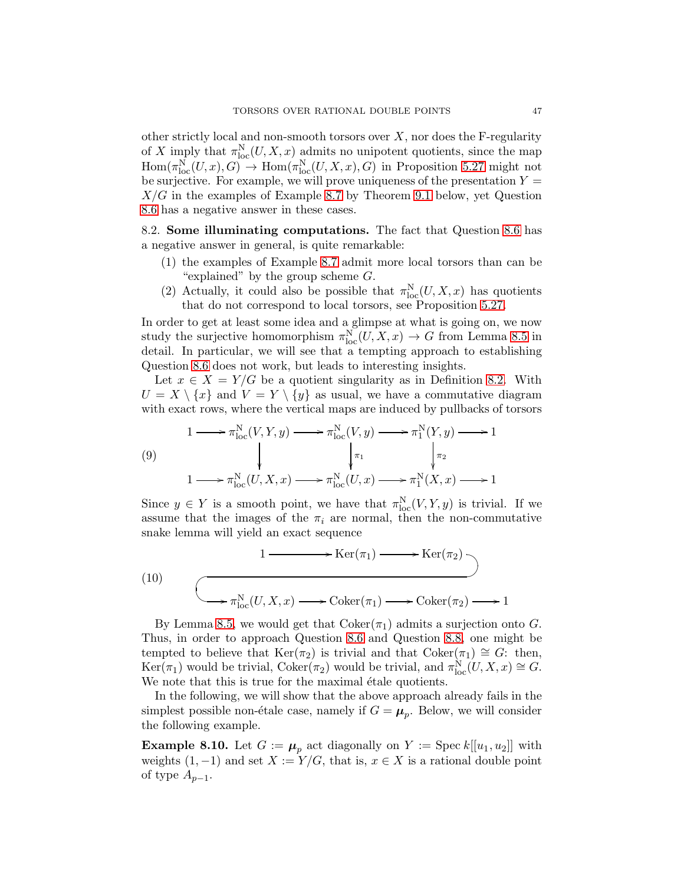other strictly local and non-smooth torsors over  $X$ , nor does the F-regularity of X imply that  $\pi_{\text{loc}}^N(U, X, x)$  admits no unipotent quotients, since the map  $\text{Hom}(\pi_{\text{loc}}^N(U,x), G) \to \text{Hom}(\pi_{\text{loc}}^N(U,X,x), G)$  in Proposition [5.27](#page-28-1) might not be surjective. For example, we will prove uniqueness of the presentation  $Y =$  $X/G$  in the examples of Example [8.7](#page-45-2) by Theorem [9.1](#page-49-0) below, yet Question [8.6](#page-45-0) has a negative answer in these cases.

8.2. Some illuminating computations. The fact that Question [8.6](#page-45-0) has a negative answer in general, is quite remarkable:

- (1) the examples of Example [8.7](#page-45-2) admit more local torsors than can be "explained" by the group scheme  $G$ .
- (2) Actually, it could also be possible that  $\pi_{\text{loc}}^N(U, X, x)$  has quotients that do not correspond to local torsors, see Proposition [5.27.](#page-28-1)

In order to get at least some idea and a glimpse at what is going on, we now study the surjective homomorphism  $\pi_{\text{loc}}^N(U, X, x) \to G$  from Lemma [8.5](#page-44-3) in detail. In particular, we will see that a tempting approach to establishing Question [8.6](#page-45-0) does not work, but leads to interesting insights.

Let  $x \in X = Y/G$  be a quotient singularity as in Definition [8.2.](#page-43-0) With  $U = X \setminus \{x\}$  and  $V = Y \setminus \{y\}$  as usual, we have a commutative diagram with exact rows, where the vertical maps are induced by pullbacks of torsors

(9)  
\n
$$
1 \longrightarrow \pi_{\text{loc}}^N(V, Y, y) \longrightarrow \pi_{\text{loc}}^N(V, y) \longrightarrow \pi_1^N(Y, y) \longrightarrow 1
$$
\n
$$
\downarrow \pi_1 \qquad \qquad \downarrow \pi_2
$$
\n
$$
1 \longrightarrow \pi_{\text{loc}}^N(U, X, x) \longrightarrow \pi_{\text{loc}}^N(U, x) \longrightarrow \pi_1^N(X, x) \longrightarrow 1
$$

Since  $y \in Y$  is a smooth point, we have that  $\pi_{\text{loc}}^N(V, Y, y)$  is trivial. If we assume that the images of the  $\pi_i$  are normal, then the non-commutative snake lemma will yield an exact sequence

(10)  
\n
$$
1 \longrightarrow \text{Ker}(\pi_1) \longrightarrow \text{Ker}(\pi_2)
$$
\n
$$
\longrightarrow \pi_{\text{loc}}^N(U, X, x) \longrightarrow \text{Coker}(\pi_1) \longrightarrow \text{Coker}(\pi_2) \longrightarrow 1
$$

By Lemma [8.5,](#page-44-3) we would get that  $Coker(\pi_1)$  admits a surjection onto G. Thus, in order to approach Question [8.6](#page-45-0) and Question [8.8,](#page-45-1) one might be tempted to believe that Ker( $\pi_2$ ) is trivial and that Coker( $\pi_1$ ) ≅ G: then,  $\text{Ker}(\pi_1)$  would be trivial,  $\text{Coker}(\pi_2)$  would be trivial, and  $\pi_{\text{loc}}^N(U, X, x) \cong G$ . We note that this is true for the maximal étale quotients.

In the following, we will show that the above approach already fails in the simplest possible non-étale case, namely if  $G = \mu_p$ . Below, we will consider the following example.

<span id="page-46-0"></span>**Example 8.10.** Let  $G := \mu_p$  act diagonally on  $Y := \text{Spec } k[[u_1, u_2]]$  with weights  $(1, -1)$  and set  $X := Y/G$ , that is,  $x \in X$  is a rational double point of type  $A_{p-1}$ .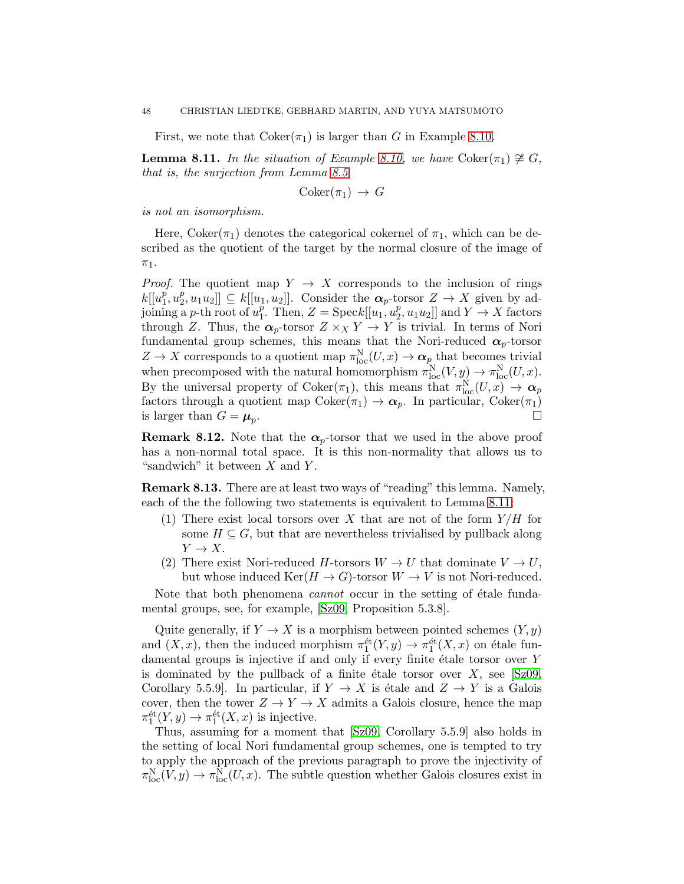First, we note that  $Coker(\pi_1)$  is larger than G in Example [8.10.](#page-46-0)

<span id="page-47-0"></span>**Lemma 8.11.** In the situation of Example [8.10,](#page-46-0) we have Coker( $\pi_1$ )  $\ncong G$ , that is, the surjection from Lemma [8.5](#page-44-3)

 $Coker(\pi_1) \rightarrow G$ 

is not an isomorphism.

Here, Coker( $\pi_1$ ) denotes the categorical cokernel of  $\pi_1$ , which can be described as the quotient of the target by the normal closure of the image of  $\pi_1$ .

*Proof.* The quotient map  $Y \rightarrow X$  corresponds to the inclusion of rings  $k[[u_1^p]$  $\tilde{p}_1^p, u_2^p$  $[\![u_1, u_2]\!] \subseteq k[[u_1, u_2]]$ . Consider the  $\alpha_p$ -torsor  $Z \to X$  given by adjoining a *p*-th root of  $u_1^p$ <sup>p</sup>. Then, Z = Speck[[u<sub>1</sub>,  $u_2^p$ ]  $[2, u_1u_2]$  and  $Y \to X$  factors through Z. Thus, the  $\alpha_p$ -torsor  $Z \times_X Y \to Y$  is trivial. In terms of Nori fundamental group schemes, this means that the Nori-reduced  $\alpha_p$ -torsor  $Z \to X$  corresponds to a quotient map  $\pi_{\text{loc}}^N(U, x) \to \alpha_p$  that becomes trivial when precomposed with the natural homomorphism  $\pi_{\text{loc}}^{N}(V, y) \to \pi_{\text{loc}}^{N}(U, x)$ . By the universal property of  $Coker(\pi_1)$ , this means that  $\pi_{loc}^N(U, x) \to \alpha_p$ factors through a quotient map  $Coker(\pi_1) \to \alpha_p$ . In particular,  $Coker(\pi_1)$ is larger than  $G = \mu_p$ . .

**Remark 8.12.** Note that the  $\alpha_p$ -torsor that we used in the above proof has a non-normal total space. It is this non-normality that allows us to "sandwich" it between  $X$  and  $Y$ .

Remark 8.13. There are at least two ways of "reading" this lemma. Namely, each of the the following two statements is equivalent to Lemma [8.11:](#page-47-0)

- (1) There exist local torsors over X that are not of the form  $Y/H$  for some  $H \subseteq G$ , but that are nevertheless trivialised by pullback along  $Y \to X$ .
- (2) There exist Nori-reduced H-torsors  $W \to U$  that dominate  $V \to U$ , but whose induced  $\text{Ker}(H \to G)$ -torsor  $W \to V$  is not Nori-reduced.

Note that both phenomena *cannot* occur in the setting of étale fundamental groups, see, for example, [\[Sz09,](#page-75-2) Proposition 5.3.8].

Quite generally, if  $Y \to X$  is a morphism between pointed schemes  $(Y, y)$ and  $(X, x)$ , then the induced morphism  $\pi_1^{\text{\'et}}(Y, y) \to \pi_1^{\text{\'et}}(X, x)$  on étale fundamental groups is injective if and only if every finite étale torsor over  $Y$ is dominated by the pullback of a finite étale torsor over  $X$ , see [\[Sz09,](#page-75-2) Corollary 5.5.9]. In particular, if  $Y \to X$  is étale and  $Z \to Y$  is a Galois cover, then the tower  $Z \to Y \to X$  admits a Galois closure, hence the map  $\pi_1^{\text{\'et}}(Y, y) \to \pi_1^{\text{\'et}}(X, x)$  is injective.

Thus, assuming for a moment that [\[Sz09,](#page-75-2) Corollary 5.5.9] also holds in the setting of local Nori fundamental group schemes, one is tempted to try to apply the approach of the previous paragraph to prove the injectivity of  $\pi_{\text{loc}}^N(V, y) \to \pi_{\text{loc}}^N(U, x)$ . The subtle question whether Galois closures exist in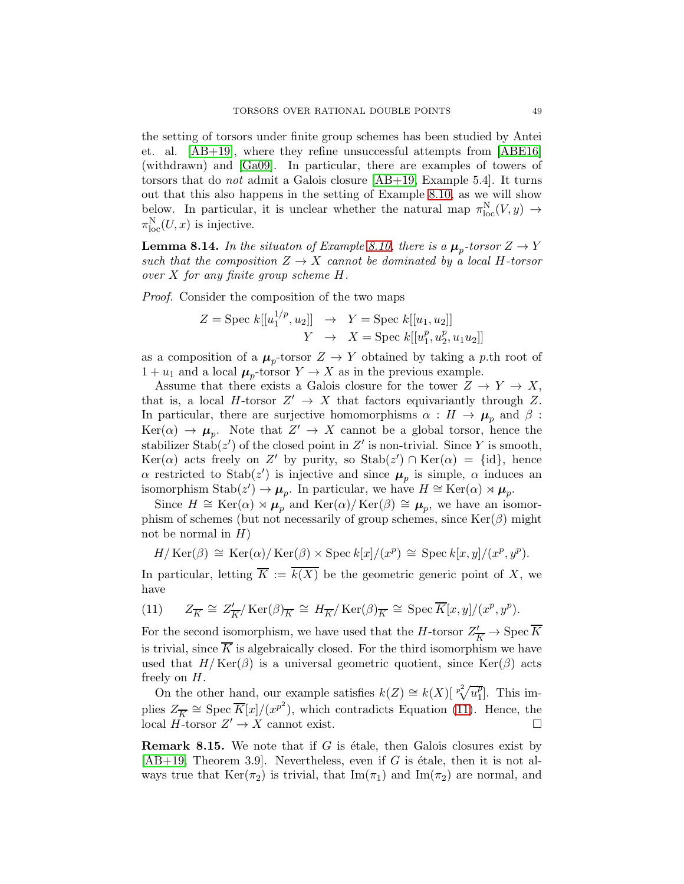the setting of torsors under finite group schemes has been studied by Antei et. al. [\[AB+19\]](#page-73-7), where they refine unsuccessful attempts from [\[ABE16\]](#page-73-8) (withdrawn) and [\[Ga09\]](#page-73-9). In particular, there are examples of towers of torsors that do not admit a Galois closure [\[AB+19,](#page-73-7) Example 5.4]. It turns out that this also happens in the setting of Example [8.10,](#page-46-0) as we will show below. In particular, it is unclear whether the natural map  $\pi_{loc}^N(V, y) \to$  $\pi_{\text{loc}}^{\text{N}}(U,x)$  is injective.

**Lemma 8.14.** In the situaton of Example [8.10,](#page-46-0) there is a  $\mu_p$ -torsor  $Z \to Y$ such that the composition  $Z \rightarrow X$  cannot be dominated by a local H-torsor over  $X$  for any finite group scheme  $H$ .

Proof. Consider the composition of the two maps

$$
Z = \text{Spec } k[[u_1^{1/p}, u_2]] \rightarrow Y = \text{Spec } k[[u_1, u_2]]
$$

$$
Y \rightarrow X = \text{Spec } k[[u_1^p, u_2^p, u_1 u_2]]
$$

as a composition of a  $\mu_p$ -torsor  $Z \to Y$  obtained by taking a p.th root of  $1 + u_1$  and a local  $\mu_p$ -torsor  $Y \to X$  as in the previous example.

Assume that there exists a Galois closure for the tower  $Z \to Y \to X$ , that is, a local  $H$ -torsor  $Z' \to X$  that factors equivariantly through  $Z$ . In particular, there are surjective homomorphisms  $\alpha : H \to \mu_p$  and  $\beta$ :  $Ker(\alpha) \rightarrow \mu_p$ . Note that  $Z' \rightarrow X$  cannot be a global torsor, hence the stabilizer  $\text{Stab}(z')$  of the closed point in Z' is non-trivial. Since Y is smooth, Ker( $\alpha$ ) acts freely on Z' by purity, so Stab( $z'$ )  $\cap$  Ker( $\alpha$ ) = {id}, hence  $\alpha$  restricted to Stab(z') is injective and since  $\mu_p$  is simple,  $\alpha$  induces an isomorphism  $\text{Stab}(z') \to \mu_p$ . In particular, we have  $H \cong \text{Ker}(\alpha) \rtimes \mu_p$ .

Since  $H \cong \text{Ker}(\alpha) \rtimes \mu_p$  and  $\text{Ker}(\alpha)/\text{Ker}(\beta) \cong \mu_p$ , we have an isomorphism of schemes (but not necessarily of group schemes, since  $\text{Ker}(\beta)$  might not be normal in  $H$ )

$$
H/\operatorname{Ker}(\beta) \cong \operatorname{Ker}(\alpha)/\operatorname{Ker}(\beta) \times \operatorname{Spec} k[x]/(x^p) \cong \operatorname{Spec} k[x,y]/(x^p, y^p).
$$

In particular, letting  $\overline{K} := \overline{k(X)}$  be the geometric generic point of X, we have

<span id="page-48-0"></span>(11) 
$$
Z_{\overline{K}} \cong Z'_{\overline{K}} / \operatorname{Ker}(\beta)_{\overline{K}} \cong H_{\overline{K}} / \operatorname{Ker}(\beta)_{\overline{K}} \cong \operatorname{Spec} \overline{K}[x, y] / (x^p, y^p).
$$

For the second isomorphism, we have used that the *H*-torsor  $Z'_{\overline{K}} \to \text{Spec } \overline{K}$ is trivial, since  $\overline{K}$  is algebraically closed. For the third isomorphism we have used that  $H/\text{Ker}(\beta)$  is a universal geometric quotient, since  $\text{Ker}(\beta)$  acts freely on H.

On the other hand, our example satisfies  $k(Z) \cong k(X) \left[\sqrt[p^2]{u_1^p}\right]$  $_{1}^{p}$ ]. This implies  $Z_{\overline{K}} \cong \text{Spec } \overline{K}[x]/(x^{p^2})$ , which contradicts Equation [\(11\)](#page-48-0). Hence, the local  $H$ -torsor  $Z' \to X$  cannot exist.

**Remark 8.15.** We note that if  $G$  is étale, then Galois closures exist by  $[AB+19,$  Theorem 3.9. Nevertheless, even if G is étale, then it is not always true that  $\text{Ker}(\pi_2)$  is trivial, that  $\text{Im}(\pi_1)$  and  $\text{Im}(\pi_2)$  are normal, and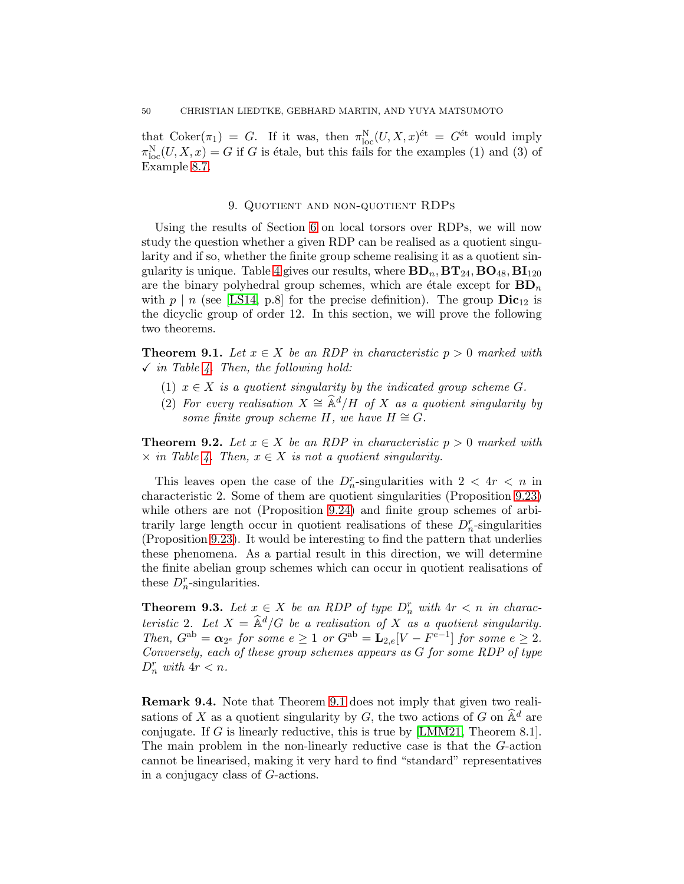that  $\text{Coker}(\pi_1) = G$ . If it was, then  $\pi_{\text{loc}}^N(U, X, x)^{\text{\'et}} = G^{\text{\'et}}$  would imply  $\pi_{\text{loc}}^N(U, X, x) = G$  if G is étale, but this fails for the examples (1) and (3) of Example [8.7.](#page-45-2)

# 9. Quotient and non-quotient RDPs

Using the results of Section [6](#page-29-1) on local torsors over RDPs, we will now study the question whether a given RDP can be realised as a quotient singularity and if so, whether the finite group scheme realising it as a quotient sin-gularity is unique. Table [4](#page-50-0) gives our results, where  $BD_n$ ,  $BT_{24}$ ,  $BO_{48}$ ,  $BI_{120}$ are the binary polyhedral group schemes, which are étale except for  $BD_n$ with  $p \mid n$  (see [\[LS14,](#page-74-6) p.8] for the precise definition). The group  $\text{Dic}_{12}$  is the dicyclic group of order 12. In this section, we will prove the following two theorems.

<span id="page-49-0"></span>**Theorem 9.1.** Let  $x \in X$  be an RDP in characteristic  $p > 0$  marked with  $\checkmark$  in Table [4.](#page-50-0) Then, the following hold:

- (1)  $x \in X$  is a quotient singularity by the indicated group scheme G.
- (2) For every realisation  $X \cong \hat{\mathbb{A}}^d/H$  of X as a quotient singularity by some finite group scheme H, we have  $H \cong G$ .

<span id="page-49-1"></span>**Theorem 9.2.** Let  $x \in X$  be an RDP in characteristic  $p > 0$  marked with  $\times$  in Table [4.](#page-50-0) Then,  $x \in X$  is not a quotient singularity.

This leaves open the case of the  $D_n^r$ -singularities with  $2 < 4r < n$  in characteristic 2. Some of them are quotient singularities (Proposition [9.23\)](#page-61-0) while others are not (Proposition [9.24\)](#page-62-0) and finite group schemes of arbitrarily large length occur in quotient realisations of these  $D_n^r$ -singularities (Proposition [9.23\)](#page-61-0). It would be interesting to find the pattern that underlies these phenomena. As a partial result in this direction, we will determine the finite abelian group schemes which can occur in quotient realisations of these  $D_n^r$ -singularities.

<span id="page-49-2"></span>**Theorem 9.3.** Let  $x \in X$  be an RDP of type  $D_n^r$  with  $4r < n$  in characteristic 2. Let  $X = \hat{\mathbb{A}}^d/G$  be a realisation of X as a quotient singularity. Then,  $G^{ab} = \alpha_{2^e}$  for some  $e \geq 1$  or  $G^{ab} = \mathbf{L}_{2,e}[V - F^{e-1}]$  for some  $e \geq 2$ . Conversely, each of these group schemes appears as G for some RDP of type  $D_n^r$  with  $4r < n$ .

Remark 9.4. Note that Theorem [9.1](#page-49-0) does not imply that given two realisations of X as a quotient singularity by G, the two actions of G on  $\widehat{\mathbb{A}}^d$  are conjugate. If G is linearly reductive, this is true by [\[LMM21,](#page-74-5) Theorem 8.1]. The main problem in the non-linearly reductive case is that the G-action cannot be linearised, making it very hard to find "standard" representatives in a conjugacy class of G-actions.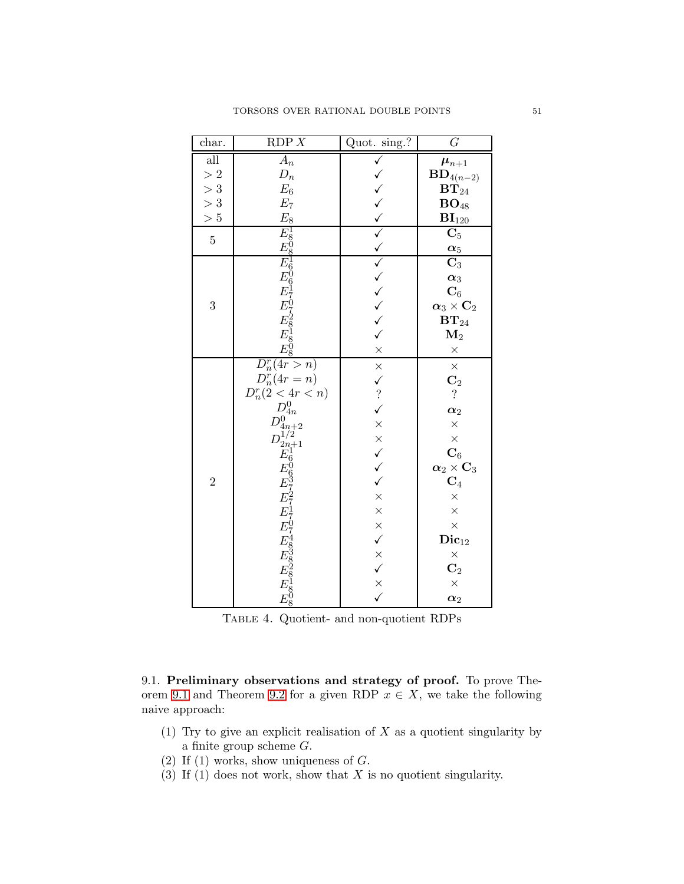| char.                                         | RDP X                                                                                                                                                                                                                                   | Quot. sing.?                        | $G\,$                               |
|-----------------------------------------------|-----------------------------------------------------------------------------------------------------------------------------------------------------------------------------------------------------------------------------------------|-------------------------------------|-------------------------------------|
| $\overline{\text{all}}$                       | $A_n$                                                                                                                                                                                                                                   | $\checkmark$                        | $\pmb{\mu}_{n+1}$                   |
|                                               | $D_n$                                                                                                                                                                                                                                   |                                     | $\mathbf{BD}_{4\left( n-2\right) }$ |
| $\begin{array}{c} >2 \\ >3 \\ >3 \end{array}$ | $\mathcal{E}_6$                                                                                                                                                                                                                         |                                     | $\mathbf{BT}_{24}$                  |
|                                               | $E_7$                                                                                                                                                                                                                                   |                                     | $\mathbf{BO}_{48}$                  |
| > 5                                           | $E_8$                                                                                                                                                                                                                                   |                                     | $BI_{120}$                          |
| $\overline{5}$                                | $E_{808}^{1808}$ $E_{908}^{160617}$ $E_{818}^{1808}$                                                                                                                                                                                    | へくくくくへんこう                           | $\overline{\mathbf{C}_5}$           |
|                                               |                                                                                                                                                                                                                                         |                                     | $\alpha_5$                          |
|                                               |                                                                                                                                                                                                                                         |                                     | $\overline{\text{C}_3}$             |
|                                               |                                                                                                                                                                                                                                         |                                     | $\alpha_3$                          |
|                                               |                                                                                                                                                                                                                                         |                                     | $\mathbf{C}_6$                      |
| 3                                             |                                                                                                                                                                                                                                         |                                     | $\alpha_3 \times C_2$               |
|                                               |                                                                                                                                                                                                                                         |                                     | $\mathbf{BT}_{24}$                  |
|                                               |                                                                                                                                                                                                                                         |                                     | $\mathbf{M}_2$                      |
|                                               |                                                                                                                                                                                                                                         | $\times$                            | $\times$                            |
|                                               | $\overline{D_n^r(4r>n)}$                                                                                                                                                                                                                |                                     | $\times$                            |
|                                               | $D_n^r(4r=n)$                                                                                                                                                                                                                           |                                     | $\frac{C_2}{?}$                     |
|                                               |                                                                                                                                                                                                                                         |                                     |                                     |
|                                               | $D_n^r(2 < 4r < n)$<br>$D_{4n}^0$                                                                                                                                                                                                       | $\times$ $\vee$ ?                   | $\alpha_2$                          |
|                                               |                                                                                                                                                                                                                                         |                                     | $\times$                            |
|                                               |                                                                                                                                                                                                                                         |                                     | $\times$                            |
|                                               |                                                                                                                                                                                                                                         |                                     | $\overline{\mathbf{C}_6}$           |
|                                               |                                                                                                                                                                                                                                         | $\times$ $\times$ $\times$ $\times$ | $\alpha_2 \times \mathbf{C}_3$      |
| $\overline{2}$                                |                                                                                                                                                                                                                                         |                                     | $\frac{\mathbf{C}_4}{\times}$       |
|                                               |                                                                                                                                                                                                                                         | $\times$                            |                                     |
|                                               |                                                                                                                                                                                                                                         |                                     | $\times$                            |
|                                               |                                                                                                                                                                                                                                         |                                     | $\times$                            |
|                                               |                                                                                                                                                                                                                                         | $\times$<br>$\times$                | $\mathbf{Dic}_{12}$                 |
|                                               |                                                                                                                                                                                                                                         |                                     | $\times$                            |
|                                               |                                                                                                                                                                                                                                         |                                     | $\mathbf{C}_2$                      |
|                                               |                                                                                                                                                                                                                                         | $\times$ $\times$ $\times$          | $\times$                            |
|                                               | $D^{0\,\,m+2}_{4n+2} \, E^1_6 \, E^0_{63\,7\,2\,7\,1\,7\,0\,7\,4\,8\,3\,8\,8\,2\,8\,1\,8\,1\,8\,1\,8\,1\,8\,1\,8\,1\,8\,1\,8\,1\,8\,1\,8\,1\,8\,1\,8\,1\,8\,1\,8\,1\,8\,1\,8\,1\,8\,1\,8\,1\,8\,1\,8\,1\,8\,1\,8\,1\,8\,1\,8\,1\,8\,1\$ |                                     | $\alpha_2$                          |

<span id="page-50-0"></span>Table 4. Quotient- and non-quotient RDPs

|                 |  | 9.1. Preliminary observations and strategy of proof. To prove The-         |  |  |  |  |  |  |
|-----------------|--|----------------------------------------------------------------------------|--|--|--|--|--|--|
|                 |  | orem 9.1 and Theorem 9.2 for a given RDP $x \in X$ , we take the following |  |  |  |  |  |  |
| naive approach: |  |                                                                            |  |  |  |  |  |  |

- (1) Try to give an explicit realisation of  $X$  as a quotient singularity by a finite group scheme G.
- (2) If  $(1)$  works, show uniqueness of  $G$ .
- (3) If (1) does not work, show that  $X$  is no quotient singularity.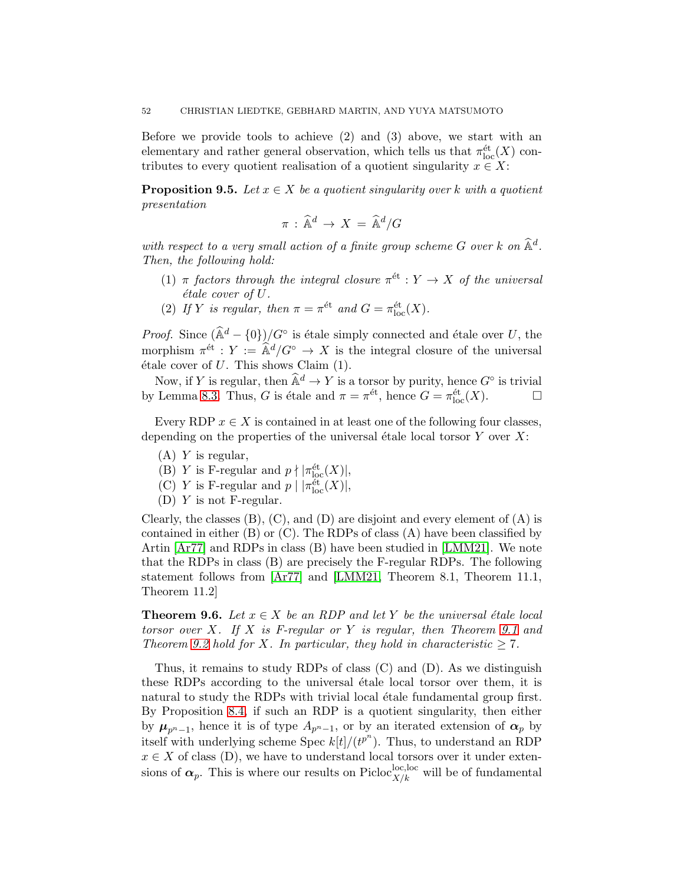Before we provide tools to achieve (2) and (3) above, we start with an elementary and rather general observation, which tells us that  $\pi_{\text{loc}}^{\text{\'et}}(X)$  contributes to every quotient realisation of a quotient singularity  $x \in X$ :

<span id="page-51-0"></span>**Proposition 9.5.** Let  $x \in X$  be a quotient singularity over k with a quotient presentation

$$
\pi \,:\, \widehat{\mathbb{A}}^d \,\to\, X \,=\, \widehat{\mathbb{A}}^d/G
$$

with respect to a very small action of a finite group scheme  $G$  over  $k$  on  $\mathbb{A}^d$ . Then, the following hold:

- (1)  $\pi$  factors through the integral closure  $\pi^{\text{\'et}}: Y \to X$  of the universal  $étele cover of U.$
- (2) If Y is regular, then  $\pi = \pi^{\text{\'et}}$  and  $G = \pi_{\text{loc}}^{\text{\'et}}(X)$ .

*Proof.* Since  $(\hat{\mathbb{A}}^d - \{0\})/G^{\circ}$  is étale simply connected and étale over U, the morphism  $\pi^{\text{\'et}}$ :  $Y := \hat{\mathbb{A}}^d/G^{\circ} \to X$  is the integral closure of the universal étale cover of  $U$ . This shows Claim  $(1)$ .

Now, if Y is regular, then  $\widehat{\mathbb{A}}^d \to Y$  is a torsor by purity, hence  $G^{\circ}$  is trivial by Lemma [8.3.](#page-43-1) Thus, G is étale and  $\pi = \pi^{\text{\'et}}$ , hence  $G = \pi^{\text{\'et}}_{\text{loc}}(X)$ .

Every RDP  $x \in X$  is contained in at least one of the following four classes, depending on the properties of the universal étale local torsor  $Y$  over  $X$ :

- $(A)$  Y is regular,
- (B) Y is F-regular and  $p \nmid |\pi_{\text{loc}}^{\text{\'et}}(X)|$ ,
- (C) Y is F-regular and  $p | |\pi_{loc}^{\'{e}t}(X)|$ ,
- (D) Y is not F-regular.

Clearly, the classes  $(B)$ ,  $(C)$ , and  $(D)$  are disjoint and every element of  $(A)$  is contained in either  $(B)$  or  $(C)$ . The RDPs of class  $(A)$  have been classified by Artin [\[Ar77\]](#page-73-1) and RDPs in class (B) have been studied in [\[LMM21\]](#page-74-5). We note that the RDPs in class (B) are precisely the F-regular RDPs. The following statement follows from [\[Ar77\]](#page-73-1) and [\[LMM21,](#page-74-5) Theorem 8.1, Theorem 11.1, Theorem 11.2]

<span id="page-51-1"></span>**Theorem 9.6.** Let  $x \in X$  be an RDP and let Y be the universal étale local torsor over X. If X is F-regular or Y is regular, then Theorem [9.1](#page-49-0) and Theorem [9.2](#page-49-1) hold for X. In particular, they hold in characteristic  $\geq 7$ .

Thus, it remains to study RDPs of class (C) and (D). As we distinguish these RDPs according to the universal etale local torsor over them, it is natural to study the RDPs with trivial local étale fundamental group first. By Proposition [8.4,](#page-44-4) if such an RDP is a quotient singularity, then either by  $\mu_{p^{n}-1}$ , hence it is of type  $A_{p^{n}-1}$ , or by an iterated extension of  $\alpha_p$  by itself with underlying scheme Spec  $k[t]/(t^{p^n})$ . Thus, to understand an RDP  $x \in X$  of class (D), we have to understand local torsors over it under extensions of  $\alpha_p$ . This is where our results on Picloc<sup>loc,loc</sup> will be of fundamental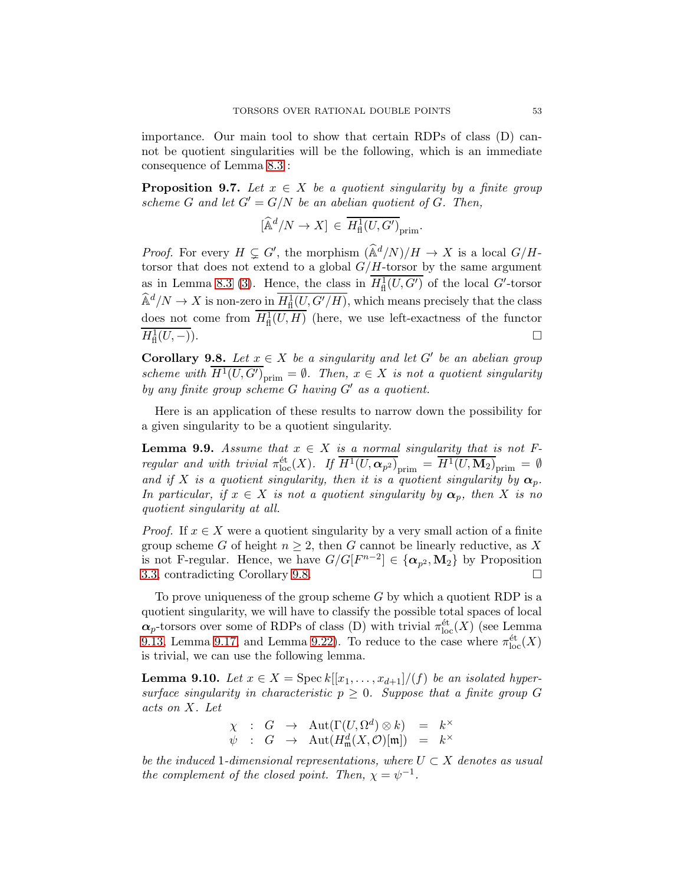importance. Our main tool to show that certain RDPs of class (D) cannot be quotient singularities will be the following, which is an immediate consequence of Lemma [8.3](#page-43-1) :

**Proposition 9.7.** Let  $x \in X$  be a quotient singularity by a finite group scheme G and let  $G' = G/N$  be an abelian quotient of G. Then,

$$
[\widehat{\mathbb{A}}^d/N \to X] \, \in \, \overline{H^1_{\textup{fl}}(U, G^\prime)}_{\textup{prim}}.
$$

*Proof.* For every  $H \subsetneq G'$ , the morphism  $(\hat{\mathbb{A}}^d/N)/H \to X$  is a local  $G/H$ torsor that does not extend to a global  $G/H$ -torsor by the same argument as in Lemma [8.3](#page-43-1) [\(3\)](#page-44-5). Hence, the class in  $H^1_{\text{fl}}(U, G')$  of the local  $G'$ -torsor  $\widehat{\mathbb{A}}^d/N \to X$  is non-zero in  $H^1_{\text{fl}}(U, G'/H)$ , which means precisely that the class does not come from  $H^1_{\text{fl}}(U, H)$  (here, we use left-exactness of the functor  $H^1_{\text{fl}}$  $(U, -).$ 

<span id="page-52-0"></span>**Corollary 9.8.** Let  $x \in X$  be a singularity and let  $G'$  be an abelian group scheme with  $H^1(U, G')_{\text{prim}} = \emptyset$ . Then,  $x \in X$  is not a quotient singularity by any finite group scheme G having G′ as a quotient.

Here is an application of these results to narrow down the possibility for a given singularity to be a quotient singularity.

<span id="page-52-2"></span>**Lemma 9.9.** Assume that  $x \in X$  is a normal singularity that is not Fregular and with trivial  $\pi_{\text{loc}}^{\text{\'et}}(X)$ . If  $\overline{H^1(U, \alpha_{p^2})}_{\text{prim}} = \overline{H^1(U, \mathbf{M}_2)}_{\text{prim}} = \emptyset$ and if X is a quotient singularity, then it is a quotient singularity by  $\alpha_p$ . In particular, if  $x \in X$  is not a quotient singularity by  $\alpha_p$ , then X is no quotient singularity at all.

*Proof.* If  $x \in X$  were a quotient singularity by a very small action of a finite group scheme G of height  $n \geq 2$ , then G cannot be linearly reductive, as X is not F-regular. Hence, we have  $G/G[F^{n-2}] \in {\{\alpha_{p^2}, {\bf M}_2\}}$  by Proposition [3.3,](#page-12-0) contradicting Corollary [9.8.](#page-52-0)

To prove uniqueness of the group scheme  $G$  by which a quotient RDP is a quotient singularity, we will have to classify the possible total spaces of local  $\alpha_p$ -torsors over some of RDPs of class (D) with trivial  $\pi_{\text{loc}}^{\text{\'et}}(X)$  (see Lemma [9.13,](#page-54-0) Lemma [9.17,](#page-57-0) and Lemma [9.22\)](#page-61-1). To reduce to the case where  $\pi_{\text{loc}}^{\text{\'et}}(X)$ is trivial, we can use the following lemma.

<span id="page-52-1"></span>**Lemma 9.10.** Let  $x \in X$  = Spec  $k[[x_1, \ldots, x_{d+1}]/(f)$  be an isolated hypersurface singularity in characteristic  $p \geq 0$ . Suppose that a finite group G acts on X. Let

$$
\begin{array}{rcl}\n\chi & : & G & \to & \mathrm{Aut}(\Gamma(U,\Omega^d)\otimes k) & = & k^\times \\
\psi & : & G & \to & \mathrm{Aut}(H^d_\mathfrak{m}(X,\mathcal{O})[\mathfrak{m}]) & = & k^\times\n\end{array}
$$

be the induced 1-dimensional representations, where  $U \subset X$  denotes as usual the complement of the closed point. Then,  $\chi = \psi^{-1}$ .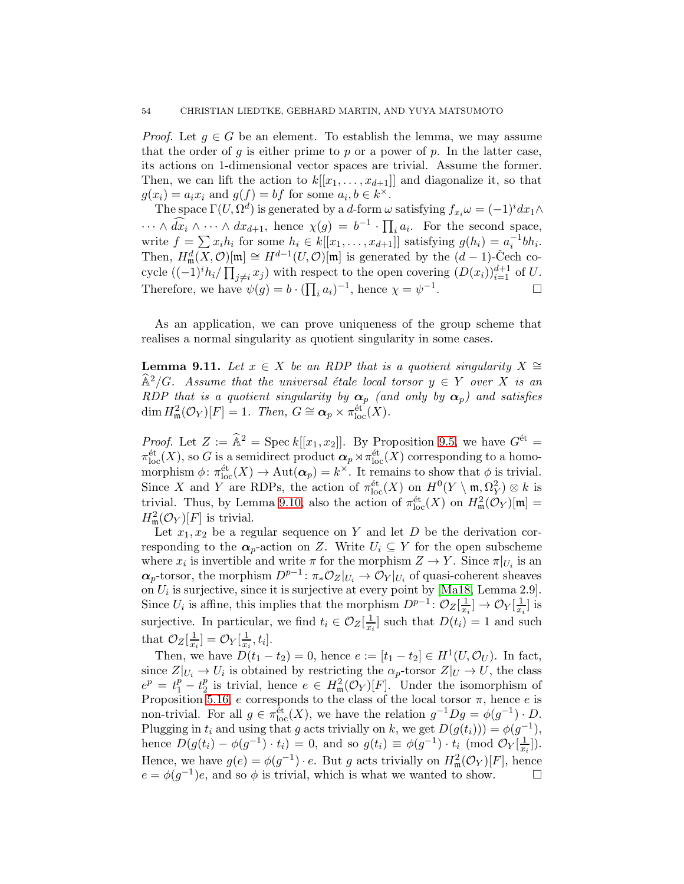*Proof.* Let  $q \in G$  be an element. To establish the lemma, we may assume that the order of g is either prime to p or a power of p. In the latter case, its actions on 1-dimensional vector spaces are trivial. Assume the former. Then, we can lift the action to  $k[[x_1, \ldots, x_{d+1}]]$  and diagonalize it, so that  $g(x_i) = a_i x_i$  and  $g(f) = bf$  for some  $a_i, b \in k^{\times}$ .

The space  $\Gamma(U, \Omega^d)$  is generated by a d-form  $\omega$  satisfying  $f_{x_i}\omega = (-1)^i dx_1 \wedge$  $\cdots \wedge \widehat{dx_i} \wedge \cdots \wedge dx_{d+1}$ , hence  $\chi(g) = b^{-1} \cdot \prod_i a_i$ . For the second space, write  $f = \sum x_i h_i$  for some  $h_i \in k[[x_1, \ldots, x_{d+1}]]$  satisfying  $g(h_i) = a_i^{-1}bh_i$ . Then,  $H^d_{\mathfrak{m}}(X,\mathcal{O})[\mathfrak{m}] \cong H^{d-1}(U,\mathcal{O})[\mathfrak{m}]$  is generated by the  $(d-1)$ -Cech cocycle  $((-1)^i h_i / \prod_{j \neq i} x_j)$  with respect to the open covering  $(D(x_i))_{i=1}^{d+1}$  of U. Therefore, we have  $\psi(g) = b \cdot (\prod_i a_i)^{-1}$ , hence  $\chi = \psi^{-1}$ . — Первый проста проста проста проста проста проста проста проста проста проста проста проста проста проста п<br>В 1990 году стала проста проста проста проста проста проста проста проста проста проста проста проста проста п

As an application, we can prove uniqueness of the group scheme that realises a normal singularity as quotient singularity in some cases.

<span id="page-53-0"></span>**Lemma 9.11.** Let  $x \in X$  be an RDP that is a quotient singularity  $X \cong Y$  $\widehat{A}^2/G$ . Assume that the universal étale local torsor  $y \in Y$  over X is an RDP that is a quotient singularity by  $\alpha_p$  (and only by  $\alpha_p$ ) and satisfies  $\dim H^2_{\mathfrak{m}}(\mathcal{O}_Y)[F] = 1$ . Then,  $G \cong \mathfrak{\alpha}_p \times \pi_{\text{loc}}^{\text{\'et}}(X)$ .

*Proof.* Let  $Z := \hat{\mathbb{A}}^2 = \text{Spec } k[[x_1, x_2]]$ . By Proposition [9.5,](#page-51-0) we have  $G^{\text{\'et}} =$  $\pi_{\text{loc}}^{\text{\'et}}(X)$ , so G is a semidirect product  $\alpha_p \rtimes \pi_{\text{loc}}^{\text{\'et}}(X)$  corresponding to a homomorphism  $\phi \colon \pi_{\text{loc}}^{\text{\'et}}(X) \to \text{Aut}(\alpha_p) = k^{\times}$ . It remains to show that  $\phi$  is trivial. Since X and Y are RDPs, the action of  $\pi_{\text{loc}}^{\text{\'et}}(X)$  on  $H^0(Y \setminus \mathfrak{m}, \Omega_Y^2) \otimes k$  is trivial. Thus, by Lemma [9.10,](#page-52-1) also the action of  $\pi_{\text{loc}}^{\text{\'et}}(X)$  on  $H^2_{\mathfrak{m}}(\mathcal{O}_Y)[\mathfrak{m}] =$  $H^2_{\mathfrak{m}}(\mathcal{O}_Y)[F]$  is trivial.

Let  $x_1, x_2$  be a regular sequence on Y and let D be the derivation corresponding to the  $\alpha_p$ -action on Z. Write  $U_i \subseteq Y$  for the open subscheme where  $x_i$  is invertible and write  $\pi$  for the morphism  $Z \to Y$ . Since  $\pi|_{U_i}$  is an  $\alpha_p$ -torsor, the morphism  $D^{p-1}$ :  $\pi_* \mathcal{O}_Z|_{U_i} \to \mathcal{O}_Y|_{U_i}$  of quasi-coherent sheaves on  $U_i$  is surjective, since it is surjective at every point by [Ma18, Lemma 2.9]. Since  $U_i$  is affine, this implies that the morphism  $D^{p-1}$ :  $\mathcal{O}_Z[\frac{1}{x_i}]$  $\frac{1}{x_i}$ ]  $\rightarrow \mathcal{O}_Y[\frac{1}{x_i}]$  $\frac{1}{x_i}$  is surjective. In particular, we find  $t_i \in \mathcal{O}_Z[\frac{1}{x_i}]$  $\frac{1}{x_i}$  such that  $D(t_i) = 1$  and such that  $\mathcal{O}_Z[\frac{1}{x}]$  $\frac{1}{x_i}$ ] =  $\mathcal{O}_Y[\frac{1}{x_i}]$  $\frac{1}{x_i}, t_i].$ 

Then, we have  $D(t_1 - t_2) = 0$ , hence  $e := [t_1 - t_2] \in H^1(U, \mathcal{O}_U)$ . In fact, since  $Z|_{U_i} \to U_i$  is obtained by restricting the  $\alpha_p$ -torsor  $Z|_U \to U$ , the class  $e^p = t_1^p - t_2^p$  $\frac{p}{2}$  is trivial, hence  $e \in H^2_{\mathfrak{m}}(\mathcal{O}_Y)[F]$ . Under the isomorphism of Proposition [5.16,](#page-23-0) e corresponds to the class of the local torsor  $\pi$ , hence e is non-trivial. For all  $g \in \pi_{\text{loc}}^{\text{\'et}}(X)$ , we have the relation  $g^{-1}Dg = \phi(g^{-1}) \cdot D$ . Plugging in  $t_i$  and using that g acts trivially on k, we get  $D(g(t_i))) = \phi(g^{-1}),$ hence  $D(g(t_i) - \phi(g^{-1}) \cdot t_i) = 0$ , and so  $g(t_i) \equiv \phi(g^{-1}) \cdot t_i \pmod{\mathcal{O}_Y[\frac{1}{x_i}]}$  $\frac{1}{x_i}$ ). Hence, we have  $g(e) = \phi(g^{-1}) \cdot e$ . But g acts trivially on  $H^2_{\mathfrak{m}}(\mathcal{O}_Y)[F]$ , hence  $e = \phi(g^{-1})e$ , and so  $\phi$  is trivial, which is what we wanted to show.  $\square$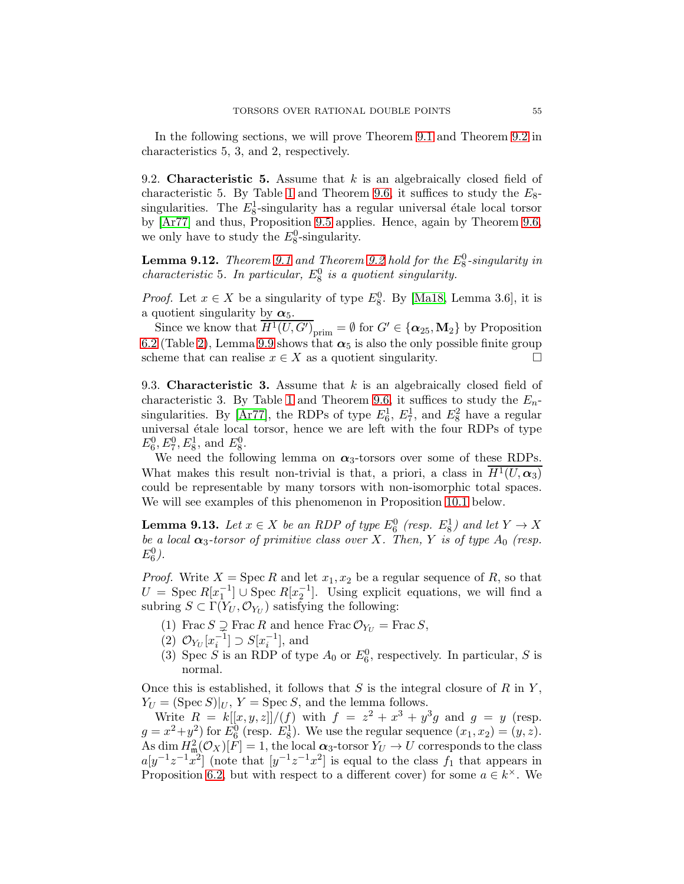In the following sections, we will prove Theorem [9.1](#page-49-0) and Theorem [9.2](#page-49-1) in characteristics 5, 3, and 2, respectively.

9.2. **Characteristic 5.** Assume that  $k$  is an algebraically closed field of characteristic 5. By Table [1](#page-8-1) and Theorem [9.6,](#page-51-1) it suffices to study the  $E_8$ singularities. The  $E_8^1$ -singularity has a regular universal étale local torsor by [\[Ar77\]](#page-73-1) and thus, Proposition [9.5](#page-51-0) applies. Hence, again by Theorem [9.6,](#page-51-1) we only have to study the  $E_8^0$ -singularity.

<span id="page-54-1"></span>**Lemma [9.1](#page-49-0)2.** Theorem 9.1 and Theorem [9.2](#page-49-1) hold for the  $E_8^0$ -singularity in characteristic 5. In particular,  $E_8^0$  is a quotient singularity.

*Proof.* Let  $x \in X$  be a singularity of type  $E_8^0$ . By [Ma18, Lemma 3.6], it is a quotient singularity by  $\alpha_5$ .

Since we know that  $\overline{H^1(U, G')}_{\text{prim}} = \emptyset$  for  $G' \in {\{\alpha_{25}, \mathbf{M}_2\}}$  by Proposition [6.2](#page-31-0) (Table [2\)](#page-30-0), Lemma [9.9](#page-52-2) shows that  $\alpha_5$  is also the only possible finite group scheme that can realise  $x \in X$  as a quotient singularity.  $\Box$ 

9.3. **Characteristic 3.** Assume that  $k$  is an algebraically closed field of characteristic 3. By Table [1](#page-8-1) and Theorem [9.6,](#page-51-1) it suffices to study the  $E_n$ -singularities. By [\[Ar77\]](#page-73-1), the RDPs of type  $E_6^1$ ,  $E_7^1$ , and  $E_8^2$  have a regular universal étale local torsor, hence we are left with the four RDPs of type  $E_6^0, E_7^0, E_8^1$ , and  $E_8^0$ .

We need the following lemma on  $\alpha_3$ -torsors over some of these RDPs. What makes this result non-trivial is that, a priori, a class in  $H^1(U, \alpha_3)$ could be representable by many torsors with non-isomorphic total spaces. We will see examples of this phenomenon in Proposition [10.1](#page-66-0) below.

<span id="page-54-0"></span>**Lemma 9.13.** Let  $x \in X$  be an RDP of type  $E_6^0$  (resp.  $E_8^1$ ) and let  $Y \to X$ be a local  $\alpha_3$ -torsor of primitive class over X. Then, Y is of type  $A_0$  (resp.  $E_6^0$ ).

*Proof.* Write  $X = \text{Spec } R$  and let  $x_1, x_2$  be a regular sequence of R, so that  $U = \text{Spec } R[x_1^{-1}] \cup \text{Spec } R[x_2^{-1}]$ . Using explicit equations, we will find a subring  $S \subset \Gamma(Y_U, \mathcal{O}_{Y_U})$  satisfying the following:

- (1) Frac  $S \supsetneq$  Frac R and hence Frac  $\mathcal{O}_{Y_U} = \text{Frac } S$ ,
- (2)  $\mathcal{O}_{Y_U}[x_i^{-1}] \supset S[x_i^{-1}],$  and
- (3) Spec S is an RDP of type  $A_0$  or  $E_6^0$ , respectively. In particular, S is normal.

Once this is established, it follows that S is the integral closure of R in Y,  $Y_U = (\text{Spec } S)|_U, Y = \text{Spec } S, \text{ and the lemma follows.}$ 

Write  $R = k[[x, y, z]]/(f)$  with  $f = z^2 + x^3 + y^3g$  and  $g = y$  (resp.  $g = x^2 + y^2$  for  $E_6^0$  (resp.  $E_8^1$ ). We use the regular sequence  $(x_1, x_2) = (y, z)$ . As dim  $H_{\mathfrak{m}}^2(\mathcal{O}_X)[F] = 1$ , the local  $\alpha_3$ -torsor  $Y_U \to U$  corresponds to the class  $a[y^{-1}z^{-1}x^2]$  (note that  $[y^{-1}z^{-1}x^2]$  is equal to the class  $f_1$  that appears in Proposition [6.2,](#page-31-0) but with respect to a different cover) for some  $a \in k^{\times}$ . We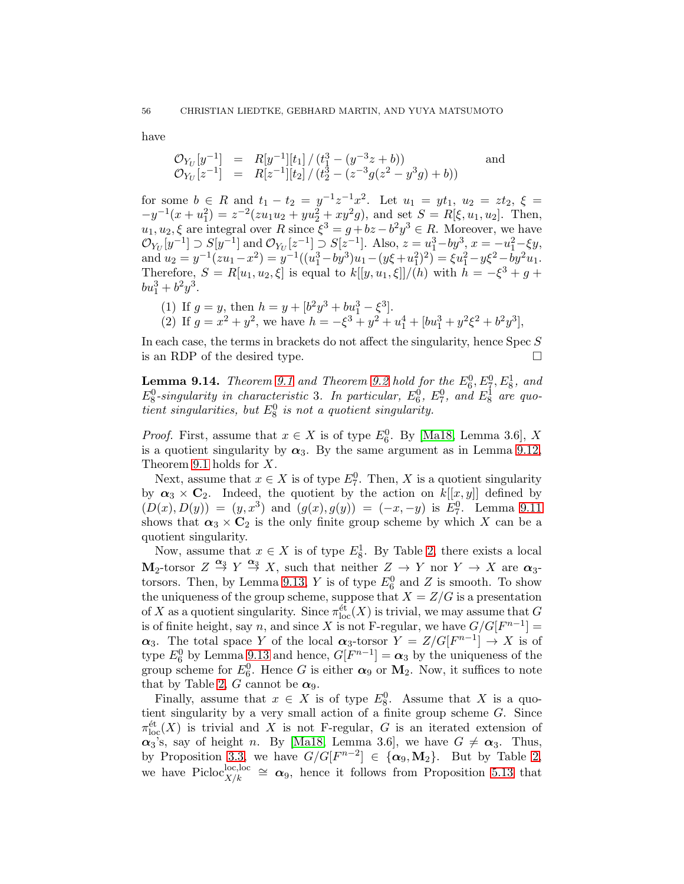have

$$
\mathcal{O}_{Y_U}[y^{-1}] = R[y^{-1}][t_1] / (t_1^3 - (y^{-3}z + b))
$$
  
\n
$$
\mathcal{O}_{Y_U}[z^{-1}] = R[z^{-1}][t_2] / (t_2^3 - (z^{-3}g(z^2 - y^3g) + b))
$$
 and

for some  $b \in R$  and  $t_1 - t_2 = y^{-1}z^{-1}x^2$ . Let  $u_1 = yt_1$ ,  $u_2 = zt_2$ ,  $\xi =$  $-y^{-1}(x+u_1^2) = z^{-2}(zu_1u_2+yu_2^2+xy^2g)$ , and set  $S = R[\xi, u_1, u_2]$ . Then,  $u_1, u_2, \xi$  are integral over R since  $\xi^3 = g + bz - b^2y^3 \in R$ . Moreover, we have  $\mathcal{O}_{Y_U}[y^{-1}] \supset S[y^{-1}] \text{ and } \mathcal{O}_{Y_U}[z^{-1}] \supset S[z^{-1}]$ . Also,  $z = u_1^3 - by^3$ ,  $x = -u_1^2 - \xi y$ , and  $u_2 = y^{-1}(zu_1 - x^2) = y^{-1}((u_1^3 - by^3)u_1 - (y\xi + u_1^2)^2) = \xi u_1^2 - y\xi^2 - by^2u_1.$ Therefore,  $S = R[u_1, u_2, \xi]$  is equal to  $k[[y, u_1, \xi]]/(h)$  with  $h = -\xi^3 + g +$  $bu_1^3 + b^2y^3$ .

(1) If 
$$
g = y
$$
, then  $h = y + [b^2y^3 + bu_1^3 - \xi^3]$ .  
\n(2) If  $g = x^2 + y^2$ , we have  $h = -\xi^3 + y^2 + u_1^4 + [bu_1^3 + y^2\xi^2 + b^2y^3]$ ,

In each case, the terms in brackets do not affect the singularity, hence Spec S is an RDP of the desired type.

**Lemma [9.1](#page-49-0)4.** Theorem 9.1 and Theorem [9.2](#page-49-1) hold for the  $E_6^0, E_7^0, E_8^1$ , and  $E_8^0$ -singularity in characteristic 3. In particular,  $E_6^0$ ,  $E_7^0$ , and  $E_8^1$  are quotient singularities, but  $E_8^0$  is not a quotient singularity.

*Proof.* First, assume that  $x \in X$  is of type  $E_6^0$ . By [Ma18, Lemma 3.6], X is a quotient singularity by  $\alpha_3$ . By the same argument as in Lemma [9.12,](#page-54-1) Theorem [9.1](#page-49-0) holds for X.

Next, assume that  $x \in X$  is of type  $E_7^0$ . Then, X is a quotient singularity by  $\alpha_3 \times C_2$ . Indeed, the quotient by the action on  $k[[x, y]]$  defined by  $(D(x), D(y)) = (y, x^3)$  and  $(g(x), g(y)) = (-x, -y)$  is  $E_7^0$ . Lemma [9.11](#page-53-0) shows that  $\alpha_3 \times \mathbb{C}_2$  is the only finite group scheme by which X can be a quotient singularity.

Now, assume that  $x \in X$  is of type  $E_8^1$ . By Table [2,](#page-30-0) there exists a local  $\mathbf{M}_2$ -torsor  $Z \stackrel{\alpha_3}{\rightarrow} Y \stackrel{\alpha_3}{\rightarrow} X$ , such that neither  $Z \rightarrow Y$  nor  $Y \rightarrow X$  are  $\alpha_3$ -torsors. Then, by Lemma [9.13,](#page-54-0) Y is of type  $E_6^0$  and Z is smooth. To show the uniqueness of the group scheme, suppose that  $X = Z/G$  is a presentation of X as a quotient singularity. Since  $\pi_{\text{loc}}^{\text{\'et}}(X)$  is trivial, we may assume that G is of finite height, say n, and since X is not F-regular, we have  $G/G[F^{n-1}] =$  $\alpha_3$ . The total space Y of the local  $\alpha_3$ -torsor  $Y = Z/G[F^{n-1}] \rightarrow X$  is of type  $E_6^0$  by Lemma [9.13](#page-54-0) and hence,  $G[F^{n-1}] = \alpha_3$  by the uniqueness of the group scheme for  $E_6^0$ . Hence G is either  $\alpha_9$  or  $M_2$ . Now, it suffices to note that by Table [2,](#page-30-0) G cannot be  $\alpha_9$ .

Finally, assume that  $x \in X$  is of type  $E_8^0$ . Assume that X is a quotient singularity by a very small action of a finite group scheme G. Since  $\pi_{\text{loc}}^{\text{\'et}}(X)$  is trivial and X is not F-regular, G is an iterated extension of  $\alpha_3$ 's, say of height n. By [Ma18, Lemma 3.6], we have  $G \neq \alpha_3$ . Thus, by Proposition [3.3,](#page-12-0) we have  $G/G[F^{n-2}] \in {\alpha_9, \mathbf{M}_2}$ . But by Table [2,](#page-30-0) we have Picloc<sup>loc</sup>,  $\alpha_{y/k} \cong \alpha_{y}$ , hence it follows from Proposition [5.13](#page-21-1) that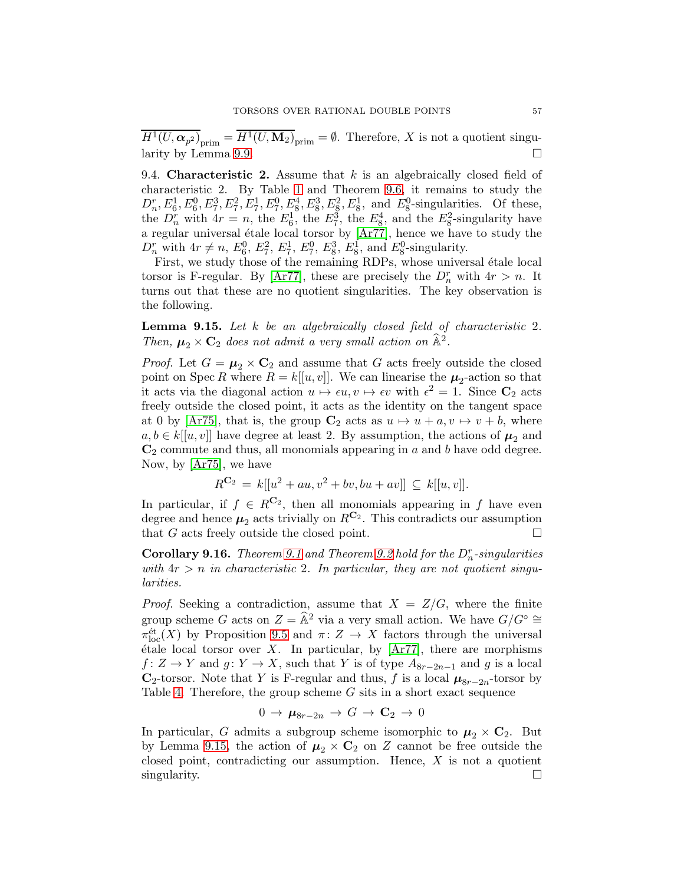$H^1(U, \alpha_{p^2})_{\text{prim}} = H^1(U, \mathbf{M}_2)_{\text{prim}} = \emptyset$ . Therefore, X is not a quotient singu-larity by Lemma [9.9.](#page-52-2)

9.4. **Characteristic 2.** Assume that  $k$  is an algebraically closed field of characteristic 2. By Table [1](#page-8-1) and Theorem [9.6,](#page-51-1) it remains to study the  $D_n^r, E_6^1, E_6^0, E_7^3, E_7^2, E_7^1, E_7^0, E_8^4, E_8^3, E_8^2, E_8^1$ , and  $E_8^0$ -singularities. Of these, the  $D_n^r$  with  $4r = n$ , the  $E_6^1$ , the  $E_7^3$ , the  $E_8^4$ , and the  $E_8^2$ -singularity have a regular universal étale local torsor by  $[Ar77]$ , hence we have to study the  $D_n^r$  with  $4r \neq n$ ,  $E_6^0$ ,  $E_7^2$ ,  $E_7^1$ ,  $E_7^0$ ,  $E_8^3$ ,  $E_8^1$ , and  $E_8^0$ -singularity.

First, we study those of the remaining RDPs, whose universal étale local torsor is F-regular. By [\[Ar77\]](#page-73-1), these are precisely the  $D_n^r$  with  $4r > n$ . It turns out that these are no quotient singularities. The key observation is the following.

<span id="page-56-0"></span>**Lemma 9.15.** Let  $k$  be an algebraically closed field of characteristic 2. Then,  $\mu_2 \times \mathbf{C}_2$  does not admit a very small action on  $\hat{\mathbb{A}}^2$ .

*Proof.* Let  $G = \mu_2 \times \mathbb{C}_2$  and assume that G acts freely outside the closed point on Spec R where  $R = k[[u, v]]$ . We can linearise the  $\mu_2$ -action so that it acts via the diagonal action  $u \mapsto \epsilon u, v \mapsto \epsilon v$  with  $\epsilon^2 = 1$ . Since  $\mathbb{C}_2$  acts freely outside the closed point, it acts as the identity on the tangent space at 0 by [\[Ar75\]](#page-73-10), that is, the group  $\mathbb{C}_2$  acts as  $u \mapsto u + a, v \mapsto v + b$ , where  $a, b \in k[[u, v]]$  have degree at least 2. By assumption, the actions of  $\mu_2$  and  $\mathbb{C}_2$  commute and thus, all monomials appearing in a and b have odd degree. Now, by [\[Ar75\]](#page-73-10), we have

$$
R^{C_2} = k[[u^2 + au, v^2 + bv, bu + av]] \subseteq k[[u, v]].
$$

In particular, if  $f \in R^{\mathbb{C}_2}$ , then all monomials appearing in f have even degree and hence  $\mu_2$  acts trivially on  $R^{\mathbf{C}_2}$ . This contradicts our assumption that G acts freely outside the closed point.

**Corollary [9.1](#page-49-0)6.** Theorem 9.1 and Theorem [9.2](#page-49-1) hold for the  $D_n^r$ -singularities with  $4r > n$  in characteristic 2. In particular, they are not quotient singularities.

*Proof.* Seeking a contradiction, assume that  $X = Z/G$ , where the finite group scheme G acts on  $Z = \hat{A}^2$  via a very small action. We have  $G/G° \cong$  $\pi_{\text{loc}}^{\text{\'et}}(X)$  by Proposition [9.5](#page-51-0) and  $\pi: Z \to X$  factors through the universal  $\alpha$  etale local torsor over X. In particular, by [\[Ar77\]](#page-73-1), there are morphisms  $f: Z \to Y$  and  $g: Y \to X$ , such that Y is of type  $A_{8r-2n-1}$  and g is a local  $\mathbb{C}_2$ -torsor. Note that Y is F-regular and thus, f is a local  $\mu_{8r-2n}$ -torsor by Table [4.](#page-50-0) Therefore, the group scheme  $G$  sits in a short exact sequence

$$
0\,\to\,\boldsymbol{\mu}_{8r-2n}\,\to\,G\,\to\,\mathbf{C}_2\,\to\,0
$$

In particular, G admits a subgroup scheme isomorphic to  $\mu_2 \times C_2$ . But by Lemma [9.15,](#page-56-0) the action of  $\mu_2 \times \mathbb{C}_2$  on Z cannot be free outside the closed point, contradicting our assumption. Hence,  $X$  is not a quotient singularity.  $\square$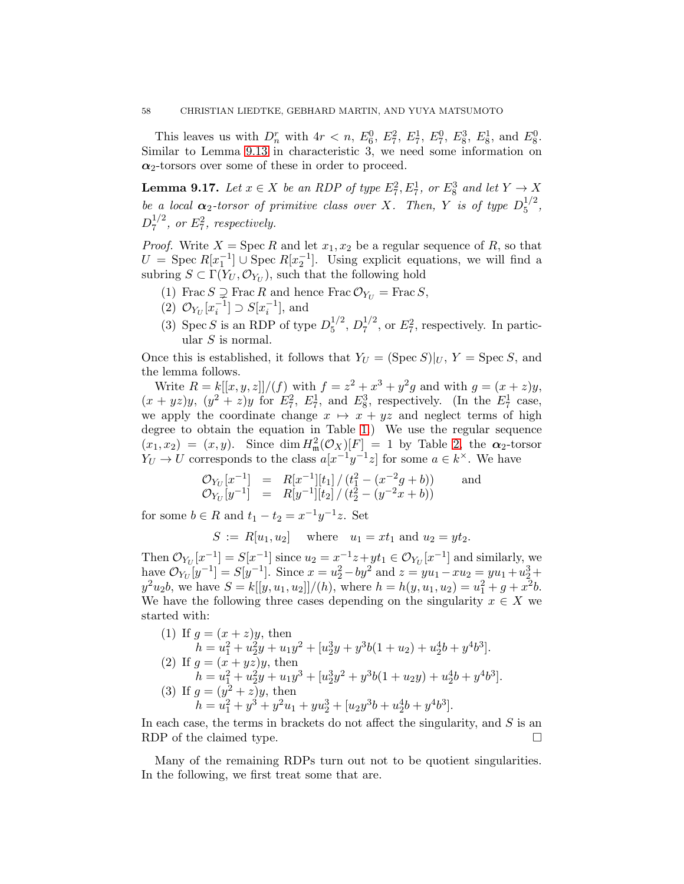This leaves us with  $D_n^r$  with  $4r < n$ ,  $E_6^0$ ,  $E_7^2$ ,  $E_7^1$ ,  $E_7^0$ ,  $E_8^3$ ,  $E_8^1$ , and  $E_8^0$ . Similar to Lemma [9.13](#page-54-0) in characteristic 3, we need some information on  $\alpha_2$ -torsors over some of these in order to proceed.

<span id="page-57-0"></span>**Lemma 9.17.** Let  $x \in X$  be an RDP of type  $E_7^2, E_7^1$ , or  $E_8^3$  and let  $Y \to X$ be a local  $\alpha_2$ -torsor of primitive class over X. Then, Y is of type  $D_5^{1/2}$  $\frac{1}{2}$ ,  $D_7^{1/2}$  $^{1/2}_{7}$ , or  $E_7^2$ , respectively.

*Proof.* Write  $X = \text{Spec } R$  and let  $x_1, x_2$  be a regular sequence of R, so that  $U = \text{Spec } R[x_1^{-1}] \cup \text{Spec } R[x_2^{-1}]$ . Using explicit equations, we will find a subring  $S \subset \Gamma(Y_U, \mathcal{O}_{Y_U})$ , such that the following hold

(1) Frac  $S \supsetneq$  Frac R and hence Frac  $\mathcal{O}_{Y_U} =$  Frac  $S$ ,

- (2)  $\mathcal{O}_{Y_U}[x_i^{-1}] \supset S[x_i^{-1}],$  and
- (3) Spec S is an RDP of type  $D_5^{1/2}$  $_5^{1/2}, D_7^{1/2}$  $Z_7^{1/2}$ , or  $E_7^2$ , respectively. In particular  $S$  is normal.

Once this is established, it follows that  $Y_U = (\text{Spec } S)|_U$ ,  $Y = \text{Spec } S$ , and the lemma follows.

Write  $R = k[[x, y, z]]/(f)$  with  $f = z^2 + x^3 + y^2g$  and with  $g = (x + z)y$ ,  $(x+yz)y$ ,  $(y^2 + z)y$  for  $E_7^2$ ,  $E_7^1$ , and  $E_8^3$ , respectively. (In the  $E_7^1$  case, we apply the coordinate change  $x \mapsto x + yz$  and neglect terms of high degree to obtain the equation in Table [1.](#page-8-1)) We use the regular sequence  $(x_1, x_2) = (x, y)$ . Since dim  $H^2_{\mathfrak{m}}(\mathcal{O}_X)[F] = 1$  by Table [2,](#page-30-0) the  $\alpha_2$ -torsor  $Y_U \to U$  corresponds to the class  $a[x^{-1}y^{-1}z]$  for some  $a \in k^{\times}$ . We have

$$
\mathcal{O}_{Y_U}[x^{-1}] = R[x^{-1}][t_1] / (t_1^2 - (x^{-2}g + b)) \quad \text{and} \quad \mathcal{O}_{Y_U}[y^{-1}] = R[y^{-1}][t_2] / (t_2^2 - (y^{-2}x + b))
$$

for some  $b \in R$  and  $t_1 - t_2 = x^{-1}y^{-1}z$ . Set

 $S := R[u_1, u_2]$  where  $u_1 = xt_1$  and  $u_2 = yt_2$ .

Then  $\mathcal{O}_{Y_U}[x^{-1}] = S[x^{-1}]$  since  $u_2 = x^{-1}z + yt_1 \in \mathcal{O}_{Y_U}[x^{-1}]$  and similarly, we have  $\mathcal{O}_{Y_U}[y^{-1}] = S[y^{-1}]$ . Since  $x = u_2^2 - by^2$  and  $z = yu_1 - xu_2 = yu_1 + u_2^3 + ...$  $y^2u_2b$ , we have  $S = k[[y, u_1, u_2]]/(h)$ , where  $h = h(y, u_1, u_2) = u_1^2 + g + x^2b$ . We have the following three cases depending on the singularity  $x \in X$  we started with:

(1) If 
$$
g = (x + z)y
$$
, then  
\n
$$
h = u_1^2 + u_2^2y + u_1y^2 + [u_2^3y + y^3b(1 + u_2) + u_2^4b + y^4b^3].
$$
\n(2) If  $g = (x + yz)y$ , then  
\n
$$
h = u_1^2 + u_2^2y + u_1y^3 + [u_2^3y^2 + y^3b(1 + u_2y) + u_2^4b + y^4b^3].
$$
\n(3) If  $g = (y^2 + z)y$ , then  
\n
$$
h = u_1^2 + y^3 + y^2u_1 + yu_2^3 + [u_2y^3b + u_2^4b + y^4b^3].
$$

In each case, the terms in brackets do not affect the singularity, and  $S$  is an RDP of the claimed type.

Many of the remaining RDPs turn out not to be quotient singularities. In the following, we first treat some that are.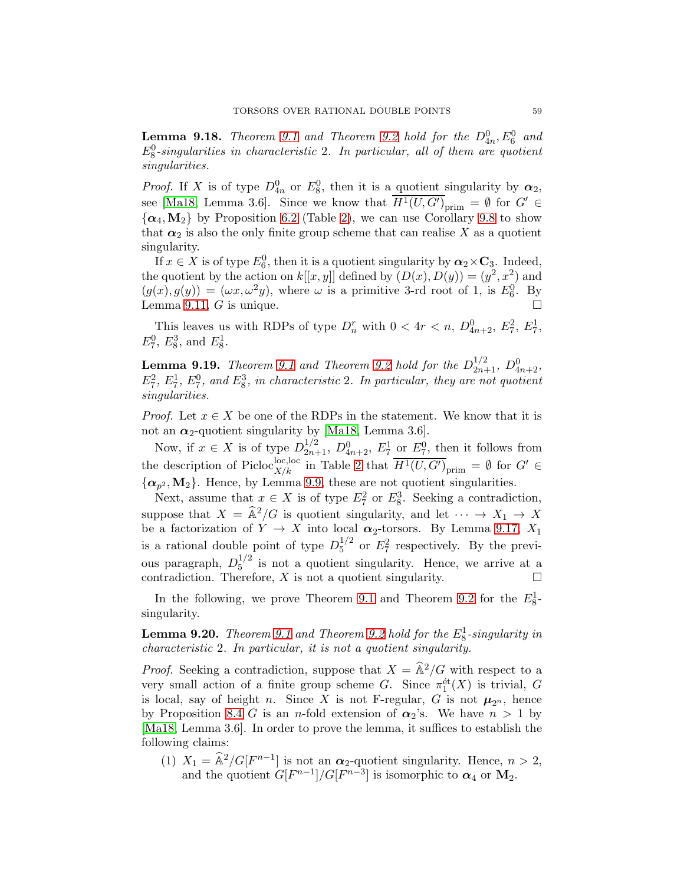**Lemma [9.1](#page-49-0)8.** Theorem 9.1 and Theorem [9.2](#page-49-1) hold for the  $D_{4n}^0$ ,  $E_6^0$  and  $E_8^0$ -singularities in characteristic 2. In particular, all of them are quotient singularities.

*Proof.* If X is of type  $D_{4n}^0$  or  $E_8^0$ , then it is a quotient singularity by  $\alpha_2$ , see [Ma18, Lemma 3.6]. Since we know that  $\overline{H^1(U, G')}_{\text{prim}} = \emptyset$  for  $G' \in$  $\{\alpha_4, M_2\}$  by Proposition [6.2](#page-31-0) (Table [2\)](#page-30-0), we can use Corollary [9.8](#page-52-0) to show that  $\alpha_2$  is also the only finite group scheme that can realise X as a quotient singularity.

If  $x \in X$  is of type  $E_6^0$ , then it is a quotient singularity by  $\alpha_2 \times C_3$ . Indeed, the quotient by the action on  $k[[x, y]]$  defined by  $(D(x), D(y)) = (y^2, x^2)$  and  $(g(x), g(y)) = (\omega x, \omega^2 y)$ , where  $\omega$  is a primitive 3-rd root of 1, is  $E_6^0$ . By Lemma [9.11,](#page-53-0)  $G$  is unique.

This leaves us with RDPs of type  $D_n^r$  with  $0 < 4r < n$ ,  $D_{4n+2}^0$ ,  $E_7^2$ ,  $E_7^1$ ,  $E_7^0$ ,  $E_8^3$ , and  $E_8^1$ .

**Lemma [9.1](#page-49-0)9.** Theorem 9.1 and Theorem [9.2](#page-49-1) hold for the  $D_{2n+1}^{1/2}$ ,  $D_{4n+2}^0$ ,  $E_7^2$ ,  $E_7^1$ ,  $E_7^0$ , and  $E_8^3$ , in characteristic 2. In particular, they are not quotient singularities.

*Proof.* Let  $x \in X$  be one of the RDPs in the statement. We know that it is not an  $\alpha_2$ -quotient singularity by [Ma18, Lemma 3.6].

Now, if  $x \in X$  is of type  $D_{2n+1}^{1/2}$ ,  $D_{4n+2}^0$ ,  $E_7^1$  or  $E_7^0$ , then it follows from the description of Picloc<sub>X/k</sub> in Table [2](#page-30-0) that  $\overline{H^1(U, G')}_{\text{prim}} = \emptyset$  for  $G' \in$  $\{\boldsymbol{\alpha}_{p^2}, \mathbf{M}_2\}$ . Hence, by Lemma [9.9,](#page-52-2) these are not quotient singularities.

Next, assume that  $x \in X$  is of type  $E_7^2$  or  $E_8^3$ . Seeking a contradiction, suppose that  $X = \hat{A}^2/G$  is quotient singularity, and let  $\cdots \rightarrow X_1 \rightarrow X$ be a factorization of  $Y \to X$  into local  $\alpha_2$ -torsors. By Lemma [9.17,](#page-57-0)  $X_1$ is a rational double point of type  $D_5^{1/2}$  $^{1/2}_{5}$  or  $E_7^2$  respectively. By the previous paragraph,  $D_5^{1/2}$  $\frac{1}{5}$  is not a quotient singularity. Hence, we arrive at a contradiction. Therefore,  $X$  is not a quotient singularity.  $\Box$ 

In the following, we prove Theorem [9.1](#page-49-0) and Theorem [9.2](#page-49-1) for the  $E_8^1$ singularity.

<span id="page-58-1"></span>**Lemma [9.2](#page-49-1)0.** Theorem [9.1](#page-49-0) and Theorem 9.2 hold for the  $E_8^1$ -singularity in characteristic 2. In particular, it is not a quotient singularity.

*Proof.* Seeking a contradiction, suppose that  $X = \hat{A}^2/G$  with respect to a very small action of a finite group scheme G. Since  $\pi_1^{\text{\'et}}(X)$  is trivial, G is local, say of height n. Since X is not F-regular, G is not  $\mu_{2^n}$ , hence by Proposition [8.4](#page-44-4) G is an n-fold extension of  $\alpha_2$ 's. We have  $n > 1$  by [Ma18, Lemma 3.6]. In order to prove the lemma, it suffices to establish the following claims:

<span id="page-58-0"></span>(1)  $X_1 = \hat{\mathbb{A}}^2 / G[F^{n-1}]$  is not an  $\alpha_2$ -quotient singularity. Hence,  $n > 2$ , and the quotient  $G[F^{n-1}]/G[F^{n-3}]$  is isomorphic to  $\alpha_4$  or  $M_2$ .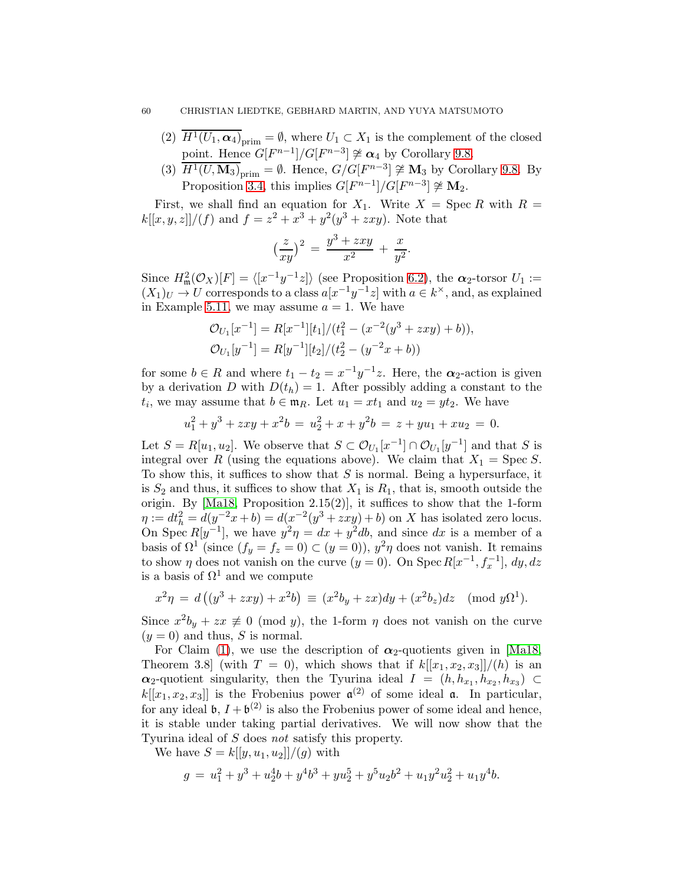- <span id="page-59-0"></span>(2)  $\overline{H^1(U_1,\alpha_4)}_{\text{prim}} = \emptyset$ , where  $U_1 \subset X_1$  is the complement of the closed point. Hence  $G[F^{n-1}]/G[F^{n-3}] \not\cong \alpha_4$  by Corollary [9.8.](#page-52-0)
- <span id="page-59-1"></span>(3)  $\overline{H^1(U, \mathbf{M}_3)}_{\text{prim}} = \emptyset$ . Hence,  $G/G[F^{n-3}] \not\cong \mathbf{M}_3$  by Corollary [9.8.](#page-52-0) By Proposition [3.4,](#page-13-0) this implies  $G[F^{n-1}]/G[F^{n-3}] \ncong M_2$ .

First, we shall find an equation for  $X_1$ . Write  $X = \text{Spec } R$  with  $R =$  $k[[x, y, z]]/(f)$  and  $f = z^2 + x^3 + y^2(y^3 + zxy)$ . Note that

$$
\left(\frac{z}{xy}\right)^2 = \frac{y^3 + zxy}{x^2} + \frac{x}{y^2}.
$$

Since  $H^2_{\mathfrak{m}}(\mathcal{O}_X)[F] = \langle [x^{-1}y^{-1}z] \rangle$  (see Proposition [6.2\)](#page-31-0), the  $\alpha_2$ -torsor  $U_1 :=$  $(X_1)_U \to U$  corresponds to a class  $a[x^{-1}y^{-1}z]$  with  $a \in k^{\times}$ , and, as explained in Example [5.11,](#page-20-0) we may assume  $a = 1$ . We have

$$
\mathcal{O}_{U_1}[x^{-1}] = R[x^{-1}][t_1]/(t_1^2 - (x^{-2}(y^3 + zxy) + b)),
$$
  
\n
$$
\mathcal{O}_{U_1}[y^{-1}] = R[y^{-1}][t_2]/(t_2^2 - (y^{-2}x + b))
$$

for some  $b \in R$  and where  $t_1 - t_2 = x^{-1}y^{-1}z$ . Here, the  $\alpha_2$ -action is given by a derivation D with  $D(t_h) = 1$ . After possibly adding a constant to the  $t_i$ , we may assume that  $b \in \mathfrak{m}_R$ . Let  $u_1 = xt_1$  and  $u_2 = yt_2$ . We have

$$
u_1^2 + y^3 + zxy + x^2b = u_2^2 + x + y^2b = z + yu_1 + xu_2 = 0.
$$

Let  $S = R[u_1, u_2]$ . We observe that  $S \subset \mathcal{O}_{U_1}[x^{-1}] \cap \mathcal{O}_{U_1}[y^{-1}]$  and that S is integral over R (using the equations above). We claim that  $X_1 = \text{Spec } S$ . To show this, it suffices to show that  $S$  is normal. Being a hypersurface, it is  $S_2$  and thus, it suffices to show that  $X_1$  is  $R_1$ , that is, smooth outside the origin. By [Ma18, Proposition 2.15(2)], it suffices to show that the 1-form  $\eta := dt_h^2 = d(y^{-2}x + b) = d(x^{-2}(y^3 + zxy) + b)$  on X has isolated zero locus. On Spec  $R[y^{-1}]$ , we have  $y^2 \eta = dx + y^2 db$ , and since dx is a member of a basis of  $\Omega^1$  (since  $(f_y = f_z = 0) \subset (y = 0)$ ),  $y^2 \eta$  does not vanish. It remains to show  $\eta$  does not vanish on the curve  $(y = 0)$ . On Spec  $R[x^{-1}, f_x^{-1}]$ ,  $dy, dz$ is a basis of  $\Omega^1$  and we compute

$$
x^{2}\eta = d\left((y^{3} + zxy) + x^{2}b\right) \equiv (x^{2}b_{y} + zx)dy + (x^{2}b_{z})dz \pmod{y\Omega^{1}}.
$$

Since  $x^2b_y + zx \neq 0 \pmod{y}$ , the 1-form  $\eta$  does not vanish on the curve  $(y = 0)$  and thus, S is normal.

For Claim [\(1\)](#page-58-0), we use the description of  $\alpha_2$ -quotients given in [Ma18, Theorem 3.8] (with  $T = 0$ ), which shows that if  $k[[x_1, x_2, x_3]]/(h)$  is an  $\alpha_2$ -quotient singularity, then the Tyurina ideal  $I = (h, h_{x_1}, h_{x_2}, h_{x_3}) \subset$  $k[[x_1, x_2, x_3]]$  is the Frobenius power  $\mathfrak{a}^{(2)}$  of some ideal  $\mathfrak{a}$ . In particular, for any ideal  $\mathfrak{b}, I + \mathfrak{b}^{(2)}$  is also the Frobenius power of some ideal and hence, it is stable under taking partial derivatives. We will now show that the Tyurina ideal of S does not satisfy this property.

We have  $S = k[[y, u_1, u_2]]/(q)$  with

$$
g = u_1^2 + y^3 + u_2^4b + y^4b^3 + yu_2^5 + y^5u_2b^2 + u_1y^2u_2^2 + u_1y^4b.
$$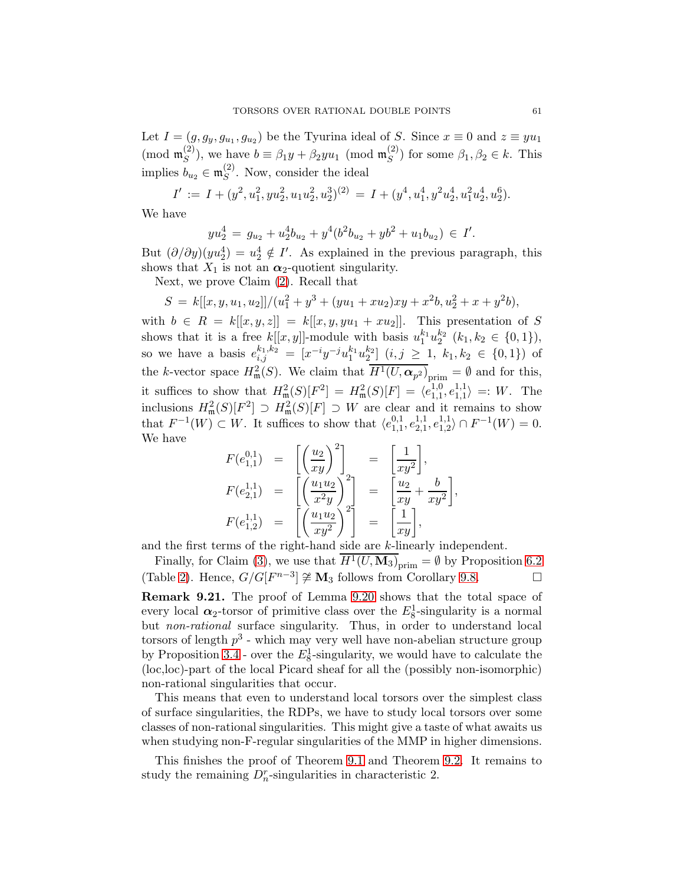Let  $I = (g, g_y, g_{u_1}, g_{u_2})$  be the Tyurina ideal of S. Since  $x \equiv 0$  and  $z \equiv yu_1$ (mod  $\mathfrak{m}_S^{(2)}$  $\mathcal{L}_{S}^{(2)}$ ), we have  $b \equiv \beta_1 y + \beta_2 y u_1 \pmod{\mathfrak{m}_{S}^{(2)}}$  $(S^{(2)})$  for some  $\beta_1, \beta_2 \in k$ . This implies  $b_{u_2} \in \mathfrak{m}_S^{(2)}$  $S<sup>(2)</sup>$ . Now, consider the ideal

$$
I' := I + (y^2, u_1^2, yu_2^2, u_1u_2^2, u_2^3)^{(2)} = I + (y^4, u_1^4, y^2u_2^4, u_1^2u_2^4, u_2^6).
$$

We have

$$
yu_2^4 = g_{u_2} + u_2^4 b_{u_2} + y^4 (b^2 b_{u_2} + y b^2 + u_1 b_{u_2}) \in I'.
$$

But  $(\partial/\partial y)(yu_2^4) = u_2^4 \notin I'$ . As explained in the previous paragraph, this shows that  $X_1$  is not an  $\alpha_2$ -quotient singularity.

Next, we prove Claim [\(2\)](#page-59-0). Recall that

$$
S = k[[x, y, u1, u2]]/(u12 + y3 + (yu1 + xu2)xy + x2b, u22 + x + y2b),
$$

with  $b \in R = k[[x, y, z]] = k[[x, y, yu_1 + xu_2]]$ . This presentation of S shows that it is a free  $k[[x, y]]$ -module with basis  $u_1^{k_1}u_2^{k_2}$   $(k_1, k_2 \in \{0, 1\}),$ so we have a basis  $e_{i,j}^{k_1,k_2} = [x^{-i}y^{-j}u_1^{k_1}u_2^{k_2}]$   $(i,j \ge 1, k_1,k_2 \in \{0,1\})$  of the k-vector space  $H^2_{\mathfrak{m}}(S)$ . We claim that  $H^1(U, \alpha_{p^2})_{\text{prim}} = \emptyset$  and for this, it suffices to show that  $H^2_{\mathfrak{m}}(S)[F^2] = H^2_{\mathfrak{m}}(S)[F] = \langle e_{1,1}^{1,0} \rangle$  $^{1,0}_{1,1},$   $^{1,1}_{1,1}$  $\vert_{1,1}^{1,1}\rangle =: W.$  The inclusions  $H^2_{\mathfrak{m}}(S)[F^2] \supset H^2_{\mathfrak{m}}(S)[F] \supset W$  are clear and it remains to show that  $F^{-1}(W) \subset W$ . It suffices to show that  $\langle e_{1,1}^{0,1} \rangle$  $^{0,1}_{1,1},e^{1,1}_{2,1}$  $^{1,1}_{2,1},e^{1,1}_{1,2}$  $\langle 1,1 \atop 1,2 \rangle \cap F^{-1}(W) = 0.$ We have

$$
F(e_{1,1}^{0,1}) = \begin{bmatrix} \left(\frac{u_2}{xy}\right)^2\\ xy \end{bmatrix} = \begin{bmatrix} \frac{1}{xy^2} \end{bmatrix},
$$
  
\n
$$
F(e_{2,1}^{1,1}) = \begin{bmatrix} \left(\frac{u_1 u_2}{x^2 y}\right)^2\\ \left(\frac{u_1 u_2}{x y^2}\right)^2 \end{bmatrix} = \begin{bmatrix} \frac{u_2}{xy} + \frac{b}{xy^2} \end{bmatrix}
$$
  
\n
$$
F(e_{1,2}^{1,1}) = \begin{bmatrix} \left(\frac{u_1 u_2}{xy^2}\right)^2\\ x y \end{bmatrix} = \begin{bmatrix} \frac{1}{xy} \end{bmatrix},
$$

,

and the first terms of the right-hand side are k-linearly independent.

Finally, for Claim [\(3\)](#page-59-1), we use that  $H^1(U, \mathbf{M}_3)_{\text{prim}} = \emptyset$  by Proposition [6.2](#page-31-0) (Table [2\)](#page-30-0). Hence,  $G/G[F^{n-3}] \not\cong \mathbf{M}_3$  follows from Corollary [9.8.](#page-52-0)

<span id="page-60-0"></span>Remark 9.21. The proof of Lemma [9.20](#page-58-1) shows that the total space of every local  $\alpha_2$ -torsor of primitive class over the  $E_8^1$ -singularity is a normal but non-rational surface singularity. Thus, in order to understand local torsors of length  $p^3$  - which may very well have non-abelian structure group by Proposition [3.4](#page-13-0) - over the  $E_8^1$ -singularity, we would have to calculate the (loc,loc)-part of the local Picard sheaf for all the (possibly non-isomorphic) non-rational singularities that occur.

This means that even to understand local torsors over the simplest class of surface singularities, the RDPs, we have to study local torsors over some classes of non-rational singularities. This might give a taste of what awaits us when studying non-F-regular singularities of the MMP in higher dimensions.

This finishes the proof of Theorem [9.1](#page-49-0) and Theorem [9.2.](#page-49-1) It remains to study the remaining  $D_n^r$ -singularities in characteristic 2.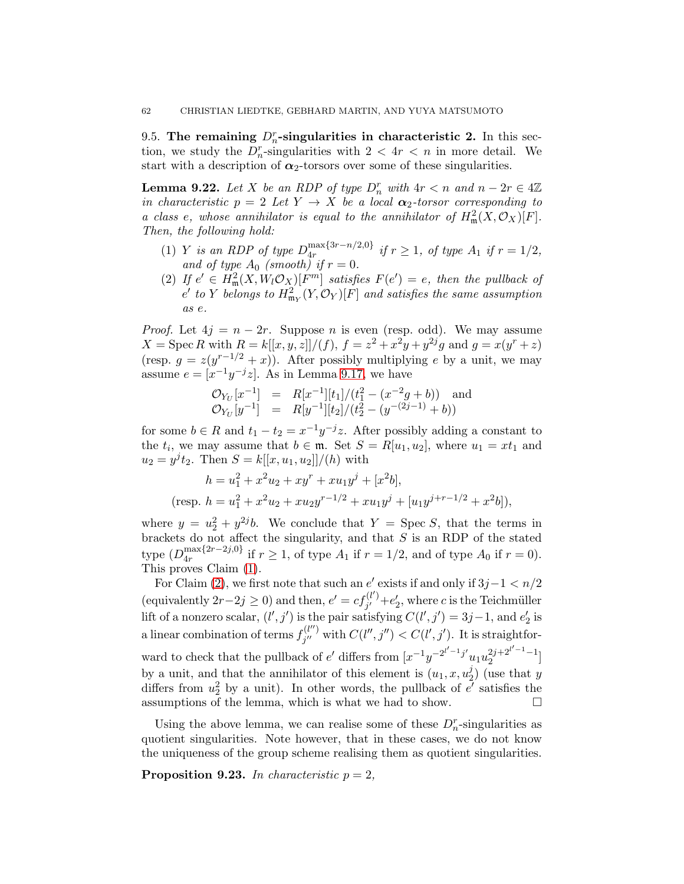9.5. The remaining  $D_n^r$ -singularities in characteristic 2. In this section, we study the  $D_n^r$ -singularities with  $2 < 4r < n$  in more detail. We start with a description of  $\alpha_2$ -torsors over some of these singularities.

<span id="page-61-1"></span>**Lemma 9.22.** Let X be an RDP of type  $D_n^r$  with  $4r < n$  and  $n - 2r \in 4\mathbb{Z}$ in characteristic  $p = 2$  Let  $Y \rightarrow X$  be a local  $\alpha_2$ -torsor corresponding to a class e, whose annihilator is equal to the annihilator of  $H^2_{\mathfrak{m}}(X, \mathcal{O}_X)[F]$ . Then, the following hold:

- <span id="page-61-2"></span>(1) Y is an RDP of type  $D_{4r}^{\max\{3r-n/2,0\}}$  $\lim_{4r} \frac{\sinh(x_1 - n/2, 0)}{r}$  if  $r \ge 1$ , of type  $A_1$  if  $r = 1/2$ , and of type  $A_0$  (smooth) if  $r = 0$ .
- <span id="page-61-3"></span>(2) If  $e' \in H^2_{\mathfrak{m}}(X, W_l \mathcal{O}_X)[F^m]$  satisfies  $F(e') = e$ , then the pullback of  $e^\prime$  to  $Y$  belongs to  $H^2_{\mathfrak{m}_Y}(Y, \mathcal{O}_Y)[F]$  and satisfies the same assumption as e.

*Proof.* Let  $4j = n - 2r$ . Suppose *n* is even (resp. odd). We may assume  $X = \text{Spec } R \text{ with } R = k[[x, y, z]]/(f), f = z^2 + x^2y + y^{2j}g \text{ and } g = x(y^r + z)$ (resp.  $g = z(y^{r-1/2} + x)$ ). After possibly multiplying e by a unit, we may assume  $e = [x^{-1}y^{-j}z]$ . As in Lemma [9.17,](#page-57-0) we have

$$
\mathcal{O}_{Y_U}[x^{-1}] = R[x^{-1}][t_1]/(t_1^2 - (x^{-2}g + b))
$$
 and  

$$
\mathcal{O}_{Y_U}[y^{-1}] = R[y^{-1}][t_2]/(t_2^2 - (y^{-(2j-1)} + b))
$$

for some  $b \in R$  and  $t_1 - t_2 = x^{-1}y^{-j}z$ . After possibly adding a constant to the  $t_i$ , we may assume that  $b \in \mathfrak{m}$ . Set  $S = R[u_1, u_2]$ , where  $u_1 = xt_1$  and  $u_2 = y^j t_2$ . Then  $S = k[[x, u_1, u_2]]/(h)$  with

$$
h = u_1^2 + x^2 u_2 + xy^r + xu_1 y^j + [x^2 b],
$$
  
(resp. 
$$
h = u_1^2 + x^2 u_2 + xu_2 y^{r-1/2} + xu_1 y^j + [u_1 y^{j+r-1/2} + x^2 b]),
$$

where  $y = u_2^2 + y^{2j}b$ . We conclude that  $Y = \text{Spec } S$ , that the terms in brackets do not affect the singularity, and that  $S$  is an RDP of the stated type  $(D_{4r}^{\max\{2r-2j,0\}})$  $\lim_{4r} 4r^{1/2r-2j,0}$  if  $r \ge 1$ , of type  $A_1$  if  $r = 1/2$ , and of type  $A_0$  if  $r = 0$ . This proves Claim [\(1\)](#page-61-2).

For Claim [\(2\)](#page-61-3), we first note that such an  $e'$  exists if and only if  $3j-1 < n/2$ (equivalently  $2r-2j \ge 0$ ) and then,  $e' = cf_{j'}^{(l')}$  $j'_{j'}$  + $e'_{2}$ , where c is the Teichmüller lift of a nonzero scalar,  $(l', j')$  is the pair satisfying  $C(l', j') = 3j-1$ , and  $e'_2$  is a linear combination of terms  $f_{i''}^{(l'')}$  $f_{j''}^{(l'')}$  with  $C(l'', j'') < C(l', j')$ . It is straightforward to check that the pullback of  $e'$  differs from  $[x^{-1}y^{-2^{i'-1}j'}u_1u_2^{2j+2^{i'-1}-1}$  $\begin{bmatrix} 2j+2 \\ 2 \end{bmatrix}$ by a unit, and that the annihilator of this element is  $(u_1, x, u_2^j)$  $y_2^j$  (use that y differs from  $u_2^2$  by a unit). In other words, the pullback of  $e'$  satisfies the assumptions of the lemma, which is what we had to show.  $\Box$ 

Using the above lemma, we can realise some of these  $D_n^r$ -singularities as quotient singularities. Note however, that in these cases, we do not know the uniqueness of the group scheme realising them as quotient singularities.

<span id="page-61-0"></span>**Proposition 9.23.** In characteristic  $p = 2$ ,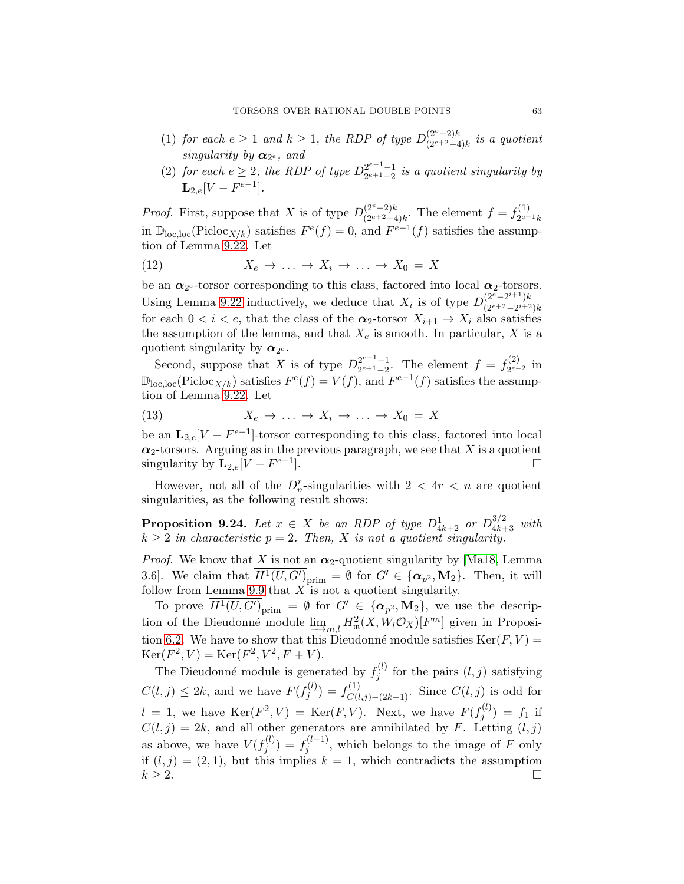- (1) for each  $e \geq 1$  and  $k \geq 1$ , the RDP of type  $D_{(2^{e+2}-4)}^{(2^e-2)k}$  $\frac{(2e-2)\kappa}{(2e+2-4)k}$  is a quotient singularity by  $\alpha_{2^e}$ , and
- (2) for each  $e \geq 2$ , the RDP of type  $D_{2^{e+1}-2}^{2^{e-1}-1}$  $\frac{2^{e-1}-1}{2^{e+1}-2}$  is a quotient singularity by  ${\bf L}_{2,e}[V-F^{e-1}].$

*Proof.* First, suppose that X is of type  $D_{\gamma e+2}^{(2^e-2)k}$  $\binom{(2^e-2)k}{(2^{e+2}-4)k}$ . The element  $f = f_{2^{e-}}^{(1)}$  $2^{e-1}k$ in  $\mathbb{D}_{\text{loc},\text{loc}}(\text{Pic}(\mathcal{X}/k))$  satisfies  $F^e(f) = 0$ , and  $F^{e-1}(f)$  satisfies the assumption of Lemma [9.22.](#page-61-1) Let

(12) 
$$
X_e \to \ldots \to X_i \to \ldots \to X_0 = X
$$

be an  $\alpha_{2^e}$ -torsor corresponding to this class, factored into local  $\alpha_2$ -torsors. Using Lemma [9.22](#page-61-1) inductively, we deduce that  $X_i$  is of type  $D_{(2^{e+2}-2^{i+2})k}^{(2^e-2^{i+1})k}$  $(2^{e+2}-2^{i+2})k$ for each  $0 < i < e$ , that the class of the  $\alpha_2$ -torsor  $X_{i+1} \to X_i$  also satisfies the assumption of the lemma, and that  $X_e$  is smooth. In particular, X is a quotient singularity by  $\alpha_{2^e}$ .

Second, suppose that X is of type  $D_{2e+1-2}^{2e-1-1}$  $2^{e-1}-1 \n= 2^{e+1}-2$ . The element  $f = f_{2^{e-1}}^{(2)}$  $e^{(2)}_{2^{e-2}}$  in  $\mathbb{D}_{\text{loc},\text{loc}}(\text{Pic}(\mathcal{X}/k))$  satisfies  $F^e(f) = V(f)$ , and  $F^{e-1}(f)$  satisfies the assumption of Lemma [9.22.](#page-61-1) Let

(13) 
$$
X_e \to \dots \to X_i \to \dots \to X_0 = X
$$

be an  $\mathbf{L}_{2,e}[V - F^{e-1}]$ -torsor corresponding to this class, factored into local  $\alpha_2$ -torsors. Arguing as in the previous paragraph, we see that X is a quotient singularity by  $\mathbf{L}_{2,e}[V - F^{e-1}]$  $\Box$ 

However, not all of the  $D_n^r$ -singularities with  $2 < 4r < n$  are quotient singularities, as the following result shows:

<span id="page-62-0"></span>**Proposition 9.24.** Let  $x \in X$  be an RDP of type  $D_{4k+2}^1$  or  $D_{4k+3}^{3/2}$  with  $k \geq 2$  in characteristic  $p = 2$ . Then, X is not a quotient singularity.

*Proof.* We know that X is not an  $\alpha_2$ -quotient singularity by [Ma18, Lemma 3.6. We claim that  $\overline{H^1(U, G')}_{\text{prim}} = \emptyset$  for  $G' \in {\{\alpha_{p^2}, M_2\}}$ . Then, it will follow from Lemma [9.9](#page-52-2) that  $X$  is not a quotient singularity.

To prove  $\overline{H^1(U, G')}_{\text{prim}} = \emptyset$  for  $G' \in {\{\alpha_{p^2}, M_2\}}$ , we use the description of the Dieudonné module  $\lim_{m,l} H_m^2(X, W_l \mathcal{O}_X)[F^m]$  given in Proposition 6.2. We have to show that this Dieudonné module satisfies  $K_m(F, V)$ tion [6.2.](#page-31-0) We have to show that this Dieudonné module satisfies  $\text{Ker}(F, V) =$  $\text{Ker}(F^2, V) = \text{Ker}(F^2, V^2, F + V).$ 

The Dieudonné module is generated by  $f_i^{(l)}$  $j_j^{(l)}$  for the pairs  $(l, j)$  satisfying  $C(l, j) \leq 2k$ , and we have  $F(f_j^{(l)})$  $f_j^{(l)}(t) = f_{C(l,j)-(2k-1)}^{(1)}$ . Since  $C(l, j)$  is odd for  $l = 1$ , we have  $\text{Ker}(F^2, V) = \text{Ker}(F, V)$ . Next, we have  $F(f_i^{(l)})$  $f_j^{(\iota)} = f_1$  if  $C(l, j) = 2k$ , and all other generators are annihilated by F. Letting  $(l, j)$ as above, we have  $V(f_i^{(l)})$  $f_j^{(l)}$ ) =  $f_j^{(l-1)}$  $j_j^{(l-1)}$ , which belongs to the image of F only if  $(l, j) = (2, 1)$ , but this implies  $k = 1$ , which contradicts the assumption  $k \geq 2$ .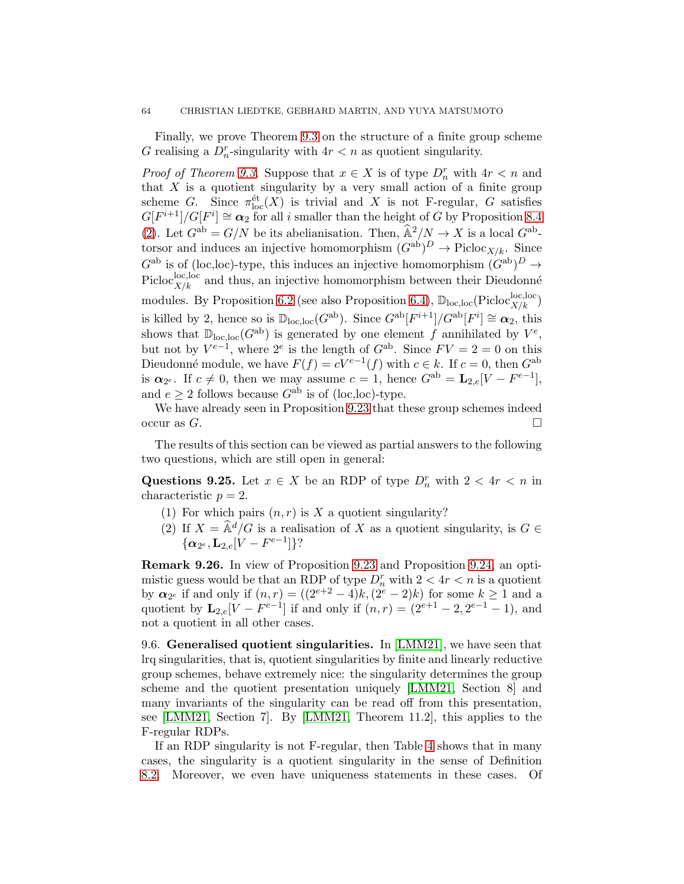Finally, we prove Theorem [9.3](#page-49-2) on the structure of a finite group scheme G realising a  $D_n^r$ -singularity with  $4r < n$  as quotient singularity.

*Proof of Theorem [9.3.](#page-49-2)* Suppose that  $x \in X$  is of type  $D_n^r$  with  $4r < n$  and that  $X$  is a quotient singularity by a very small action of a finite group scheme G. Since  $\pi_{\text{loc}}^{\text{\'et}}(X)$  is trivial and X is not F-regular, G satisfies  $G[F^{i+1}]/G[F^i] \cong \alpha_2$  for all i smaller than the height of G by Proposition [8.4](#page-44-4) [\(2\)](#page-44-6). Let  $G^{ab} = G/N$  be its abelianisation. Then,  $\widehat{A}^2/N \to X$  is a local  $G^{ab}$ torsor and induces an injective homomorphism  $(G^{ab})^D \to \text{Picloc}_{X/k}$ . Since  $G^{\text{ab}}$  is of (loc,loc)-type, this induces an injective homomorphism  $(G^{\text{ab}})^D \to$ Picloc<sup>loc</sup>, loc and thus, an injective homomorphism between their Dieudonné modules. By Proposition [6.2](#page-31-0) (see also Proposition [6.4\)](#page-35-2),  $\mathbb{D}_{loc,loc}(\text{Pic}^{loc,loc}_{X/k})$ is killed by 2, hence so is  $\mathbb{D}_{\text{loc},\text{loc}}(G^{\text{ab}})$ . Since  $G^{\text{ab}}[F^{i+1}]/G^{\text{ab}}[F^i] \cong \alpha_2$ , this shows that  $\mathbb{D}_{\text{loc,loc}}(G^{\text{ab}})$  is generated by one element f annihilated by  $V^e$ , but not by  $V^{e-1}$ , where  $2^e$  is the length of  $G^{ab}$ . Since  $FV = 2 = 0$  on this Dieudonné module, we have  $F(f) = cV^{e-1}(f)$  with  $c \in k$ . If  $c = 0$ , then  $G^{ab}$ is  $\alpha_{2^e}$ . If  $c \neq 0$ , then we may assume  $c = 1$ , hence  $G^{ab} = \mathbf{L}_{2,e}[V - F^{e-1}],$ and  $e > 2$  follows because  $G^{ab}$  is of (loc, loc)-type.

We have already seen in Proposition [9.23](#page-61-0) that these group schemes indeed occur as  $G$ .

The results of this section can be viewed as partial answers to the following two questions, which are still open in general:

Questions 9.25. Let  $x \in X$  be an RDP of type  $D_n^r$  with  $2 < 4r < n$  in characteristic  $p = 2$ .

- (1) For which pairs  $(n, r)$  is X a quotient singularity?
- (2) If  $X = \hat{\mathbb{A}}^d/G$  is a realisation of X as a quotient singularity, is  $G \in$  $\{\boldsymbol{\alpha}_{2^e}, \mathbf{L}_{2,e}[V - F^{e-1}]\}$ ?

Remark 9.26. In view of Proposition [9.23](#page-61-0) and Proposition [9.24,](#page-62-0) an optimistic guess would be that an RDP of type  $D_n^r$  with  $2 < 4r < n$  is a quotient by  $\alpha_{2^e}$  if and only if  $(n, r) = ((2^{e+2} - 4)k, (2^e - 2)k)$  for some  $k \ge 1$  and a quotient by  $\mathbf{L}_{2,e}[V - F^{e-1}]$  if and only if  $(n,r) = (2^{e+1} - 2, 2^{e-1} - 1)$ , and not a quotient in all other cases.

9.6. Generalised quotient singularities. In [\[LMM21\]](#page-74-5), we have seen that lrq singularities, that is, quotient singularities by finite and linearly reductive group schemes, behave extremely nice: the singularity determines the group scheme and the quotient presentation uniquely [\[LMM21,](#page-74-5) Section 8] and many invariants of the singularity can be read off from this presentation, see [\[LMM21,](#page-74-5) Section 7]. By [\[LMM21,](#page-74-5) Theorem 11.2], this applies to the F-regular RDPs.

If an RDP singularity is not F-regular, then Table [4](#page-50-0) shows that in many cases, the singularity is a quotient singularity in the sense of Definition [8.2.](#page-43-0) Moreover, we even have uniqueness statements in these cases. Of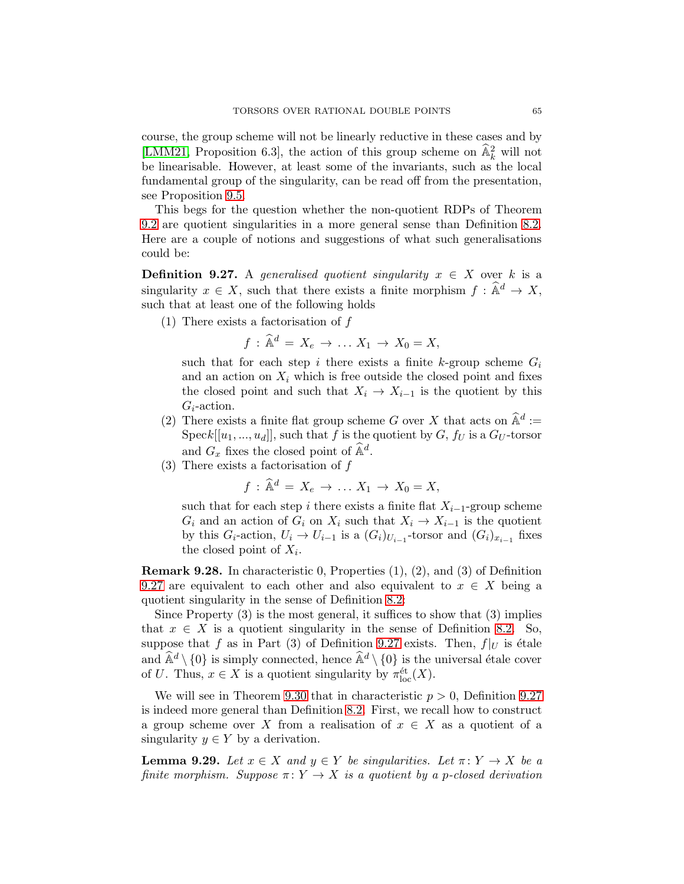course, the group scheme will not be linearly reductive in these cases and by [\[LMM21,](#page-74-5) Proposition 6.3], the action of this group scheme on  $\hat{\mathbb{A}}_k^2$  will not be linearisable. However, at least some of the invariants, such as the local fundamental group of the singularity, can be read off from the presentation, see Proposition [9.5.](#page-51-0)

This begs for the question whether the non-quotient RDPs of Theorem [9.2](#page-49-1) are quotient singularities in a more general sense than Definition [8.2.](#page-43-0) Here are a couple of notions and suggestions of what such generalisations could be:

<span id="page-64-0"></span>**Definition 9.27.** A generalised quotient singularity  $x \in X$  over k is a singularity  $x \in X$ , such that there exists a finite morphism  $f : \hat{\mathbb{A}}^d \to X$ , such that at least one of the following holds

(1) There exists a factorisation of f

$$
f: \widehat{\mathbb{A}}^d = X_e \to \dots X_1 \to X_0 = X,
$$

such that for each step i there exists a finite k-group scheme  $G_i$ and an action on  $X_i$  which is free outside the closed point and fixes the closed point and such that  $X_i \to X_{i-1}$  is the quotient by this  $G_i$ -action.

- <span id="page-64-1"></span>(2) There exists a finite flat group scheme G over X that acts on  $\widehat{\mathbb{A}}^d$  :=  $\mathrm{Spec} k[[u_1, ..., u_d]],$  such that f is the quotient by  $G, f_U$  is a  $G_U$ -torsor and  $G_x$  fixes the closed point of  $\widehat{\mathbb{A}}^d$ .
- <span id="page-64-2"></span>(3) There exists a factorisation of f

$$
f: \widehat{\mathbb{A}}^d = X_e \to \dots X_1 \to X_0 = X,
$$

such that for each step i there exists a finite flat  $X_{i-1}$ -group scheme  $G_i$  and an action of  $G_i$  on  $X_i$  such that  $X_i \to X_{i-1}$  is the quotient by this  $G_i$ -action,  $U_i \to U_{i-1}$  is a  $(G_i)_{U_{i-1}}$ -torsor and  $(G_i)_{x_{i-1}}$  fixes the closed point of  $X_i$ .

Remark 9.28. In characteristic 0, Properties (1), (2), and (3) of Definition [9.27](#page-64-0) are equivalent to each other and also equivalent to  $x \in X$  being a quotient singularity in the sense of Definition [8.2:](#page-43-0)

Since Property  $(3)$  is the most general, it suffices to show that  $(3)$  implies that  $x \in X$  is a quotient singularity in the sense of Definition [8.2.](#page-43-0) So, suppose that f as in Part (3) of Definition [9.27](#page-64-0) exists. Then,  $f|_U$  is étale and  $\widehat{\mathbb{A}}^d \setminus \{0\}$  is simply connected, hence  $\widehat{\mathbb{A}}^d \setminus \{0\}$  is the universal étale cover of U. Thus,  $x \in X$  is a quotient singularity by  $\pi_{\text{loc}}^{\text{\'et}}(X)$ .

We will see in Theorem [9.30](#page-65-0) that in characteristic  $p > 0$ , Definition [9.27](#page-64-0) is indeed more general than Definition [8.2.](#page-43-0) First, we recall how to construct a group scheme over X from a realisation of  $x \in X$  as a quotient of a singularity  $y \in Y$  by a derivation.

<span id="page-64-3"></span>**Lemma 9.29.** Let  $x \in X$  and  $y \in Y$  be singularities. Let  $\pi: Y \to X$  be a finite morphism. Suppose  $\pi: Y \to X$  is a quotient by a p-closed derivation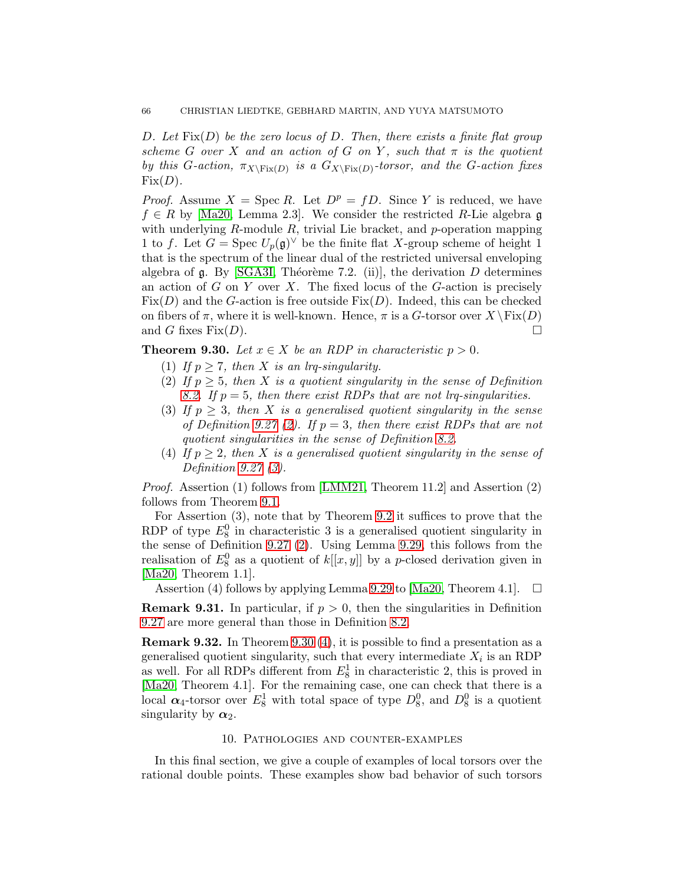D. Let  $Fix(D)$  be the zero locus of D. Then, there exists a finite flat group scheme G over X and an action of G on Y, such that  $\pi$  is the quotient by this G-action,  $\pi_{X\backslash\operatorname{Fix}(D)}$  is a  $G_{X\backslash\operatorname{Fix}(D)}$ -torsor, and the G-action fixes  $Fix(D).$ 

*Proof.* Assume  $X = \text{Spec } R$ . Let  $D^p = fD$ . Since Y is reduced, we have  $f \in R$  by [Ma20, Lemma 2.3]. We consider the restricted R-Lie algebra g with underlying  $R$ -module  $R$ , trivial Lie bracket, and  $p$ -operation mapping 1 to f. Let  $G = \text{Spec } U_p(\mathfrak{g})^\vee$  be the finite flat X-group scheme of height 1 that is the spectrum of the linear dual of the restricted universal enveloping algebra of  $\mathfrak g$ . By [\[SGA3I,](#page-75-3) Théorème 7.2. (ii)], the derivation D determines an action of  $G$  on  $Y$  over  $X$ . The fixed locus of the  $G$ -action is precisely  $Fix(D)$  and the G-action is free outside  $Fix(D)$ . Indeed, this can be checked on fibers of  $\pi$ , where it is well-known. Hence,  $\pi$  is a G-torsor over  $X \ Fix(D)$  and G fixes Fix(D). and G fixes  $Fix(D)$ .

<span id="page-65-0"></span>**Theorem 9.30.** Let  $x \in X$  be an RDP in characteristic  $p > 0$ .

- (1) If  $p \geq 7$ , then X is an lrq-singularity.
- (2) If  $p \geq 5$ , then X is a quotient singularity in the sense of Definition [8.2.](#page-43-0) If  $p = 5$ , then there exist RDPs that are not lrq-singularities.
- (3) If  $p \geq 3$ , then X is a generalised quotient singularity in the sense of Definition [9.27](#page-64-0) [\(2\)](#page-64-1). If  $p = 3$ , then there exist RDPs that are not quotient singularities in the sense of Definition [8.2.](#page-43-0)
- <span id="page-65-1"></span>(4) If  $p \geq 2$ , then X is a generalised quotient singularity in the sense of Definition [9.27](#page-64-0) [\(3\)](#page-64-2).

Proof. Assertion (1) follows from [\[LMM21,](#page-74-5) Theorem 11.2] and Assertion (2) follows from Theorem [9.1.](#page-49-0)

For Assertion (3), note that by Theorem [9.2](#page-49-1) it suffices to prove that the RDP of type  $E_8^0$  in characteristic 3 is a generalised quotient singularity in the sense of Definition [9.27](#page-64-0) [\(2\)](#page-64-1). Using Lemma [9.29,](#page-64-3) this follows from the realisation of  $E_8^0$  as a quotient of  $k[[x, y]]$  by a p-closed derivation given in [Ma20, Theorem 1.1].

Assertion (4) follows by applying Lemma [9.29](#page-64-3) to [Ma20, Theorem 4.1].  $\Box$ 

**Remark 9.31.** In particular, if  $p > 0$ , then the singularities in Definition [9.27](#page-64-0) are more general than those in Definition [8.2.](#page-43-0)

Remark 9.32. In Theorem [9.30](#page-65-0) [\(4\)](#page-65-1), it is possible to find a presentation as a generalised quotient singularity, such that every intermediate  $X_i$  is an RDP as well. For all RDPs different from  $E_8^1$  in characteristic 2, this is proved in [Ma20, Theorem 4.1]. For the remaining case, one can check that there is a local  $\alpha_4$ -torsor over  $E_8^1$  with total space of type  $D_8^0$ , and  $D_8^0$  is a quotient singularity by  $\alpha_2$ .

#### 10. Pathologies and counter-examples

In this final section, we give a couple of examples of local torsors over the rational double points. These examples show bad behavior of such torsors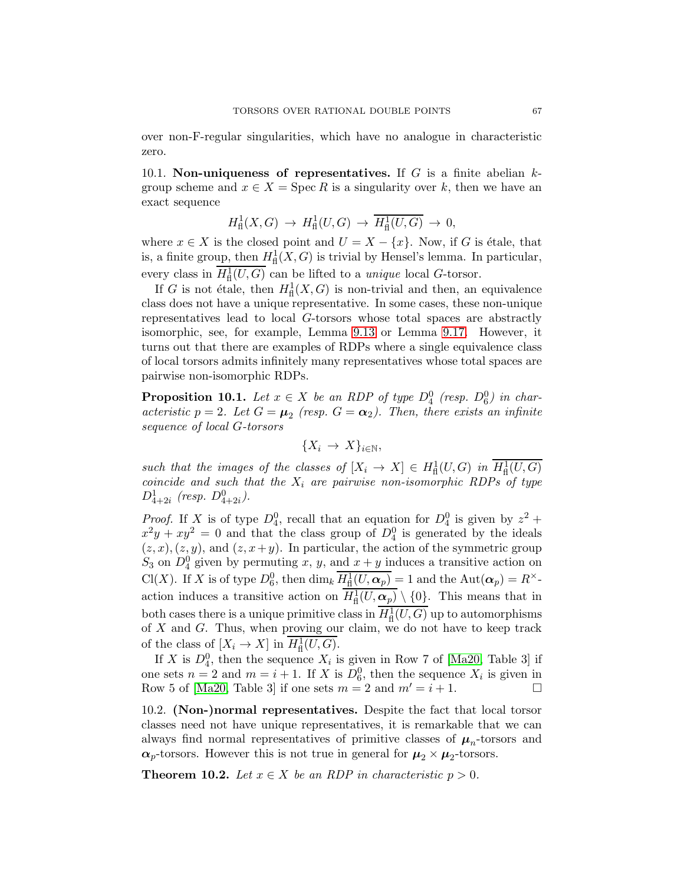over non-F-regular singularities, which have no analogue in characteristic zero.

10.1. Non-uniqueness of representatives. If G is a finite abelian  $k$ group scheme and  $x \in X = \text{Spec } R$  is a singularity over k, then we have an exact sequence

$$
H^1_{\text{fl}}(X,G) \to H^1_{\text{fl}}(U,G) \to \overline{H^1_{\text{fl}}(U,G)} \to 0,
$$

where  $x \in X$  is the closed point and  $U = X - \{x\}$ . Now, if G is étale, that is, a finite group, then  $H^1_{\text{fl}}(X, G)$  is trivial by Hensel's lemma. In particular, every class in  $H^1_{\text{fl}}(U, G)$  can be lifted to a *unique* local G-torsor.

If G is not étale, then  $H^1_{\text{fl}}(X, G)$  is non-trivial and then, an equivalence class does not have a unique representative. In some cases, these non-unique representatives lead to local G-torsors whose total spaces are abstractly isomorphic, see, for example, Lemma [9.13](#page-54-0) or Lemma [9.17.](#page-57-0) However, it turns out that there are examples of RDPs where a single equivalence class of local torsors admits infinitely many representatives whose total spaces are pairwise non-isomorphic RDPs.

<span id="page-66-0"></span>**Proposition 10.1.** Let  $x \in X$  be an RDP of type  $D_4^0$  (resp.  $D_6^0$ ) in characteristic  $p = 2$ . Let  $G = \mu_2$  (resp.  $G = \alpha_2$ ). Then, there exists an infinite sequence of local G-torsors

$$
\{X_i \to X\}_{i \in \mathbb{N}},
$$

such that the images of the classes of  $[X_i \to X] \in H^1_{\text{fl}}(U, G)$  in  $H^1_{\text{fl}}(U, G)$ coincide and such that the  $X_i$  are pairwise non-isomorphic RDPs of type  $D_{4+2i}^1$  (resp.  $D_{4+2i}^0$ ).

*Proof.* If X is of type  $D_4^0$ , recall that an equation for  $D_4^0$  is given by  $z^2$  +  $x^2y + xy^2 = 0$  and that the class group of  $D_4^0$  is generated by the ideals  $(z, x), (z, y)$ , and  $(z, x+y)$ . In particular, the action of the symmetric group  $S_3$  on  $D_4^0$  given by permuting x, y, and  $x + y$  induces a transitive action on Cl(X). If X is of type  $D_6^0$ , then  $\dim_k H^1_{\text{fl}}(U, \alpha_p) = 1$  and the  $\text{Aut}(\alpha_p) = R^{\times}$ . action induces a transitive action on  $H^1_{\text{fl}}(U, \mathbf{\alpha}_p) \setminus \{0\}$ . This means that in both cases there is a unique primitive class in  $H^1_{\text{fl}}(U, G)$  up to automorphisms of  $X$  and  $G$ . Thus, when proving our claim, we do not have to keep track of the class of  $[X_i \to X]$  in  $H^1_{\text{fl}}(U, G)$ .

If X is  $D_4^0$ , then the sequence  $X_i$  is given in Row 7 of [Ma20, Table 3] if one sets  $n = 2$  and  $m = i + 1$ . If X is  $D_6^0$ , then the sequence  $X_i$  is given in Row 5 of [Ma20, Table 3] if one sets  $m = 2$  and  $m' = i + 1$ .

10.2. (Non-)normal representatives. Despite the fact that local torsor classes need not have unique representatives, it is remarkable that we can always find normal representatives of primitive classes of  $\mu_n$ -torsors and  $\alpha_p$ -torsors. However this is not true in general for  $\mu_2 \times \mu_2$ -torsors.

<span id="page-66-1"></span>**Theorem 10.2.** Let  $x \in X$  be an RDP in characteristic  $p > 0$ .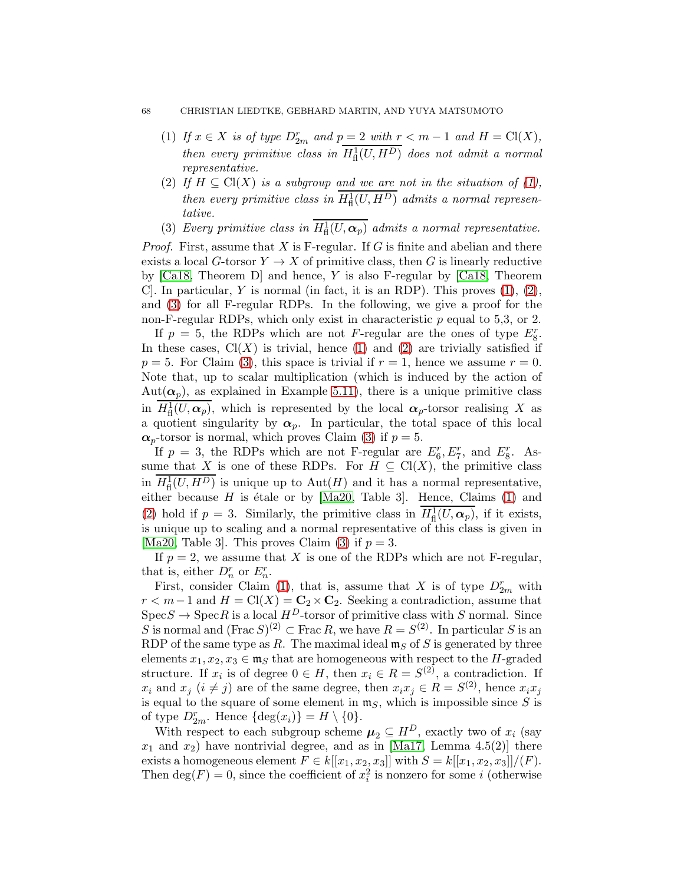## <span id="page-67-0"></span>68 CHRISTIAN LIEDTKE, GEBHARD MARTIN, AND YUYA MATSUMOTO

- (1) If  $x \in X$  is of type  $D_{2m}^r$  and  $p = 2$  with  $r < m 1$  and  $H = Cl(X)$ , then every primitive class in  $H^1_{\text{fl}}(U, H^D)$  does not admit a normal representative.
- <span id="page-67-1"></span>(2) If  $H \subseteq Cl(X)$  is a subgroup and we are not in the situation of [\(1\)](#page-67-0), then every primitive class in  $H^1_{\text{fl}}(U, H^D)$  admits a normal representative.
- <span id="page-67-2"></span>(3) Every primitive class in  $H^1_{\text{fl}}(U, \alpha_p)$  admits a normal representative.

*Proof.* First, assume that X is F-regular. If G is finite and abelian and there exists a local G-torsor  $Y \to X$  of primitive class, then G is linearly reductive by  $[Ca18, Theorem D]$  and hence, Y is also F-regular by  $[Ca18, Theorem D]$ C. In particular, Y is normal (in fact, it is an RDP). This proves  $(1), (2),$  $(1), (2),$  $(1), (2),$ and [\(3\)](#page-67-2) for all F-regular RDPs. In the following, we give a proof for the non-F-regular RDPs, which only exist in characteristic  $p$  equal to 5,3, or 2.

If  $p = 5$ , the RDPs which are not F-regular are the ones of type  $E_8^r$ . In these cases,  $Cl(X)$  is trivial, hence [\(1\)](#page-67-0) and [\(2\)](#page-67-1) are trivially satisfied if  $p = 5$ . For Claim [\(3\)](#page-67-2), this space is trivial if  $r = 1$ , hence we assume  $r = 0$ . Note that, up to scalar multiplication (which is induced by the action of Aut $(\alpha_p)$ , as explained in Example [5.11\)](#page-20-0), there is a unique primitive class in  $H^1_{\text{fl}}(U,\alpha_p)$ , which is represented by the local  $\alpha_p$ -torsor realising X as a quotient singularity by  $\alpha_p$ . In particular, the total space of this local  $\alpha_p$ -torsor is normal, which proves Claim [\(3\)](#page-67-2) if  $p=5$ .

If  $p = 3$ , the RDPs which are not F-regular are  $E_6^r, E_7^r$ , and  $E_8^r$ . Assume that X is one of these RDPs. For  $H \subseteq Cl(X)$ , the primitive class in  $H^1_{\text{fl}}(U, H^D)$  is unique up to  $\text{Aut}(H)$  and it has a normal representative, either because  $H$  is étale or by [Ma20, Table 3]. Hence, Claims [\(1\)](#page-67-0) and [\(2\)](#page-67-1) hold if  $p = 3$ . Similarly, the primitive class in  $H^1_{\text{fl}}(U, \alpha_p)$ , if it exists, is unique up to scaling and a normal representative of this class is given in [Ma20, Table 3]. This proves Claim [\(3\)](#page-67-2) if  $p = 3$ .

If  $p = 2$ , we assume that X is one of the RDPs which are not F-regular, that is, either  $D_n^r$  or  $E_n^r$ .

First, consider Claim [\(1\)](#page-67-0), that is, assume that X is of type  $D_{2m}^r$  with  $r < m-1$  and  $H = \text{Cl}(X) = \mathbb{C}_2 \times \mathbb{C}_2$ . Seeking a contradiction, assume that  $\text{Spec} S \to \text{Spec} R$  is a local  $H^D$ -torsor of primitive class with S normal. Since S is normal and  $(\text{Frac } S)^{(2)} \subset \text{Frac } R$ , we have  $R = S^{(2)}$ . In particular S is an RDP of the same type as R. The maximal ideal  $\mathfrak{m}_S$  of S is generated by three elements  $x_1, x_2, x_3 \in \mathfrak{m}_S$  that are homogeneous with respect to the H-graded structure. If  $x_i$  is of degree  $0 \in H$ , then  $x_i \in R = S^{(2)}$ , a contradiction. If  $x_i$  and  $x_j$   $(i \neq j)$  are of the same degree, then  $x_i x_j \in R = S^{(2)}$ , hence  $x_i x_j$ is equal to the square of some element in  $\mathfrak{m}_S$ , which is impossible since S is of type  $D_{2m}^r$ . Hence  $\{\deg(x_i)\}=H\setminus\{0\}$ .

With respect to each subgroup scheme  $\mu_2 \subseteq H^D$ , exactly two of  $x_i$  (say  $x_1$  and  $x_2$ ) have nontrivial degree, and as in [Ma17, Lemma 4.5(2)] there exists a homogeneous element  $F \in k[[x_1, x_2, x_3]]$  with  $S = k[[x_1, x_2, x_3]]/(F)$ . Then  $\deg(F) = 0$ , since the coefficient of  $x_i^2$  is nonzero for some i (otherwise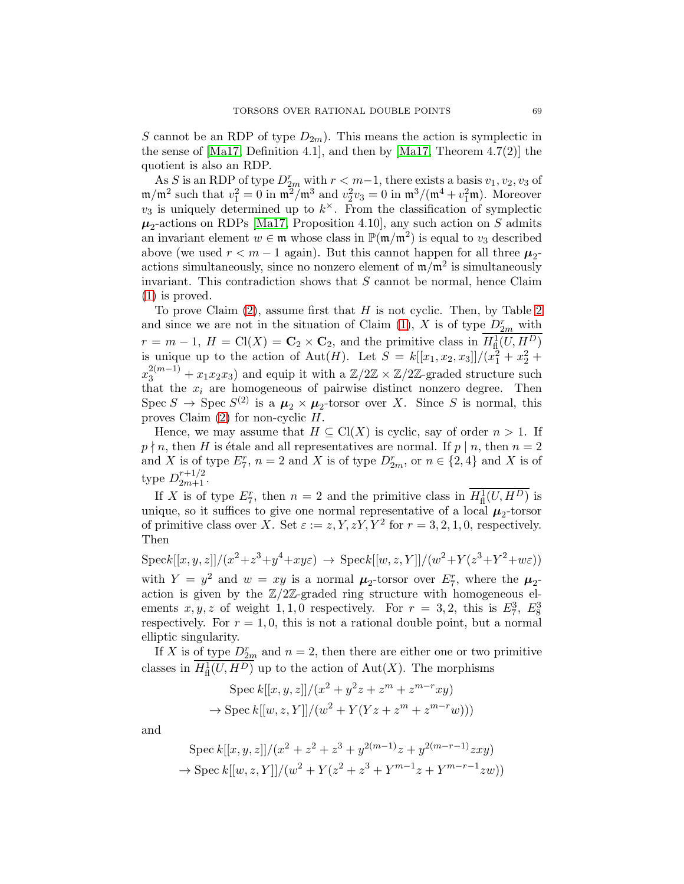S cannot be an RDP of type  $D_{2m}$ ). This means the action is symplectic in the sense of [Ma17, Definition 4.1], and then by [Ma17, Theorem 4.7(2)] the quotient is also an RDP.

As S is an RDP of type  $D_{2m}^r$  with  $r < m-1$ , there exists a basis  $v_1, v_2, v_3$  of  $\mathfrak{m}/\mathfrak{m}^2$  such that  $v_1^2 = 0$  in  $\mathfrak{m}^2/\mathfrak{m}^3$  and  $v_2^2v_3 = 0$  in  $\mathfrak{m}^3/(\mathfrak{m}^4 + v_1^2\mathfrak{m})$ . Moreover  $v_3$  is uniquely determined up to  $k^{\times}$ . From the classification of symplectic  $\mu_2$ -actions on RDPs [Ma17, Proposition 4.10], any such action on S admits an invariant element  $w \in \mathfrak{m}$  whose class in  $\mathbb{P}(\mathfrak{m}/\mathfrak{m}^2)$  is equal to  $v_3$  described above (we used  $r < m - 1$  again). But this cannot happen for all three  $\mu_2$ actions simultaneously, since no nonzero element of  $m/m^2$  is simultaneously invariant. This contradiction shows that  $S$  cannot be normal, hence Claim [\(1\)](#page-67-0) is proved.

To prove Claim  $(2)$ , assume first that H is not cyclic. Then, by Table [2](#page-30-0) and since we are not in the situation of Claim [\(1\)](#page-67-0), X is of type  $D_{2m}^r$  with  $r = m - 1$ ,  $H = \text{Cl}(X) = \mathbf{C}_2 \times \mathbf{C}_2$ , and the primitive class in  $H^1_{\text{fl}}(U, H^D)$ is unique up to the action of Aut(*H*). Let  $S = k[[x_1, x_2, x_3]]/(x_1^2 + x_2^2 + x_3^2)$  $x_3^{2(m-1)} + x_1x_2x_3$  and equip it with a  $\mathbb{Z}/2\mathbb{Z} \times \mathbb{Z}/2\mathbb{Z}$ -graded structure such that the  $x_i$  are homogeneous of pairwise distinct nonzero degree. Then Spec  $S \to \text{Spec } S^{(2)}$  is a  $\mu_2 \times \mu_2$ -torsor over X. Since S is normal, this proves Claim  $(2)$  for non-cyclic H.

Hence, we may assume that  $H \subseteq Cl(X)$  is cyclic, say of order  $n > 1$ . If  $p \nmid n$ , then H is étale and all representatives are normal. If  $p | n$ , then  $n = 2$ and X is of type  $E_7^r$ ,  $n = 2$  and X is of type  $D_{2m}^r$ , or  $n \in \{2, 4\}$  and X is of type  $D_{2m+1}^{r+1/2}$ .

If X is of type  $E_7^r$ , then  $n = 2$  and the primitive class in  $\overline{H^1_{\text{fl}}(U, H^D)}$  is unique, so it suffices to give one normal representative of a local  $\mu_2$ -torsor of primitive class over X. Set  $\varepsilon := z, Y, zY, Y^2$  for  $r = 3, 2, 1, 0$ , respectively. Then

 $\text{Spec } k[[x, y, z]]/(x^2 + z^3 + y^4 + xyz) \rightarrow \text{Spec } k[[w, z, Y]]/(w^2 + Y(z^3 + Y^2 + wz))$ with  $Y = y^2$  and  $w = xy$  is a normal  $\mu_2$ -torsor over  $E_7^r$ , where the  $\mu_2$ action is given by the  $\mathbb{Z}/2\mathbb{Z}$ -graded ring structure with homogeneous elements  $x, y, z$  of weight 1, 1, 0 respectively. For  $r = 3, 2$ , this is  $E_7^3$ ,  $E_8^3$ respectively. For  $r = 1, 0$ , this is not a rational double point, but a normal elliptic singularity.

If X is of type  $D_{2m}^r$  and  $n=2$ , then there are either one or two primitive classes in  $H^1_{\text{fl}}(U, H^D)$  up to the action of  $\text{Aut}(X)$ . The morphisms

Spec 
$$
k[[x, y, z]]/(x^2 + y^2z + z^m + z^{m-r}xy)
$$
  
\n $\rightarrow$  Spec  $k[[w, z, Y]]/(w^2 + Y(Yz + z^m + z^{m-r}w)))$ 

and

Spec 
$$
k[[x, y, z]]/(x^2 + z^2 + z^3 + y^{2(m-1)}z + y^{2(m-r-1)}zxy)
$$
  
\n $\rightarrow$  Spec  $k[[w, z, Y]]/(w^2 + Y(z^2 + z^3 + Y^{m-1}z + Y^{m-r-1}zw))$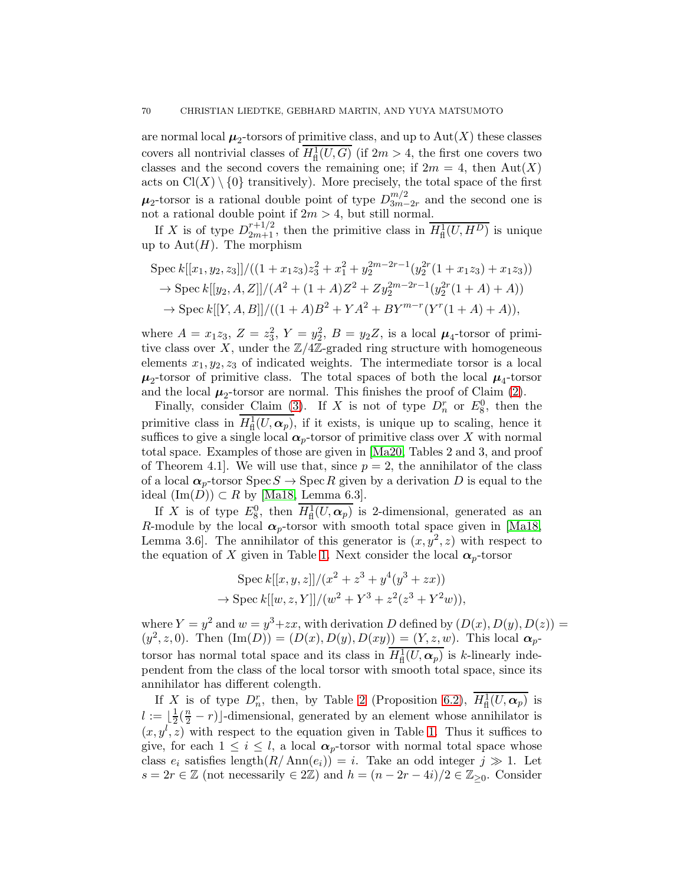are normal local  $\mu_2$ -torsors of primitive class, and up to  $\mathrm{Aut}(X)$  these classes covers all nontrivial classes of  $H^1_{\text{fl}}(U, G)$  (if  $2m > 4$ , the first one covers two classes and the second covers the remaining one; if  $2m = 4$ , then  $Aut(X)$ acts on  $Cl(X) \setminus \{0\}$  transitively). More precisely, the total space of the first  $\mu_2$ -torsor is a rational double point of type  $D_{3m-}^{m/2}$  $\frac{m}{2m-2r}$  and the second one is not a rational double point if  $2m > 4$ , but still normal.

If X is of type  $D_{2m+1}^{r+1/2}$ , then the primitive class in  $\overline{H^1_{\text{fl}}(U, H^D)}$  is unique up to  $\text{Aut}(H)$ . The morphism

$$
\operatorname{Spec} k[[x_1, y_2, z_3]]/((1 + x_1 z_3) z_3^2 + x_1^2 + y_2^{2m-2r-1} (y_2^{2r} (1 + x_1 z_3) + x_1 z_3))
$$
  
\n
$$
\to \operatorname{Spec} k[[y_2, A, Z]]/(A^2 + (1 + A)Z^2 + Z y_2^{2m-2r-1} (y_2^{2r} (1 + A) + A))
$$
  
\n
$$
\to \operatorname{Spec} k[[Y, A, B]]/((1 + A)B^2 + YA^2 + BY^{m-r} (Y^r (1 + A) + A)),
$$

where  $A = x_1 z_3, Z = z_3^2, Y = y_2^2, B = y_2 Z$ , is a local  $\mu_4$ -torsor of primitive class over X, under the  $\mathbb{Z}/4\mathbb{Z}$ -graded ring structure with homogeneous elements  $x_1, y_2, z_3$  of indicated weights. The intermediate torsor is a local  $\mu_2$ -torsor of primitive class. The total spaces of both the local  $\mu_4$ -torsor and the local  $\mu_2$ -torsor are normal. This finishes the proof of Claim [\(2\)](#page-67-1).

Finally, consider Claim [\(3\)](#page-67-2). If X is not of type  $D_n^r$  or  $E_8^0$ , then the primitive class in  $H^1_{\text{fl}}(U,\alpha_p)$ , if it exists, is unique up to scaling, hence it suffices to give a single local  $\alpha_p$ -torsor of primitive class over X with normal total space. Examples of those are given in [Ma20, Tables 2 and 3, and proof of Theorem 4.1. We will use that, since  $p = 2$ , the annihilator of the class of a local  $\alpha_p$ -torsor Spec  $S \to \text{Spec } R$  given by a derivation D is equal to the ideal  $(\text{Im}(D)) \subset R$  by [Ma18, Lemma 6.3].

If X is of type  $E_8^0$ , then  $H^1_{\text{fl}}(U, \alpha_p)$  is 2-dimensional, generated as an R-module by the local  $\alpha_p$ -torsor with smooth total space given in [Ma18, Lemma 3.6. The annihilator of this generator is  $(x, y^2, z)$  with respect to the equation of X given in Table [1.](#page-8-1) Next consider the local  $\alpha_p$ -torsor

$$
\text{Spec } k[[x, y, z]]/(x^2 + z^3 + y^4(y^3 + zx))
$$
  

$$
\rightarrow \text{Spec } k[[w, z, Y]]/(w^2 + Y^3 + z^2(z^3 + Y^2w)),
$$

where  $Y = y^2$  and  $w = y^3 + zx$ , with derivation D defined by  $(D(x), D(y), D(z)) =$  $(y^2, z, 0)$ . Then  $(\text{Im}(D)) = (D(x), D(y), D(xy)) = (Y, z, w)$ . This local  $\alpha_p$ torsor has normal total space and its class in  $H^1_{\text{fl}}(U, \alpha_p)$  is k-linearly independent from the class of the local torsor with smooth total space, since its annihilator has different colength.

If X is of type  $D_n^r$ , then, by Table [2](#page-30-0) (Proposition [6.2\)](#page-31-0),  $\overline{H^1_{\text{fl}}(U,\boldsymbol{\alpha}_p)}$  is  $l := \lfloor \frac{1}{2} \rfloor$  $\frac{1}{2}(\frac{n}{2}-r)$ ]-dimensional, generated by an element whose annihilator is  $(x, y<sup>l</sup>, z)$  with respect to the equation given in Table [1.](#page-8-1) Thus it suffices to give, for each  $1 \leq i \leq l$ , a local  $\alpha_p$ -torsor with normal total space whose class  $e_i$  satisfies length $(R/\text{Ann}(e_i)) = i$ . Take an odd integer  $j \gg 1$ . Let  $s = 2r \in \mathbb{Z}$  (not necessarily  $\in 2\mathbb{Z}$ ) and  $h = (n - 2r - 4i)/2 \in \mathbb{Z}_{\geq 0}$ . Consider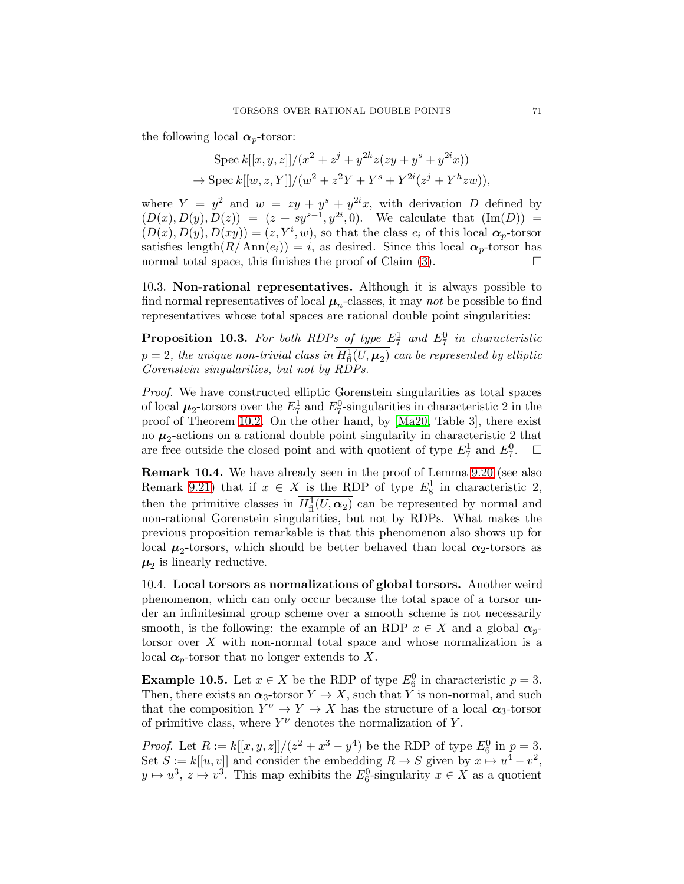the following local  $\alpha_p$ -torsor:

$$
\text{Spec } k[[x, y, z]]/(x^2 + z^j + y^{2h}z(zy + y^s + y^{2i}x))
$$
  

$$
\to \text{Spec } k[[w, z, Y]]/(w^2 + z^2Y + Y^s + Y^{2i}(z^j + Y^h zw)),
$$

where  $Y = y^2$  and  $w = zy + y^2 + y^2 + y^2$ , with derivation D defined by  $(D(x), D(y), D(z)) = (z + sy^{s-1}, y^{2i}, 0).$  We calculate that  $(Im(D))$  $(D(x), D(y), D(xy)) = (z, Y<sup>i</sup>, w)$ , so that the class  $e<sub>i</sub>$  of this local  $\alpha<sub>p</sub>$ -torsor satisfies length $(R/\text{Ann}(e_i)) = i$ , as desired. Since this local  $\alpha_p$ -torsor has normal total space, this finishes the proof of Claim  $(3)$ .

10.3. Non-rational representatives. Although it is always possible to find normal representatives of local  $\mu_n$ -classes, it may not be possible to find representatives whose total spaces are rational double point singularities:

<span id="page-70-1"></span>**Proposition 10.3.** For both RDPs of type  $E_7^1$  and  $E_7^0$  in characteristic  $p=2,$  the unique non-trivial class in  $H^1_{\text{fl}}(U,\mu_2)$  can be represented by elliptic Gorenstein singularities, but not by RDPs.

Proof. We have constructed elliptic Gorenstein singularities as total spaces of local  $\mu_2$ -torsors over the  $E_7^1$  and  $E_7^0$ -singularities in characteristic 2 in the proof of Theorem [10.2.](#page-66-1) On the other hand, by [Ma20, Table 3], there exist no  $\mu_2$ -actions on a rational double point singularity in characteristic 2 that are free outside the closed point and with quotient of type  $E_7^1$  and  $E_7^0$  $\Box$ 

Remark 10.4. We have already seen in the proof of Lemma [9.20](#page-58-1) (see also Remark [9.21\)](#page-60-0) that if  $x \in X$  is the RDP of type  $E_8^1$  in characteristic 2, then the primitive classes in  $H^1_{\text{fl}}(U,\alpha_2)$  can be represented by normal and non-rational Gorenstein singularities, but not by RDPs. What makes the previous proposition remarkable is that this phenomenon also shows up for local  $\mu_2$ -torsors, which should be better behaved than local  $\alpha_2$ -torsors as  $\mu_2$  is linearly reductive.

10.4. Local torsors as normalizations of global torsors. Another weird phenomenon, which can only occur because the total space of a torsor under an infinitesimal group scheme over a smooth scheme is not necessarily smooth, is the following: the example of an RDP  $x \in X$  and a global  $\alpha_n$ torsor over X with non-normal total space and whose normalization is a local  $\alpha_p$ -torsor that no longer extends to X.

<span id="page-70-0"></span>**Example 10.5.** Let  $x \in X$  be the RDP of type  $E_6^0$  in characteristic  $p = 3$ . Then, there exists an  $\alpha_3$ -torsor  $Y \to X$ , such that Y is non-normal, and such that the composition  $Y^{\nu} \to Y \to X$  has the structure of a local  $\alpha_3$ -torsor of primitive class, where  $Y^{\nu}$  denotes the normalization of Y.

*Proof.* Let  $R := k[[x, y, z]]/(z^2 + x^3 - y^4)$  be the RDP of type  $E_6^0$  in  $p = 3$ . Set  $S := k[[u, v]]$  and consider the embedding  $R \to S$  given by  $x \mapsto u^4 - v^2$ ,  $y \mapsto u^3$ ,  $z \mapsto v^3$ . This map exhibits the  $E_6^0$ -singularity  $x \in X$  as a quotient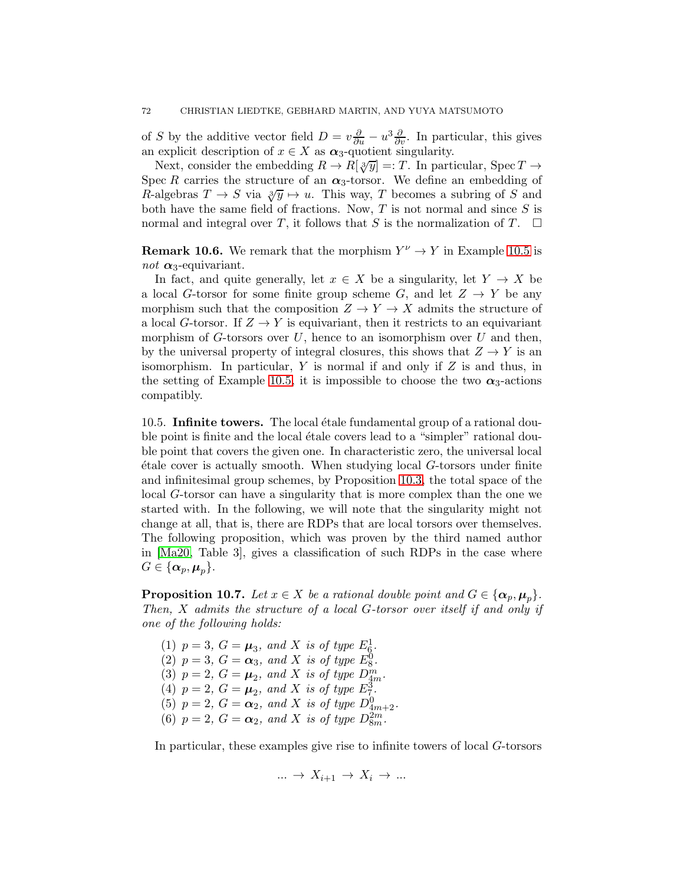of S by the additive vector field  $D = v\frac{\partial}{\partial u} - u^3\frac{\partial}{\partial v}$ . In particular, this gives an explicit description of  $x \in X$  as  $\alpha_3$ -quotient singularity.

Next, consider the embedding  $R \to R[\sqrt[3]{y}] =: T$ . In particular, Spec  $T \to$ Spec R carries the structure of an  $\alpha_3$ -torsor. We define an embedding of R-algebras  $T \to S$  via  $\sqrt[3]{y} \mapsto u$ . This way, T becomes a subring of S and both have the same field of fractions. Now,  $T$  is not normal and since  $S$  is normal and integral over T, it follows that S is the normalization of T.  $\Box$ 

**Remark 10.6.** We remark that the morphism  $Y^{\nu} \to Y$  in Example [10.5](#page-70-0) is not  $\alpha_3$ -equivariant.

In fact, and quite generally, let  $x \in X$  be a singularity, let  $Y \to X$  be a local G-torsor for some finite group scheme G, and let  $Z \to Y$  be any morphism such that the composition  $Z \to Y \to X$  admits the structure of a local G-torsor. If  $Z \to Y$  is equivariant, then it restricts to an equivariant morphism of  $G$ -torsors over  $U$ , hence to an isomorphism over  $U$  and then, by the universal property of integral closures, this shows that  $Z \to Y$  is an isomorphism. In particular,  $Y$  is normal if and only if  $Z$  is and thus, in the setting of Example [10.5,](#page-70-0) it is impossible to choose the two  $\alpha_3$ -actions compatibly.

10.5. Infinite towers. The local étale fundamental group of a rational double point is finite and the local étale covers lead to a "simpler" rational double point that covers the given one. In characteristic zero, the universal local  $\acute{e}$ tale cover is actually smooth. When studying local  $G$ -torsors under finite and infinitesimal group schemes, by Proposition [10.3,](#page-70-1) the total space of the local G-torsor can have a singularity that is more complex than the one we started with. In the following, we will note that the singularity might not change at all, that is, there are RDPs that are local torsors over themselves. The following proposition, which was proven by the third named author in [Ma20, Table 3], gives a classification of such RDPs in the case where  $G \in {\{\alpha_p, \mu_p\}}$ .

**Proposition 10.7.** Let  $x \in X$  be a rational double point and  $G \in \{\boldsymbol{\alpha}_p, \boldsymbol{\mu}_p\}.$ Then, X admits the structure of a local G-torsor over itself if and only if one of the following holds:

(1)  $p = 3$ ,  $G = \mu_3$ , and X is of type  $E_6^1$ . (2)  $p = 3$ ,  $G = \alpha_3$ , and X is of type  $E_8^0$ . (3)  $p = 2$ ,  $G = \mu_2$ , and X is of type  $D_{4m}^m$ . (4)  $p = 2, G = \mu_2, \text{ and } X \text{ is of type } E_7^3.$ (5)  $p = 2$ ,  $G = \alpha_2$ , and X is of type  $D_{4m+2}^0$ . (6)  $p = 2$ ,  $G = \alpha_2$ , and X is of type  $D_{8m}^{2m}$ .

In particular, these examples give rise to infinite towers of local G-torsors

$$
\dots \to X_{i+1} \to X_i \to \dots
$$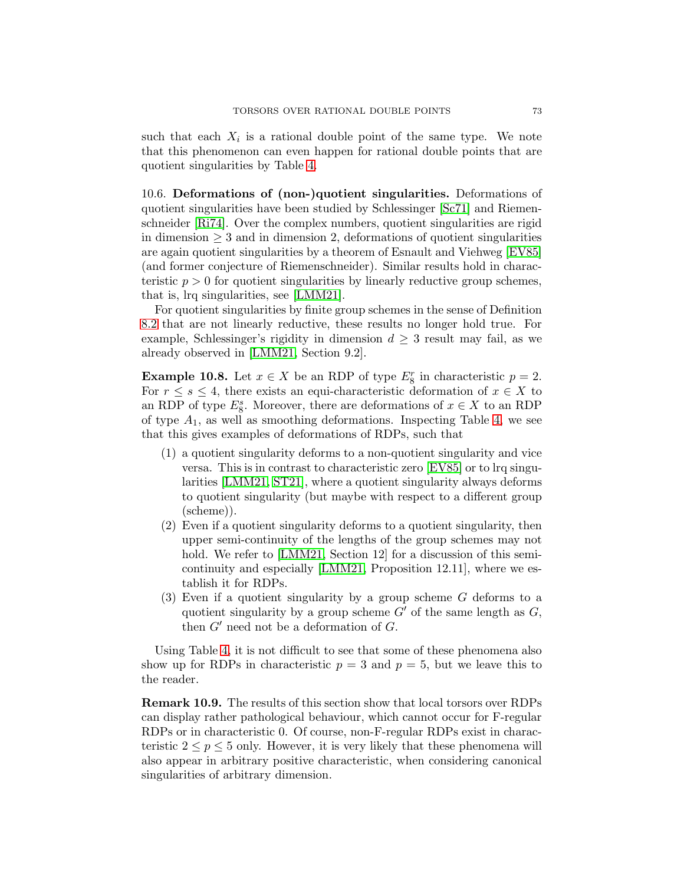such that each  $X_i$  is a rational double point of the same type. We note that this phenomenon can even happen for rational double points that are quotient singularities by Table [4.](#page-50-0)

10.6. Deformations of (non-)quotient singularities. Deformations of quotient singularities have been studied by Schlessinger [\[Sc71\]](#page-74-0) and Riemenschneider [\[Ri74\]](#page-74-1). Over the complex numbers, quotient singularities are rigid in dimension  $\geq$  3 and in dimension 2, deformations of quotient singularities are again quotient singularities by a theorem of Esnault and Viehweg [\[EV85\]](#page-73-0) (and former conjecture of Riemenschneider). Similar results hold in characteristic  $p > 0$  for quotient singularities by linearly reductive group schemes, that is, lrq singularities, see [\[LMM21\]](#page-74-2).

For quotient singularities by finite group schemes in the sense of Definition [8.2](#page-43-0) that are not linearly reductive, these results no longer hold true. For example, Schlessinger's rigidity in dimension  $d \geq 3$  result may fail, as we already observed in [\[LMM21,](#page-74-2) Section 9.2].

**Example 10.8.** Let  $x \in X$  be an RDP of type  $E_8^r$  in characteristic  $p = 2$ . For  $r \leq s \leq 4$ , there exists an equi-characteristic deformation of  $x \in X$  to an RDP of type  $E_8^s$ . Moreover, there are deformations of  $x \in X$  to an RDP of type  $A_1$ , as well as smoothing deformations. Inspecting Table [4,](#page-50-0) we see that this gives examples of deformations of RDPs, such that

- (1) a quotient singularity deforms to a non-quotient singularity and vice versa. This is in contrast to characteristic zero [\[EV85\]](#page-73-0) or to lrq singularities [\[LMM21,](#page-74-2) [ST21\]](#page-74-3), where a quotient singularity always deforms to quotient singularity (but maybe with respect to a different group (scheme)).
- (2) Even if a quotient singularity deforms to a quotient singularity, then upper semi-continuity of the lengths of the group schemes may not hold. We refer to [\[LMM21,](#page-74-2) Section 12] for a discussion of this semicontinuity and especially [\[LMM21,](#page-74-2) Proposition 12.11], where we establish it for RDPs.
- (3) Even if a quotient singularity by a group scheme G deforms to a quotient singularity by a group scheme  $G'$  of the same length as  $G$ , then  $G'$  need not be a deformation of  $G$ .

Using Table [4,](#page-50-0) it is not difficult to see that some of these phenomena also show up for RDPs in characteristic  $p = 3$  and  $p = 5$ , but we leave this to the reader.

Remark 10.9. The results of this section show that local torsors over RDPs can display rather pathological behaviour, which cannot occur for F-regular RDPs or in characteristic 0. Of course, non-F-regular RDPs exist in characteristic  $2 \le p \le 5$  only. However, it is very likely that these phenomena will also appear in arbitrary positive characteristic, when considering canonical singularities of arbitrary dimension.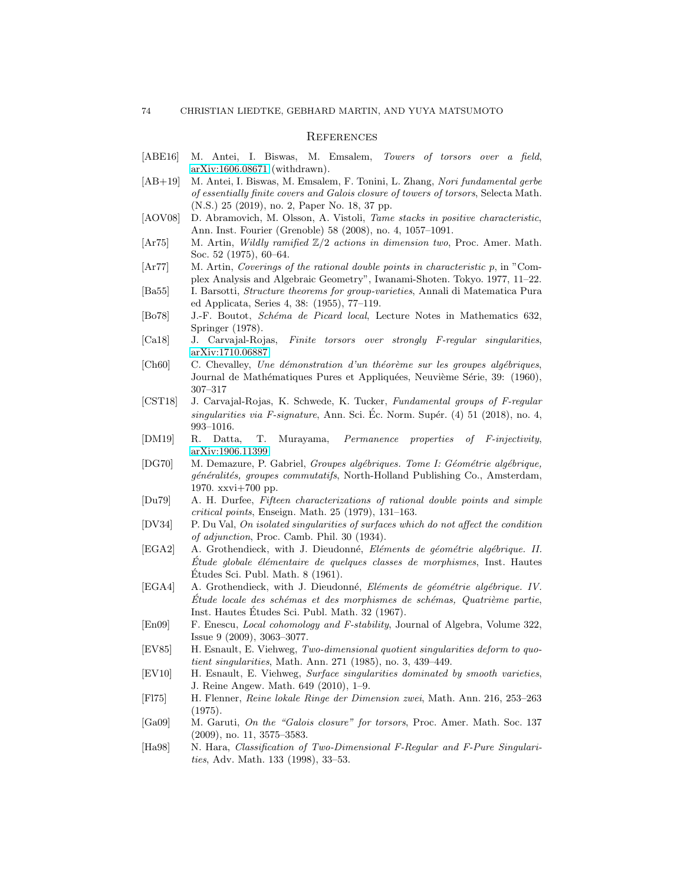## **REFERENCES**

- [ABE16] M. Antei, I. Biswas, M. Emsalem, Towers of torsors over a field, [arXiv:1606.08671](http://arxiv.org/abs/1606.08671) (withdrawn).
- [AB+19] M. Antei, I. Biswas, M. Emsalem, F. Tonini, L. Zhang, Nori fundamental gerbe of essentially finite covers and Galois closure of towers of torsors, Selecta Math. (N.S.) 25 (2019), no. 2, Paper No. 18, 37 pp.
- [AOV08] D. Abramovich, M. Olsson, A. Vistoli, *Tame stacks in positive characteristic*, Ann. Inst. Fourier (Grenoble) 58 (2008), no. 4, 1057–1091.
- $[Ar75]$  M. Artin, *Wildly ramified*  $\mathbb{Z}/2$  actions in dimension two, Proc. Amer. Math. Soc. 52 (1975), 60–64.
- [Ar77] M. Artin, Coverings of the rational double points in characteristic p, in "Complex Analysis and Algebraic Geometry", Iwanami-Shoten. Tokyo. 1977, 11–22.
- [Ba55] I. Barsotti, Structure theorems for group-varieties, Annali di Matematica Pura ed Applicata, Series 4, 38: (1955), 77–119.
- [Bo78] J.-F. Boutot, *Schéma de Picard local*, Lecture Notes in Mathematics 632, Springer (1978).
- [Ca18] J. Carvajal-Rojas, Finite torsors over strongly F-regular singularities, [arXiv:1710.06887.](http://arxiv.org/abs/1710.06887)
- $[Ch60]$  C. Chevalley, Une démonstration d'un théorème sur les groupes algébriques, Journal de Mathématiques Pures et Appliquées, Neuvième Série, 39: (1960), 307–317
- [CST18] J. Carvajal-Rojas, K. Schwede, K. Tucker, Fundamental groups of F-regular singularities via F-signature, Ann. Sci. Ec. Norm. Supér.  $(4)$  51 (2018), no. 4, 993–1016.
- [DM19] R. Datta, T. Murayama, Permanence properties of F-injectivity, [arXiv:1906.11399](http://arxiv.org/abs/1906.11399)
- [DG70] M. Demazure, P. Gabriel, Groupes algébriques. Tome I: Géométrie algébrique, généralités, groupes commutatifs, North-Holland Publishing Co., Amsterdam, 1970. xxvi+700 pp.
- [Du79] A. H. Durfee, Fifteen characterizations of rational double points and simple critical points, Enseign. Math. 25 (1979), 131–163.
- [DV34] P. Du Val, On isolated singularities of surfaces which do not affect the condition of adjunction, Proc. Camb. Phil. 30 (1934).
- [EGA2] A. Grothendieck, with J. Dieudonné, Eléments de géométrie algébrique. II.  $\emph{Etude globale élémentaire de quelques classes de morphismes, Inst. Hautes$ Etudes Sci. Publ. Math. 8 (1961). ´
- [EGA4] A. Grothendieck, with J. Dieudonné, Eléments de géométrie algébrique. IV.  $\acute{E}tude$  locale des schémas et des morphismes de schémas, Quatrième partie, Inst. Hautes Etudes Sci. Publ. Math. 32 (1967). ´
- [En09] F. Enescu, Local cohomology and F-stability, Journal of Algebra, Volume 322, Issue 9 (2009), 3063–3077.
- <span id="page-73-0"></span>[EV85] H. Esnault, E. Viehweg, Two-dimensional quotient singularities deform to quotient singularities, Math. Ann. 271 (1985), no. 3, 439–449.
- [EV10] H. Esnault, E. Viehweg, Surface singularities dominated by smooth varieties, J. Reine Angew. Math. 649 (2010), 1–9.
- [Fl75] H. Flenner, Reine lokale Ringe der Dimension zwei, Math. Ann. 216, 253–263 (1975).
- [Ga09] M. Garuti, On the "Galois closure" for torsors, Proc. Amer. Math. Soc. 137 (2009), no. 11, 3575–3583.
- [Ha98] N. Hara, Classification of Two-Dimensional F-Regular and F-Pure Singularities, Adv. Math. 133 (1998), 33–53.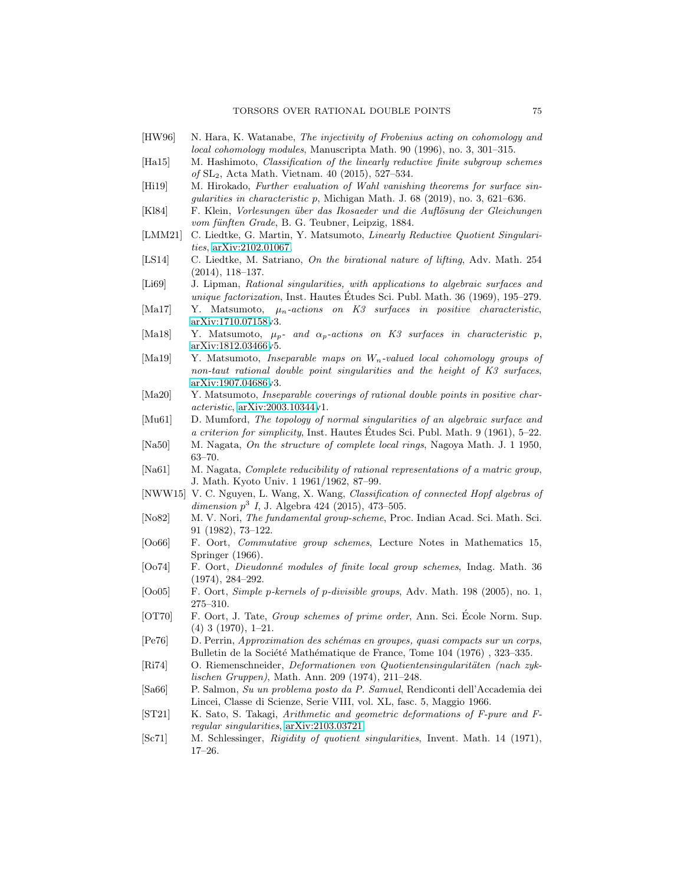- [HW96] N. Hara, K. Watanabe, The injectivity of Frobenius acting on cohomology and local cohomology modules, Manuscripta Math. 90 (1996), no. 3, 301–315.
- [Ha15] M. Hashimoto, Classification of the linearly reductive finite subgroup schemes of SL2, Acta Math. Vietnam. 40 (2015), 527–534.
- [Hi19] M. Hirokado, Further evaluation of Wahl vanishing theorems for surface singularities in characteristic p, Michigan Math. J. 68 (2019), no. 3, 621–636.
- [Kl84] F. Klein, Vorlesungen über das Ikosaeder und die Auflösung der Gleichungen vom fünften Grade, B. G. Teubner, Leipzig, 1884.
- <span id="page-74-2"></span>[LMM21] C. Liedtke, G. Martin, Y. Matsumoto, Linearly Reductive Quotient Singularities, [arXiv:2102.01067.](http://arxiv.org/abs/2102.01067)
- [LS14] C. Liedtke, M. Satriano, On the birational nature of lifting, Adv. Math. 254 (2014), 118–137.
- [Li69] J. Lipman, Rational singularities, with applications to algebraic surfaces and unique factorization, Inst. Hautes Études Sci. Publ. Math. 36 (1969), 195–279.
- [Ma17] Y. Matsumoto,  $\mu_n$ -actions on K3 surfaces in positive characteristic, [arXiv:1710.07158v](http://arxiv.org/abs/1710.07158)3.
- [Ma18] Y. Matsumoto,  $\mu_p$  and  $\alpha_p$ -actions on K3 surfaces in characteristic p, [arXiv:1812.03466v](http://arxiv.org/abs/1812.03466)5.
- [Ma19] Y. Matsumoto, *Inseparable maps on*  $W_n$ -valued local cohomology groups of non-taut rational double point singularities and the height of K3 surfaces, [arXiv:1907.04686v](http://arxiv.org/abs/1907.04686)3.
- [Ma20] Y. Matsumoto, *Inseparable coverings of rational double points in positive char*acteristic, [arXiv:2003.10344v](http://arxiv.org/abs/2003.10344)1.
- [Mu61] D. Mumford, The topology of normal singularities of an algebraic surface and a criterion for simplicity, Inst. Hautes Etudes Sci. Publ. Math. 9 (1961), 5–22. ´
- [Na50] M. Nagata, *On the structure of complete local rings*, Nagoya Math. J. 1 1950, 63–70.
- [Na61] M. Nagata, *Complete reducibility of rational representations of a matric group*, J. Math. Kyoto Univ. 1 1961/1962, 87–99.
- [NWW15] V. C. Nguyen, L. Wang, X. Wang, Classification of connected Hopf algebras of dimension  $p^3$  I, J. Algebra 424 (2015), 473-505.
- [No82] M. V. Nori, The fundamental group-scheme, Proc. Indian Acad. Sci. Math. Sci. 91 (1982), 73–122.
- [Oo66] F. Oort, Commutative group schemes, Lecture Notes in Mathematics 15, Springer (1966).
- [Oo74] F. Oort, Dieudonn´e modules of finite local group schemes, Indag. Math. 36 (1974), 284–292.
- [Oo05] F. Oort, Simple p-kernels of p-divisible groups, Adv. Math. 198 (2005), no. 1, 275–310.
- [OT70] F. Oort, J. Tate, *Group schemes of prime order*, Ann. Sci. Ecole Norm. Sup. (4) 3 (1970), 1–21.
- [Pe76] D. Perrin, Approximation des sch´emas en groupes, quasi compacts sur un corps, Bulletin de la Société Mathématique de France, Tome 104 (1976), 323–335.
- <span id="page-74-1"></span>[Ri74] O. Riemenschneider, Deformationen von Quotientensingularitäten (nach zuklischen Gruppen), Math. Ann. 209 (1974), 211–248.
- [Sa66] P. Salmon, Su un problema posto da P. Samuel, Rendiconti dell'Accademia dei Lincei, Classe di Scienze, Serie VIII, vol. XL, fasc. 5, Maggio 1966.
- <span id="page-74-3"></span>[ST21] K. Sato, S. Takagi, Arithmetic and geometric deformations of F-pure and Fregular singularities, [arXiv:2103.03721.](http://arxiv.org/abs/2103.03721)
- <span id="page-74-0"></span>[Sc71] M. Schlessinger, Rigidity of quotient singularities, Invent. Math. 14 (1971), 17–26.